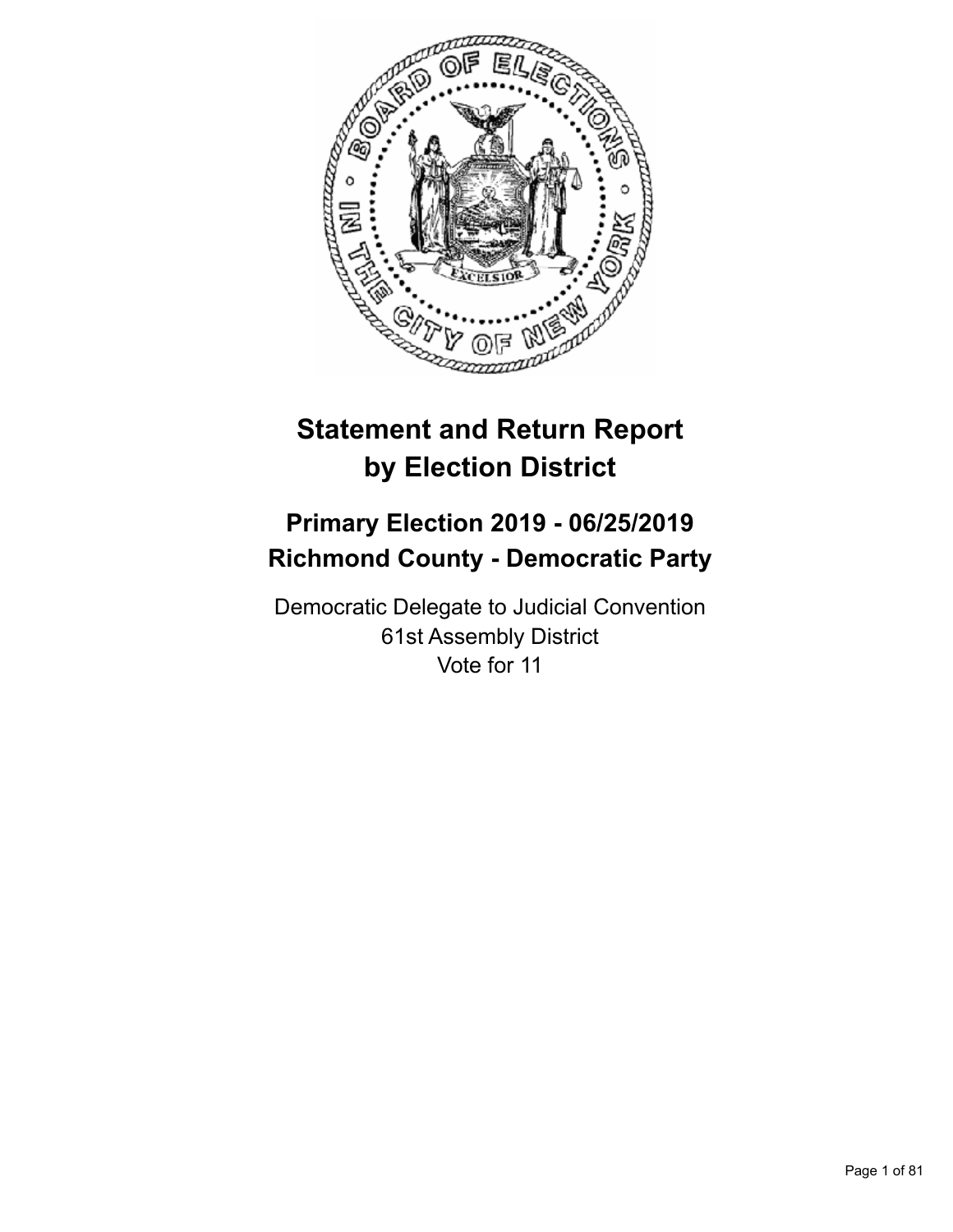

# **Statement and Return Report by Election District**

## **Primary Election 2019 - 06/25/2019 Richmond County - Democratic Party**

Democratic Delegate to Judicial Convention 61st Assembly District Vote for 11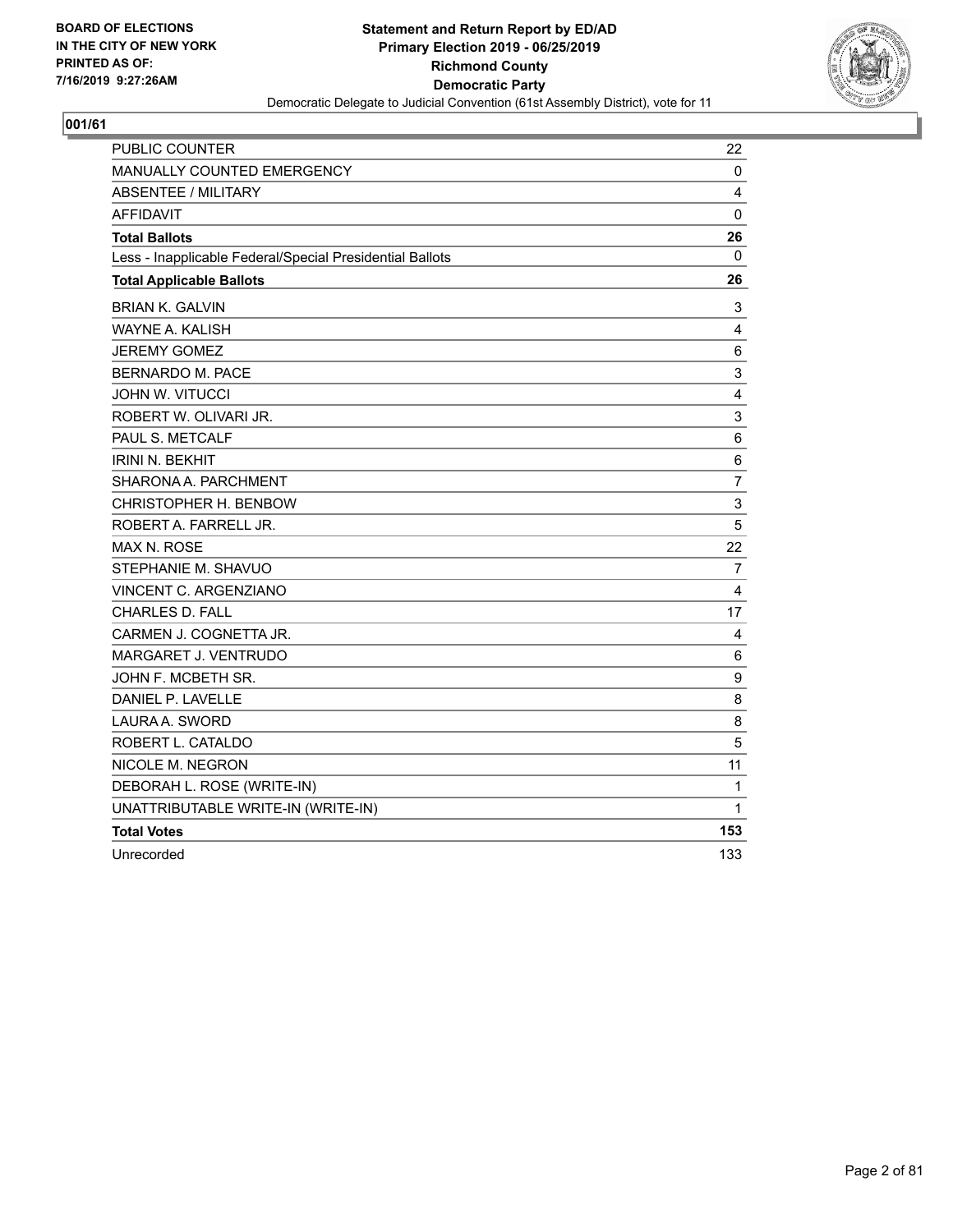

| PUBLIC COUNTER                                           | 22  |
|----------------------------------------------------------|-----|
| MANUALLY COUNTED EMERGENCY                               | 0   |
| <b>ABSENTEE / MILITARY</b>                               | 4   |
| <b>AFFIDAVIT</b>                                         | 0   |
| <b>Total Ballots</b>                                     | 26  |
| Less - Inapplicable Federal/Special Presidential Ballots | 0   |
| <b>Total Applicable Ballots</b>                          | 26  |
| <b>BRIAN K. GALVIN</b>                                   | 3   |
| WAYNE A. KALISH                                          | 4   |
| JEREMY GOMEZ                                             | 6   |
| BERNARDO M. PACE                                         | 3   |
| <b>JOHN W. VITUCCI</b>                                   | 4   |
| ROBERT W. OLIVARI JR.                                    | 3   |
| PAUL S. METCALF                                          | 6   |
| <b>IRINI N. BEKHIT</b>                                   | 6   |
| SHARONA A. PARCHMENT                                     | 7   |
| CHRISTOPHER H. BENBOW                                    | 3   |
| ROBERT A. FARRELL JR.                                    | 5   |
| MAX N. ROSE                                              | 22  |
| STEPHANIE M. SHAVUO                                      | 7   |
| VINCENT C. ARGENZIANO                                    | 4   |
| <b>CHARLES D. FALL</b>                                   | 17  |
| CARMEN J. COGNETTA JR.                                   | 4   |
| <b>MARGARET J. VENTRUDO</b>                              | 6   |
| JOHN F. MCBETH SR.                                       | 9   |
| DANIEL P. LAVELLE                                        | 8   |
| LAURA A. SWORD                                           | 8   |
| ROBERT L. CATALDO                                        | 5   |
| NICOLE M. NEGRON                                         | 11  |
| DEBORAH L. ROSE (WRITE-IN)                               | 1   |
| UNATTRIBUTABLE WRITE-IN (WRITE-IN)                       | 1   |
| <b>Total Votes</b>                                       | 153 |
| Unrecorded                                               | 133 |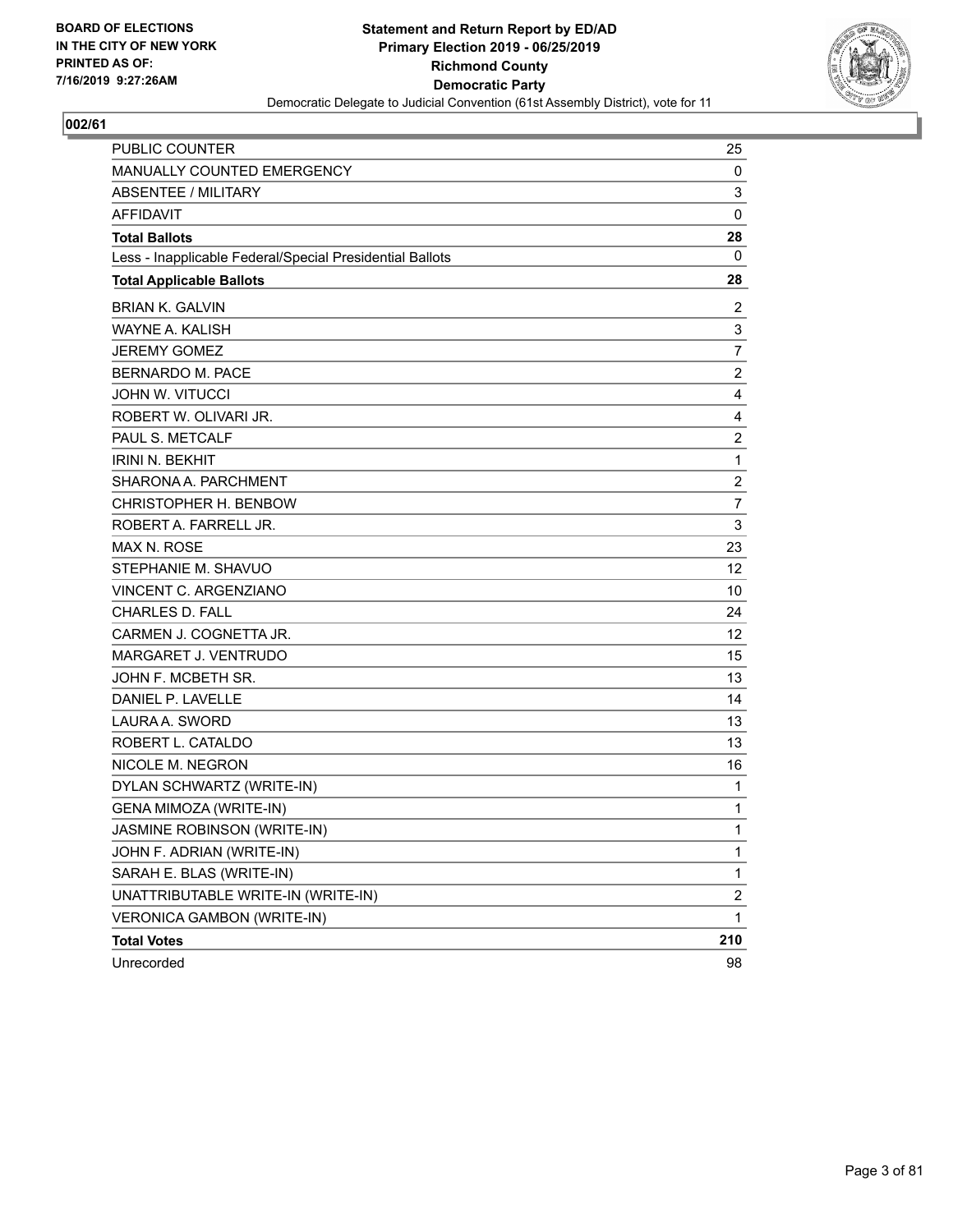

| <b>PUBLIC COUNTER</b>                                    | 25                      |
|----------------------------------------------------------|-------------------------|
| <b>MANUALLY COUNTED EMERGENCY</b>                        | 0                       |
| <b>ABSENTEE / MILITARY</b>                               | 3                       |
| AFFIDAVIT                                                | 0                       |
| <b>Total Ballots</b>                                     | 28                      |
| Less - Inapplicable Federal/Special Presidential Ballots | 0                       |
| <b>Total Applicable Ballots</b>                          | 28                      |
| <b>BRIAN K. GALVIN</b>                                   | $\overline{2}$          |
| <b>WAYNE A. KALISH</b>                                   | 3                       |
| <b>JEREMY GOMEZ</b>                                      | $\overline{7}$          |
| <b>BERNARDO M. PACE</b>                                  | $\overline{2}$          |
| <b>JOHN W. VITUCCI</b>                                   | 4                       |
| ROBERT W. OLIVARI JR.                                    | 4                       |
| PAUL S. METCALF                                          | $\overline{c}$          |
| <b>IRINI N. BEKHIT</b>                                   | $\mathbf{1}$            |
| SHARONA A. PARCHMENT                                     | $\overline{c}$          |
| CHRISTOPHER H. BENBOW                                    | 7                       |
| ROBERT A. FARRELL JR.                                    | 3                       |
| MAX N. ROSE                                              | 23                      |
| STEPHANIE M. SHAVUO                                      | 12                      |
| <b>VINCENT C. ARGENZIANO</b>                             | 10                      |
| <b>CHARLES D. FALL</b>                                   | 24                      |
| CARMEN J. COGNETTA JR.                                   | 12                      |
| <b>MARGARET J. VENTRUDO</b>                              | 15                      |
| JOHN F. MCBETH SR.                                       | 13                      |
| DANIEL P. LAVELLE                                        | 14                      |
| LAURA A. SWORD                                           | 13                      |
| ROBERT L. CATALDO                                        | 13                      |
| NICOLE M. NEGRON                                         | 16                      |
| DYLAN SCHWARTZ (WRITE-IN)                                | 1                       |
| <b>GENA MIMOZA (WRITE-IN)</b>                            | 1                       |
| JASMINE ROBINSON (WRITE-IN)                              | 1                       |
| JOHN F. ADRIAN (WRITE-IN)                                | 1                       |
| SARAH E. BLAS (WRITE-IN)                                 | $\mathbf{1}$            |
| UNATTRIBUTABLE WRITE-IN (WRITE-IN)                       | $\overline{\mathbf{c}}$ |
| VERONICA GAMBON (WRITE-IN)                               | 1                       |
| <b>Total Votes</b>                                       | 210                     |
| Unrecorded                                               | 98                      |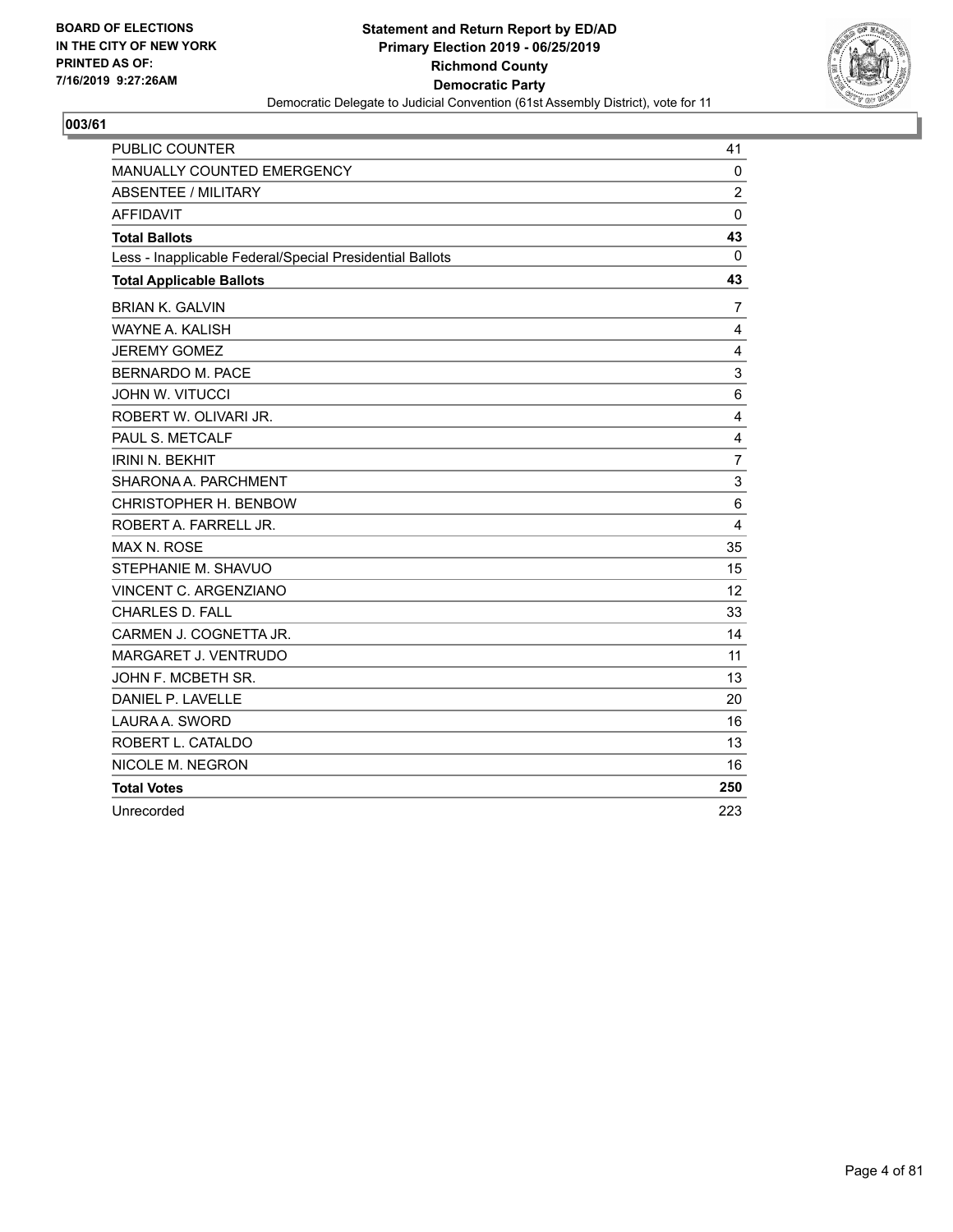

| <b>PUBLIC COUNTER</b>                                    | 41             |
|----------------------------------------------------------|----------------|
| MANUALLY COUNTED EMERGENCY                               | 0              |
| <b>ABSENTEE / MILITARY</b>                               | $\overline{2}$ |
| <b>AFFIDAVIT</b>                                         | $\Omega$       |
| <b>Total Ballots</b>                                     | 43             |
| Less - Inapplicable Federal/Special Presidential Ballots | 0              |
| <b>Total Applicable Ballots</b>                          | 43             |
| <b>BRIAN K. GALVIN</b>                                   | $\overline{7}$ |
| WAYNE A. KALISH                                          | 4              |
| <b>JEREMY GOMEZ</b>                                      | 4              |
| BERNARDO M. PACE                                         | 3              |
| <b>JOHN W. VITUCCI</b>                                   | 6              |
| ROBERT W. OLIVARI JR.                                    | 4              |
| PAUL S. METCALF                                          | 4              |
| <b>IRINI N. BEKHIT</b>                                   | $\overline{7}$ |
| SHARONA A. PARCHMENT                                     | 3              |
| CHRISTOPHER H. BENBOW                                    | 6              |
| ROBERT A. FARRELL JR.                                    | $\overline{4}$ |
| <b>MAX N. ROSE</b>                                       | 35             |
| STEPHANIE M. SHAVUO                                      | 15             |
| VINCENT C. ARGENZIANO                                    | 12             |
| <b>CHARLES D. FALL</b>                                   | 33             |
| CARMEN J. COGNETTA JR.                                   | 14             |
| MARGARET J. VENTRUDO                                     | 11             |
| JOHN F. MCBETH SR.                                       | 13             |
| DANIEL P. LAVELLE                                        | 20             |
| LAURA A. SWORD                                           | 16             |
| ROBERT L. CATALDO                                        | 13             |
| NICOLE M. NEGRON                                         | 16             |
| <b>Total Votes</b>                                       | 250            |
| Unrecorded                                               | 223            |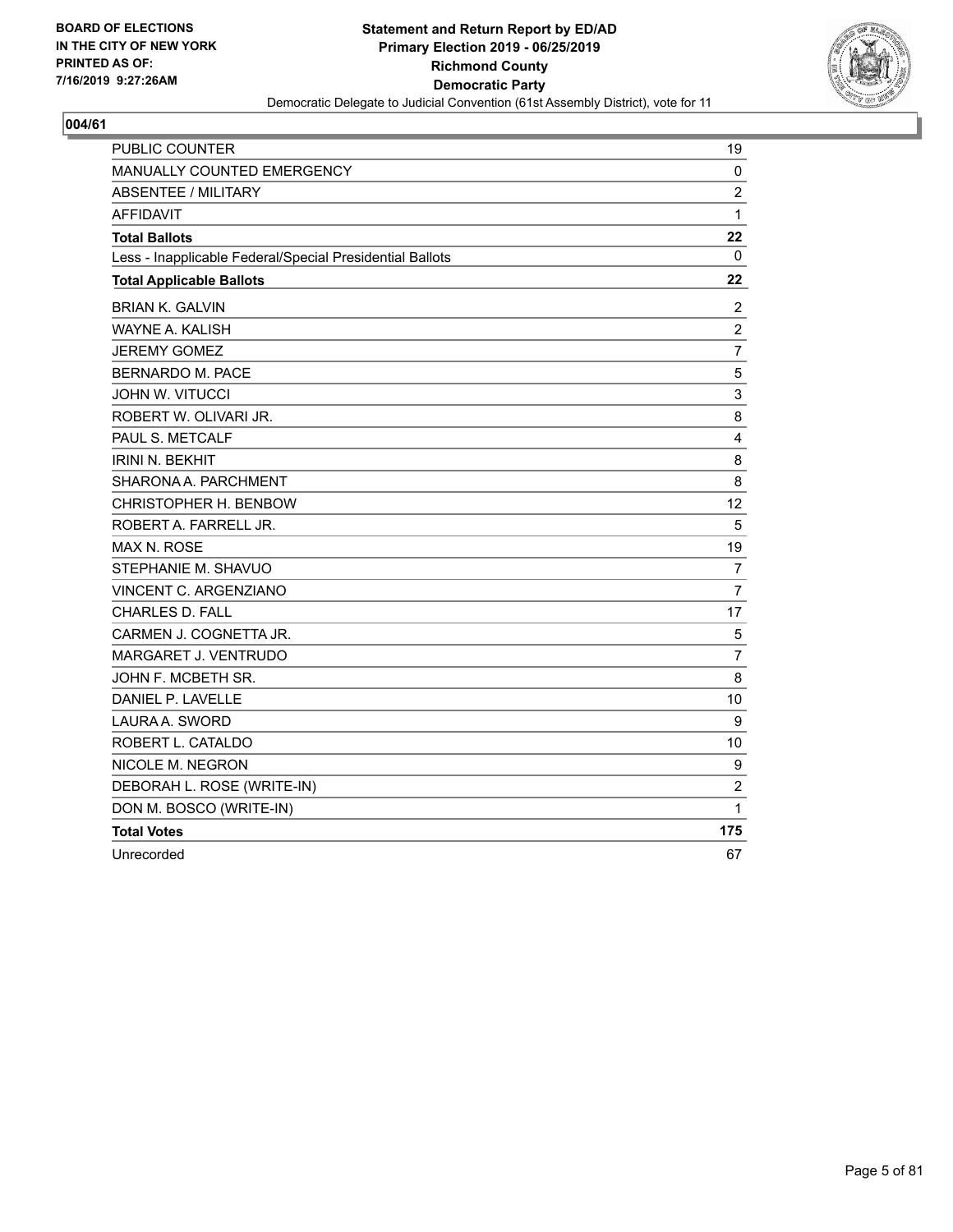

| <b>PUBLIC COUNTER</b>                                    | 19                      |
|----------------------------------------------------------|-------------------------|
| MANUALLY COUNTED EMERGENCY                               | 0                       |
| <b>ABSENTEE / MILITARY</b>                               | $\overline{c}$          |
| <b>AFFIDAVIT</b>                                         | $\mathbf{1}$            |
| <b>Total Ballots</b>                                     | 22                      |
| Less - Inapplicable Federal/Special Presidential Ballots | 0                       |
| <b>Total Applicable Ballots</b>                          | 22                      |
| <b>BRIAN K. GALVIN</b>                                   | $\overline{2}$          |
| WAYNE A. KALISH                                          | $\boldsymbol{2}$        |
| <b>JEREMY GOMEZ</b>                                      | $\overline{7}$          |
| BERNARDO M. PACE                                         | $\mathbf 5$             |
| <b>JOHN W. VITUCCI</b>                                   | 3                       |
| ROBERT W. OLIVARI JR.                                    | 8                       |
| PAUL S. METCALF                                          | $\overline{\mathbf{4}}$ |
| <b>IRINI N. BEKHIT</b>                                   | 8                       |
| SHARONA A. PARCHMENT                                     | 8                       |
| CHRISTOPHER H. BENBOW                                    | 12                      |
| ROBERT A. FARRELL JR.                                    | 5                       |
| <b>MAX N. ROSE</b>                                       | 19                      |
| STEPHANIE M. SHAVUO                                      | $\overline{7}$          |
| VINCENT C. ARGENZIANO                                    | $\overline{7}$          |
| <b>CHARLES D. FALL</b>                                   | 17                      |
| CARMEN J. COGNETTA JR.                                   | 5                       |
| MARGARET J. VENTRUDO                                     | $\overline{7}$          |
| JOHN F. MCBETH SR.                                       | 8                       |
| DANIEL P. LAVELLE                                        | 10                      |
| LAURA A. SWORD                                           | 9                       |
| ROBERT L. CATALDO                                        | 10                      |
| NICOLE M. NEGRON                                         | 9                       |
| DEBORAH L. ROSE (WRITE-IN)                               | $\overline{c}$          |
| DON M. BOSCO (WRITE-IN)                                  | 1                       |
| <b>Total Votes</b>                                       | 175                     |
| Unrecorded                                               | 67                      |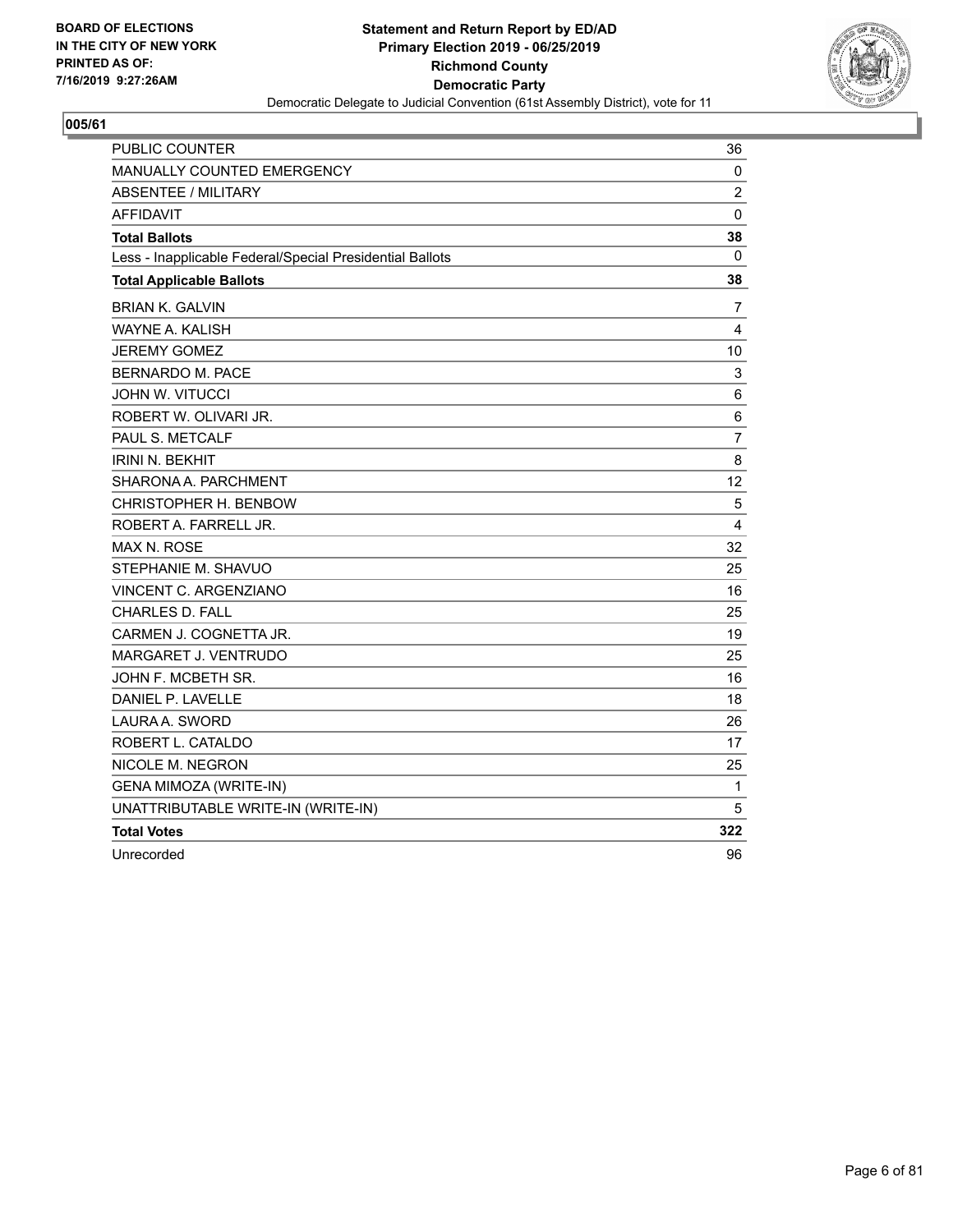

| PUBLIC COUNTER                                           | 36             |
|----------------------------------------------------------|----------------|
| MANUALLY COUNTED EMERGENCY                               | 0              |
| <b>ABSENTEE / MILITARY</b>                               | $\overline{2}$ |
| <b>AFFIDAVIT</b>                                         | $\mathbf 0$    |
| <b>Total Ballots</b>                                     | 38             |
| Less - Inapplicable Federal/Special Presidential Ballots | 0              |
| <b>Total Applicable Ballots</b>                          | 38             |
| <b>BRIAN K. GALVIN</b>                                   | 7              |
| WAYNE A. KALISH                                          | $\overline{4}$ |
| <b>JEREMY GOMEZ</b>                                      | 10             |
| BERNARDO M. PACE                                         | $\mathbf{3}$   |
| <b>JOHN W. VITUCCI</b>                                   | 6              |
| ROBERT W. OLIVARI JR.                                    | 6              |
| PAUL S. METCALF                                          | $\overline{7}$ |
| <b>IRINI N. BEKHIT</b>                                   | 8              |
| SHARONA A. PARCHMENT                                     | 12             |
| CHRISTOPHER H. BENBOW                                    | $\sqrt{5}$     |
| ROBERT A. FARRELL JR.                                    | 4              |
| MAX N. ROSE                                              | 32             |
| STEPHANIE M. SHAVUO                                      | 25             |
| VINCENT C. ARGENZIANO                                    | 16             |
| <b>CHARLES D. FALL</b>                                   | 25             |
| CARMEN J. COGNETTA JR.                                   | 19             |
| MARGARET J. VENTRUDO                                     | 25             |
| JOHN F. MCBETH SR.                                       | 16             |
| DANIEL P. LAVELLE                                        | 18             |
| LAURA A. SWORD                                           | 26             |
| ROBERT L. CATALDO                                        | 17             |
| NICOLE M. NEGRON                                         | 25             |
| GENA MIMOZA (WRITE-IN)                                   | 1              |
| UNATTRIBUTABLE WRITE-IN (WRITE-IN)                       | 5              |
| <b>Total Votes</b>                                       | 322            |
| Unrecorded                                               | 96             |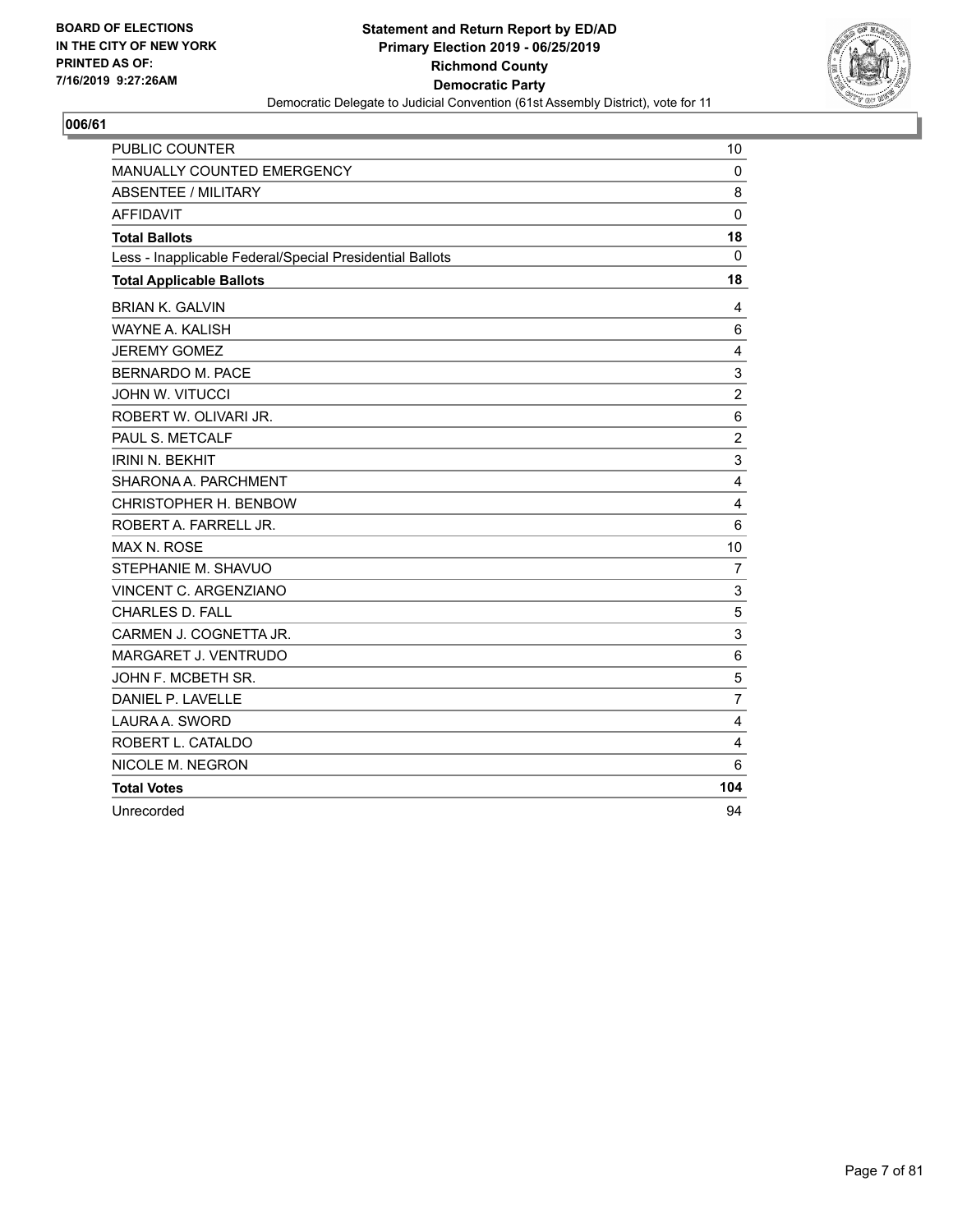

| <b>PUBLIC COUNTER</b>                                    | 10                        |
|----------------------------------------------------------|---------------------------|
| MANUALLY COUNTED EMERGENCY                               | $\mathbf 0$               |
| <b>ABSENTEE / MILITARY</b>                               | 8                         |
| <b>AFFIDAVIT</b>                                         | $\mathbf 0$               |
| <b>Total Ballots</b>                                     | 18                        |
| Less - Inapplicable Federal/Special Presidential Ballots | $\mathbf 0$               |
| <b>Total Applicable Ballots</b>                          | 18                        |
| <b>BRIAN K. GALVIN</b>                                   | 4                         |
| <b>WAYNE A. KALISH</b>                                   | 6                         |
| <b>JEREMY GOMEZ</b>                                      | 4                         |
| <b>BERNARDO M. PACE</b>                                  | $\mathsf 3$               |
| <b>JOHN W. VITUCCI</b>                                   | $\overline{c}$            |
| ROBERT W. OLIVARI JR.                                    | 6                         |
| PAUL S. METCALF                                          | $\overline{c}$            |
| <b>IRINI N. BEKHIT</b>                                   | $\ensuremath{\mathsf{3}}$ |
| SHARONA A. PARCHMENT                                     | 4                         |
| CHRISTOPHER H. BENBOW                                    | 4                         |
| ROBERT A. FARRELL JR.                                    | 6                         |
| <b>MAX N. ROSE</b>                                       | 10                        |
| STEPHANIE M. SHAVUO                                      | 7                         |
| VINCENT C. ARGENZIANO                                    | $\mathsf 3$               |
| CHARLES D. FALL                                          | $\sqrt{5}$                |
| CARMEN J. COGNETTA JR.                                   | 3                         |
| MARGARET J. VENTRUDO                                     | 6                         |
| JOHN F. MCBETH SR.                                       | 5                         |
| DANIEL P. LAVELLE                                        | $\overline{7}$            |
| LAURA A. SWORD                                           | 4                         |
| ROBERT L. CATALDO                                        | $\overline{4}$            |
| NICOLE M. NEGRON                                         | 6                         |
| <b>Total Votes</b>                                       | 104                       |
| Unrecorded                                               | 94                        |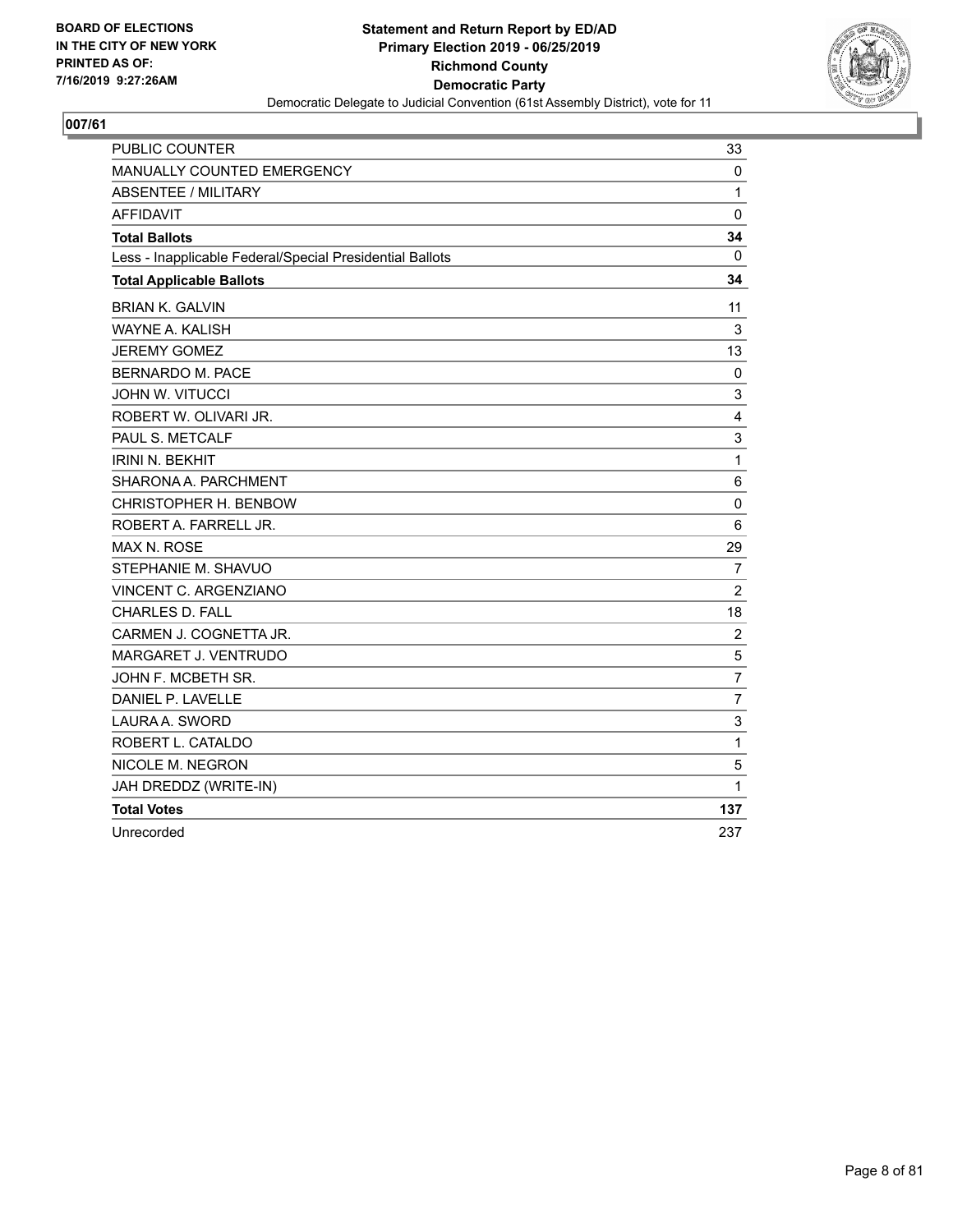

| <b>PUBLIC COUNTER</b>                                    | 33                        |
|----------------------------------------------------------|---------------------------|
| <b>MANUALLY COUNTED EMERGENCY</b>                        | 0                         |
| <b>ABSENTEE / MILITARY</b>                               | $\mathbf{1}$              |
| <b>AFFIDAVIT</b>                                         | 0                         |
| <b>Total Ballots</b>                                     | 34                        |
| Less - Inapplicable Federal/Special Presidential Ballots | 0                         |
| <b>Total Applicable Ballots</b>                          | 34                        |
| <b>BRIAN K. GALVIN</b>                                   | 11                        |
| <b>WAYNE A. KALISH</b>                                   | 3                         |
| <b>JEREMY GOMEZ</b>                                      | 13                        |
| <b>BERNARDO M. PACE</b>                                  | 0                         |
| <b>JOHN W. VITUCCI</b>                                   | 3                         |
| ROBERT W. OLIVARI JR.                                    | 4                         |
| PAUL S. METCALF                                          | $\ensuremath{\mathsf{3}}$ |
| <b>IRINI N. BEKHIT</b>                                   | $\mathbf{1}$              |
| SHARONA A. PARCHMENT                                     | 6                         |
| CHRISTOPHER H. BENBOW                                    | $\mathbf 0$               |
| ROBERT A. FARRELL JR.                                    | 6                         |
| <b>MAX N. ROSE</b>                                       | 29                        |
| STEPHANIE M. SHAVUO                                      | $\overline{7}$            |
| VINCENT C. ARGENZIANO                                    | $\overline{2}$            |
| <b>CHARLES D. FALL</b>                                   | 18                        |
| CARMEN J. COGNETTA JR.                                   | $\overline{2}$            |
| <b>MARGARET J. VENTRUDO</b>                              | 5                         |
| JOHN F. MCBETH SR.                                       | $\overline{7}$            |
| DANIEL P. LAVELLE                                        | $\overline{7}$            |
| LAURA A. SWORD                                           | 3                         |
| ROBERT L. CATALDO                                        | 1                         |
| NICOLE M. NEGRON                                         | 5                         |
| JAH DREDDZ (WRITE-IN)                                    | 1                         |
| <b>Total Votes</b>                                       | 137                       |
| Unrecorded                                               | 237                       |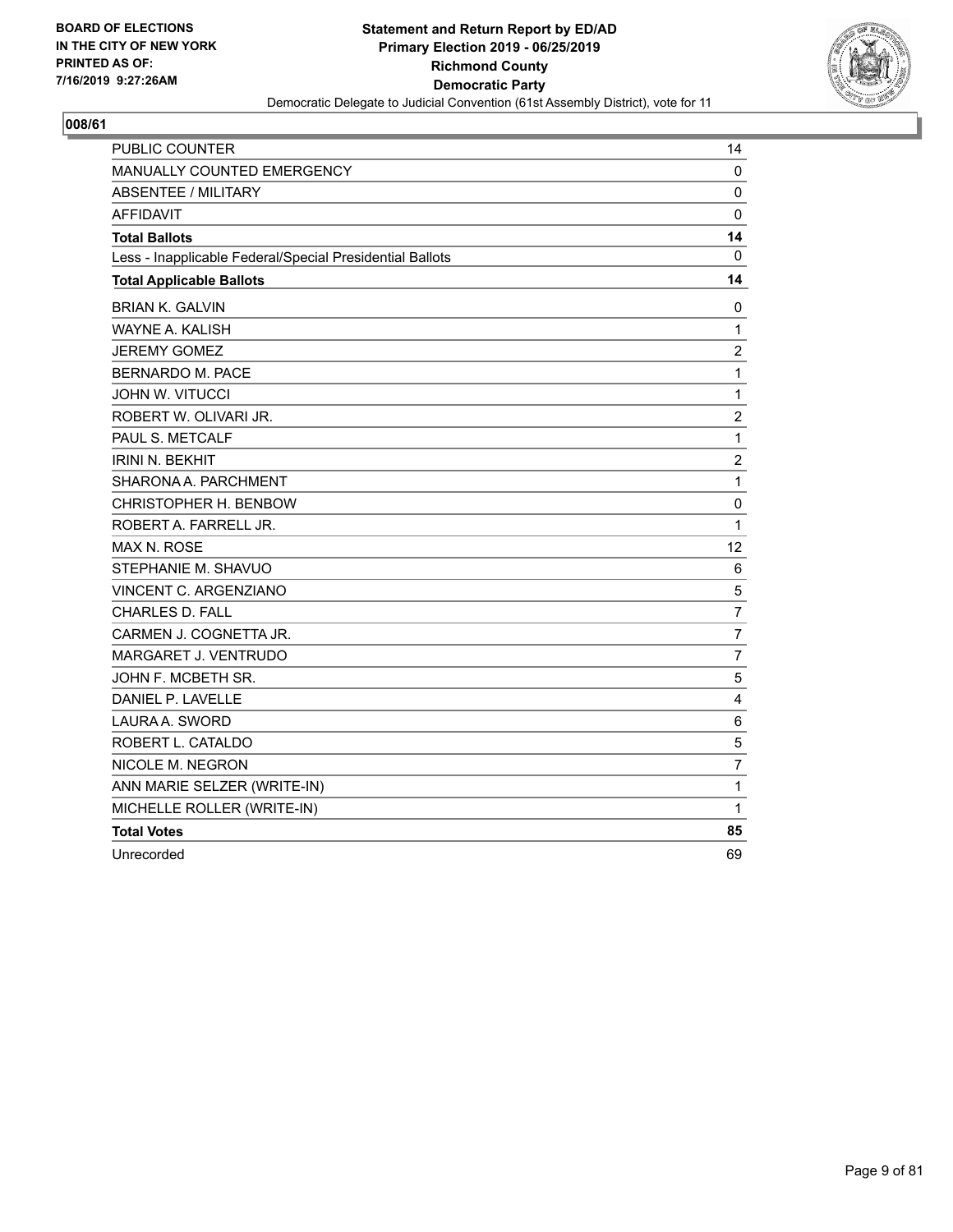

| PUBLIC COUNTER                                           | 14               |
|----------------------------------------------------------|------------------|
| MANUALLY COUNTED EMERGENCY                               | 0                |
| <b>ABSENTEE / MILITARY</b>                               | 0                |
| <b>AFFIDAVIT</b>                                         | 0                |
| <b>Total Ballots</b>                                     | 14               |
| Less - Inapplicable Federal/Special Presidential Ballots | 0                |
| <b>Total Applicable Ballots</b>                          | 14               |
| <b>BRIAN K. GALVIN</b>                                   | 0                |
| WAYNE A. KALISH                                          | 1                |
| <b>JEREMY GOMEZ</b>                                      | $\overline{c}$   |
| <b>BERNARDO M. PACE</b>                                  | $\mathbf{1}$     |
| <b>JOHN W. VITUCCI</b>                                   | $\mathbf 1$      |
| ROBERT W. OLIVARI JR.                                    | $\boldsymbol{2}$ |
| PAUL S. METCALF                                          | $\mathbf{1}$     |
| <b>IRINI N. BEKHIT</b>                                   | $\overline{c}$   |
| SHARONA A. PARCHMENT                                     | $\mathbf{1}$     |
| CHRISTOPHER H. BENBOW                                    | 0                |
| ROBERT A. FARRELL JR.                                    | $\mathbf{1}$     |
| MAX N. ROSE                                              | 12               |
| STEPHANIE M. SHAVUO                                      | 6                |
| VINCENT C. ARGENZIANO                                    | 5                |
| <b>CHARLES D. FALL</b>                                   | $\overline{7}$   |
| CARMEN J. COGNETTA JR.                                   | $\overline{7}$   |
| MARGARET J. VENTRUDO                                     | $\overline{7}$   |
| JOHN F. MCBETH SR.                                       | 5                |
| DANIEL P. LAVELLE                                        | $\overline{4}$   |
| LAURA A. SWORD                                           | 6                |
| ROBERT L. CATALDO                                        | $\sqrt{5}$       |
| NICOLE M. NEGRON                                         | $\overline{7}$   |
| ANN MARIE SELZER (WRITE-IN)                              | $\mathbf 1$      |
| MICHELLE ROLLER (WRITE-IN)                               | 1                |
| <b>Total Votes</b>                                       | 85               |
| Unrecorded                                               | 69               |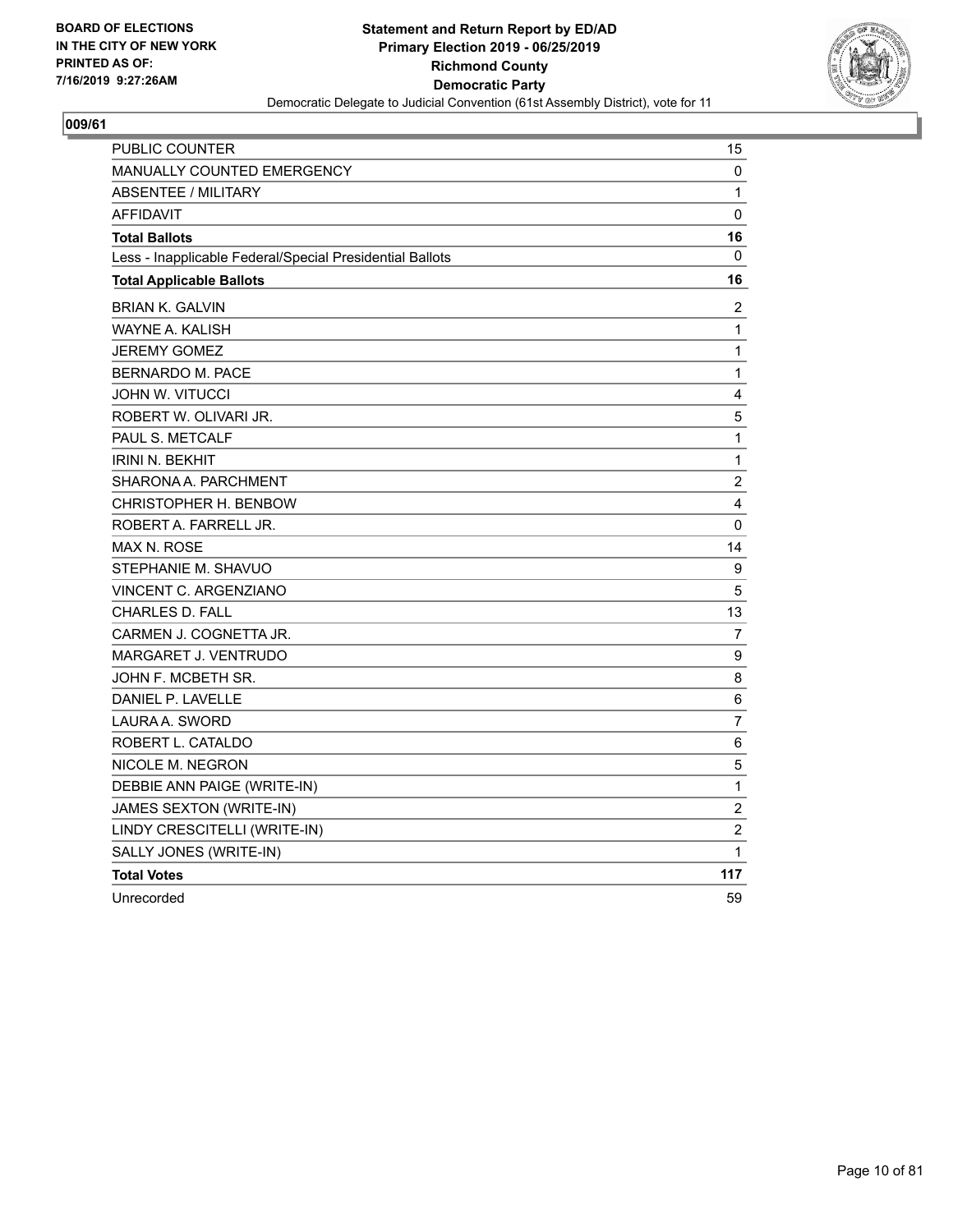

| PUBLIC COUNTER                                           | 15             |
|----------------------------------------------------------|----------------|
| <b>MANUALLY COUNTED EMERGENCY</b>                        | 0              |
| <b>ABSENTEE / MILITARY</b>                               | $\mathbf{1}$   |
| <b>AFFIDAVIT</b>                                         | 0              |
| <b>Total Ballots</b>                                     | 16             |
| Less - Inapplicable Federal/Special Presidential Ballots | 0              |
| <b>Total Applicable Ballots</b>                          | 16             |
| <b>BRIAN K. GALVIN</b>                                   | 2              |
| WAYNE A. KALISH                                          | 1              |
| <b>JEREMY GOMEZ</b>                                      | 1              |
| BERNARDO M. PACE                                         | 1              |
| JOHN W. VITUCCI                                          | 4              |
| ROBERT W. OLIVARI JR.                                    | 5              |
| PAUL S. METCALF                                          | $\mathbf 1$    |
| <b>IRINI N. BEKHIT</b>                                   | $\mathbf{1}$   |
| SHARONA A. PARCHMENT                                     | $\overline{2}$ |
| CHRISTOPHER H. BENBOW                                    | 4              |
| ROBERT A. FARRELL JR.                                    | 0              |
| <b>MAX N. ROSE</b>                                       | 14             |
| STEPHANIE M. SHAVUO                                      | 9              |
| VINCENT C. ARGENZIANO                                    | 5              |
| <b>CHARLES D. FALL</b>                                   | 13             |
| CARMEN J. COGNETTA JR.                                   | 7              |
| MARGARET J. VENTRUDO                                     | 9              |
| JOHN F. MCBETH SR.                                       | 8              |
| DANIEL P. LAVELLE                                        | 6              |
| LAURA A. SWORD                                           | 7              |
| ROBERT L. CATALDO                                        | 6              |
| NICOLE M. NEGRON                                         | 5              |
| DEBBIE ANN PAIGE (WRITE-IN)                              | 1              |
| JAMES SEXTON (WRITE-IN)                                  | $\overline{2}$ |
| LINDY CRESCITELLI (WRITE-IN)                             | $\overline{2}$ |
| SALLY JONES (WRITE-IN)                                   | $\mathbf{1}$   |
| <b>Total Votes</b>                                       | 117            |
| Unrecorded                                               | 59             |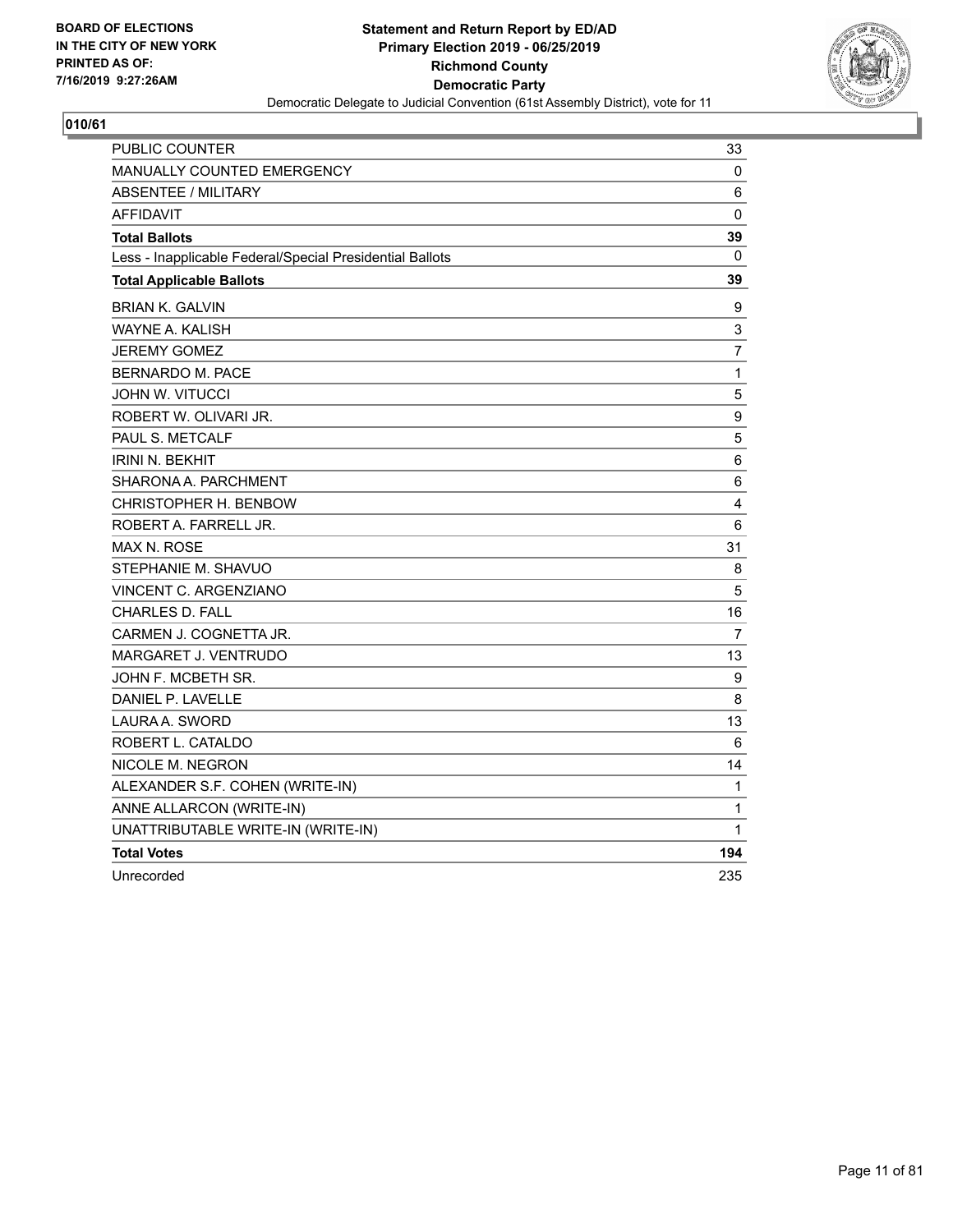

| <b>PUBLIC COUNTER</b>                                    | 33             |
|----------------------------------------------------------|----------------|
| <b>MANUALLY COUNTED EMERGENCY</b>                        | 0              |
| <b>ABSENTEE / MILITARY</b>                               | 6              |
| <b>AFFIDAVIT</b>                                         | 0              |
| <b>Total Ballots</b>                                     | 39             |
| Less - Inapplicable Federal/Special Presidential Ballots | $\mathbf{0}$   |
| <b>Total Applicable Ballots</b>                          | 39             |
| <b>BRIAN K. GALVIN</b>                                   | 9              |
| WAYNE A. KALISH                                          | 3              |
| <b>JEREMY GOMEZ</b>                                      | $\overline{7}$ |
| <b>BERNARDO M. PACE</b>                                  | $\mathbf 1$    |
| <b>JOHN W. VITUCCI</b>                                   | 5              |
| ROBERT W. OLIVARI JR.                                    | 9              |
| PAUL S. METCALF                                          | $\sqrt{5}$     |
| <b>IRINI N. BEKHIT</b>                                   | $\,6$          |
| SHARONA A. PARCHMENT                                     | 6              |
| CHRISTOPHER H. BENBOW                                    | 4              |
| ROBERT A. FARRELL JR.                                    | 6              |
| <b>MAX N. ROSE</b>                                       | 31             |
| STEPHANIE M. SHAVUO                                      | 8              |
| VINCENT C. ARGENZIANO                                    | 5              |
| <b>CHARLES D. FALL</b>                                   | 16             |
| CARMEN J. COGNETTA JR.                                   | $\overline{7}$ |
| MARGARET J. VENTRUDO                                     | 13             |
| JOHN F. MCBETH SR.                                       | 9              |
| DANIEL P. LAVELLE                                        | 8              |
| LAURA A. SWORD                                           | 13             |
| ROBERT L. CATALDO                                        | 6              |
| NICOLE M. NEGRON                                         | 14             |
| ALEXANDER S.F. COHEN (WRITE-IN)                          | 1              |
| ANNE ALLARCON (WRITE-IN)                                 | 1              |
| UNATTRIBUTABLE WRITE-IN (WRITE-IN)                       | 1              |
| <b>Total Votes</b>                                       | 194            |
| Unrecorded                                               | 235            |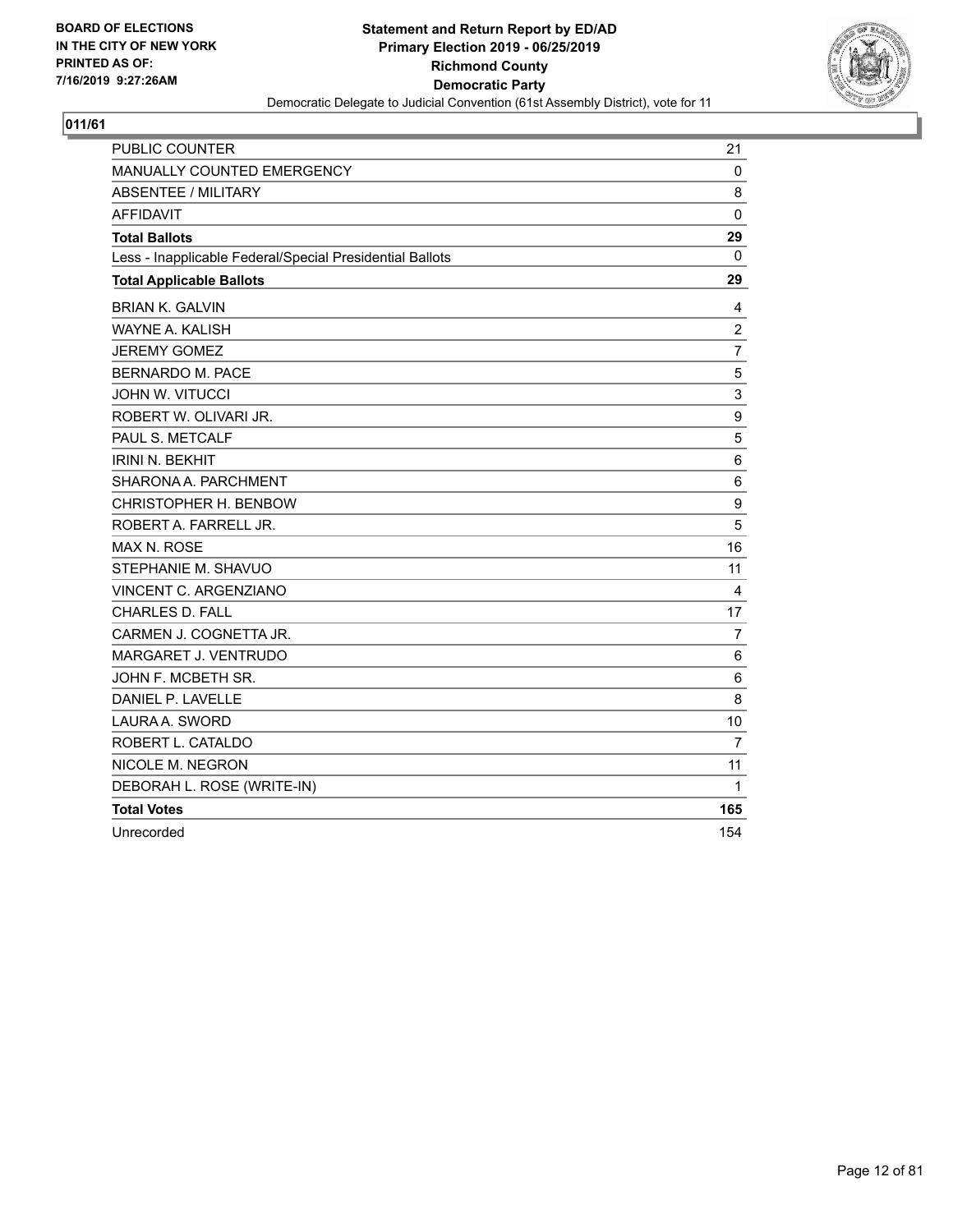

| <b>PUBLIC COUNTER</b>                                    | 21               |
|----------------------------------------------------------|------------------|
| <b>MANUALLY COUNTED EMERGENCY</b>                        | 0                |
| <b>ABSENTEE / MILITARY</b>                               | 8                |
| <b>AFFIDAVIT</b>                                         | $\mathbf{0}$     |
| <b>Total Ballots</b>                                     | 29               |
| Less - Inapplicable Federal/Special Presidential Ballots | 0                |
| <b>Total Applicable Ballots</b>                          | 29               |
| <b>BRIAN K. GALVIN</b>                                   | 4                |
| <b>WAYNE A. KALISH</b>                                   | $\overline{c}$   |
| <b>JEREMY GOMEZ</b>                                      | 7                |
| <b>BERNARDO M. PACE</b>                                  | 5                |
| <b>JOHN W. VITUCCI</b>                                   | 3                |
| ROBERT W. OLIVARI JR.                                    | $\boldsymbol{9}$ |
| PAUL S. METCALF                                          | $\mathbf 5$      |
| <b>IRINI N. BEKHIT</b>                                   | $\,6$            |
| SHARONA A. PARCHMENT                                     | 6                |
| CHRISTOPHER H. BENBOW                                    | 9                |
| ROBERT A. FARRELL JR.                                    | 5                |
| <b>MAX N. ROSE</b>                                       | 16               |
| STEPHANIE M. SHAVUO                                      | 11               |
| <b>VINCENT C. ARGENZIANO</b>                             | 4                |
| <b>CHARLES D. FALL</b>                                   | 17               |
| CARMEN J. COGNETTA JR.                                   | $\overline{7}$   |
| <b>MARGARET J. VENTRUDO</b>                              | 6                |
| JOHN F. MCBETH SR.                                       | 6                |
| DANIEL P. LAVELLE                                        | 8                |
| LAURA A. SWORD                                           | 10               |
| ROBERT L. CATALDO                                        | $\overline{7}$   |
| NICOLE M. NEGRON                                         | 11               |
| DEBORAH L. ROSE (WRITE-IN)                               | 1                |
| <b>Total Votes</b>                                       | 165              |
| Unrecorded                                               | 154              |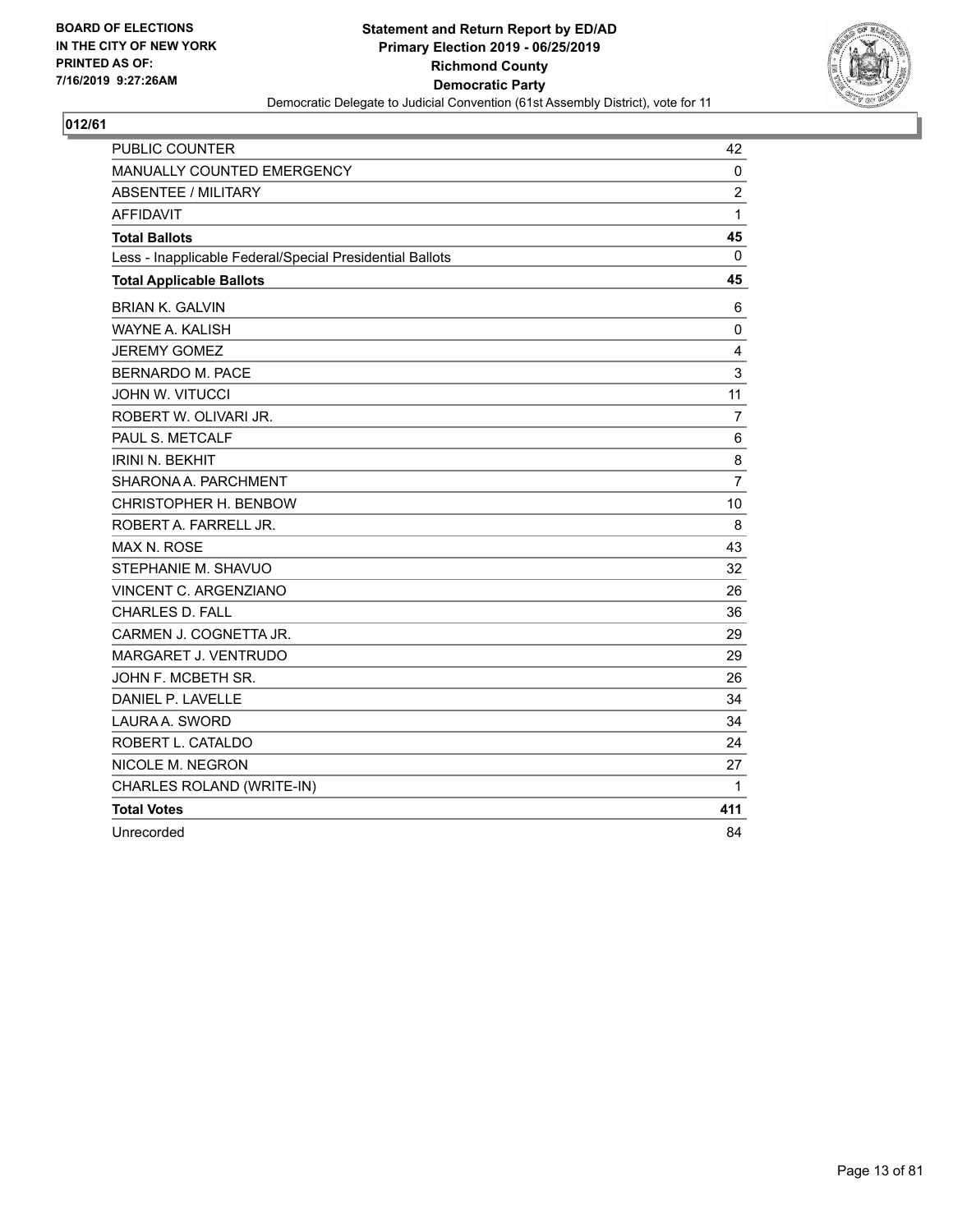

| PUBLIC COUNTER                                           | 42             |
|----------------------------------------------------------|----------------|
| <b>MANUALLY COUNTED EMERGENCY</b>                        | 0              |
| <b>ABSENTEE / MILITARY</b>                               | $\overline{c}$ |
| AFFIDAVIT                                                | $\mathbf{1}$   |
| <b>Total Ballots</b>                                     | 45             |
| Less - Inapplicable Federal/Special Presidential Ballots | $\mathbf 0$    |
| <b>Total Applicable Ballots</b>                          | 45             |
| <b>BRIAN K. GALVIN</b>                                   | 6              |
| WAYNE A. KALISH                                          | 0              |
| <b>JEREMY GOMEZ</b>                                      | 4              |
| <b>BERNARDO M. PACE</b>                                  | 3              |
| <b>JOHN W. VITUCCI</b>                                   | 11             |
| ROBERT W. OLIVARI JR.                                    | $\overline{7}$ |
| PAUL S. METCALF                                          | 6              |
| <b>IRINI N. BEKHIT</b>                                   | 8              |
| SHARONA A. PARCHMENT                                     | $\overline{7}$ |
| CHRISTOPHER H. BENBOW                                    | 10             |
| ROBERT A. FARRELL JR.                                    | 8              |
| MAX N. ROSE                                              | 43             |
| STEPHANIE M. SHAVUO                                      | 32             |
| VINCENT C. ARGENZIANO                                    | 26             |
| <b>CHARLES D. FALL</b>                                   | 36             |
| CARMEN J. COGNETTA JR.                                   | 29             |
| MARGARET J. VENTRUDO                                     | 29             |
| JOHN F. MCBETH SR.                                       | 26             |
| DANIEL P. LAVELLE                                        | 34             |
| LAURA A. SWORD                                           | 34             |
| ROBERT L. CATALDO                                        | 24             |
| NICOLE M. NEGRON                                         | 27             |
| CHARLES ROLAND (WRITE-IN)                                | 1              |
| <b>Total Votes</b>                                       | 411            |
| Unrecorded                                               | 84             |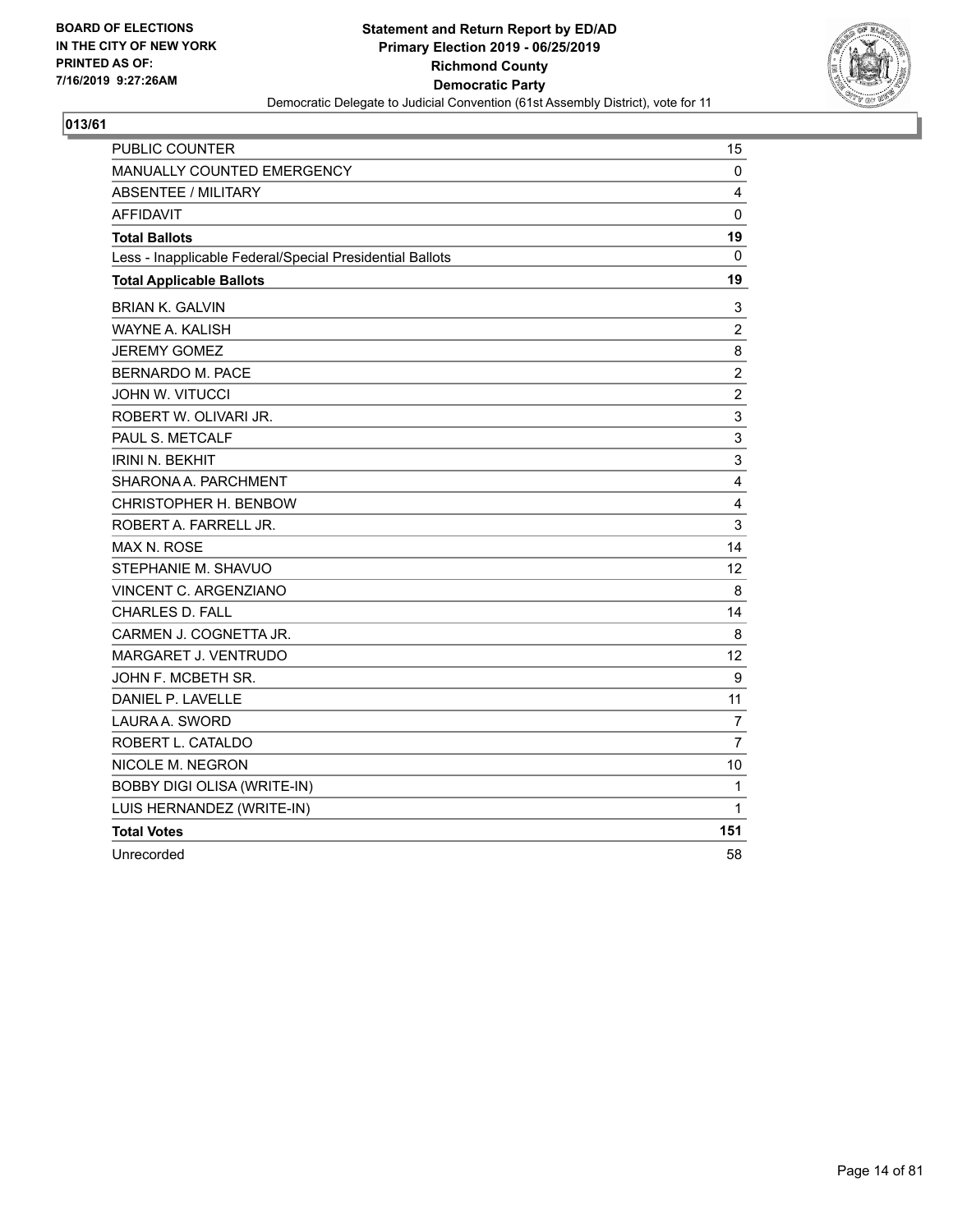

| <b>PUBLIC COUNTER</b>                                    | 15             |
|----------------------------------------------------------|----------------|
| MANUALLY COUNTED EMERGENCY                               | 0              |
| <b>ABSENTEE / MILITARY</b>                               | 4              |
| <b>AFFIDAVIT</b>                                         | $\mathbf{0}$   |
| <b>Total Ballots</b>                                     | 19             |
| Less - Inapplicable Federal/Special Presidential Ballots | $\Omega$       |
| <b>Total Applicable Ballots</b>                          | 19             |
| <b>BRIAN K. GALVIN</b>                                   | 3              |
| <b>WAYNE A. KALISH</b>                                   | $\overline{c}$ |
| <b>JEREMY GOMEZ</b>                                      | 8              |
| <b>BERNARDO M. PACE</b>                                  | $\overline{c}$ |
| JOHN W. VITUCCI                                          | $\overline{c}$ |
| ROBERT W. OLIVARI JR.                                    | 3              |
| PAUL S. METCALF                                          | 3              |
| <b>IRINI N. BEKHIT</b>                                   | 3              |
| SHARONA A. PARCHMENT                                     | 4              |
| CHRISTOPHER H. BENBOW                                    | 4              |
| ROBERT A. FARRELL JR.                                    | 3              |
| MAX N. ROSE                                              | 14             |
| STEPHANIE M. SHAVUO                                      | 12             |
| VINCENT C. ARGENZIANO                                    | 8              |
| <b>CHARLES D. FALL</b>                                   | 14             |
| CARMEN J. COGNETTA JR.                                   | 8              |
| MARGARET J. VENTRUDO                                     | 12             |
| JOHN F. MCBETH SR.                                       | 9              |
| DANIEL P. LAVELLE                                        | 11             |
| LAURA A. SWORD                                           | 7              |
| ROBERT L. CATALDO                                        | $\overline{7}$ |
| NICOLE M. NEGRON                                         | 10             |
| <b>BOBBY DIGI OLISA (WRITE-IN)</b>                       | 1              |
| LUIS HERNANDEZ (WRITE-IN)                                | 1              |
| <b>Total Votes</b>                                       | 151            |
| Unrecorded                                               | 58             |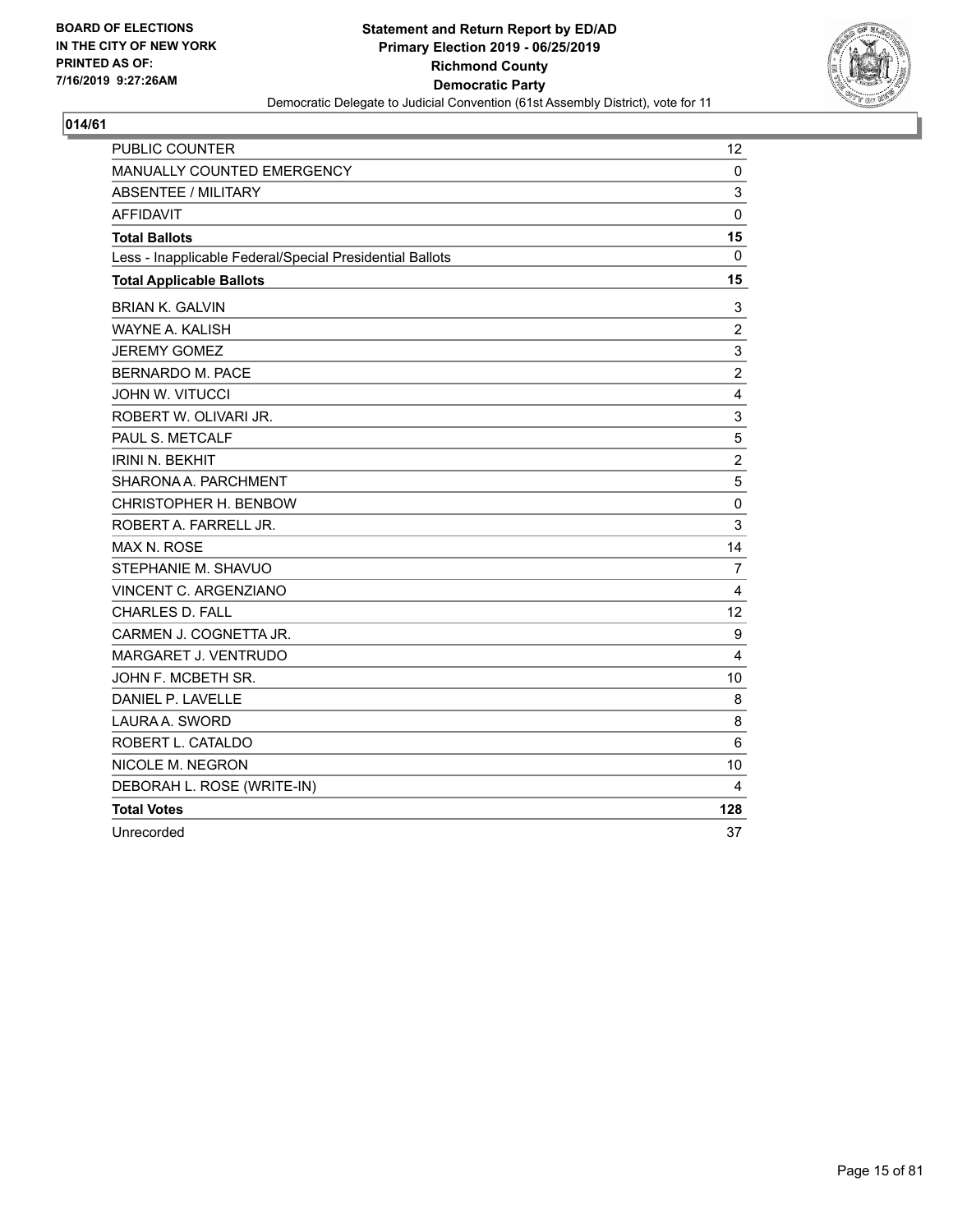

| <b>PUBLIC COUNTER</b>                                    | 12             |
|----------------------------------------------------------|----------------|
| MANUALLY COUNTED EMERGENCY                               | 0              |
| <b>ABSENTEE / MILITARY</b>                               | 3              |
| <b>AFFIDAVIT</b>                                         | $\mathbf{0}$   |
| <b>Total Ballots</b>                                     | 15             |
| Less - Inapplicable Federal/Special Presidential Ballots | $\Omega$       |
| <b>Total Applicable Ballots</b>                          | 15             |
| <b>BRIAN K. GALVIN</b>                                   | 3              |
| WAYNE A. KALISH                                          | $\overline{c}$ |
| <b>JEREMY GOMEZ</b>                                      | 3              |
| <b>BERNARDO M. PACE</b>                                  | $\overline{2}$ |
| <b>JOHN W. VITUCCI</b>                                   | $\overline{4}$ |
| ROBERT W. OLIVARI JR.                                    | 3              |
| PAUL S. METCALF                                          | 5              |
| <b>IRINI N. BEKHIT</b>                                   | $\overline{c}$ |
| SHARONA A. PARCHMENT                                     | 5              |
| CHRISTOPHER H. BENBOW                                    | 0              |
| ROBERT A. FARRELL JR.                                    | 3              |
| <b>MAX N. ROSE</b>                                       | 14             |
| STEPHANIE M. SHAVUO                                      | $\overline{7}$ |
| VINCENT C. ARGENZIANO                                    | 4              |
| <b>CHARLES D. FALL</b>                                   | 12             |
| CARMEN J. COGNETTA JR.                                   | 9              |
| MARGARET J. VENTRUDO                                     | 4              |
| JOHN F. MCBETH SR.                                       | 10             |
| DANIEL P. LAVELLE                                        | 8              |
| LAURA A. SWORD                                           | 8              |
| ROBERT L. CATALDO                                        | 6              |
| NICOLE M. NEGRON                                         | 10             |
| DEBORAH L. ROSE (WRITE-IN)                               | 4              |
| <b>Total Votes</b>                                       | 128            |
| Unrecorded                                               | 37             |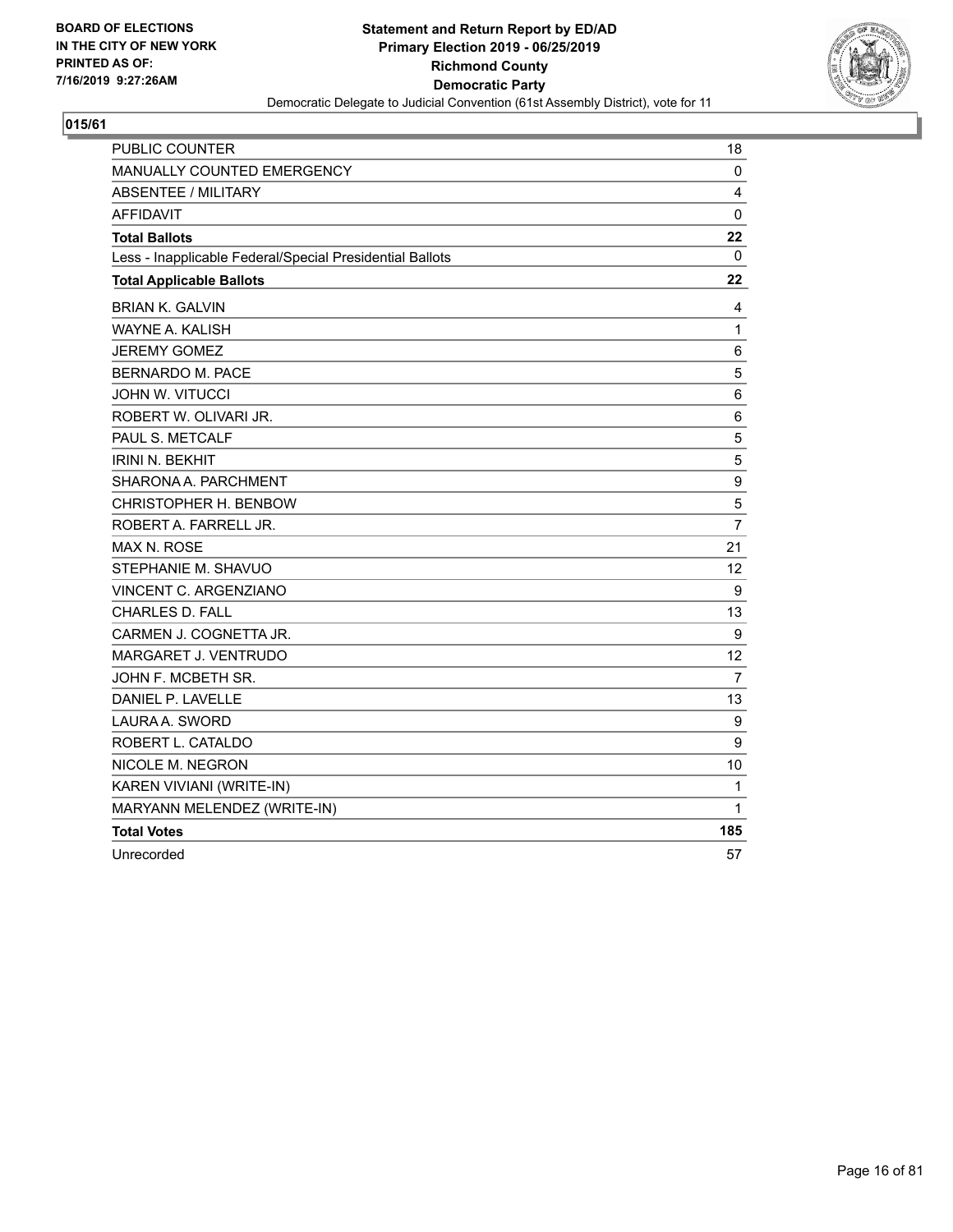

| PUBLIC COUNTER                                           | 18             |
|----------------------------------------------------------|----------------|
| MANUALLY COUNTED EMERGENCY                               | 0              |
| ABSENTEE / MILITARY                                      | 4              |
| <b>AFFIDAVIT</b>                                         | 0              |
| <b>Total Ballots</b>                                     | 22             |
| Less - Inapplicable Federal/Special Presidential Ballots | 0              |
| <b>Total Applicable Ballots</b>                          | 22             |
| <b>BRIAN K. GALVIN</b>                                   | 4              |
| <b>WAYNE A. KALISH</b>                                   | $\mathbf{1}$   |
| <b>JEREMY GOMEZ</b>                                      | 6              |
| <b>BERNARDO M. PACE</b>                                  | 5              |
| <b>JOHN W. VITUCCI</b>                                   | 6              |
| ROBERT W. OLIVARI JR.                                    | 6              |
| PAUL S. METCALF                                          | 5              |
| <b>IRINI N. BEKHIT</b>                                   | 5              |
| SHARONA A. PARCHMENT                                     | 9              |
| CHRISTOPHER H. BENBOW                                    | 5              |
| ROBERT A. FARRELL JR.                                    | 7              |
| <b>MAX N. ROSE</b>                                       | 21             |
| STEPHANIE M. SHAVUO                                      | 12             |
| VINCENT C. ARGENZIANO                                    | 9              |
| <b>CHARLES D. FALL</b>                                   | 13             |
| CARMEN J. COGNETTA JR.                                   | 9              |
| MARGARET J. VENTRUDO                                     | 12             |
| JOHN F. MCBETH SR.                                       | $\overline{7}$ |
| DANIEL P. LAVELLE                                        | 13             |
| LAURA A. SWORD                                           | 9              |
| ROBERT L. CATALDO                                        | 9              |
| NICOLE M. NEGRON                                         | 10             |
| KAREN VIVIANI (WRITE-IN)                                 | 1              |
| MARYANN MELENDEZ (WRITE-IN)                              | 1              |
| <b>Total Votes</b>                                       | 185            |
| Unrecorded                                               | 57             |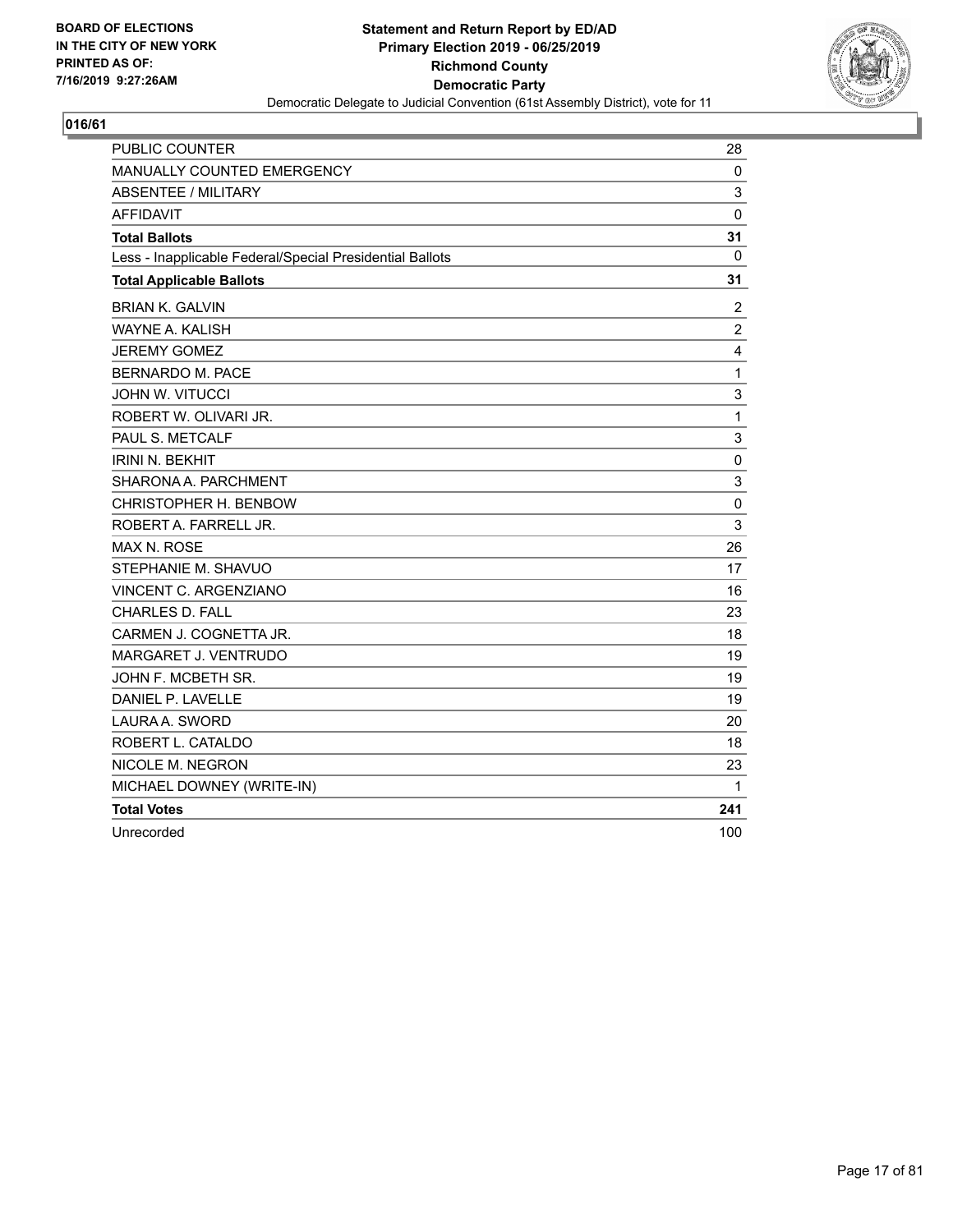

| <b>PUBLIC COUNTER</b>                                    | 28             |
|----------------------------------------------------------|----------------|
| MANUALLY COUNTED EMERGENCY                               | 0              |
| <b>ABSENTEE / MILITARY</b>                               | 3              |
| <b>AFFIDAVIT</b>                                         | $\mathbf{0}$   |
| <b>Total Ballots</b>                                     | 31             |
| Less - Inapplicable Federal/Special Presidential Ballots | 0              |
| <b>Total Applicable Ballots</b>                          | 31             |
| <b>BRIAN K. GALVIN</b>                                   | 2              |
| <b>WAYNE A. KALISH</b>                                   | $\overline{c}$ |
| <b>JEREMY GOMEZ</b>                                      | 4              |
| <b>BERNARDO M. PACE</b>                                  | $\mathbf{1}$   |
| <b>JOHN W. VITUCCI</b>                                   | 3              |
| ROBERT W. OLIVARI JR.                                    | $\mathbf{1}$   |
| PAUL S. METCALF                                          | 3              |
| <b>IRINI N. BEKHIT</b>                                   | 0              |
| SHARONA A. PARCHMENT                                     | 3              |
| CHRISTOPHER H. BENBOW                                    | 0              |
| ROBERT A. FARRELL JR.                                    | 3              |
| <b>MAX N. ROSE</b>                                       | 26             |
| STEPHANIE M. SHAVUO                                      | 17             |
| VINCENT C. ARGENZIANO                                    | 16             |
| <b>CHARLES D. FALL</b>                                   | 23             |
| CARMEN J. COGNETTA JR.                                   | 18             |
| MARGARET J. VENTRUDO                                     | 19             |
| JOHN F. MCBETH SR.                                       | 19             |
| DANIEL P. LAVELLE                                        | 19             |
| LAURA A. SWORD                                           | 20             |
| ROBERT L. CATALDO                                        | 18             |
| NICOLE M. NEGRON                                         | 23             |
| MICHAEL DOWNEY (WRITE-IN)                                | 1              |
| <b>Total Votes</b>                                       | 241            |
| Unrecorded                                               | 100            |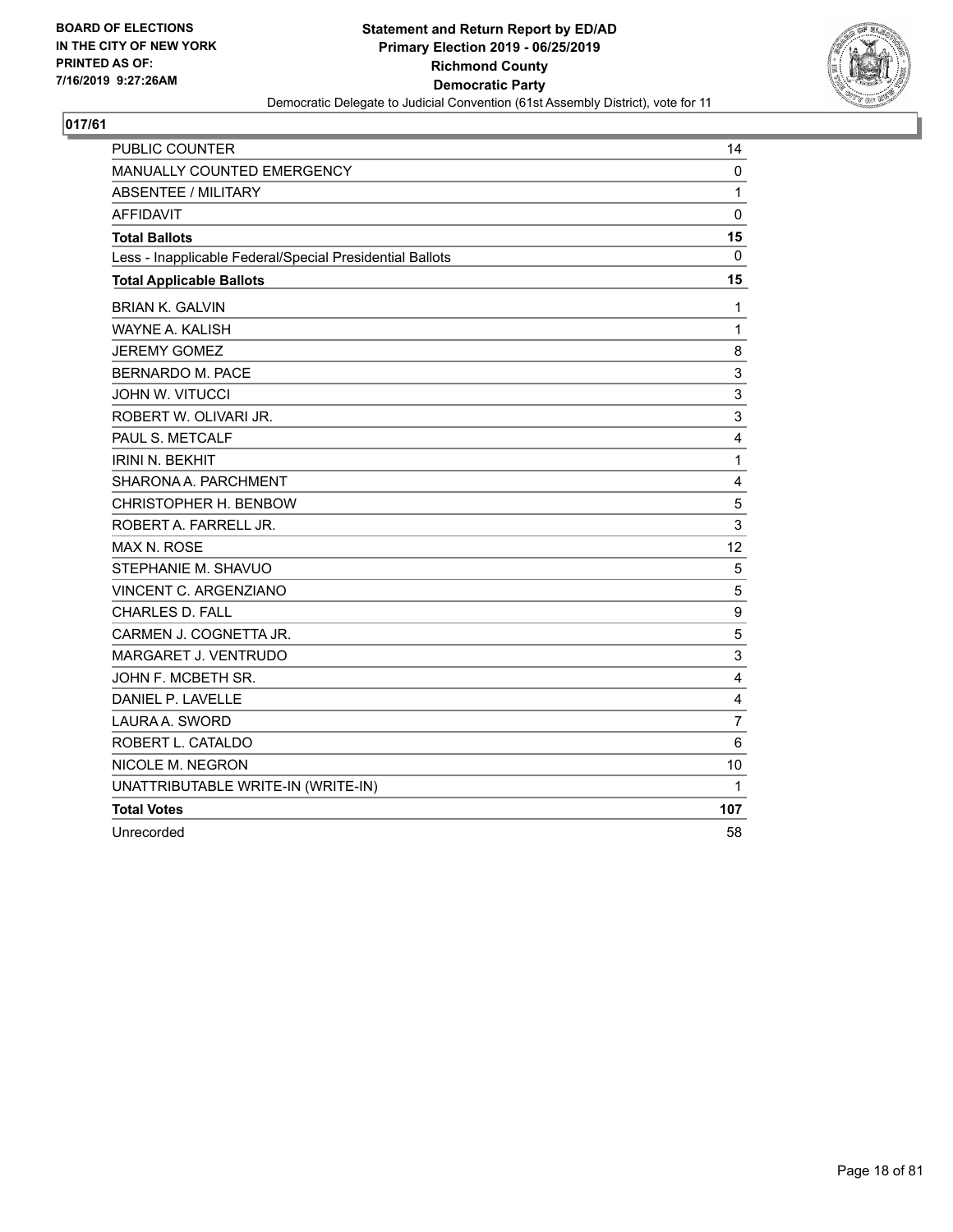

| PUBLIC COUNTER                                           | 14               |
|----------------------------------------------------------|------------------|
| MANUALLY COUNTED EMERGENCY                               | 0                |
| <b>ABSENTEE / MILITARY</b>                               | $\mathbf{1}$     |
| <b>AFFIDAVIT</b>                                         | $\mathbf 0$      |
| <b>Total Ballots</b>                                     | 15               |
| Less - Inapplicable Federal/Special Presidential Ballots | $\mathbf 0$      |
| <b>Total Applicable Ballots</b>                          | 15               |
| <b>BRIAN K. GALVIN</b>                                   | 1                |
| <b>WAYNE A. KALISH</b>                                   | $\mathbf{1}$     |
| <b>JEREMY GOMEZ</b>                                      | 8                |
| <b>BERNARDO M. PACE</b>                                  | 3                |
| <b>JOHN W. VITUCCI</b>                                   | 3                |
| ROBERT W. OLIVARI JR.                                    | 3                |
| PAUL S. METCALF                                          | 4                |
| <b>IRINI N. BEKHIT</b>                                   | $\mathbf{1}$     |
| SHARONA A. PARCHMENT                                     | $\overline{4}$   |
| CHRISTOPHER H. BENBOW                                    | 5                |
| ROBERT A. FARRELL JR.                                    | 3                |
| <b>MAX N. ROSE</b>                                       | 12               |
| STEPHANIE M. SHAVUO                                      | 5                |
| VINCENT C. ARGENZIANO                                    | 5                |
| <b>CHARLES D. FALL</b>                                   | $\boldsymbol{9}$ |
| CARMEN J. COGNETTA JR.                                   | 5                |
| MARGARET J. VENTRUDO                                     | 3                |
| JOHN F. MCBETH SR.                                       | 4                |
| DANIEL P. LAVELLE                                        | 4                |
| LAURA A. SWORD                                           | $\overline{7}$   |
| ROBERT L. CATALDO                                        | 6                |
| NICOLE M. NEGRON                                         | 10               |
| UNATTRIBUTABLE WRITE-IN (WRITE-IN)                       | 1                |
| <b>Total Votes</b>                                       | 107              |
| Unrecorded                                               | 58               |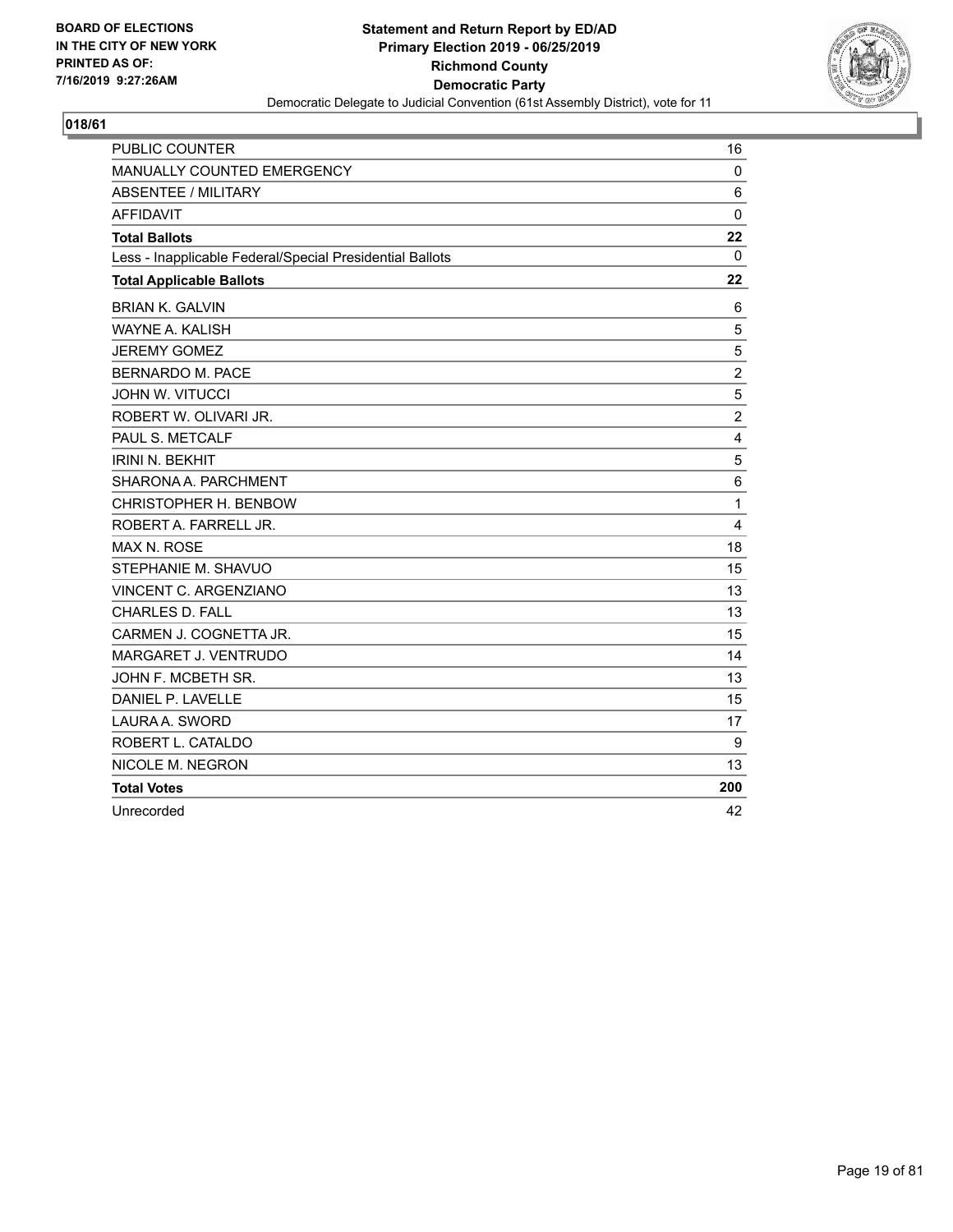

| <b>PUBLIC COUNTER</b>                                    | 16             |
|----------------------------------------------------------|----------------|
| <b>MANUALLY COUNTED EMERGENCY</b>                        | 0              |
| <b>ABSENTEE / MILITARY</b>                               | 6              |
| <b>AFFIDAVIT</b>                                         | $\mathbf 0$    |
| <b>Total Ballots</b>                                     | 22             |
| Less - Inapplicable Federal/Special Presidential Ballots | 0              |
| <b>Total Applicable Ballots</b>                          | 22             |
| <b>BRIAN K. GALVIN</b>                                   | 6              |
| <b>WAYNE A. KALISH</b>                                   | 5              |
| <b>JEREMY GOMEZ</b>                                      | 5              |
| <b>BERNARDO M. PACE</b>                                  | $\overline{c}$ |
| <b>JOHN W. VITUCCI</b>                                   | 5              |
| ROBERT W. OLIVARI JR.                                    | $\overline{2}$ |
| PAUL S. METCALF                                          | 4              |
| <b>IRINI N. BEKHIT</b>                                   | 5              |
| SHARONA A. PARCHMENT                                     | $\,6$          |
| CHRISTOPHER H. BENBOW                                    | 1              |
| ROBERT A. FARRELL JR.                                    | 4              |
| <b>MAX N. ROSE</b>                                       | 18             |
| STEPHANIE M. SHAVUO                                      | 15             |
| VINCENT C. ARGENZIANO                                    | 13             |
| CHARLES D. FALL                                          | 13             |
| CARMEN J. COGNETTA JR.                                   | 15             |
| MARGARET J. VENTRUDO                                     | 14             |
| JOHN F. MCBETH SR.                                       | 13             |
| DANIEL P. LAVELLE                                        | 15             |
| LAURA A. SWORD                                           | 17             |
| ROBERT L. CATALDO                                        | 9              |
| NICOLE M. NEGRON                                         | 13             |
| <b>Total Votes</b>                                       | 200            |
| Unrecorded                                               | 42             |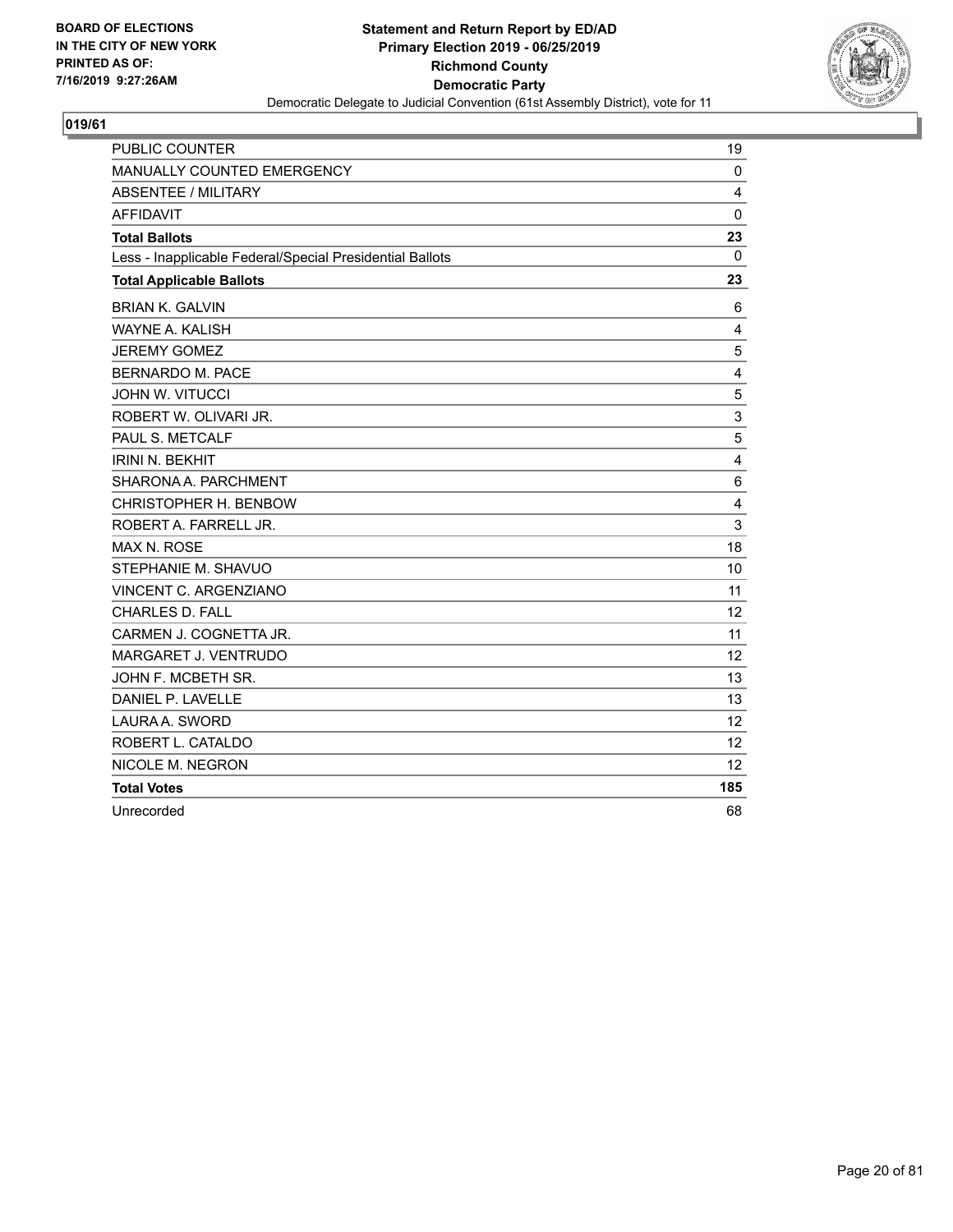

| <b>PUBLIC COUNTER</b>                                    | 19           |
|----------------------------------------------------------|--------------|
| MANUALLY COUNTED EMERGENCY                               | $\mathbf{0}$ |
| <b>ABSENTEE / MILITARY</b>                               | 4            |
| <b>AFFIDAVIT</b>                                         | $\mathbf{0}$ |
| <b>Total Ballots</b>                                     | 23           |
| Less - Inapplicable Federal/Special Presidential Ballots | 0            |
| <b>Total Applicable Ballots</b>                          | 23           |
| <b>BRIAN K. GALVIN</b>                                   | 6            |
| WAYNE A. KALISH                                          | 4            |
| <b>JEREMY GOMEZ</b>                                      | 5            |
| <b>BERNARDO M. PACE</b>                                  | 4            |
| <b>JOHN W. VITUCCI</b>                                   | 5            |
| ROBERT W. OLIVARI JR.                                    | 3            |
| PAUL S. METCALF                                          | 5            |
| <b>IRINI N. BEKHIT</b>                                   | 4            |
| SHARONA A. PARCHMENT                                     | 6            |
| CHRISTOPHER H. BENBOW                                    | 4            |
| ROBERT A. FARRELL JR.                                    | 3            |
| <b>MAX N. ROSE</b>                                       | 18           |
| STEPHANIE M. SHAVUO                                      | 10           |
| <b>VINCENT C. ARGENZIANO</b>                             | 11           |
| <b>CHARLES D. FALL</b>                                   | 12           |
| CARMEN J. COGNETTA JR.                                   | 11           |
| MARGARET J. VENTRUDO                                     | 12           |
| JOHN F. MCBETH SR.                                       | 13           |
| DANIEL P. LAVELLE                                        | 13           |
| LAURA A. SWORD                                           | 12           |
| ROBERT L. CATALDO                                        | 12           |
| NICOLE M. NEGRON                                         | 12           |
| <b>Total Votes</b>                                       | 185          |
| Unrecorded                                               | 68           |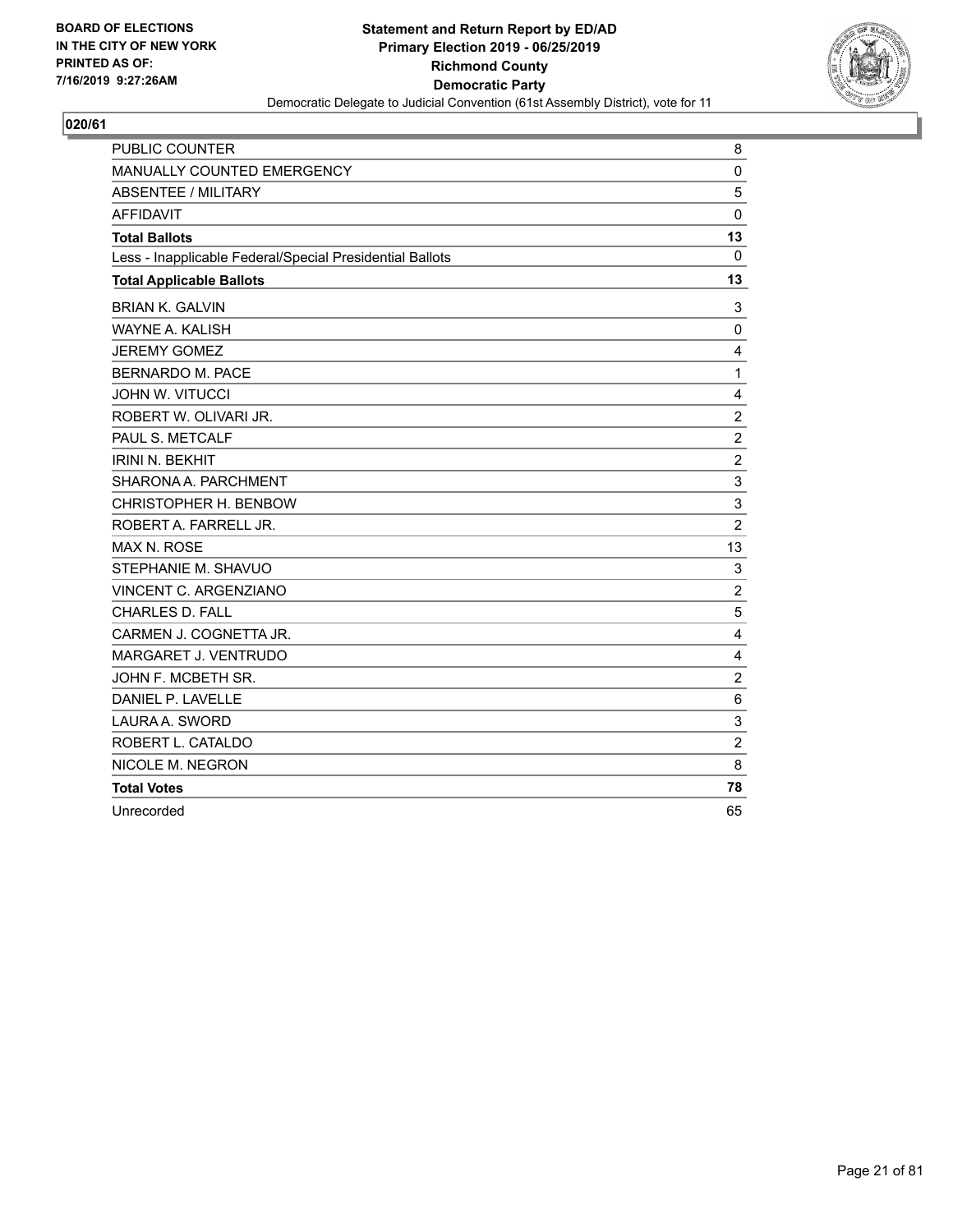

| PUBLIC COUNTER                                           | 8              |
|----------------------------------------------------------|----------------|
| MANUALLY COUNTED EMERGENCY                               | $\mathbf 0$    |
| <b>ABSENTEE / MILITARY</b>                               | 5              |
| <b>AFFIDAVIT</b>                                         | $\mathbf{0}$   |
| <b>Total Ballots</b>                                     | 13             |
| Less - Inapplicable Federal/Special Presidential Ballots | $\mathbf{0}$   |
| <b>Total Applicable Ballots</b>                          | 13             |
| <b>BRIAN K. GALVIN</b>                                   | 3              |
| WAYNE A. KALISH                                          | $\mathbf 0$    |
| <b>JEREMY GOMEZ</b>                                      | 4              |
| <b>BERNARDO M. PACE</b>                                  | $\mathbf{1}$   |
| <b>JOHN W. VITUCCI</b>                                   | 4              |
| ROBERT W. OLIVARI JR.                                    | $\overline{c}$ |
| PAUL S. METCALF                                          | $\overline{c}$ |
| <b>IRINI N. BEKHIT</b>                                   | $\overline{c}$ |
| SHARONA A. PARCHMENT                                     | 3              |
| CHRISTOPHER H. BENBOW                                    | 3              |
| ROBERT A. FARRELL JR.                                    | $\overline{2}$ |
| <b>MAX N. ROSE</b>                                       | 13             |
| STEPHANIE M. SHAVUO                                      | 3              |
| VINCENT C. ARGENZIANO                                    | $\overline{2}$ |
| <b>CHARLES D. FALL</b>                                   | 5              |
| CARMEN J. COGNETTA JR.                                   | $\overline{4}$ |
| MARGARET J. VENTRUDO                                     | 4              |
| JOHN F. MCBETH SR.                                       | $\overline{c}$ |
| DANIEL P. LAVELLE                                        | $\,6$          |
| LAURA A. SWORD                                           | 3              |
| ROBERT L. CATALDO                                        | $\overline{2}$ |
| NICOLE M. NEGRON                                         | 8              |
| <b>Total Votes</b>                                       | 78             |
| Unrecorded                                               | 65             |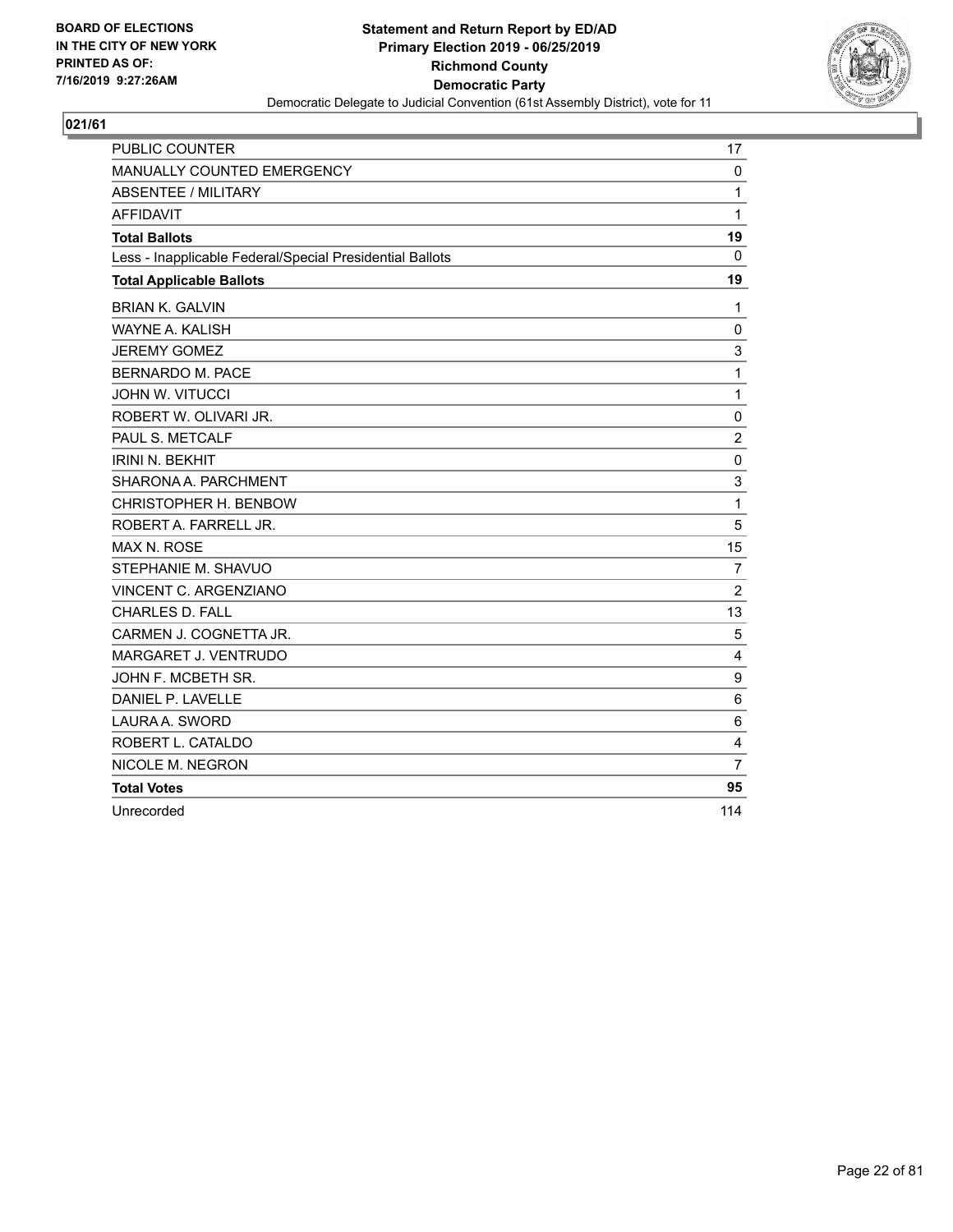

| <b>PUBLIC COUNTER</b>                                    | 17             |
|----------------------------------------------------------|----------------|
| <b>MANUALLY COUNTED EMERGENCY</b>                        | 0              |
| <b>ABSENTEE / MILITARY</b>                               | $\mathbf{1}$   |
| <b>AFFIDAVIT</b>                                         | $\mathbf{1}$   |
| <b>Total Ballots</b>                                     | 19             |
| Less - Inapplicable Federal/Special Presidential Ballots | 0              |
| <b>Total Applicable Ballots</b>                          | 19             |
| <b>BRIAN K. GALVIN</b>                                   | 1              |
| <b>WAYNE A. KALISH</b>                                   | 0              |
| <b>JEREMY GOMEZ</b>                                      | 3              |
| <b>BERNARDO M. PACE</b>                                  | $\mathbf{1}$   |
| <b>JOHN W. VITUCCI</b>                                   | $\mathbf{1}$   |
| ROBERT W. OLIVARI JR.                                    | 0              |
| PAUL S. METCALF                                          | $\overline{2}$ |
| <b>IRINI N. BEKHIT</b>                                   | $\pmb{0}$      |
| SHARONA A. PARCHMENT                                     | 3              |
| CHRISTOPHER H. BENBOW                                    | $\mathbf{1}$   |
| ROBERT A. FARRELL JR.                                    | 5              |
| MAX N. ROSE                                              | 15             |
| STEPHANIE M. SHAVUO                                      | $\overline{7}$ |
| VINCENT C. ARGENZIANO                                    | $\overline{2}$ |
| CHARLES D. FALL                                          | 13             |
| CARMEN J. COGNETTA JR.                                   | 5              |
| MARGARET J. VENTRUDO                                     | 4              |
| JOHN F. MCBETH SR.                                       | 9              |
| DANIEL P. LAVELLE                                        | 6              |
| LAURA A. SWORD                                           | 6              |
| ROBERT L. CATALDO                                        | 4              |
| NICOLE M. NEGRON                                         | $\overline{7}$ |
| <b>Total Votes</b>                                       | 95             |
| Unrecorded                                               | 114            |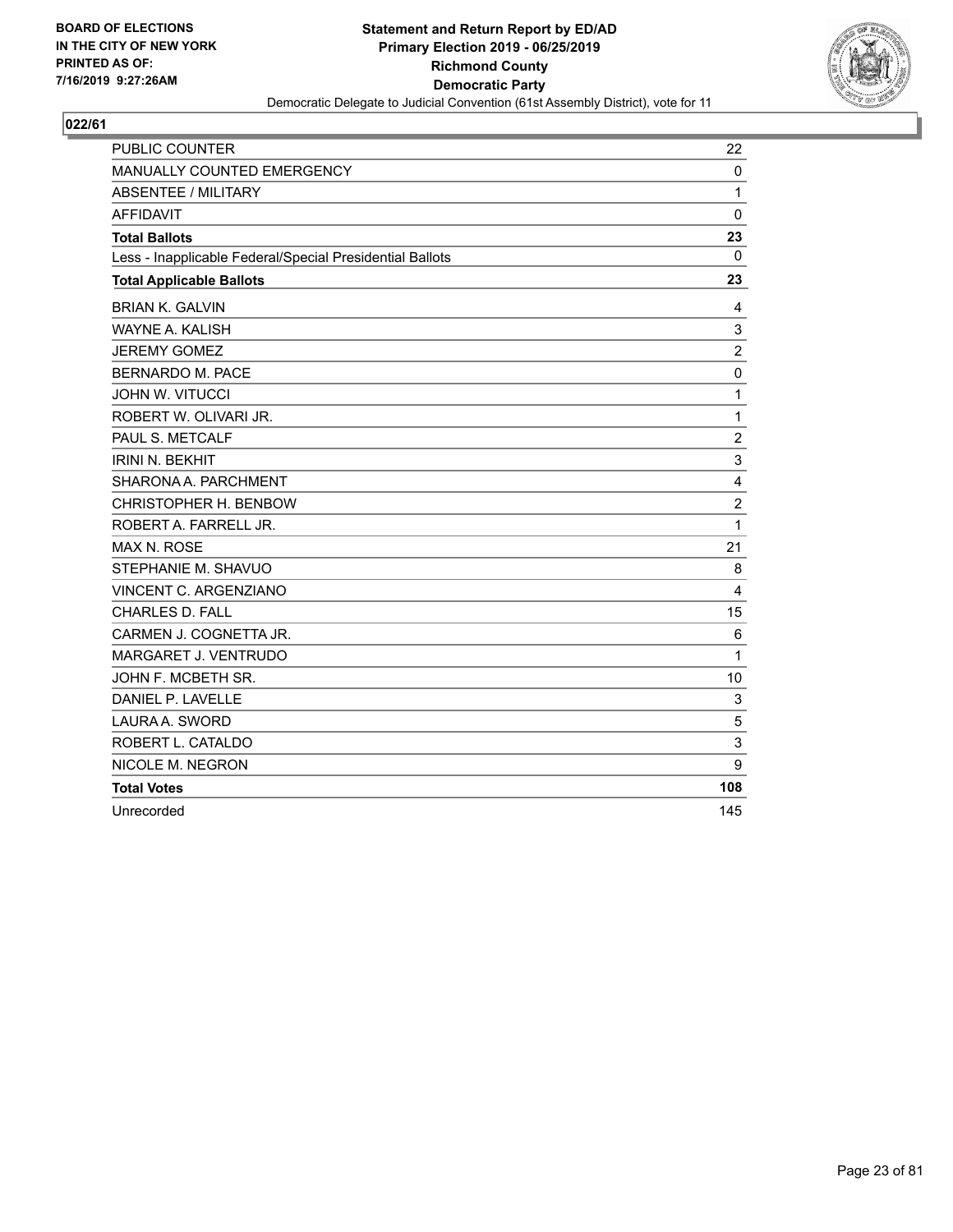

| <b>PUBLIC COUNTER</b>                                    | 22             |
|----------------------------------------------------------|----------------|
| MANUALLY COUNTED EMERGENCY                               | 0              |
| <b>ABSENTEE / MILITARY</b>                               | $\mathbf{1}$   |
| <b>AFFIDAVIT</b>                                         | 0              |
| <b>Total Ballots</b>                                     | 23             |
| Less - Inapplicable Federal/Special Presidential Ballots | 0              |
| <b>Total Applicable Ballots</b>                          | 23             |
| <b>BRIAN K. GALVIN</b>                                   | 4              |
| WAYNE A. KALISH                                          | 3              |
| <b>JEREMY GOMEZ</b>                                      | $\overline{c}$ |
| <b>BERNARDO M. PACE</b>                                  | $\mathbf 0$    |
| <b>JOHN W. VITUCCI</b>                                   | $\mathbf{1}$   |
| ROBERT W. OLIVARI JR.                                    | 1              |
| PAUL S. METCALF                                          | $\overline{c}$ |
| <b>IRINI N. BEKHIT</b>                                   | 3              |
| SHARONA A. PARCHMENT                                     | 4              |
| CHRISTOPHER H. BENBOW                                    | $\overline{c}$ |
| ROBERT A. FARRELL JR.                                    | $\mathbf{1}$   |
| <b>MAX N. ROSE</b>                                       | 21             |
| STEPHANIE M. SHAVUO                                      | 8              |
| VINCENT C. ARGENZIANO                                    | 4              |
| <b>CHARLES D. FALL</b>                                   | 15             |
| CARMEN J. COGNETTA JR.                                   | 6              |
| MARGARET J. VENTRUDO                                     | 1              |
| JOHN F. MCBETH SR.                                       | 10             |
| DANIEL P. LAVELLE                                        | 3              |
| LAURA A. SWORD                                           | 5              |
| ROBERT L. CATALDO                                        | 3              |
| NICOLE M. NEGRON                                         | 9              |
| <b>Total Votes</b>                                       | 108            |
| Unrecorded                                               | 145            |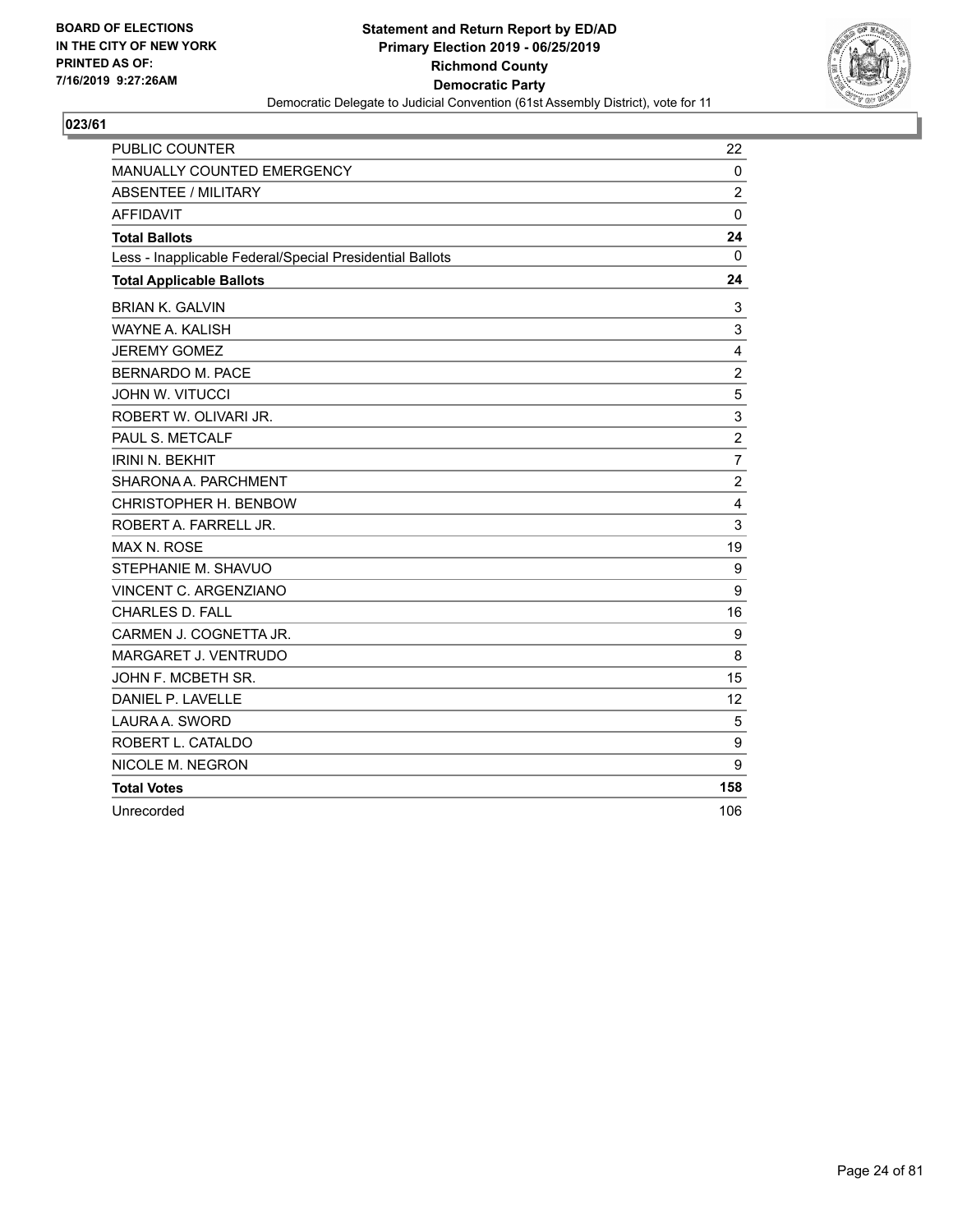

| <b>PUBLIC COUNTER</b>                                    | 22             |
|----------------------------------------------------------|----------------|
| <b>MANUALLY COUNTED EMERGENCY</b>                        | 0              |
| <b>ABSENTEE / MILITARY</b>                               | $\overline{2}$ |
| <b>AFFIDAVIT</b>                                         | $\mathbf 0$    |
| <b>Total Ballots</b>                                     | 24             |
| Less - Inapplicable Federal/Special Presidential Ballots | 0              |
| <b>Total Applicable Ballots</b>                          | 24             |
| <b>BRIAN K. GALVIN</b>                                   | 3              |
| <b>WAYNE A. KALISH</b>                                   | 3              |
| <b>JEREMY GOMEZ</b>                                      | 4              |
| <b>BERNARDO M. PACE</b>                                  | $\overline{c}$ |
| <b>JOHN W. VITUCCI</b>                                   | 5              |
| ROBERT W. OLIVARI JR.                                    | 3              |
| PAUL S. METCALF                                          | $\overline{2}$ |
| <b>IRINI N. BEKHIT</b>                                   | $\overline{7}$ |
| SHARONA A. PARCHMENT                                     | $\overline{c}$ |
| CHRISTOPHER H. BENBOW                                    | 4              |
| ROBERT A. FARRELL JR.                                    | 3              |
| MAX N. ROSE                                              | 19             |
| STEPHANIE M. SHAVUO                                      | 9              |
| VINCENT C. ARGENZIANO                                    | 9              |
| CHARLES D. FALL                                          | 16             |
| CARMEN J. COGNETTA JR.                                   | 9              |
| MARGARET J. VENTRUDO                                     | 8              |
| JOHN F. MCBETH SR.                                       | 15             |
| DANIEL P. LAVELLE                                        | 12             |
| LAURA A. SWORD                                           | 5              |
| ROBERT L. CATALDO                                        | 9              |
| NICOLE M. NEGRON                                         | 9              |
| <b>Total Votes</b>                                       | 158            |
| Unrecorded                                               | 106            |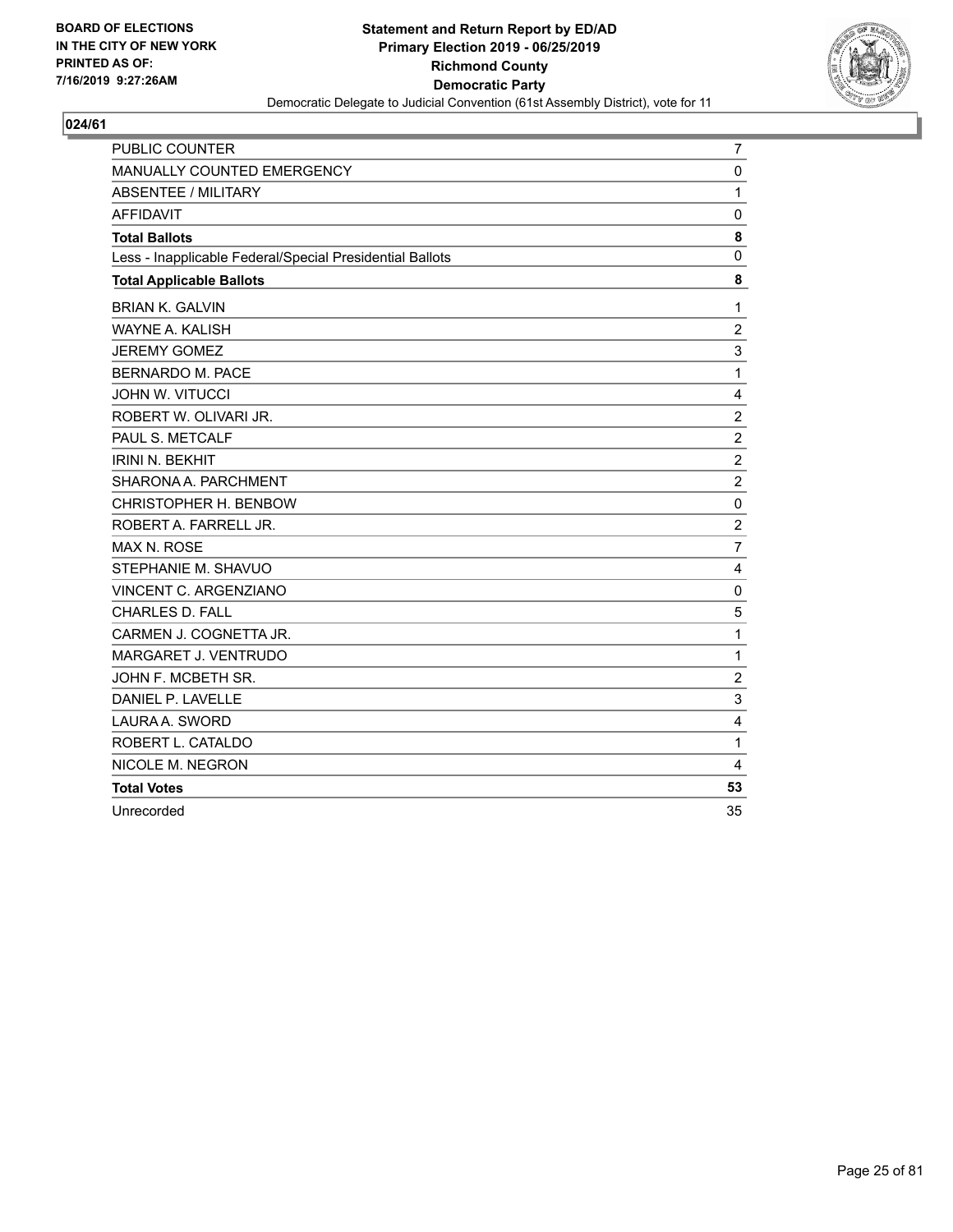

| <b>PUBLIC COUNTER</b>                                    | $\overline{7}$ |
|----------------------------------------------------------|----------------|
| <b>MANUALLY COUNTED EMERGENCY</b>                        | $\mathbf 0$    |
| <b>ABSENTEE / MILITARY</b>                               | 1              |
| <b>AFFIDAVIT</b>                                         | $\Omega$       |
| <b>Total Ballots</b>                                     | 8              |
| Less - Inapplicable Federal/Special Presidential Ballots | 0              |
| <b>Total Applicable Ballots</b>                          | 8              |
| <b>BRIAN K. GALVIN</b>                                   | 1              |
| WAYNE A. KALISH                                          | $\overline{c}$ |
| <b>JEREMY GOMEZ</b>                                      | 3              |
| <b>BERNARDO M. PACE</b>                                  | $\mathbf{1}$   |
| <b>JOHN W. VITUCCI</b>                                   | 4              |
| ROBERT W. OLIVARI JR.                                    | $\overline{c}$ |
| PAUL S. METCALF                                          | $\overline{2}$ |
| <b>IRINI N. BEKHIT</b>                                   | $\overline{c}$ |
| SHARONA A. PARCHMENT                                     | $\overline{2}$ |
| CHRISTOPHER H. BENBOW                                    | $\mathbf 0$    |
| ROBERT A. FARRELL JR.                                    | $\overline{2}$ |
| <b>MAX N. ROSE</b>                                       | $\overline{7}$ |
| STEPHANIE M. SHAVUO                                      | 4              |
| VINCENT C. ARGENZIANO                                    | $\mathbf 0$    |
| <b>CHARLES D. FALL</b>                                   | 5              |
| CARMEN J. COGNETTA JR.                                   | 1              |
| MARGARET J. VENTRUDO                                     | $\mathbf{1}$   |
| JOHN F. MCBETH SR.                                       | $\overline{2}$ |
| DANIEL P. LAVELLE                                        | 3              |
| LAURA A. SWORD                                           | 4              |
| ROBERT L. CATALDO                                        | 1              |
| NICOLE M. NEGRON                                         | 4              |
| <b>Total Votes</b>                                       | 53             |
| Unrecorded                                               | 35             |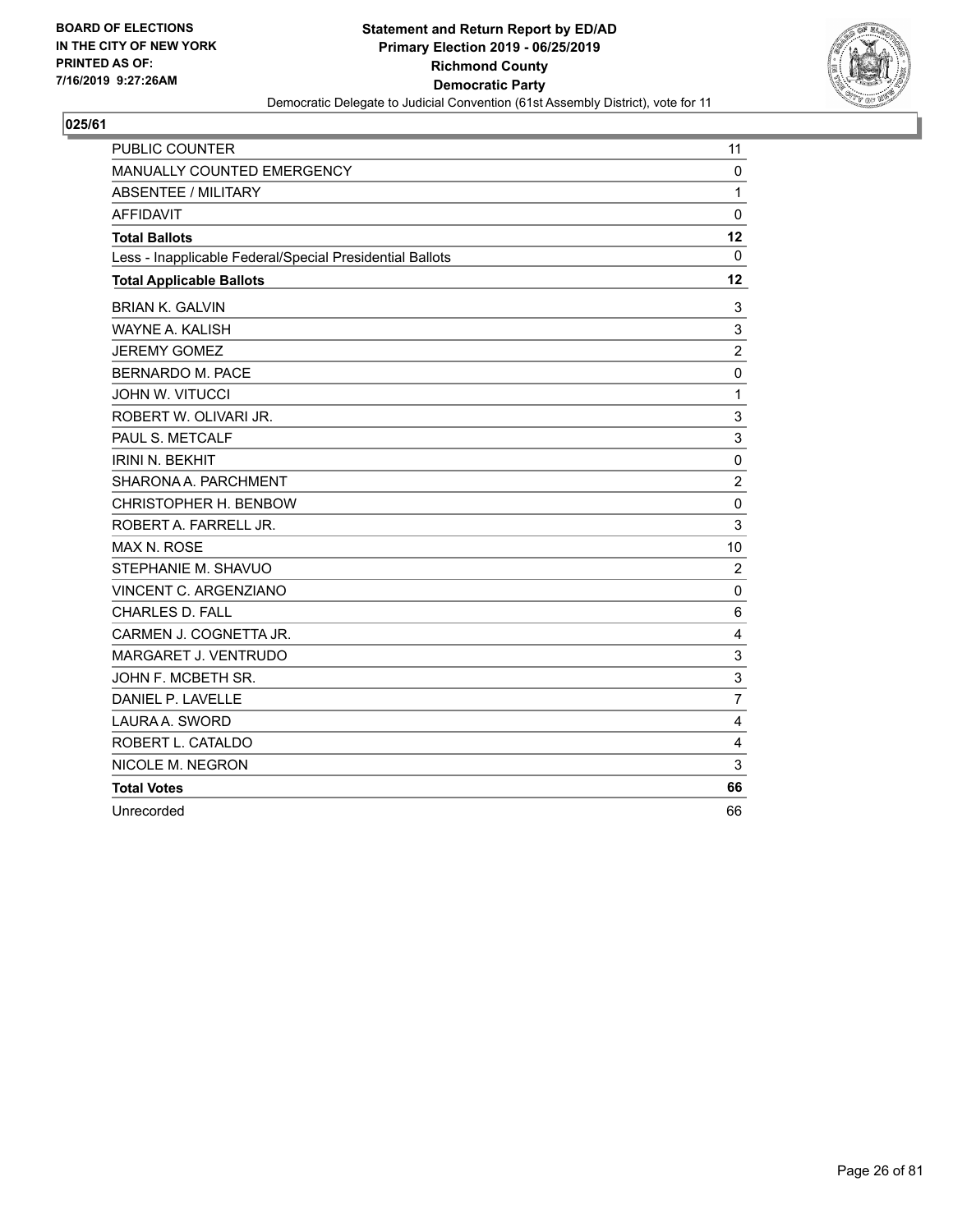

| <b>PUBLIC COUNTER</b>                                    | 11             |
|----------------------------------------------------------|----------------|
| <b>MANUALLY COUNTED EMERGENCY</b>                        | $\mathbf 0$    |
| <b>ABSENTEE / MILITARY</b>                               | $\mathbf{1}$   |
| <b>AFFIDAVIT</b>                                         | $\mathbf{0}$   |
| <b>Total Ballots</b>                                     | 12             |
| Less - Inapplicable Federal/Special Presidential Ballots | $\mathbf{0}$   |
| <b>Total Applicable Ballots</b>                          | 12             |
| <b>BRIAN K. GALVIN</b>                                   | 3              |
| WAYNE A. KALISH                                          | 3              |
| <b>JEREMY GOMEZ</b>                                      | $\overline{c}$ |
| BERNARDO M. PACE                                         | $\mathbf 0$    |
| <b>JOHN W. VITUCCI</b>                                   | $\mathbf{1}$   |
| ROBERT W. OLIVARI JR.                                    | 3              |
| PAUL S. METCALF                                          | 3              |
| <b>IRINI N. BEKHIT</b>                                   | 0              |
| SHARONA A. PARCHMENT                                     | $\overline{2}$ |
| CHRISTOPHER H. BENBOW                                    | $\mathbf 0$    |
| ROBERT A. FARRELL JR.                                    | 3              |
| MAX N. ROSE                                              | 10             |
| STEPHANIE M. SHAVUO                                      | $\overline{2}$ |
| VINCENT C. ARGENZIANO                                    | $\mathbf 0$    |
| <b>CHARLES D. FALL</b>                                   | 6              |
| CARMEN J. COGNETTA JR.                                   | $\overline{4}$ |
| MARGARET J. VENTRUDO                                     | 3              |
| JOHN F. MCBETH SR.                                       | 3              |
| DANIEL P. LAVELLE                                        | $\overline{7}$ |
| LAURA A. SWORD                                           | 4              |
| ROBERT L. CATALDO                                        | 4              |
| NICOLE M. NEGRON                                         | 3              |
| <b>Total Votes</b>                                       | 66             |
| Unrecorded                                               | 66             |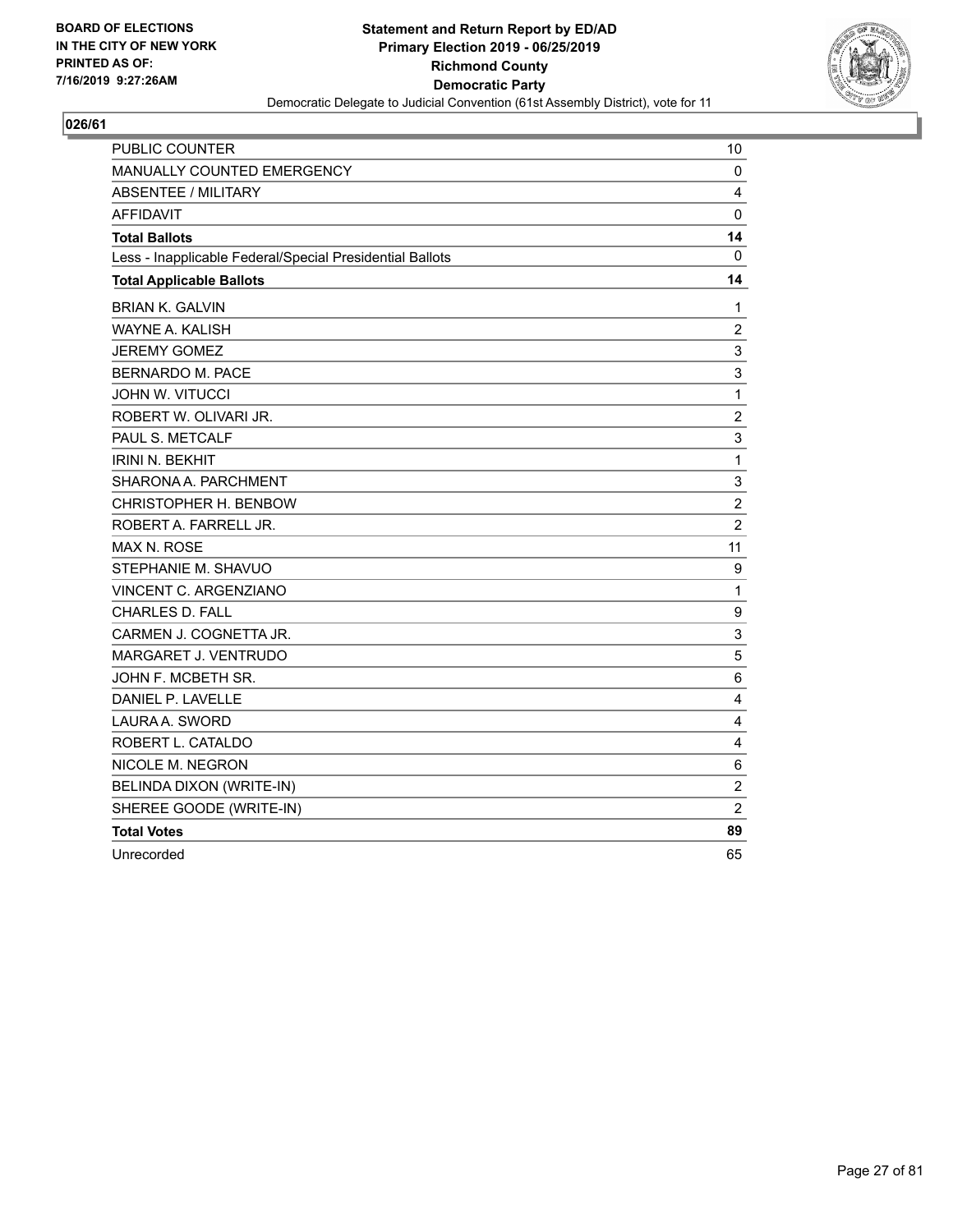

| <b>PUBLIC COUNTER</b>                                    | 10             |
|----------------------------------------------------------|----------------|
| MANUALLY COUNTED EMERGENCY                               | 0              |
| <b>ABSENTEE / MILITARY</b>                               | 4              |
| <b>AFFIDAVIT</b>                                         | 0              |
| <b>Total Ballots</b>                                     | 14             |
| Less - Inapplicable Federal/Special Presidential Ballots | 0              |
| <b>Total Applicable Ballots</b>                          | 14             |
| <b>BRIAN K. GALVIN</b>                                   | 1              |
| WAYNE A. KALISH                                          | $\overline{c}$ |
| <b>JEREMY GOMEZ</b>                                      | 3              |
| <b>BERNARDO M. PACE</b>                                  | 3              |
| <b>JOHN W. VITUCCI</b>                                   | $\mathbf 1$    |
| ROBERT W. OLIVARI JR.                                    | $\overline{c}$ |
| PAUL S. METCALF                                          | 3              |
| <b>IRINI N. BEKHIT</b>                                   | $\mathbf{1}$   |
| SHARONA A. PARCHMENT                                     | 3              |
| CHRISTOPHER H. BENBOW                                    | $\overline{c}$ |
| ROBERT A. FARRELL JR.                                    | $\overline{2}$ |
| <b>MAX N. ROSE</b>                                       | 11             |
| STEPHANIE M. SHAVUO                                      | 9              |
| VINCENT C. ARGENZIANO                                    | $\mathbf{1}$   |
| <b>CHARLES D. FALL</b>                                   | 9              |
| CARMEN J. COGNETTA JR.                                   | 3              |
| MARGARET J. VENTRUDO                                     | 5              |
| JOHN F. MCBETH SR.                                       | 6              |
| DANIEL P. LAVELLE                                        | 4              |
| LAURA A. SWORD                                           | 4              |
| ROBERT L. CATALDO                                        | 4              |
| NICOLE M. NEGRON                                         | 6              |
| BELINDA DIXON (WRITE-IN)                                 | $\overline{2}$ |
| SHEREE GOODE (WRITE-IN)                                  | $\overline{c}$ |
| <b>Total Votes</b>                                       | 89             |
| Unrecorded                                               | 65             |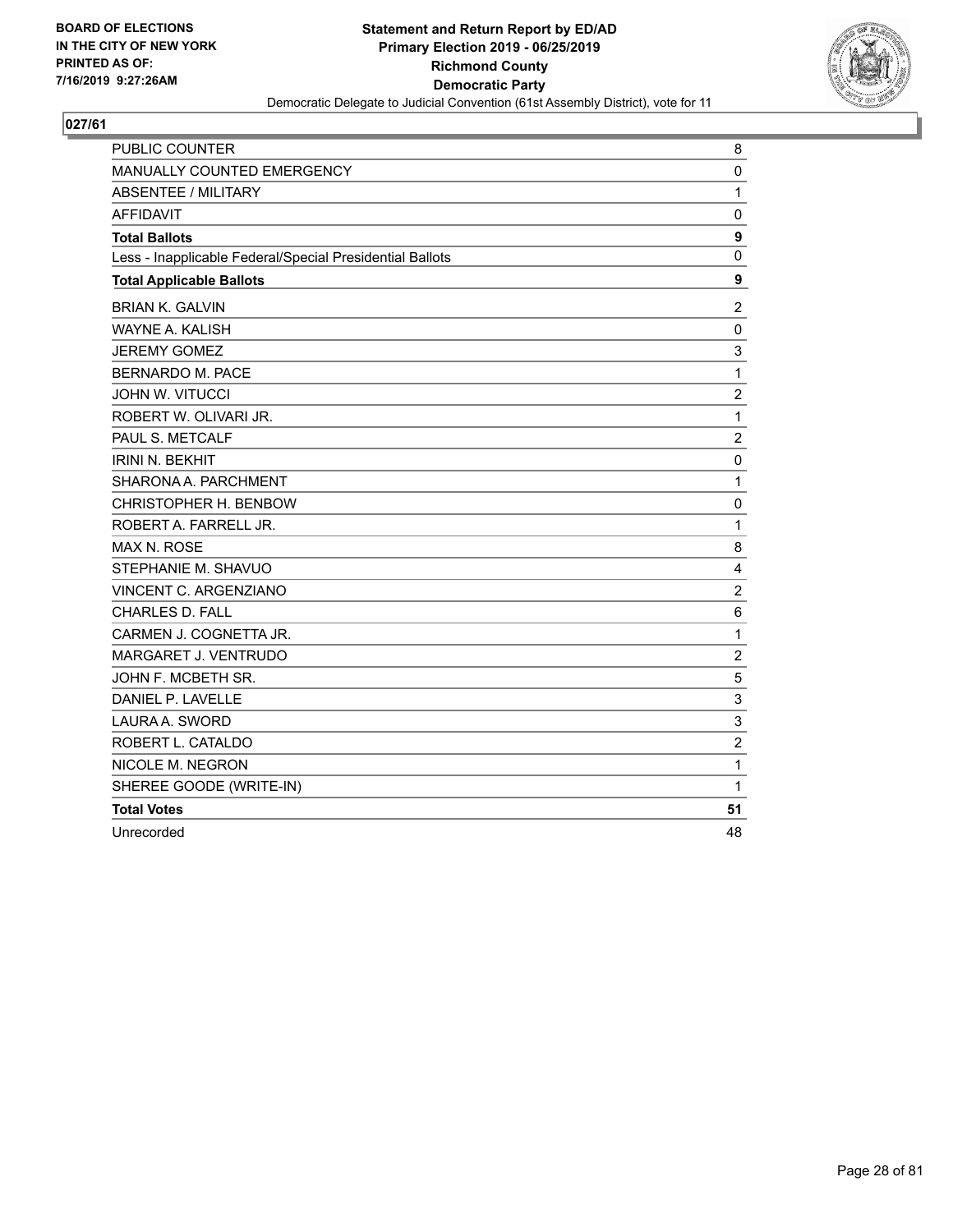

| <b>PUBLIC COUNTER</b>                                    | 8                |
|----------------------------------------------------------|------------------|
| <b>MANUALLY COUNTED EMERGENCY</b>                        | 0                |
| <b>ABSENTEE / MILITARY</b>                               | $\mathbf{1}$     |
| <b>AFFIDAVIT</b>                                         | $\mathbf 0$      |
| <b>Total Ballots</b>                                     | $\boldsymbol{9}$ |
| Less - Inapplicable Federal/Special Presidential Ballots | $\mathbf 0$      |
| <b>Total Applicable Ballots</b>                          | 9                |
| <b>BRIAN K. GALVIN</b>                                   | $\overline{2}$   |
| WAYNE A. KALISH                                          | 0                |
| <b>JEREMY GOMEZ</b>                                      | 3                |
| <b>BERNARDO M. PACE</b>                                  | $\mathbf 1$      |
| <b>JOHN W. VITUCCI</b>                                   | $\overline{c}$   |
| ROBERT W. OLIVARI JR.                                    | $\mathbf{1}$     |
| PAUL S. METCALF                                          | $\overline{c}$   |
| <b>IRINI N. BEKHIT</b>                                   | 0                |
| SHARONA A. PARCHMENT                                     | 1                |
| CHRISTOPHER H. BENBOW                                    | 0                |
| ROBERT A. FARRELL JR.                                    | $\mathbf{1}$     |
| <b>MAX N. ROSE</b>                                       | 8                |
| STEPHANIE M. SHAVUO                                      | 4                |
| VINCENT C. ARGENZIANO                                    | $\overline{c}$   |
| <b>CHARLES D. FALL</b>                                   | $6\phantom{1}6$  |
| CARMEN J. COGNETTA JR.                                   | $\mathbf{1}$     |
| MARGARET J. VENTRUDO                                     | $\overline{c}$   |
| JOHN F. MCBETH SR.                                       | 5                |
| DANIEL P. LAVELLE                                        | 3                |
| LAURA A. SWORD                                           | 3                |
| ROBERT L. CATALDO                                        | $\overline{2}$   |
| NICOLE M. NEGRON                                         | $\mathbf{1}$     |
| SHEREE GOODE (WRITE-IN)                                  | 1                |
| <b>Total Votes</b>                                       | 51               |
| Unrecorded                                               | 48               |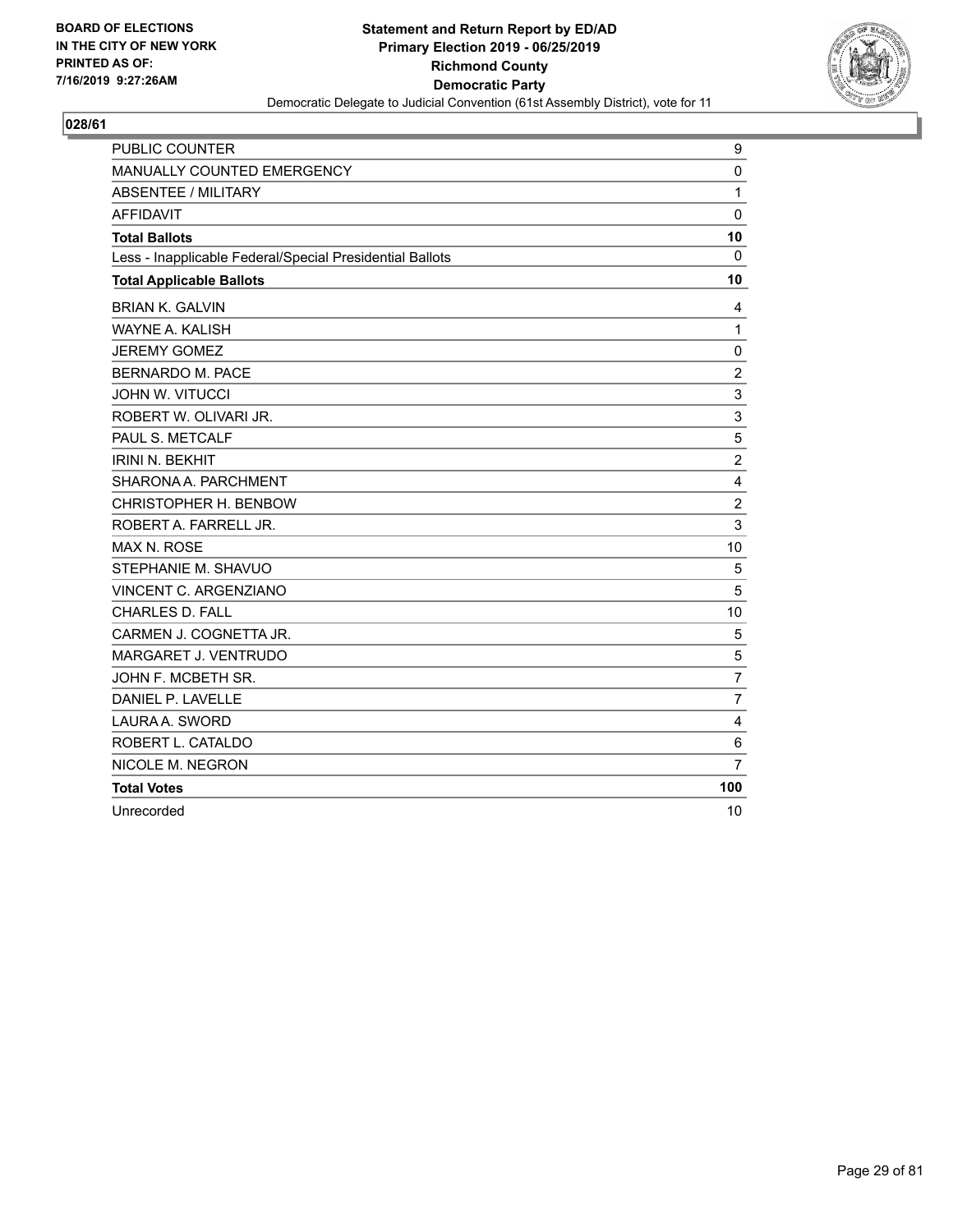

| <b>PUBLIC COUNTER</b>                                    | 9              |
|----------------------------------------------------------|----------------|
| <b>MANUALLY COUNTED EMERGENCY</b>                        | 0              |
| <b>ABSENTEE / MILITARY</b>                               | $\mathbf{1}$   |
| <b>AFFIDAVIT</b>                                         | $\mathbf 0$    |
| <b>Total Ballots</b>                                     | 10             |
| Less - Inapplicable Federal/Special Presidential Ballots | $\mathbf{0}$   |
| <b>Total Applicable Ballots</b>                          | 10             |
| <b>BRIAN K. GALVIN</b>                                   | 4              |
| <b>WAYNE A. KALISH</b>                                   | 1              |
| <b>JEREMY GOMEZ</b>                                      | 0              |
| <b>BERNARDO M. PACE</b>                                  | $\overline{c}$ |
| <b>JOHN W. VITUCCI</b>                                   | 3              |
| ROBERT W. OLIVARI JR.                                    | 3              |
| PAUL S. METCALF                                          | 5              |
| <b>IRINI N. BEKHIT</b>                                   | $\overline{c}$ |
| SHARONA A. PARCHMENT                                     | 4              |
| CHRISTOPHER H. BENBOW                                    | $\overline{c}$ |
| ROBERT A. FARRELL JR.                                    | 3              |
| <b>MAX N. ROSE</b>                                       | 10             |
| STEPHANIE M. SHAVUO                                      | 5              |
| VINCENT C. ARGENZIANO                                    | 5              |
| <b>CHARLES D. FALL</b>                                   | 10             |
| CARMEN J. COGNETTA JR.                                   | 5              |
| MARGARET J. VENTRUDO                                     | 5              |
| JOHN F. MCBETH SR.                                       | $\overline{7}$ |
| DANIEL P. LAVELLE                                        | $\overline{7}$ |
| LAURA A. SWORD                                           | 4              |
| ROBERT L. CATALDO                                        | 6              |
| NICOLE M. NEGRON                                         | $\overline{7}$ |
| <b>Total Votes</b>                                       | 100            |
| Unrecorded                                               | 10             |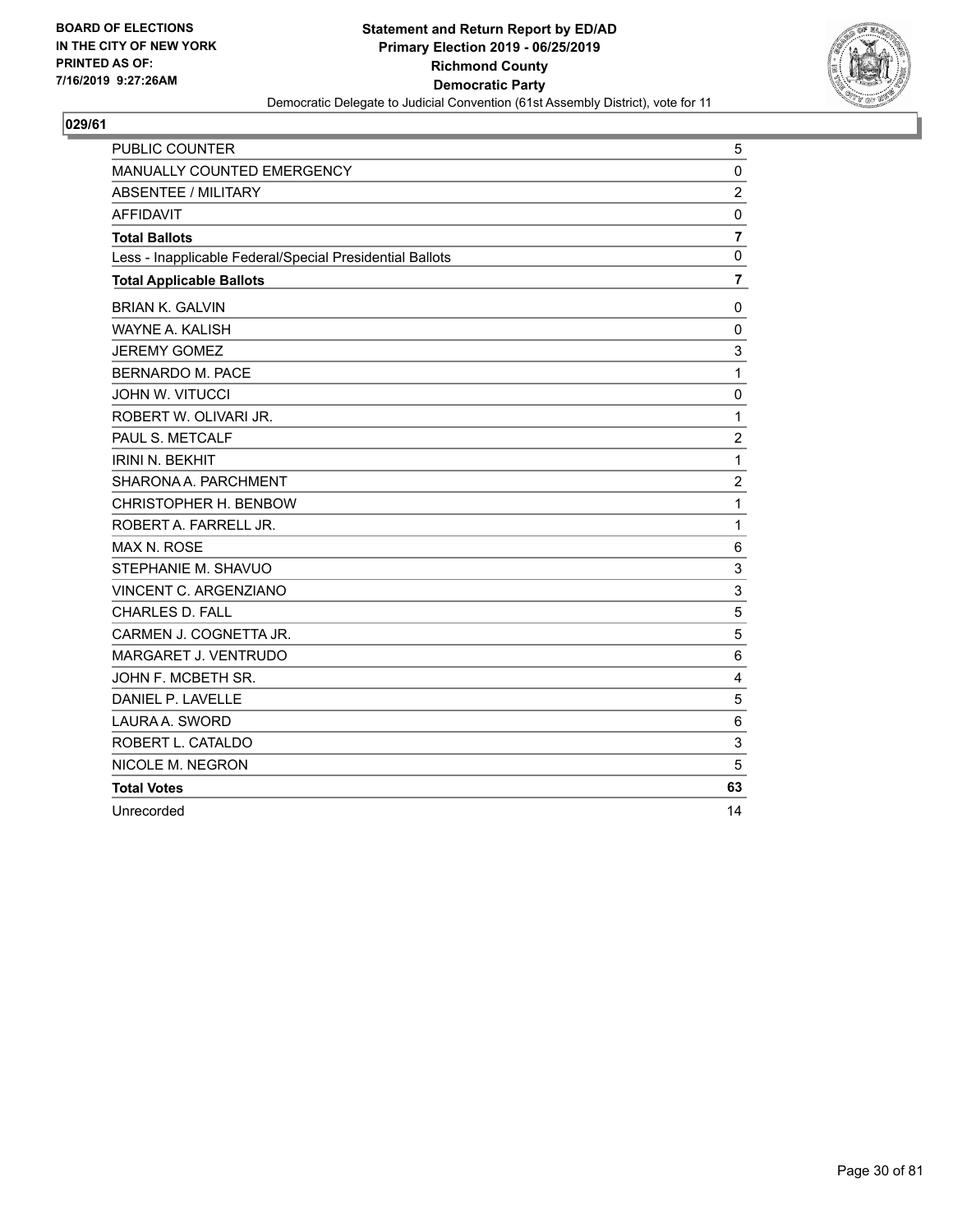

| PUBLIC COUNTER                                           | 5               |
|----------------------------------------------------------|-----------------|
| MANUALLY COUNTED EMERGENCY                               | $\mathbf 0$     |
| <b>ABSENTEE / MILITARY</b>                               | $\overline{c}$  |
| <b>AFFIDAVIT</b>                                         | 0               |
| <b>Total Ballots</b>                                     | $\overline{7}$  |
| Less - Inapplicable Federal/Special Presidential Ballots | $\mathbf 0$     |
| <b>Total Applicable Ballots</b>                          | $\overline{7}$  |
| <b>BRIAN K. GALVIN</b>                                   | 0               |
| WAYNE A. KALISH                                          | $\mathbf 0$     |
| <b>JEREMY GOMEZ</b>                                      | 3               |
| BERNARDO M. PACE                                         | $\mathbf{1}$    |
| <b>JOHN W. VITUCCI</b>                                   | $\mathbf 0$     |
| ROBERT W. OLIVARI JR.                                    | 1               |
| PAUL S. METCALF                                          | $\overline{c}$  |
| <b>IRINI N. BEKHIT</b>                                   | $\mathbf{1}$    |
| SHARONA A. PARCHMENT                                     | $\overline{c}$  |
| CHRISTOPHER H. BENBOW                                    | $\mathbf{1}$    |
| ROBERT A. FARRELL JR.                                    | $\mathbf{1}$    |
| <b>MAX N. ROSE</b>                                       | 6               |
| STEPHANIE M. SHAVUO                                      | 3               |
| VINCENT C. ARGENZIANO                                    | 3               |
| <b>CHARLES D. FALL</b>                                   | 5               |
| CARMEN J. COGNETTA JR.                                   | 5               |
| MARGARET J. VENTRUDO                                     | $6\phantom{1}6$ |
| JOHN F. MCBETH SR.                                       | $\overline{4}$  |
| DANIEL P. LAVELLE                                        | 5               |
| LAURA A. SWORD                                           | $6\phantom{1}6$ |
| ROBERT L. CATALDO                                        | 3               |
| NICOLE M. NEGRON                                         | 5               |
| <b>Total Votes</b>                                       | 63              |
| Unrecorded                                               | 14              |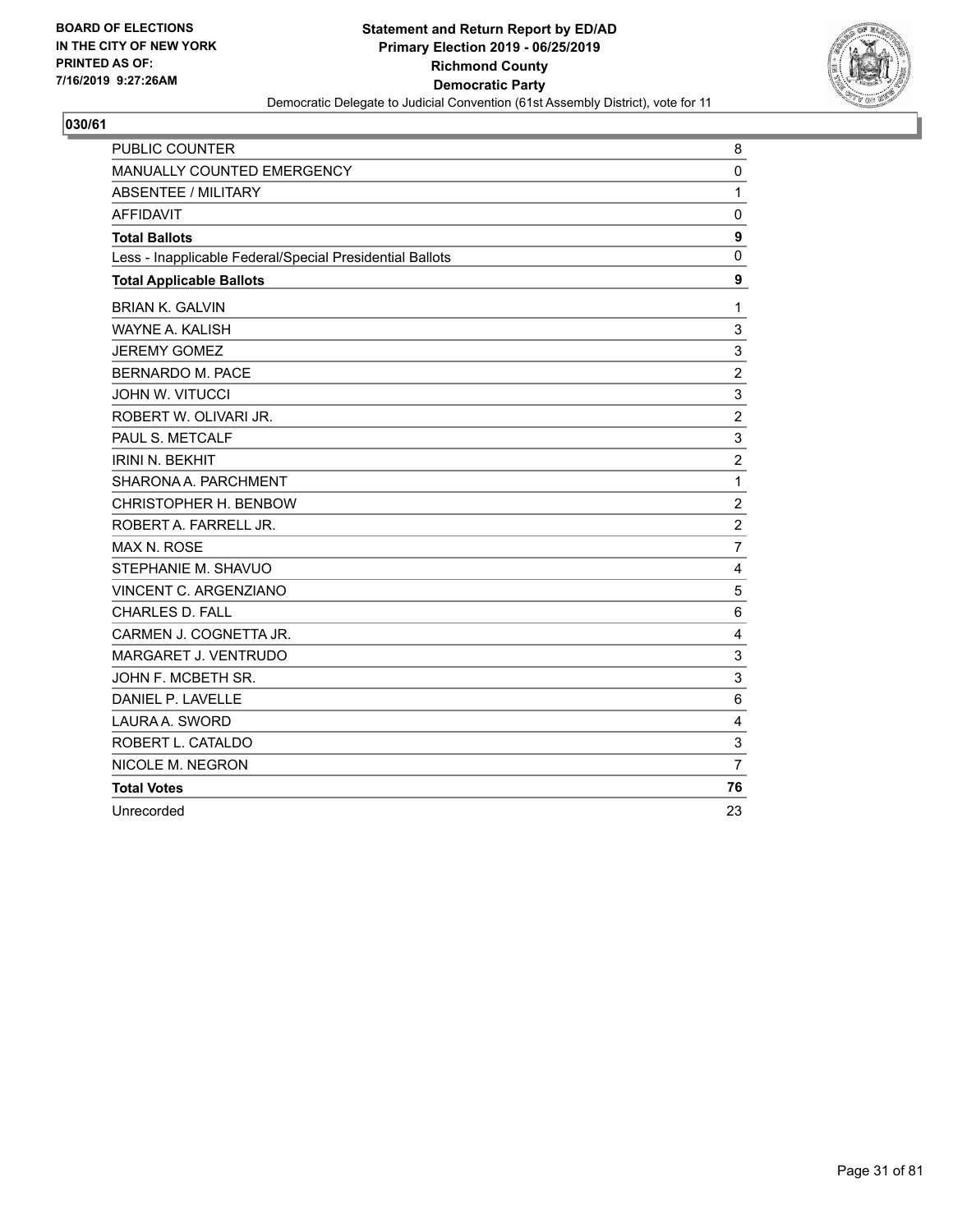

| PUBLIC COUNTER                                           | 8              |
|----------------------------------------------------------|----------------|
| <b>MANUALLY COUNTED EMERGENCY</b>                        | 0              |
| <b>ABSENTEE / MILITARY</b>                               | $\mathbf{1}$   |
| <b>AFFIDAVIT</b>                                         | 0              |
| <b>Total Ballots</b>                                     | 9              |
| Less - Inapplicable Federal/Special Presidential Ballots | $\mathbf 0$    |
| <b>Total Applicable Ballots</b>                          | 9              |
| <b>BRIAN K. GALVIN</b>                                   | $\mathbf 1$    |
| <b>WAYNE A. KALISH</b>                                   | 3              |
| <b>JEREMY GOMEZ</b>                                      | 3              |
| <b>BERNARDO M. PACE</b>                                  | $\overline{c}$ |
| <b>JOHN W. VITUCCI</b>                                   | 3              |
| ROBERT W. OLIVARI JR.                                    | $\overline{c}$ |
| PAUL S. METCALF                                          | 3              |
| <b>IRINI N. BEKHIT</b>                                   | $\overline{c}$ |
| SHARONA A. PARCHMENT                                     | $\mathbf{1}$   |
| CHRISTOPHER H. BENBOW                                    | $\overline{c}$ |
| ROBERT A. FARRELL JR.                                    | $\overline{c}$ |
| <b>MAX N. ROSE</b>                                       | $\overline{7}$ |
| STEPHANIE M. SHAVUO                                      | 4              |
| VINCENT C. ARGENZIANO                                    | 5              |
| CHARLES D. FALL                                          | 6              |
| CARMEN J. COGNETTA JR.                                   | 4              |
| MARGARET J. VENTRUDO                                     | 3              |
| JOHN F. MCBETH SR.                                       | 3              |
| DANIEL P. LAVELLE                                        | 6              |
| LAURA A. SWORD                                           | 4              |
| ROBERT L. CATALDO                                        | 3              |
| NICOLE M. NEGRON                                         | $\overline{7}$ |
| <b>Total Votes</b>                                       | 76             |
| Unrecorded                                               | 23             |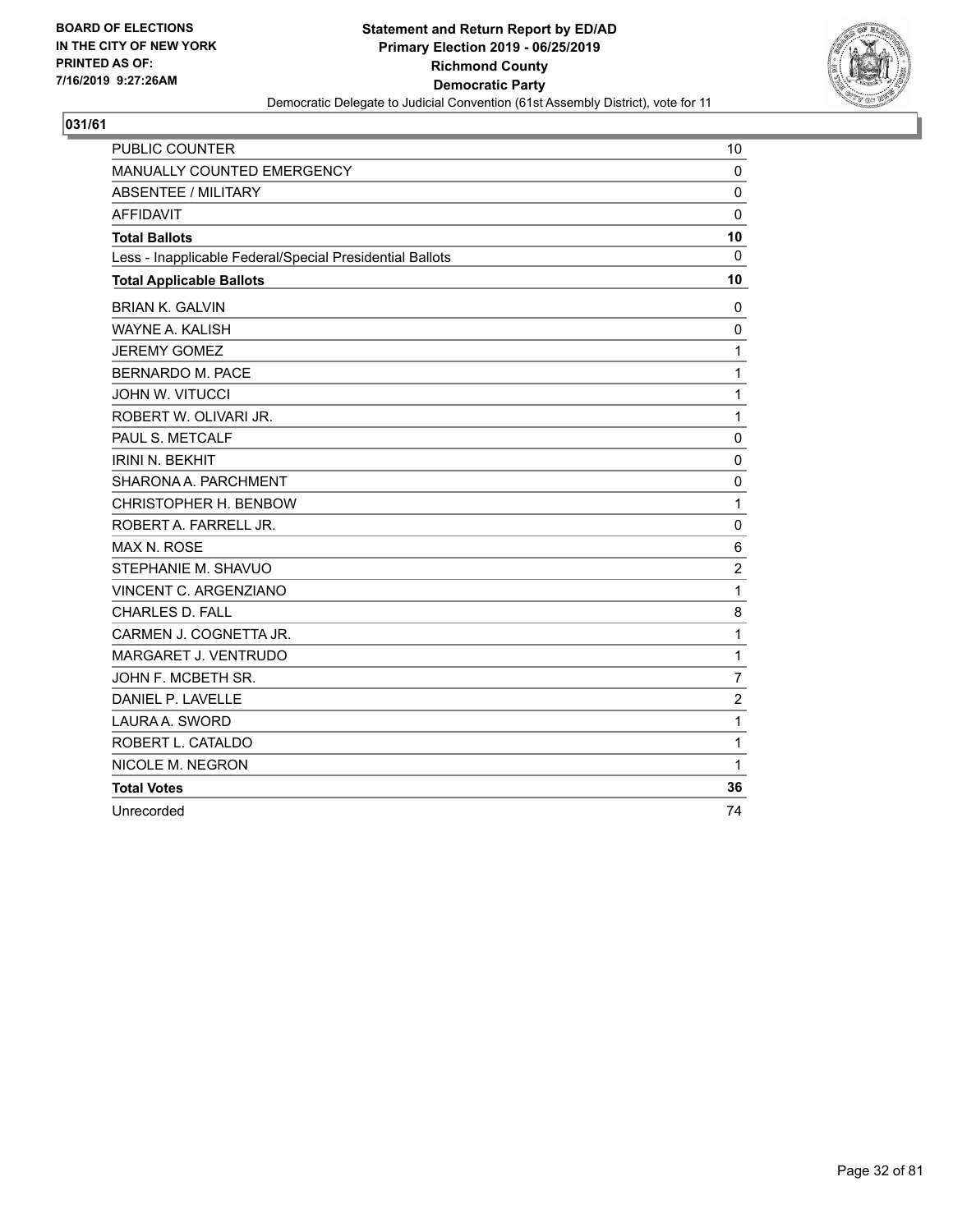

| <b>PUBLIC COUNTER</b>                                    | 10              |
|----------------------------------------------------------|-----------------|
| <b>MANUALLY COUNTED EMERGENCY</b>                        | $\mathbf 0$     |
| <b>ABSENTEE / MILITARY</b>                               | 0               |
| <b>AFFIDAVIT</b>                                         | $\mathbf 0$     |
| <b>Total Ballots</b>                                     | 10              |
| Less - Inapplicable Federal/Special Presidential Ballots | 0               |
| <b>Total Applicable Ballots</b>                          | 10              |
| <b>BRIAN K. GALVIN</b>                                   | 0               |
| WAYNE A. KALISH                                          | 0               |
| <b>JEREMY GOMEZ</b>                                      | 1               |
| <b>BERNARDO M. PACE</b>                                  | 1               |
| <b>JOHN W. VITUCCI</b>                                   | 1               |
| ROBERT W. OLIVARI JR.                                    | 1               |
| PAUL S. METCALF                                          | 0               |
| <b>IRINI N. BEKHIT</b>                                   | 0               |
| SHARONA A. PARCHMENT                                     | $\mathbf 0$     |
| CHRISTOPHER H. BENBOW                                    | 1               |
| ROBERT A. FARRELL JR.                                    | 0               |
| <b>MAX N. ROSE</b>                                       | $6\phantom{1}6$ |
| STEPHANIE M. SHAVUO                                      | $\overline{c}$  |
| VINCENT C. ARGENZIANO                                    | 1               |
| <b>CHARLES D. FALL</b>                                   | 8               |
| CARMEN J. COGNETTA JR.                                   | 1               |
| MARGARET J. VENTRUDO                                     | $\mathbf{1}$    |
| JOHN F. MCBETH SR.                                       | $\overline{7}$  |
| DANIEL P. LAVELLE                                        | $\overline{c}$  |
| LAURA A. SWORD                                           | 1               |
| ROBERT L. CATALDO                                        | 1               |
| NICOLE M. NEGRON                                         | 1               |
| <b>Total Votes</b>                                       | 36              |
| Unrecorded                                               | 74              |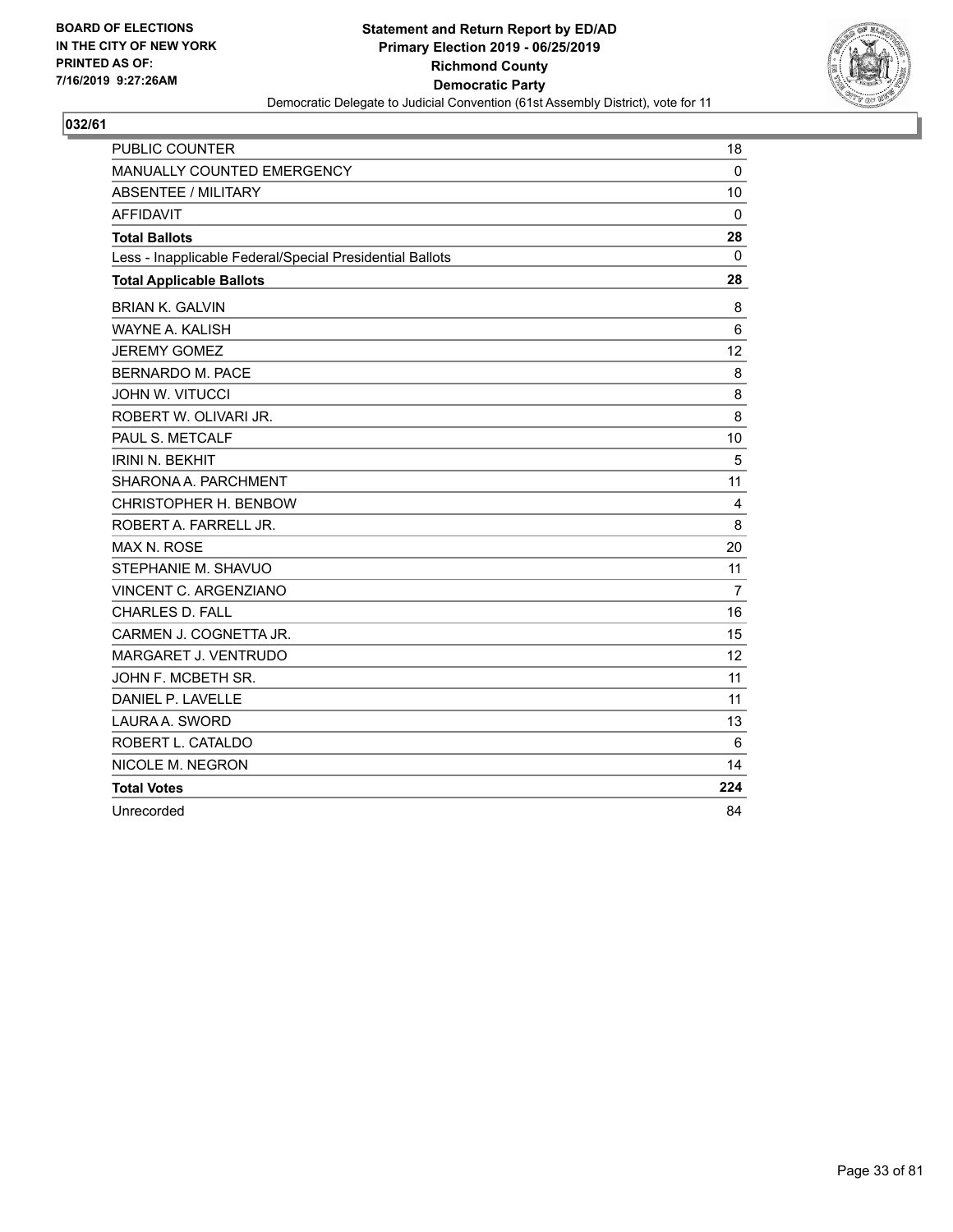

| <b>PUBLIC COUNTER</b>                                    | 18             |
|----------------------------------------------------------|----------------|
| <b>MANUALLY COUNTED EMERGENCY</b>                        | $\mathbf{0}$   |
| <b>ABSENTEE / MILITARY</b>                               | 10             |
| <b>AFFIDAVIT</b>                                         | $\mathbf 0$    |
| <b>Total Ballots</b>                                     | 28             |
| Less - Inapplicable Federal/Special Presidential Ballots | 0              |
| <b>Total Applicable Ballots</b>                          | 28             |
| <b>BRIAN K. GALVIN</b>                                   | 8              |
| <b>WAYNE A. KALISH</b>                                   | 6              |
| <b>JEREMY GOMEZ</b>                                      | 12             |
| <b>BERNARDO M. PACE</b>                                  | 8              |
| <b>JOHN W. VITUCCI</b>                                   | 8              |
| ROBERT W. OLIVARI JR.                                    | 8              |
| PAUL S. METCALF                                          | 10             |
| <b>IRINI N. BEKHIT</b>                                   | 5              |
| SHARONA A. PARCHMENT                                     | 11             |
| CHRISTOPHER H. BENBOW                                    | 4              |
| ROBERT A. FARRELL JR.                                    | 8              |
| <b>MAX N. ROSE</b>                                       | 20             |
| STEPHANIE M. SHAVUO                                      | 11             |
| VINCENT C. ARGENZIANO                                    | $\overline{7}$ |
| CHARLES D. FALL                                          | 16             |
| CARMEN J. COGNETTA JR.                                   | 15             |
| MARGARET J. VENTRUDO                                     | 12             |
| JOHN F. MCBETH SR.                                       | 11             |
| DANIEL P. LAVELLE                                        | 11             |
| LAURA A. SWORD                                           | 13             |
| ROBERT L. CATALDO                                        | 6              |
| NICOLE M. NEGRON                                         | 14             |
| <b>Total Votes</b>                                       | 224            |
| Unrecorded                                               | 84             |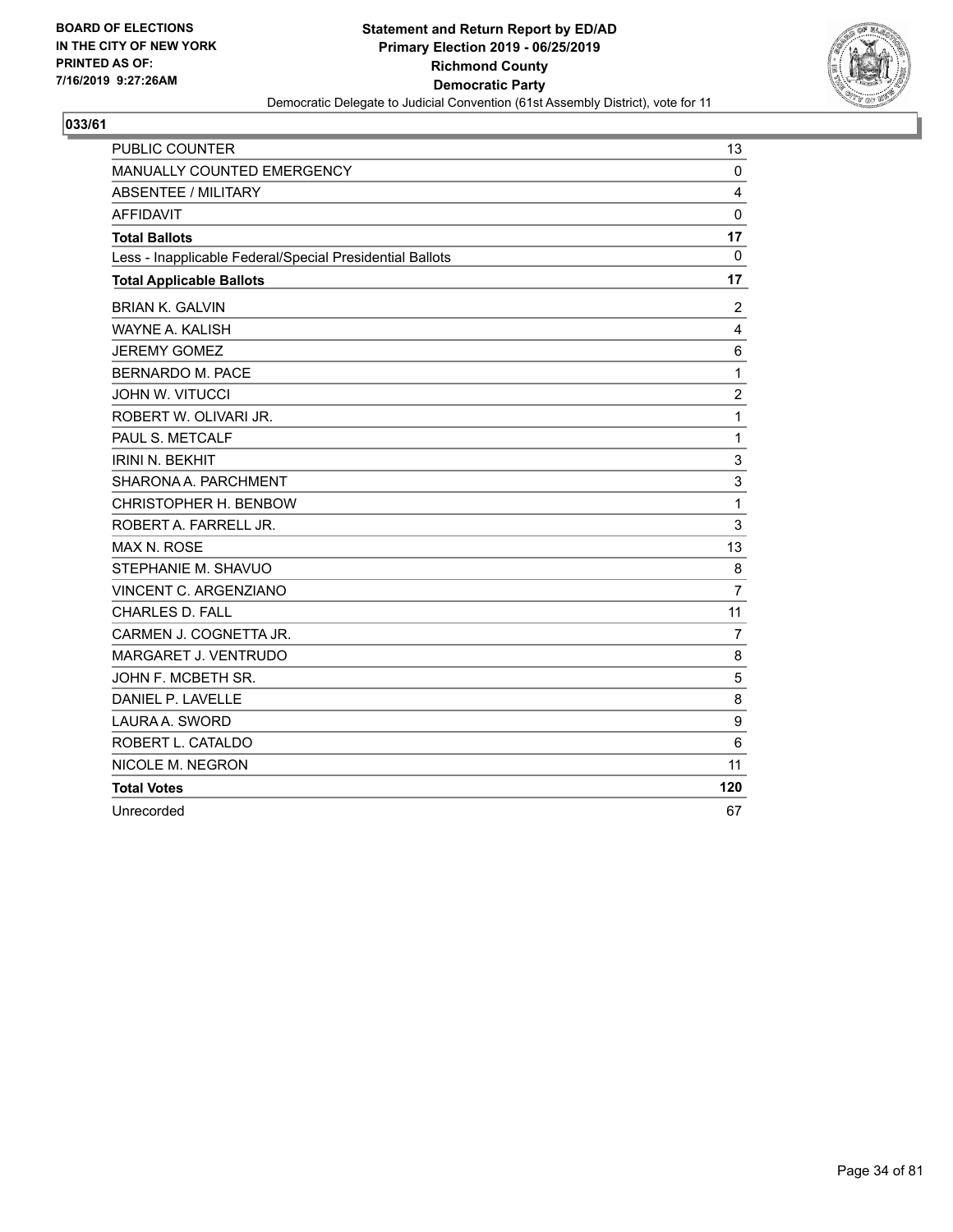

| <b>PUBLIC COUNTER</b>                                    | 13             |
|----------------------------------------------------------|----------------|
| MANUALLY COUNTED EMERGENCY                               | $\mathbf 0$    |
| ABSENTEE / MILITARY                                      | 4              |
| <b>AFFIDAVIT</b>                                         | $\Omega$       |
| <b>Total Ballots</b>                                     | 17             |
| Less - Inapplicable Federal/Special Presidential Ballots | 0              |
| <b>Total Applicable Ballots</b>                          | 17             |
| <b>BRIAN K. GALVIN</b>                                   | 2              |
| <b>WAYNE A. KALISH</b>                                   | 4              |
| <b>JEREMY GOMEZ</b>                                      | 6              |
| <b>BERNARDO M. PACE</b>                                  | 1              |
| <b>JOHN W. VITUCCI</b>                                   | $\overline{2}$ |
| ROBERT W. OLIVARI JR.                                    | 1              |
| PAUL S. METCALF                                          | 1              |
| <b>IRINI N. BEKHIT</b>                                   | 3              |
| SHARONA A. PARCHMENT                                     | 3              |
| CHRISTOPHER H. BENBOW                                    | 1              |
| ROBERT A. FARRELL JR.                                    | 3              |
| MAX N. ROSE                                              | 13             |
| STEPHANIE M. SHAVUO                                      | 8              |
| VINCENT C. ARGENZIANO                                    | $\overline{7}$ |
| <b>CHARLES D. FALL</b>                                   | 11             |
| CARMEN J. COGNETTA JR.                                   | $\overline{7}$ |
| MARGARET J. VENTRUDO                                     | 8              |
| JOHN F. MCBETH SR.                                       | 5              |
| DANIEL P. LAVELLE                                        | 8              |
| LAURA A. SWORD                                           | 9              |
| ROBERT L. CATALDO                                        | 6              |
| NICOLE M. NEGRON                                         | 11             |
| <b>Total Votes</b>                                       | 120            |
| Unrecorded                                               | 67             |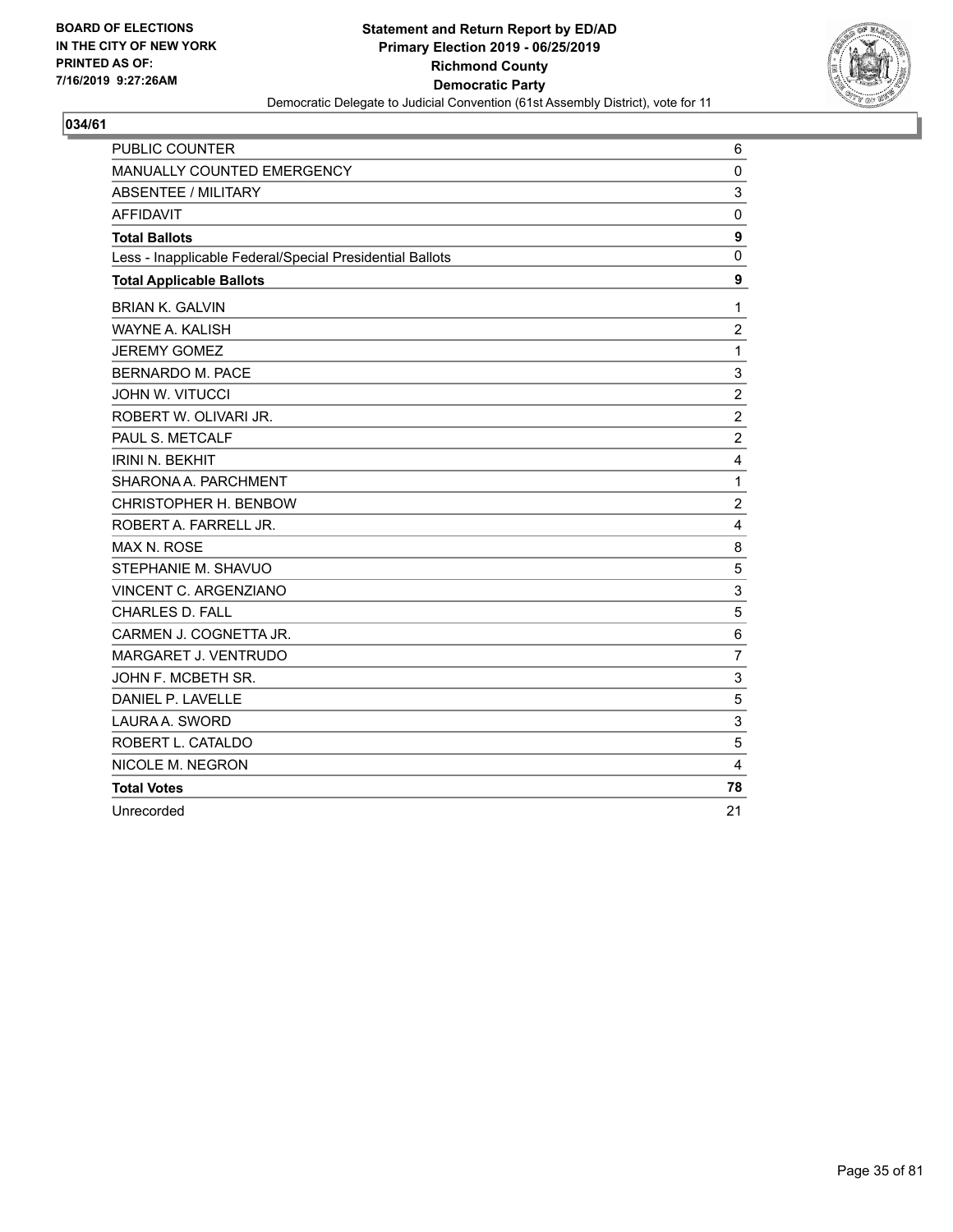

| PUBLIC COUNTER                                           | 6               |
|----------------------------------------------------------|-----------------|
| MANUALLY COUNTED EMERGENCY                               | $\mathbf 0$     |
| <b>ABSENTEE / MILITARY</b>                               | 3               |
| <b>AFFIDAVIT</b>                                         | $\mathbf 0$     |
| <b>Total Ballots</b>                                     | 9               |
| Less - Inapplicable Federal/Special Presidential Ballots | 0               |
| <b>Total Applicable Ballots</b>                          | 9               |
| <b>BRIAN K. GALVIN</b>                                   | 1               |
| WAYNE A. KALISH                                          | $\overline{c}$  |
| <b>JEREMY GOMEZ</b>                                      | $\mathbf{1}$    |
| BERNARDO M. PACE                                         | 3               |
| <b>JOHN W. VITUCCI</b>                                   | $\overline{2}$  |
| ROBERT W. OLIVARI JR.                                    | $\overline{c}$  |
| PAUL S. METCALF                                          | $\overline{2}$  |
| <b>IRINI N. BEKHIT</b>                                   | 4               |
| SHARONA A. PARCHMENT                                     | 1               |
| CHRISTOPHER H. BENBOW                                    | $\overline{c}$  |
| ROBERT A. FARRELL JR.                                    | $\overline{4}$  |
| <b>MAX N. ROSE</b>                                       | 8               |
| STEPHANIE M. SHAVUO                                      | 5               |
| VINCENT C. ARGENZIANO                                    | 3               |
| <b>CHARLES D. FALL</b>                                   | 5               |
| CARMEN J. COGNETTA JR.                                   | $6\phantom{1}6$ |
| MARGARET J. VENTRUDO                                     | $\overline{7}$  |
| JOHN F. MCBETH SR.                                       | 3               |
| DANIEL P. LAVELLE                                        | 5               |
| LAURA A. SWORD                                           | 3               |
| ROBERT L. CATALDO                                        | 5               |
| NICOLE M. NEGRON                                         | $\overline{4}$  |
| <b>Total Votes</b>                                       | 78              |
| Unrecorded                                               | 21              |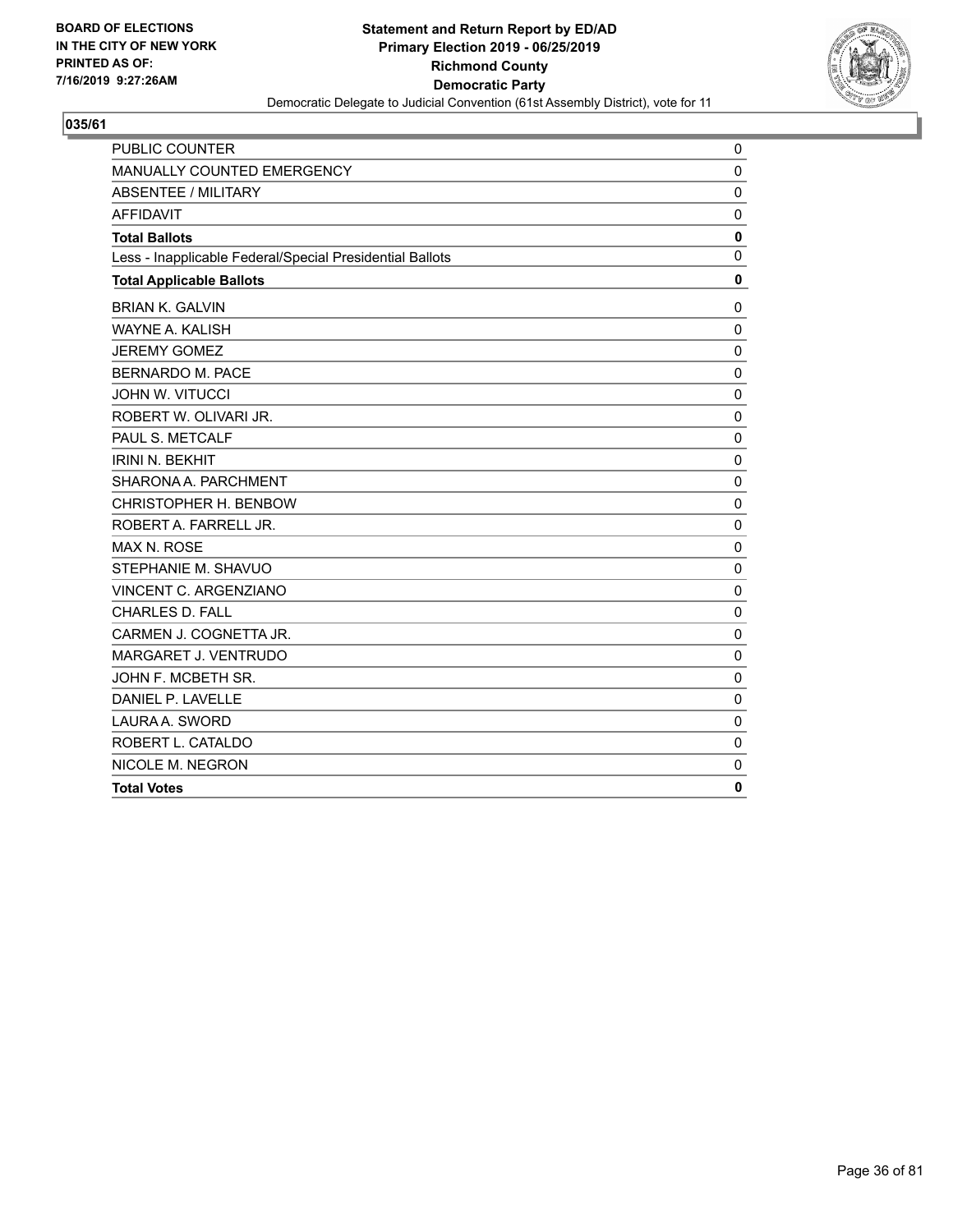

| PUBLIC COUNTER                                           | 0            |
|----------------------------------------------------------|--------------|
| MANUALLY COUNTED EMERGENCY                               | $\mathbf 0$  |
| <b>ABSENTEE / MILITARY</b>                               | $\mathbf 0$  |
| <b>AFFIDAVIT</b>                                         | 0            |
| <b>Total Ballots</b>                                     | 0            |
| Less - Inapplicable Federal/Special Presidential Ballots | $\Omega$     |
| <b>Total Applicable Ballots</b>                          | $\mathbf 0$  |
| <b>BRIAN K. GALVIN</b>                                   | $\mathbf 0$  |
| <b>WAYNE A. KALISH</b>                                   | $\mathbf 0$  |
| <b>JEREMY GOMEZ</b>                                      | $\mathbf 0$  |
| <b>BERNARDO M. PACE</b>                                  | 0            |
| JOHN W. VITUCCI                                          | $\mathbf 0$  |
| ROBERT W. OLIVARI JR.                                    | $\mathbf{0}$ |
| PAUL S. METCALF                                          | $\mathbf{0}$ |
| <b>IRINI N. BEKHIT</b>                                   | 0            |
| SHARONA A. PARCHMENT                                     | $\mathbf 0$  |
| CHRISTOPHER H. BENBOW                                    | $\mathbf 0$  |
| ROBERT A. FARRELL JR.                                    | $\mathbf 0$  |
| <b>MAX N. ROSE</b>                                       | $\mathbf 0$  |
| STEPHANIE M. SHAVUO                                      | $\mathbf 0$  |
| VINCENT C. ARGENZIANO                                    | $\Omega$     |
| <b>CHARLES D. FALL</b>                                   | $\mathbf 0$  |
| CARMEN J. COGNETTA JR.                                   | $\mathbf 0$  |
| MARGARET J. VENTRUDO                                     | $\mathbf 0$  |
| JOHN F. MCBETH SR.                                       | $\mathbf 0$  |
| DANIEL P. LAVELLE                                        | $\mathbf 0$  |
| LAURA A. SWORD                                           | $\mathbf 0$  |
| ROBERT L. CATALDO                                        | $\mathbf 0$  |
| NICOLE M. NEGRON                                         | $\mathbf 0$  |
| <b>Total Votes</b>                                       | 0            |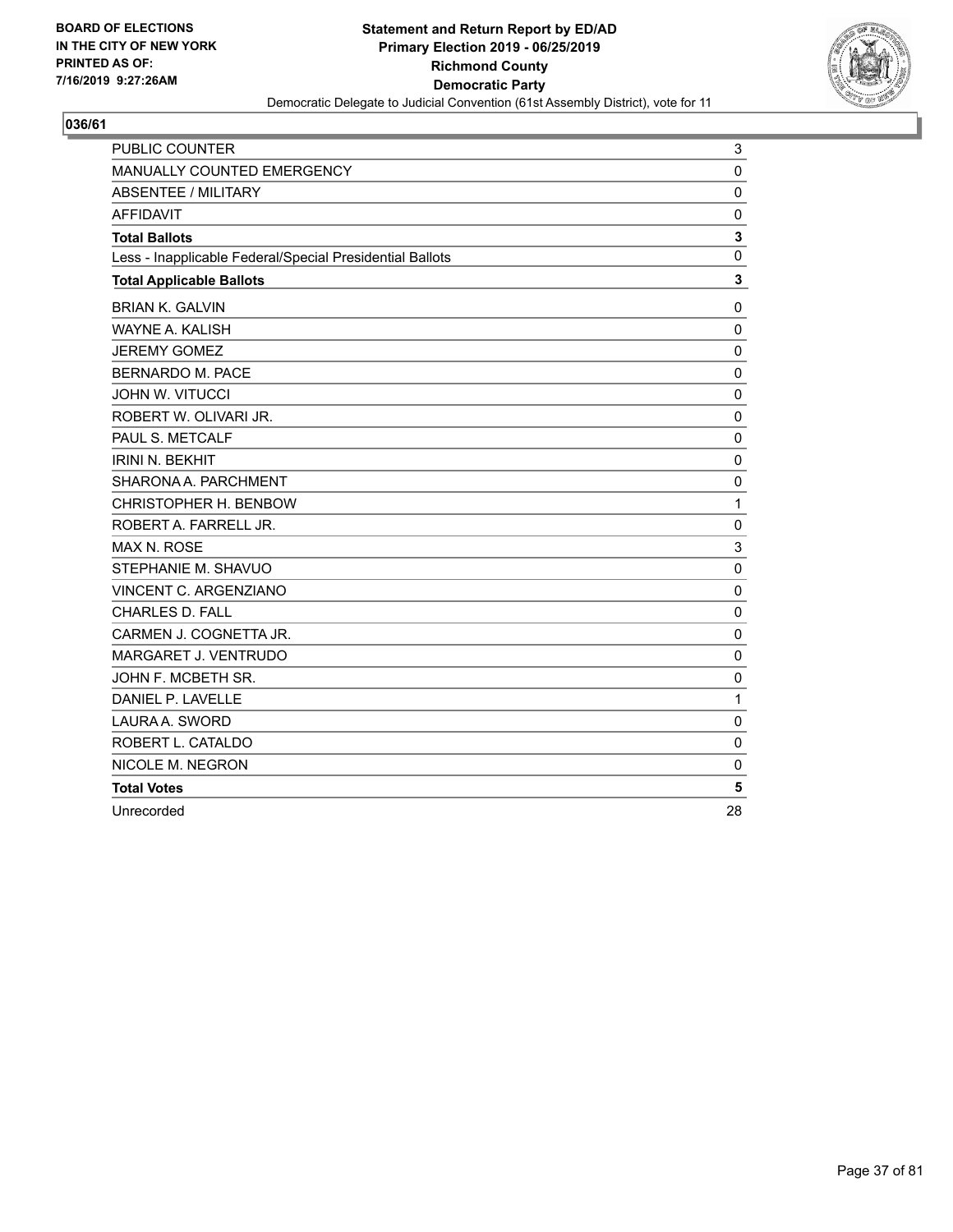

| PUBLIC COUNTER                                           | 3           |
|----------------------------------------------------------|-------------|
| MANUALLY COUNTED EMERGENCY                               | $\mathbf 0$ |
| ABSENTEE / MILITARY                                      | $\mathbf 0$ |
| <b>AFFIDAVIT</b>                                         | $\mathbf 0$ |
| <b>Total Ballots</b>                                     | 3           |
| Less - Inapplicable Federal/Special Presidential Ballots | 0           |
| <b>Total Applicable Ballots</b>                          | 3           |
| <b>BRIAN K. GALVIN</b>                                   | 0           |
| <b>WAYNE A. KALISH</b>                                   | $\Omega$    |
| <b>JEREMY GOMEZ</b>                                      | $\mathbf 0$ |
| <b>BERNARDO M. PACE</b>                                  | 0           |
| <b>JOHN W. VITUCCI</b>                                   | $\mathbf 0$ |
| ROBERT W. OLIVARI JR.                                    | $\mathbf 0$ |
| PAUL S. METCALF                                          | 0           |
| <b>IRINI N. BEKHIT</b>                                   | 0           |
| SHARONA A. PARCHMENT                                     | $\mathbf 0$ |
| CHRISTOPHER H. BENBOW                                    | 1           |
| ROBERT A. FARRELL JR.                                    | $\mathbf 0$ |
| MAX N. ROSE                                              | 3           |
| STEPHANIE M. SHAVUO                                      | $\mathbf 0$ |
| VINCENT C. ARGENZIANO                                    | $\mathbf 0$ |
| <b>CHARLES D. FALL</b>                                   | $\mathbf 0$ |
| CARMEN J. COGNETTA JR.                                   | 0           |
| MARGARET J. VENTRUDO                                     | 0           |
| JOHN F. MCBETH SR.                                       | 0           |
| DANIEL P. LAVELLE                                        | 1           |
| LAURA A. SWORD                                           | $\Omega$    |
| ROBERT L. CATALDO                                        | $\mathbf 0$ |
| NICOLE M. NEGRON                                         | 0           |
| <b>Total Votes</b>                                       | 5           |
| Unrecorded                                               | 28          |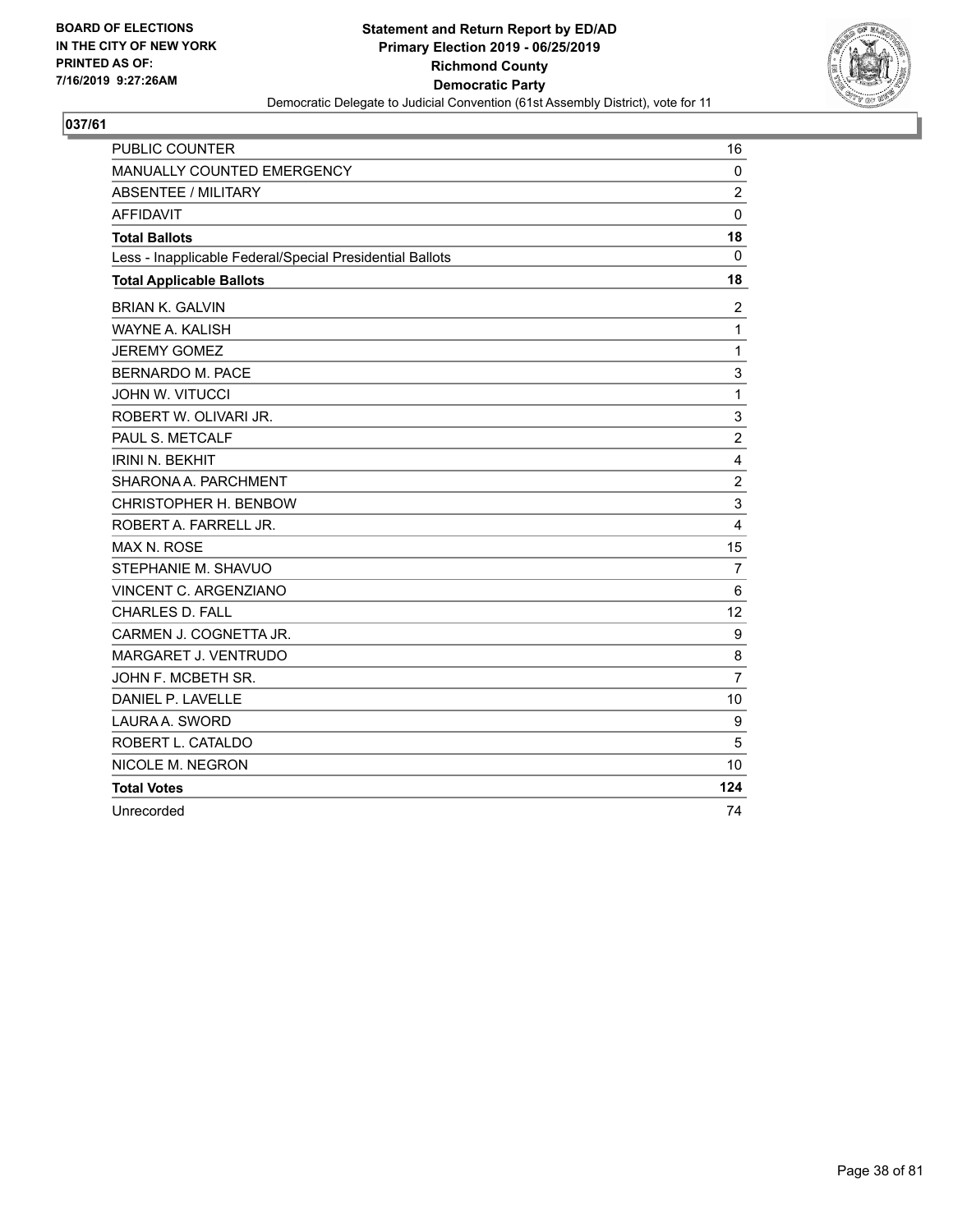

| <b>PUBLIC COUNTER</b>                                    | 16             |
|----------------------------------------------------------|----------------|
| MANUALLY COUNTED EMERGENCY                               | $\mathbf 0$    |
| <b>ABSENTEE / MILITARY</b>                               | $\overline{c}$ |
| <b>AFFIDAVIT</b>                                         | $\mathbf 0$    |
| <b>Total Ballots</b>                                     | 18             |
| Less - Inapplicable Federal/Special Presidential Ballots | 0              |
| <b>Total Applicable Ballots</b>                          | 18             |
| <b>BRIAN K. GALVIN</b>                                   | $\overline{2}$ |
| WAYNE A. KALISH                                          | 1              |
| <b>JEREMY GOMEZ</b>                                      | 1              |
| <b>BERNARDO M. PACE</b>                                  | 3              |
| <b>JOHN W. VITUCCI</b>                                   | 1              |
| ROBERT W. OLIVARI JR.                                    | 3              |
| PAUL S. METCALF                                          | $\overline{2}$ |
| <b>IRINI N. BEKHIT</b>                                   | 4              |
| SHARONA A. PARCHMENT                                     | $\overline{c}$ |
| CHRISTOPHER H. BENBOW                                    | 3              |
| ROBERT A. FARRELL JR.                                    | $\overline{4}$ |
| <b>MAX N. ROSE</b>                                       | 15             |
| STEPHANIE M. SHAVUO                                      | 7              |
| <b>VINCENT C. ARGENZIANO</b>                             | 6              |
| <b>CHARLES D. FALL</b>                                   | 12             |
| CARMEN J. COGNETTA JR.                                   | 9              |
| MARGARET J. VENTRUDO                                     | 8              |
| JOHN F. MCBETH SR.                                       | $\overline{7}$ |
| DANIEL P. LAVELLE                                        | 10             |
| LAURA A. SWORD                                           | 9              |
| ROBERT L. CATALDO                                        | 5              |
| NICOLE M. NEGRON                                         | 10             |
| <b>Total Votes</b>                                       | 124            |
| Unrecorded                                               | 74             |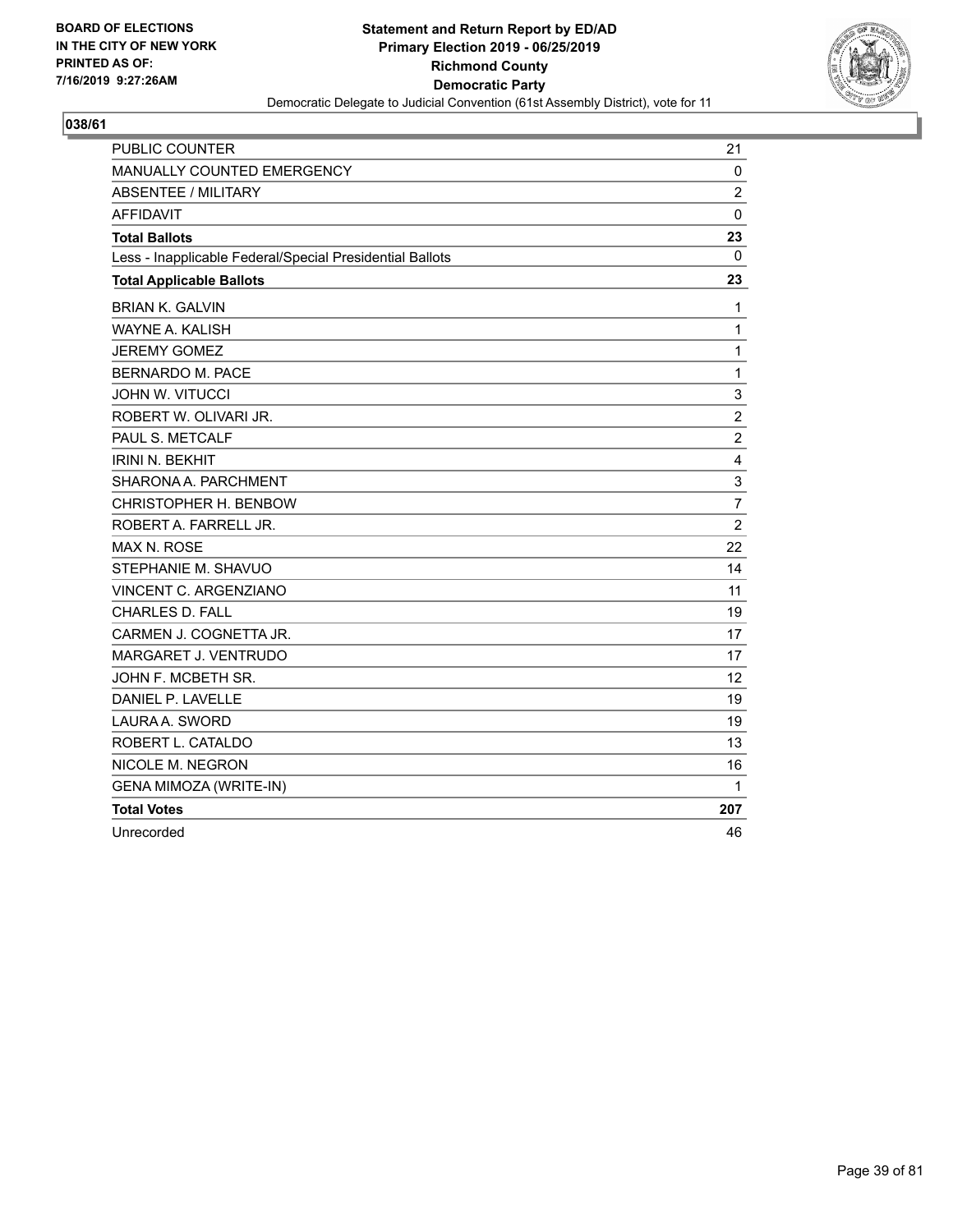

| PUBLIC COUNTER                                           | 21               |
|----------------------------------------------------------|------------------|
| MANUALLY COUNTED EMERGENCY                               | 0                |
| <b>ABSENTEE / MILITARY</b>                               | $\overline{c}$   |
| <b>AFFIDAVIT</b>                                         | $\mathbf{0}$     |
| <b>Total Ballots</b>                                     | 23               |
| Less - Inapplicable Federal/Special Presidential Ballots | $\Omega$         |
| <b>Total Applicable Ballots</b>                          | 23               |
| <b>BRIAN K. GALVIN</b>                                   | 1                |
| <b>WAYNE A. KALISH</b>                                   | $\mathbf{1}$     |
| <b>JEREMY GOMEZ</b>                                      | $\mathbf{1}$     |
| <b>BERNARDO M. PACE</b>                                  | $\mathbf{1}$     |
| <b>JOHN W. VITUCCI</b>                                   | 3                |
| ROBERT W. OLIVARI JR.                                    | $\boldsymbol{2}$ |
| PAUL S. METCALF                                          | $\overline{c}$   |
| <b>IRINI N. BEKHIT</b>                                   | $\overline{4}$   |
| SHARONA A. PARCHMENT                                     | 3                |
| CHRISTOPHER H. BENBOW                                    | 7                |
| ROBERT A. FARRELL JR.                                    | $\overline{2}$   |
| <b>MAX N. ROSE</b>                                       | 22               |
| STEPHANIE M. SHAVUO                                      | 14               |
| VINCENT C. ARGENZIANO                                    | 11               |
| <b>CHARLES D. FALL</b>                                   | 19               |
| CARMEN J. COGNETTA JR.                                   | 17               |
| MARGARET J. VENTRUDO                                     | 17               |
| JOHN F. MCBETH SR.                                       | 12               |
| DANIEL P. LAVELLE                                        | 19               |
| LAURA A. SWORD                                           | 19               |
| ROBERT L. CATALDO                                        | 13               |
| NICOLE M. NEGRON                                         | 16               |
| <b>GENA MIMOZA (WRITE-IN)</b>                            | 1                |
| <b>Total Votes</b>                                       | 207              |
| Unrecorded                                               | 46               |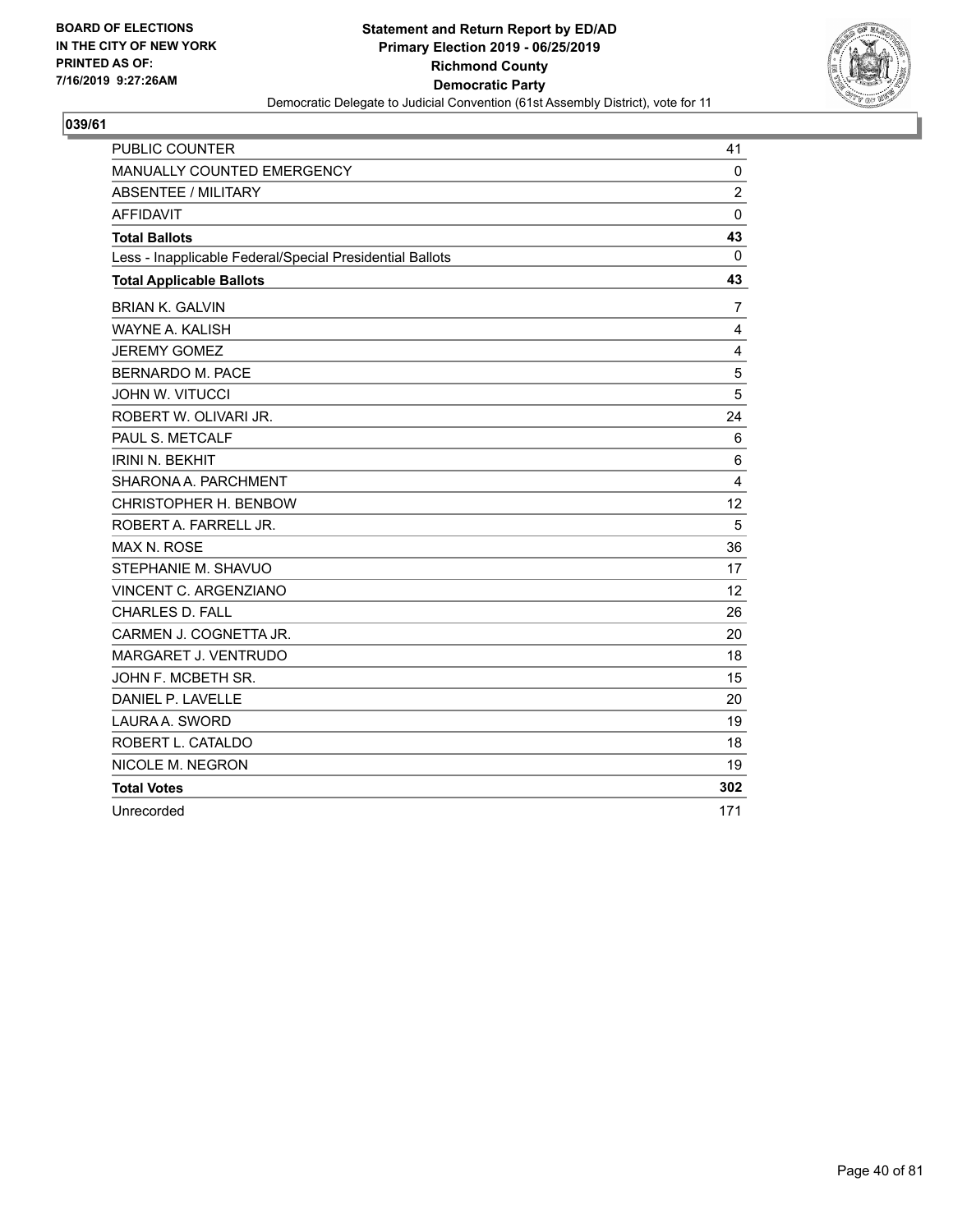

| <b>PUBLIC COUNTER</b>                                    | 41             |
|----------------------------------------------------------|----------------|
| <b>MANUALLY COUNTED EMERGENCY</b>                        | $\mathbf 0$    |
| <b>ABSENTEE / MILITARY</b>                               | $\overline{c}$ |
| <b>AFFIDAVIT</b>                                         | $\mathbf{0}$   |
| <b>Total Ballots</b>                                     | 43             |
| Less - Inapplicable Federal/Special Presidential Ballots | 0              |
| <b>Total Applicable Ballots</b>                          | 43             |
| <b>BRIAN K. GALVIN</b>                                   | $\overline{7}$ |
| WAYNE A. KALISH                                          | 4              |
| <b>JEREMY GOMEZ</b>                                      | 4              |
| <b>BERNARDO M. PACE</b>                                  | 5              |
| <b>JOHN W. VITUCCI</b>                                   | 5              |
| ROBERT W. OLIVARI JR.                                    | 24             |
| PAUL S. METCALF                                          | 6              |
| <b>IRINI N. BEKHIT</b>                                   | 6              |
| SHARONA A. PARCHMENT                                     | 4              |
| CHRISTOPHER H. BENBOW                                    | 12             |
| ROBERT A. FARRELL JR.                                    | 5              |
| <b>MAX N. ROSE</b>                                       | 36             |
| STEPHANIE M. SHAVUO                                      | 17             |
| VINCENT C. ARGENZIANO                                    | 12             |
| <b>CHARLES D. FALL</b>                                   | 26             |
| CARMEN J. COGNETTA JR.                                   | 20             |
| MARGARET J. VENTRUDO                                     | 18             |
| JOHN F. MCBETH SR.                                       | 15             |
| DANIEL P. LAVELLE                                        | 20             |
| LAURA A. SWORD                                           | 19             |
| ROBERT L. CATALDO                                        | 18             |
| NICOLE M. NEGRON                                         | 19             |
| <b>Total Votes</b>                                       | 302            |
| Unrecorded                                               | 171            |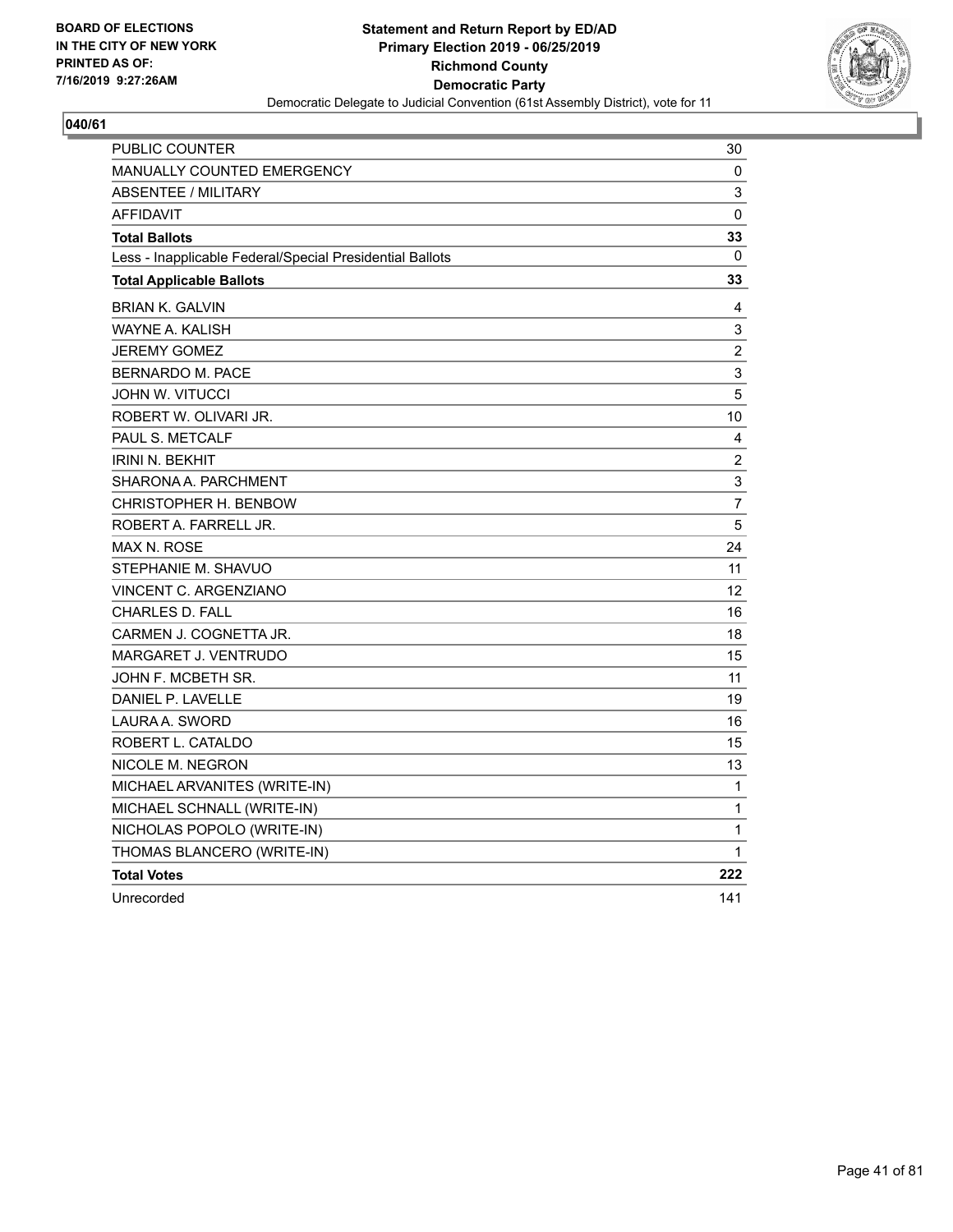

| PUBLIC COUNTER                                           | 30                      |
|----------------------------------------------------------|-------------------------|
| MANUALLY COUNTED EMERGENCY                               | 0                       |
| <b>ABSENTEE / MILITARY</b>                               | 3                       |
| <b>AFFIDAVIT</b>                                         | 0                       |
| <b>Total Ballots</b>                                     | 33                      |
| Less - Inapplicable Federal/Special Presidential Ballots | 0                       |
| <b>Total Applicable Ballots</b>                          | 33                      |
| <b>BRIAN K. GALVIN</b>                                   | 4                       |
| <b>WAYNE A. KALISH</b>                                   | 3                       |
| <b>JEREMY GOMEZ</b>                                      | $\overline{\mathbf{c}}$ |
| <b>BERNARDO M. PACE</b>                                  | 3                       |
| <b>JOHN W. VITUCCI</b>                                   | 5                       |
| ROBERT W. OLIVARI JR.                                    | 10                      |
| PAUL S. METCALF                                          | 4                       |
| <b>IRINI N. BEKHIT</b>                                   | $\overline{\mathbf{c}}$ |
| SHARONA A. PARCHMENT                                     | 3                       |
| CHRISTOPHER H. BENBOW                                    | 7                       |
| ROBERT A. FARRELL JR.                                    | 5                       |
| MAX N. ROSE                                              | 24                      |
| STEPHANIE M. SHAVUO                                      | 11                      |
| <b>VINCENT C. ARGENZIANO</b>                             | 12                      |
| <b>CHARLES D. FALL</b>                                   | 16                      |
| CARMEN J. COGNETTA JR.                                   | 18                      |
| MARGARET J. VENTRUDO                                     | 15                      |
| JOHN F. MCBETH SR.                                       | 11                      |
| DANIEL P. LAVELLE                                        | 19                      |
| LAURA A. SWORD                                           | 16                      |
| ROBERT L. CATALDO                                        | 15                      |
| NICOLE M. NEGRON                                         | 13                      |
| MICHAEL ARVANITES (WRITE-IN)                             | 1                       |
| MICHAEL SCHNALL (WRITE-IN)                               | 1                       |
| NICHOLAS POPOLO (WRITE-IN)                               | 1                       |
| THOMAS BLANCERO (WRITE-IN)                               | 1                       |
| <b>Total Votes</b>                                       | 222                     |
| Unrecorded                                               | 141                     |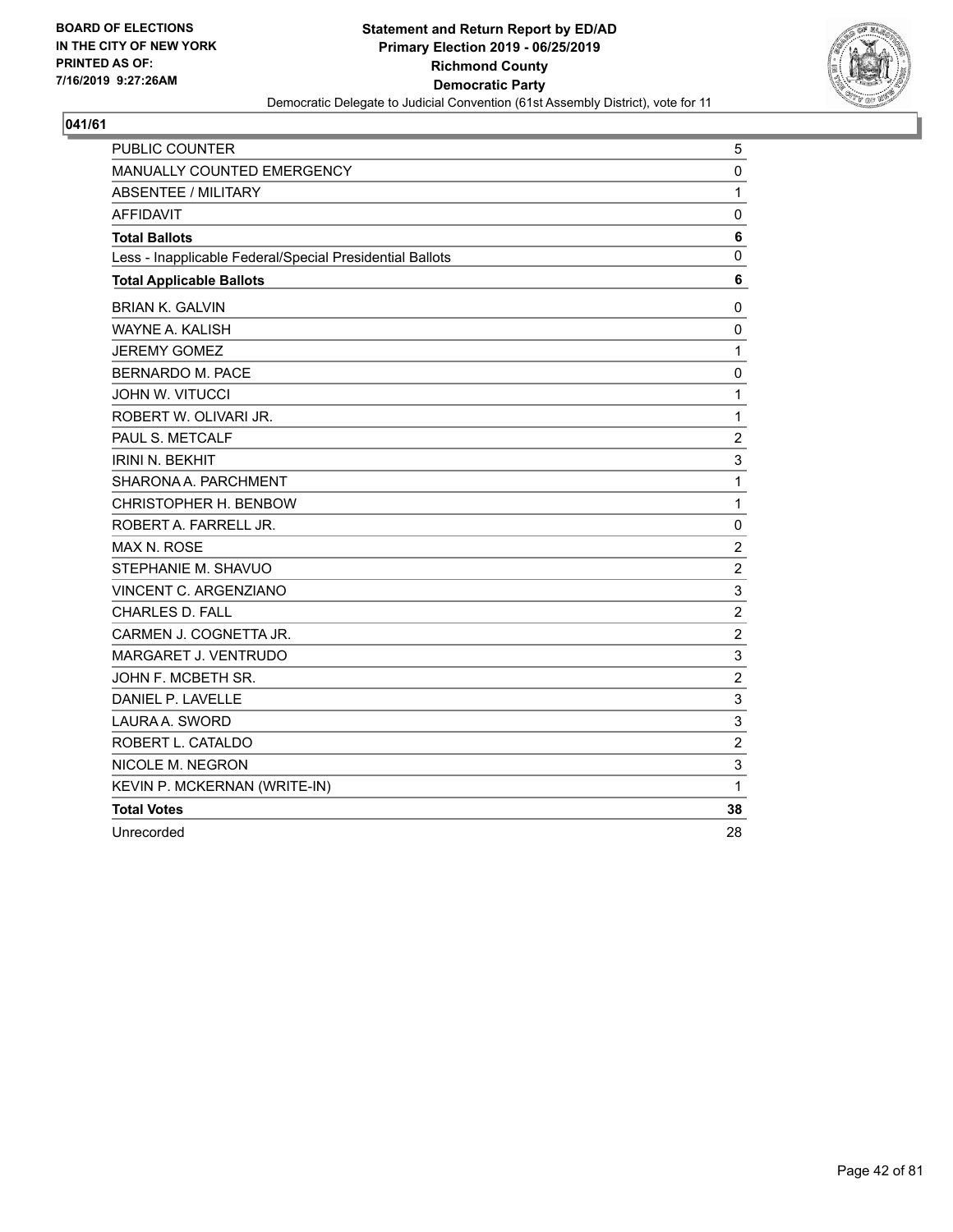

| <b>PUBLIC COUNTER</b>                                    | 5              |
|----------------------------------------------------------|----------------|
| MANUALLY COUNTED EMERGENCY                               | 0              |
| <b>ABSENTEE / MILITARY</b>                               | $\mathbf{1}$   |
| <b>AFFIDAVIT</b>                                         | $\mathbf 0$    |
| <b>Total Ballots</b>                                     | 6              |
| Less - Inapplicable Federal/Special Presidential Ballots | 0              |
| <b>Total Applicable Ballots</b>                          | 6              |
| <b>BRIAN K. GALVIN</b>                                   | 0              |
| <b>WAYNE A. KALISH</b>                                   | $\mathbf 0$    |
| <b>JEREMY GOMEZ</b>                                      | 1              |
| <b>BERNARDO M. PACE</b>                                  | 0              |
| <b>JOHN W. VITUCCI</b>                                   | $\mathbf{1}$   |
| ROBERT W. OLIVARI JR.                                    | $\mathbf{1}$   |
| PAUL S. METCALF                                          | $\overline{c}$ |
| <b>IRINI N. BEKHIT</b>                                   | 3              |
| SHARONA A. PARCHMENT                                     | 1              |
| CHRISTOPHER H. BENBOW                                    | 1              |
| ROBERT A. FARRELL JR.                                    | 0              |
| <b>MAX N. ROSE</b>                                       | $\overline{c}$ |
| STEPHANIE M. SHAVUO                                      | $\overline{c}$ |
| <b>VINCENT C. ARGENZIANO</b>                             | 3              |
| CHARLES D. FALL                                          | $\overline{c}$ |
| CARMEN J. COGNETTA JR.                                   | $\overline{c}$ |
| MARGARET J. VENTRUDO                                     | 3              |
| JOHN F. MCBETH SR.                                       | $\overline{c}$ |
| DANIEL P. LAVELLE                                        | 3              |
| LAURA A. SWORD                                           | 3              |
| ROBERT L. CATALDO                                        | $\overline{c}$ |
| NICOLE M. NEGRON                                         | 3              |
| KEVIN P. MCKERNAN (WRITE-IN)                             | $\mathbf{1}$   |
| <b>Total Votes</b>                                       | 38             |
| Unrecorded                                               | 28             |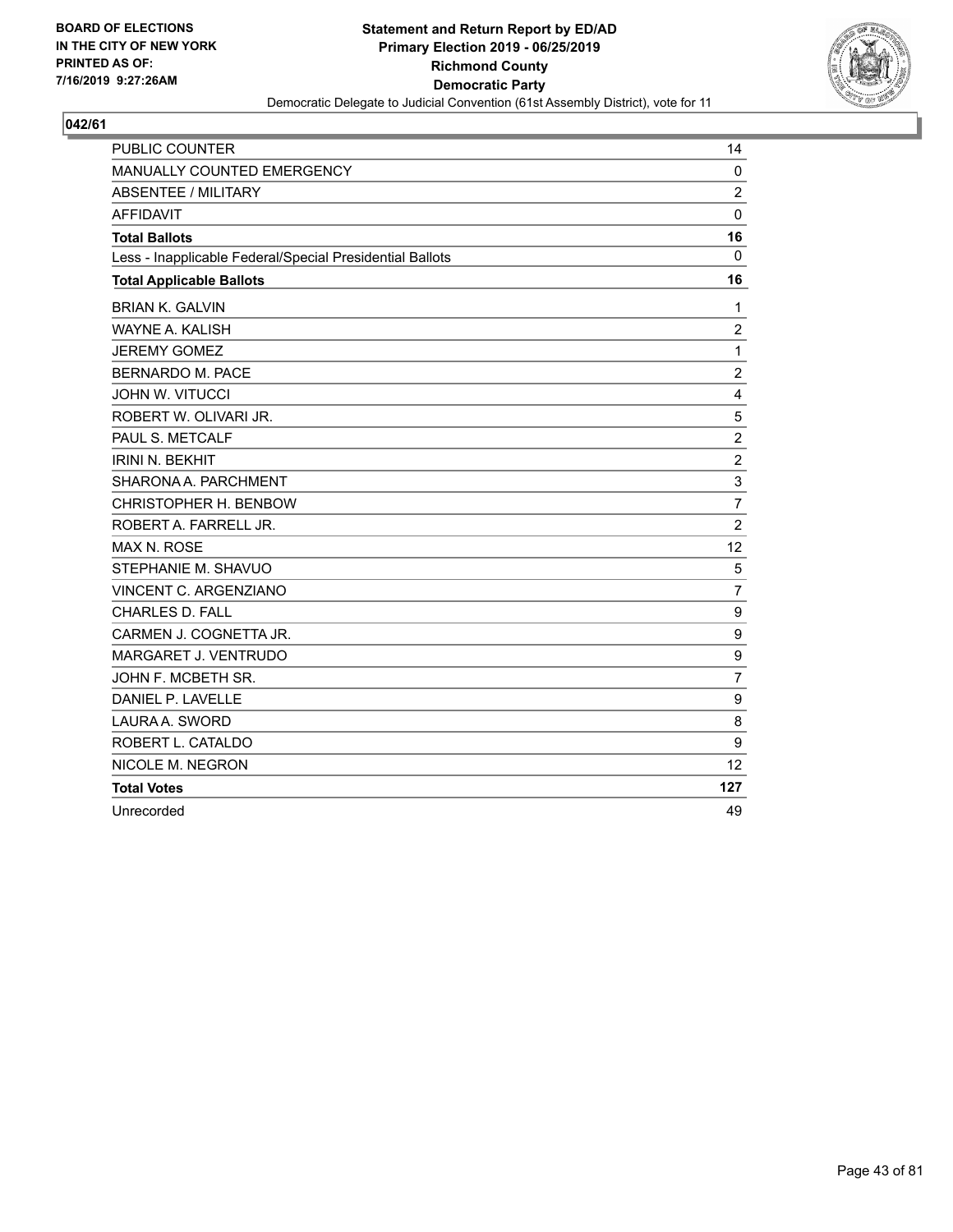

| <b>PUBLIC COUNTER</b>                                    | 14             |
|----------------------------------------------------------|----------------|
| MANUALLY COUNTED EMERGENCY                               | $\mathbf 0$    |
| <b>ABSENTEE / MILITARY</b>                               | $\overline{2}$ |
| <b>AFFIDAVIT</b>                                         | $\mathbf 0$    |
| <b>Total Ballots</b>                                     | 16             |
| Less - Inapplicable Federal/Special Presidential Ballots | $\mathbf 0$    |
| <b>Total Applicable Ballots</b>                          | 16             |
| <b>BRIAN K. GALVIN</b>                                   | $\mathbf{1}$   |
| WAYNE A. KALISH                                          | $\overline{c}$ |
| <b>JEREMY GOMEZ</b>                                      | $\mathbf{1}$   |
| BERNARDO M. PACE                                         | $\overline{c}$ |
| <b>JOHN W. VITUCCI</b>                                   | 4              |
| ROBERT W. OLIVARI JR.                                    | 5              |
| PAUL S. METCALF                                          | $\overline{c}$ |
| <b>IRINI N. BEKHIT</b>                                   | $\overline{c}$ |
| SHARONA A. PARCHMENT                                     | 3              |
| CHRISTOPHER H. BENBOW                                    | $\overline{7}$ |
| ROBERT A. FARRELL JR.                                    | $\overline{2}$ |
| <b>MAX N. ROSE</b>                                       | 12             |
| STEPHANIE M. SHAVUO                                      | 5              |
| VINCENT C. ARGENZIANO                                    | $\overline{7}$ |
| <b>CHARLES D. FALL</b>                                   | 9              |
| CARMEN J. COGNETTA JR.                                   | 9              |
| MARGARET J. VENTRUDO                                     | 9              |
| JOHN F. MCBETH SR.                                       | $\overline{7}$ |
| DANIEL P. LAVELLE                                        | 9              |
| LAURA A. SWORD                                           | 8              |
| ROBERT L. CATALDO                                        | 9              |
| NICOLE M. NEGRON                                         | 12             |
| <b>Total Votes</b>                                       | 127            |
| Unrecorded                                               | 49             |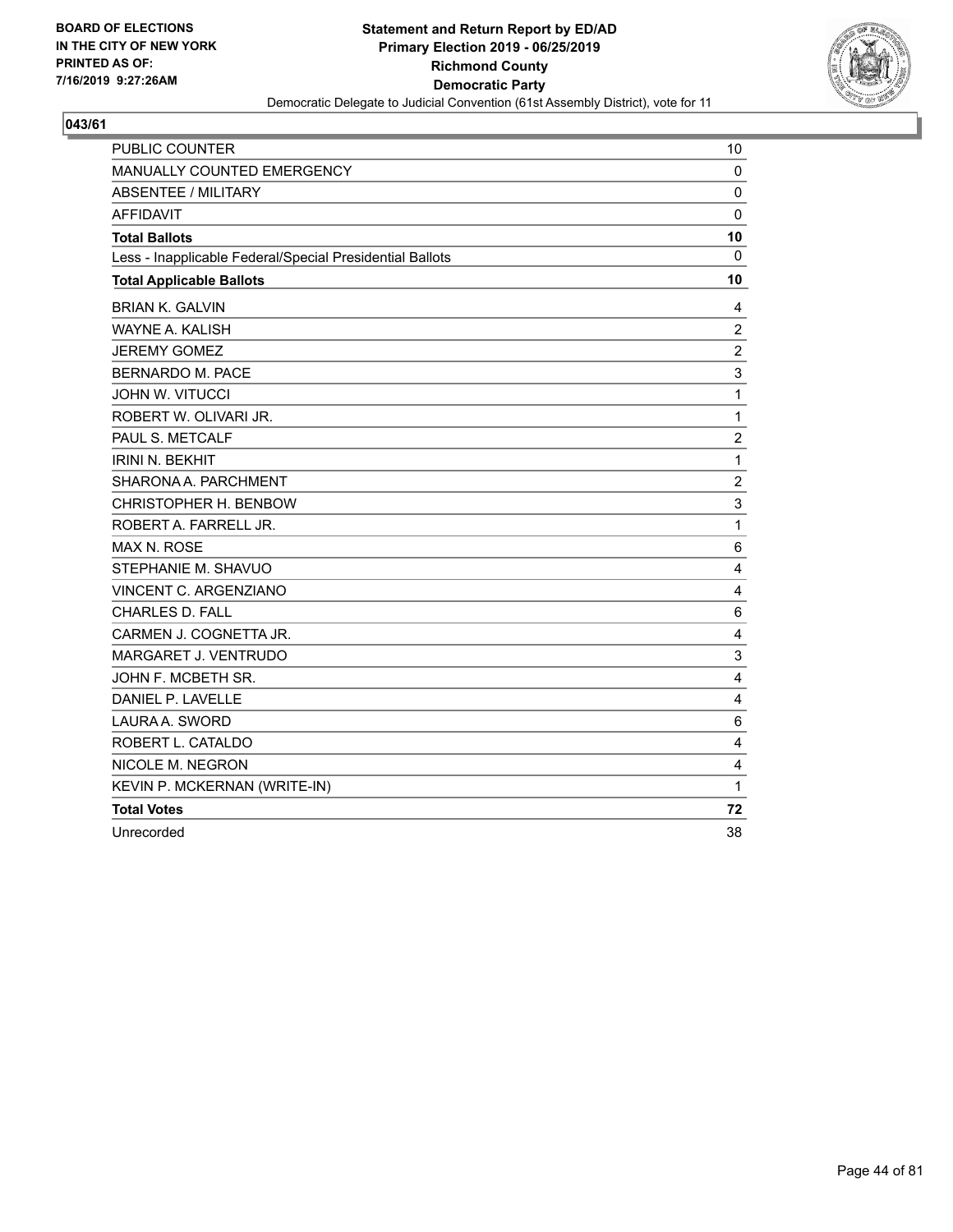

| <b>PUBLIC COUNTER</b>                                    | 10             |
|----------------------------------------------------------|----------------|
| MANUALLY COUNTED EMERGENCY                               | 0              |
| <b>ABSENTEE / MILITARY</b>                               | $\mathbf 0$    |
| <b>AFFIDAVIT</b>                                         | 0              |
| <b>Total Ballots</b>                                     | 10             |
| Less - Inapplicable Federal/Special Presidential Ballots | $\Omega$       |
| <b>Total Applicable Ballots</b>                          | 10             |
| <b>BRIAN K. GALVIN</b>                                   | 4              |
| WAYNE A. KALISH                                          | $\overline{c}$ |
| <b>JEREMY GOMEZ</b>                                      | $\overline{c}$ |
| <b>BERNARDO M. PACE</b>                                  | 3              |
| <b>JOHN W. VITUCCI</b>                                   | $\mathbf{1}$   |
| ROBERT W. OLIVARI JR.                                    | $\mathbf{1}$   |
| PAUL S. METCALF                                          | 2              |
| <b>IRINI N. BEKHIT</b>                                   | $\mathbf{1}$   |
| SHARONA A. PARCHMENT                                     | $\overline{c}$ |
| CHRISTOPHER H. BENBOW                                    | 3              |
| ROBERT A. FARRELL JR.                                    | $\mathbf{1}$   |
| <b>MAX N. ROSE</b>                                       | 6              |
| STEPHANIE M. SHAVUO                                      | 4              |
| VINCENT C. ARGENZIANO                                    | 4              |
| <b>CHARLES D. FALL</b>                                   | 6              |
| CARMEN J. COGNETTA JR.                                   | 4              |
| MARGARET J. VENTRUDO                                     | 3              |
| JOHN F. MCBETH SR.                                       | $\overline{4}$ |
| DANIEL P. LAVELLE                                        | 4              |
| LAURA A. SWORD                                           | 6              |
| ROBERT L. CATALDO                                        | 4              |
| NICOLE M. NEGRON                                         | 4              |
| KEVIN P. MCKERNAN (WRITE-IN)                             | 1              |
| <b>Total Votes</b>                                       | 72             |
| Unrecorded                                               | 38             |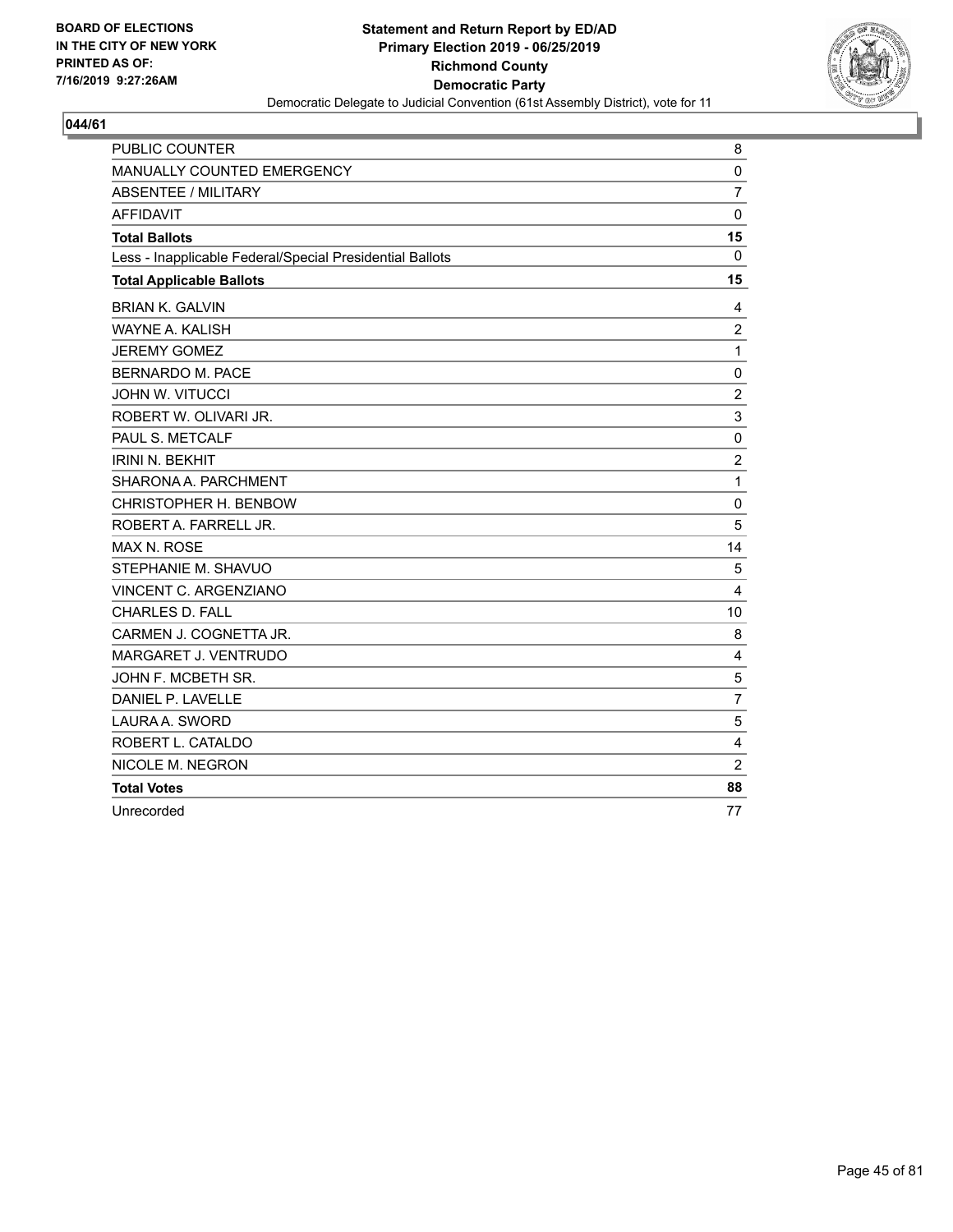

| <b>PUBLIC COUNTER</b>                                    | 8              |
|----------------------------------------------------------|----------------|
| <b>MANUALLY COUNTED EMERGENCY</b>                        | 0              |
| ABSENTEE / MILITARY                                      | $\overline{7}$ |
| <b>AFFIDAVIT</b>                                         | $\mathbf 0$    |
| <b>Total Ballots</b>                                     | 15             |
| Less - Inapplicable Federal/Special Presidential Ballots | $\mathbf 0$    |
| <b>Total Applicable Ballots</b>                          | 15             |
| <b>BRIAN K. GALVIN</b>                                   | 4              |
| <b>WAYNE A. KALISH</b>                                   | $\overline{c}$ |
| <b>JEREMY GOMEZ</b>                                      | $\mathbf{1}$   |
| <b>BERNARDO M. PACE</b>                                  | 0              |
| <b>JOHN W. VITUCCI</b>                                   | $\overline{c}$ |
| ROBERT W. OLIVARI JR.                                    | $\mathsf 3$    |
| PAUL S. METCALF                                          | $\mathbf 0$    |
| <b>IRINI N. BEKHIT</b>                                   | $\overline{2}$ |
| SHARONA A. PARCHMENT                                     | 1              |
| CHRISTOPHER H. BENBOW                                    | $\mathbf 0$    |
| ROBERT A. FARRELL JR.                                    | 5              |
| <b>MAX N. ROSE</b>                                       | 14             |
| STEPHANIE M. SHAVUO                                      | 5              |
| VINCENT C. ARGENZIANO                                    | $\overline{4}$ |
| <b>CHARLES D. FALL</b>                                   | 10             |
| CARMEN J. COGNETTA JR.                                   | 8              |
| MARGARET J. VENTRUDO                                     | 4              |
| JOHN F. MCBETH SR.                                       | 5              |
| DANIEL P. LAVELLE                                        | $\overline{7}$ |
| LAURA A. SWORD                                           | 5              |
| ROBERT L. CATALDO                                        | 4              |
| NICOLE M. NEGRON                                         | $\overline{2}$ |
| <b>Total Votes</b>                                       | 88             |
| Unrecorded                                               | 77             |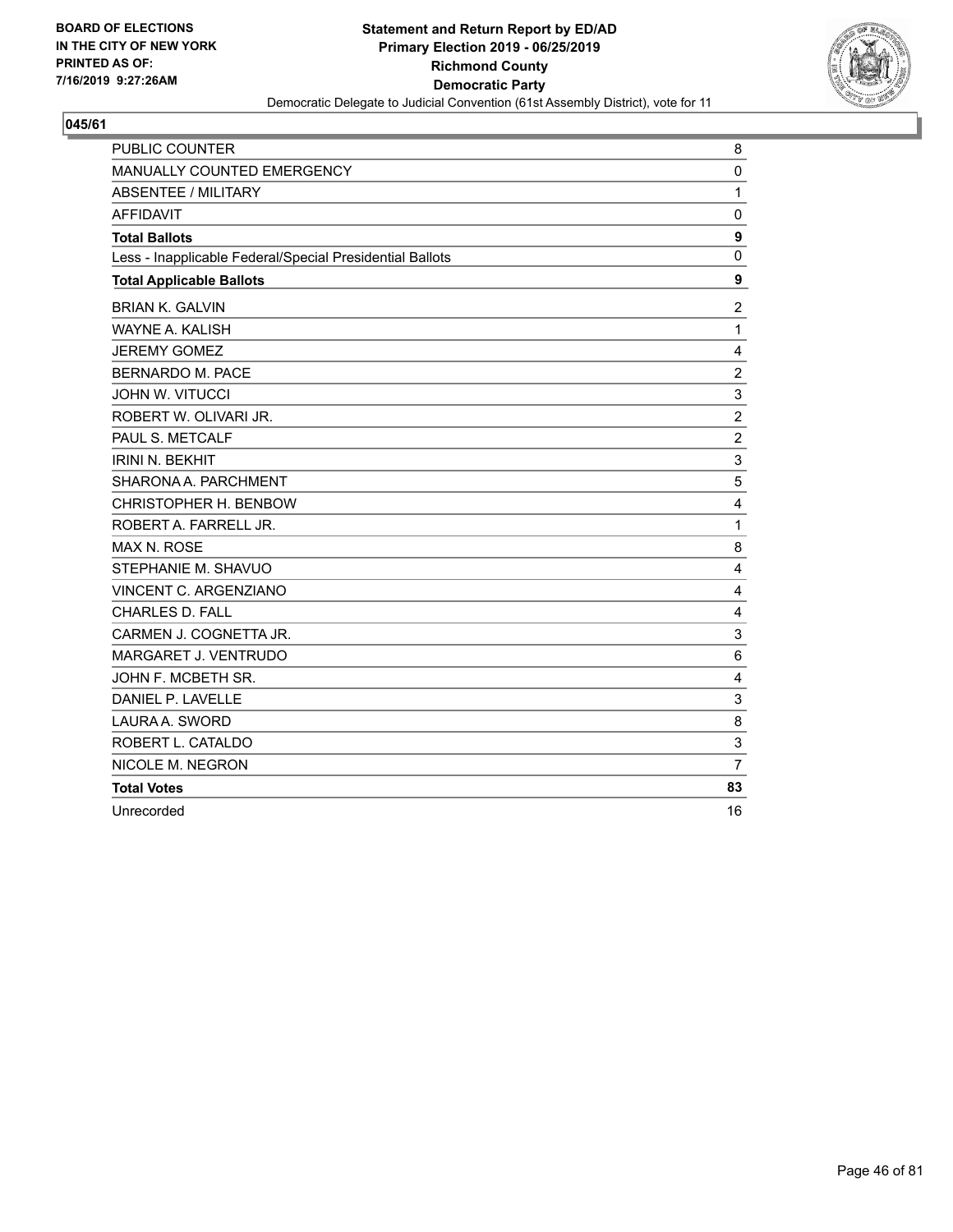

| PUBLIC COUNTER                                           | 8              |
|----------------------------------------------------------|----------------|
| MANUALLY COUNTED EMERGENCY                               | 0              |
| ABSENTEE / MILITARY                                      | $\mathbf{1}$   |
| <b>AFFIDAVIT</b>                                         | $\mathbf 0$    |
| <b>Total Ballots</b>                                     | 9              |
| Less - Inapplicable Federal/Special Presidential Ballots | 0              |
| <b>Total Applicable Ballots</b>                          | 9              |
| <b>BRIAN K. GALVIN</b>                                   | $\overline{2}$ |
| <b>WAYNE A. KALISH</b>                                   | 1              |
| <b>JEREMY GOMEZ</b>                                      | 4              |
| <b>BERNARDO M. PACE</b>                                  | $\overline{c}$ |
| <b>JOHN W. VITUCCI</b>                                   | 3              |
| ROBERT W. OLIVARI JR.                                    | $\overline{c}$ |
| PAUL S. METCALF                                          | $\overline{2}$ |
| <b>IRINI N. BEKHIT</b>                                   | 3              |
| SHARONA A. PARCHMENT                                     | 5              |
| CHRISTOPHER H. BENBOW                                    | 4              |
| ROBERT A. FARRELL JR.                                    | 1              |
| MAX N. ROSE                                              | 8              |
| STEPHANIE M. SHAVUO                                      | 4              |
| VINCENT C. ARGENZIANO                                    | 4              |
| <b>CHARLES D. FALL</b>                                   | 4              |
| CARMEN J. COGNETTA JR.                                   | 3              |
| MARGARET J. VENTRUDO                                     | 6              |
| JOHN F. MCBETH SR.                                       | 4              |
| DANIEL P. LAVELLE                                        | 3              |
| LAURA A. SWORD                                           | 8              |
| ROBERT L. CATALDO                                        | 3              |
| NICOLE M. NEGRON                                         | $\overline{7}$ |
| <b>Total Votes</b>                                       | 83             |
| Unrecorded                                               | 16             |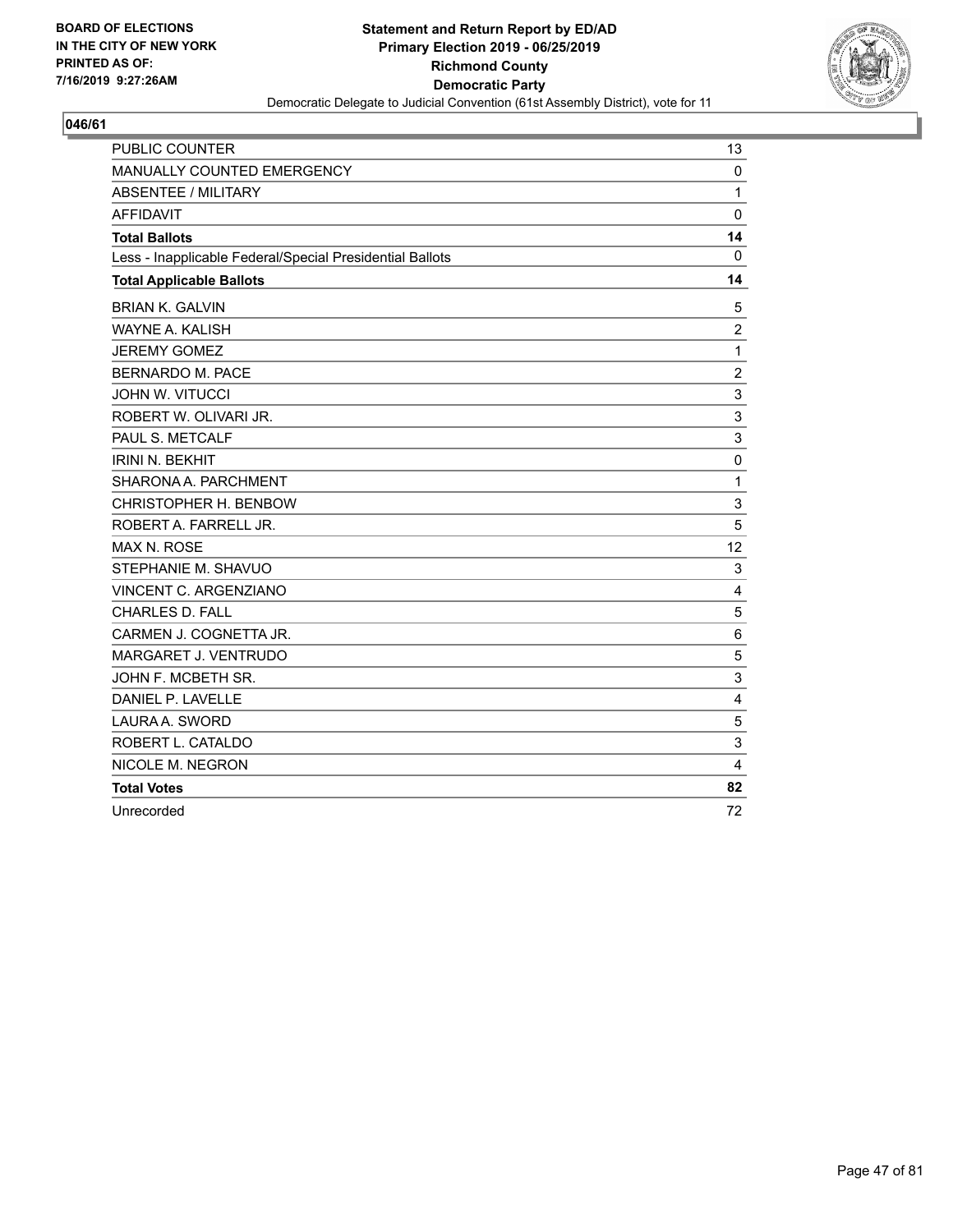

| <b>PUBLIC COUNTER</b>                                    | 13             |
|----------------------------------------------------------|----------------|
| MANUALLY COUNTED EMERGENCY                               | 0              |
| <b>ABSENTEE / MILITARY</b>                               | 1              |
| <b>AFFIDAVIT</b>                                         | $\mathbf 0$    |
| <b>Total Ballots</b>                                     | 14             |
| Less - Inapplicable Federal/Special Presidential Ballots | 0              |
| <b>Total Applicable Ballots</b>                          | 14             |
| <b>BRIAN K. GALVIN</b>                                   | 5              |
| <b>WAYNE A. KALISH</b>                                   | $\overline{2}$ |
| <b>JEREMY GOMEZ</b>                                      | $\mathbf{1}$   |
| <b>BERNARDO M. PACE</b>                                  | $\overline{c}$ |
| <b>JOHN W. VITUCCI</b>                                   | 3              |
| ROBERT W. OLIVARI JR.                                    | $\sqrt{3}$     |
| PAUL S. METCALF                                          | 3              |
| <b>IRINI N. BEKHIT</b>                                   | $\mathbf 0$    |
| SHARONA A. PARCHMENT                                     | $\mathbf{1}$   |
| CHRISTOPHER H. BENBOW                                    | $\mathsf 3$    |
| ROBERT A. FARRELL JR.                                    | 5              |
| <b>MAX N. ROSE</b>                                       | 12             |
| STEPHANIE M. SHAVUO                                      | 3              |
| VINCENT C. ARGENZIANO                                    | 4              |
| CHARLES D. FALL                                          | $\sqrt{5}$     |
| CARMEN J. COGNETTA JR.                                   | 6              |
| MARGARET J. VENTRUDO                                     | 5              |
| JOHN F. MCBETH SR.                                       | 3              |
| DANIEL P. LAVELLE                                        | 4              |
| LAURA A. SWORD                                           | 5              |
| ROBERT L. CATALDO                                        | 3              |
| NICOLE M. NEGRON                                         | 4              |
| <b>Total Votes</b>                                       | 82             |
| Unrecorded                                               | 72             |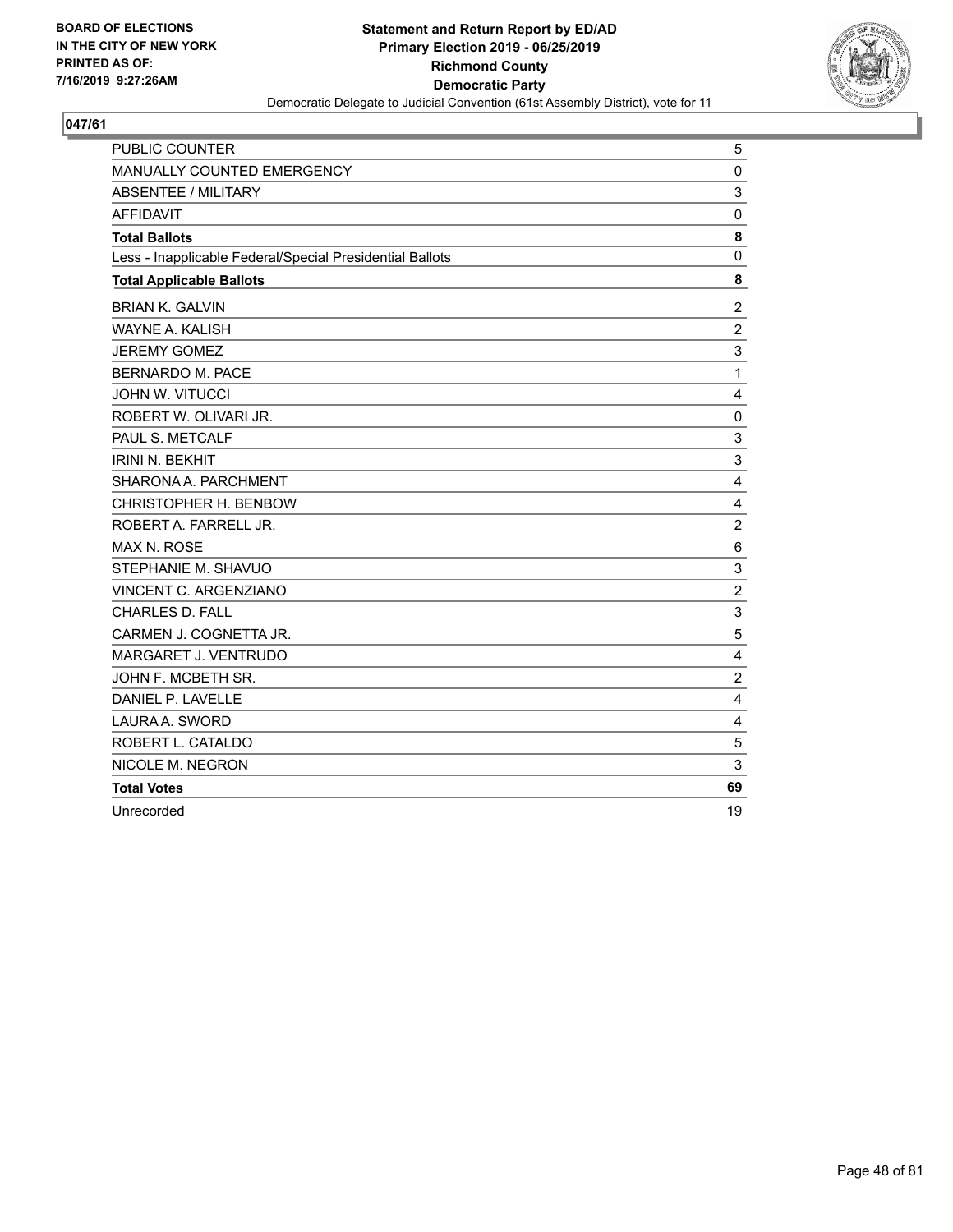

| PUBLIC COUNTER                                           | 5              |
|----------------------------------------------------------|----------------|
| MANUALLY COUNTED EMERGENCY                               | $\mathbf 0$    |
| <b>ABSENTEE / MILITARY</b>                               | 3              |
| <b>AFFIDAVIT</b>                                         | 0              |
| <b>Total Ballots</b>                                     | 8              |
| Less - Inapplicable Federal/Special Presidential Ballots | 0              |
| <b>Total Applicable Ballots</b>                          | 8              |
| <b>BRIAN K. GALVIN</b>                                   | $\overline{c}$ |
| WAYNE A. KALISH                                          | $\overline{c}$ |
| <b>JEREMY GOMEZ</b>                                      | 3              |
| BERNARDO M. PACE                                         | $\mathbf{1}$   |
| <b>JOHN W. VITUCCI</b>                                   | 4              |
| ROBERT W. OLIVARI JR.                                    | $\mathbf 0$    |
| PAUL S. METCALF                                          | 3              |
| <b>IRINI N. BEKHIT</b>                                   | 3              |
| SHARONA A. PARCHMENT                                     | 4              |
| CHRISTOPHER H. BENBOW                                    | 4              |
| ROBERT A. FARRELL JR.                                    | $\overline{c}$ |
| <b>MAX N. ROSE</b>                                       | 6              |
| STEPHANIE M. SHAVUO                                      | 3              |
| VINCENT C. ARGENZIANO                                    | $\overline{2}$ |
| <b>CHARLES D. FALL</b>                                   | 3              |
| CARMEN J. COGNETTA JR.                                   | 5              |
| MARGARET J. VENTRUDO                                     | 4              |
| JOHN F. MCBETH SR.                                       | $\overline{c}$ |
| DANIEL P. LAVELLE                                        | 4              |
| LAURA A. SWORD                                           | 4              |
| ROBERT L. CATALDO                                        | 5              |
| NICOLE M. NEGRON                                         | 3              |
| <b>Total Votes</b>                                       | 69             |
| Unrecorded                                               | 19             |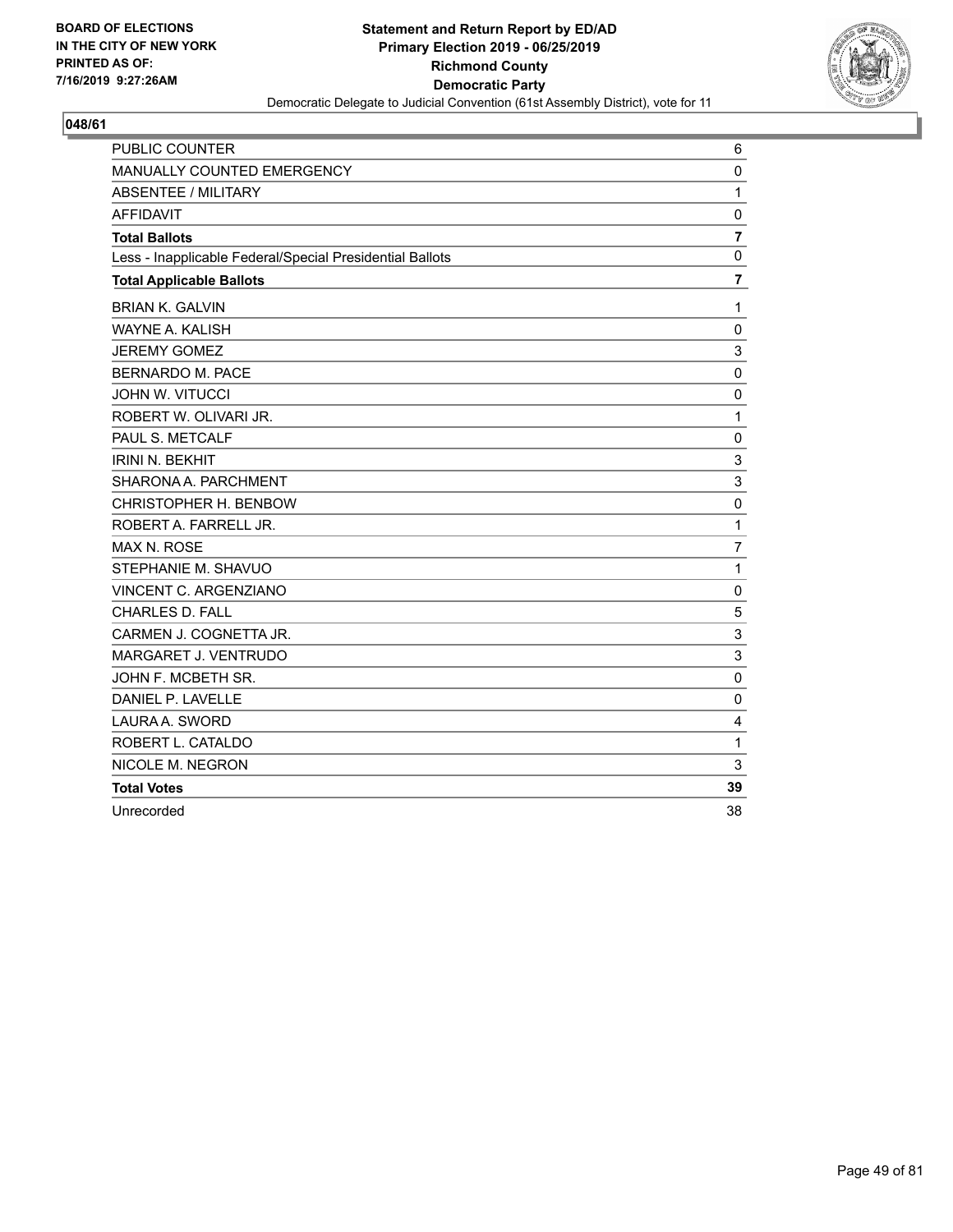

| <b>PUBLIC COUNTER</b>                                    | 6              |
|----------------------------------------------------------|----------------|
| MANUALLY COUNTED EMERGENCY                               | $\mathbf 0$    |
| <b>ABSENTEE / MILITARY</b>                               | $\mathbf{1}$   |
| <b>AFFIDAVIT</b>                                         | $\mathbf 0$    |
| <b>Total Ballots</b>                                     | $\overline{7}$ |
| Less - Inapplicable Federal/Special Presidential Ballots | $\mathbf 0$    |
| <b>Total Applicable Ballots</b>                          | $\overline{7}$ |
| <b>BRIAN K. GALVIN</b>                                   | 1              |
| WAYNE A. KALISH                                          | 0              |
| <b>JEREMY GOMEZ</b>                                      | 3              |
| <b>BERNARDO M. PACE</b>                                  | $\mathbf 0$    |
| <b>JOHN W. VITUCCI</b>                                   | 0              |
| ROBERT W. OLIVARI JR.                                    | 1              |
| PAUL S. METCALF                                          | $\mathbf 0$    |
| <b>IRINI N. BEKHIT</b>                                   | 3              |
| SHARONA A. PARCHMENT                                     | 3              |
| CHRISTOPHER H. BENBOW                                    | 0              |
| ROBERT A. FARRELL JR.                                    | 1              |
| <b>MAX N. ROSE</b>                                       | $\overline{7}$ |
| STEPHANIE M. SHAVUO                                      | $\mathbf{1}$   |
| VINCENT C. ARGENZIANO                                    | $\mathbf 0$    |
| <b>CHARLES D. FALL</b>                                   | 5              |
| CARMEN J. COGNETTA JR.                                   | 3              |
| MARGARET J. VENTRUDO                                     | 3              |
| JOHN F. MCBETH SR.                                       | 0              |
| DANIEL P. LAVELLE                                        | 0              |
| LAURA A. SWORD                                           | 4              |
| ROBERT L. CATALDO                                        | $\mathbf{1}$   |
| NICOLE M. NEGRON                                         | 3              |
| <b>Total Votes</b>                                       | 39             |
| Unrecorded                                               | 38             |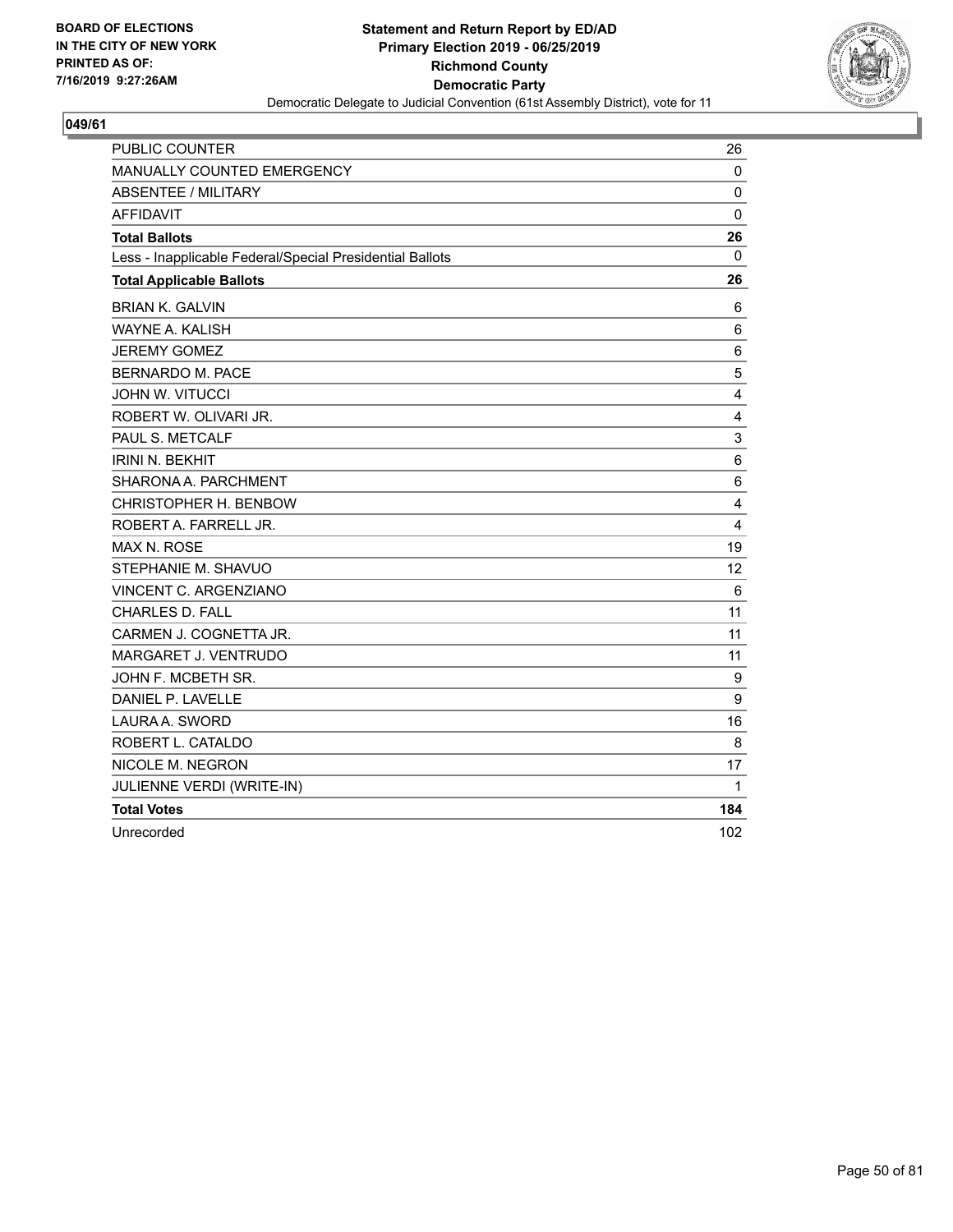

| <b>PUBLIC COUNTER</b>                                    | 26                      |
|----------------------------------------------------------|-------------------------|
| MANUALLY COUNTED EMERGENCY                               | $\mathbf 0$             |
| <b>ABSENTEE / MILITARY</b>                               | $\mathbf 0$             |
| <b>AFFIDAVIT</b>                                         | 0                       |
| <b>Total Ballots</b>                                     | 26                      |
| Less - Inapplicable Federal/Special Presidential Ballots | $\mathbf{0}$            |
| <b>Total Applicable Ballots</b>                          | 26                      |
| <b>BRIAN K. GALVIN</b>                                   | 6                       |
| <b>WAYNE A. KALISH</b>                                   | 6                       |
| <b>JEREMY GOMEZ</b>                                      | 6                       |
| <b>BERNARDO M. PACE</b>                                  | 5                       |
| <b>JOHN W. VITUCCI</b>                                   | 4                       |
| ROBERT W. OLIVARI JR.                                    | $\overline{\mathbf{4}}$ |
| PAUL S. METCALF                                          | 3                       |
| <b>IRINI N. BEKHIT</b>                                   | 6                       |
| SHARONA A. PARCHMENT                                     | 6                       |
| CHRISTOPHER H. BENBOW                                    | 4                       |
| ROBERT A. FARRELL JR.                                    | 4                       |
| <b>MAX N. ROSE</b>                                       | 19                      |
| STEPHANIE M. SHAVUO                                      | 12                      |
| VINCENT C. ARGENZIANO                                    | 6                       |
| <b>CHARLES D. FALL</b>                                   | 11                      |
| CARMEN J. COGNETTA JR.                                   | 11                      |
| <b>MARGARET J. VENTRUDO</b>                              | 11                      |
| JOHN F. MCBETH SR.                                       | 9                       |
| DANIEL P. LAVELLE                                        | 9                       |
| LAURA A. SWORD                                           | 16                      |
| ROBERT L. CATALDO                                        | 8                       |
| NICOLE M. NEGRON                                         | 17                      |
| JULIENNE VERDI (WRITE-IN)                                | 1                       |
| <b>Total Votes</b>                                       | 184                     |
| Unrecorded                                               | 102                     |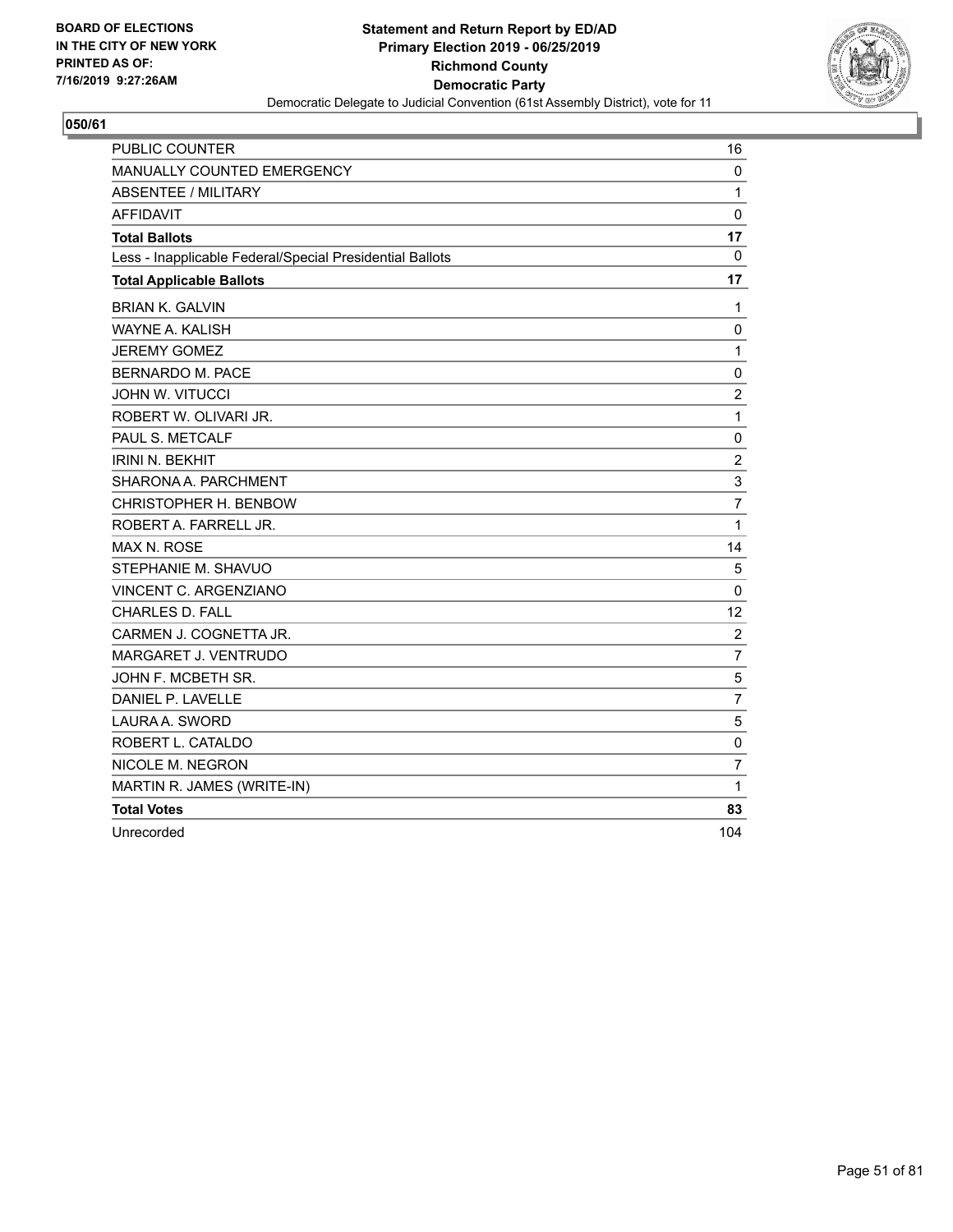

| <b>PUBLIC COUNTER</b>                                    | 16                      |
|----------------------------------------------------------|-------------------------|
| MANUALLY COUNTED EMERGENCY                               | 0                       |
| ABSENTEE / MILITARY                                      | 1                       |
| <b>AFFIDAVIT</b>                                         | $\mathbf 0$             |
| <b>Total Ballots</b>                                     | 17                      |
| Less - Inapplicable Federal/Special Presidential Ballots | $\Omega$                |
| <b>Total Applicable Ballots</b>                          | 17                      |
| <b>BRIAN K. GALVIN</b>                                   | 1                       |
| <b>WAYNE A. KALISH</b>                                   | $\mathbf 0$             |
| <b>JEREMY GOMEZ</b>                                      | $\mathbf{1}$            |
| <b>BERNARDO M. PACE</b>                                  | $\mathbf 0$             |
| <b>JOHN W. VITUCCI</b>                                   | $\overline{c}$          |
| ROBERT W. OLIVARI JR.                                    | $\mathbf{1}$            |
| PAUL S. METCALF                                          | $\pmb{0}$               |
| <b>IRINI N. BEKHIT</b>                                   | $\overline{\mathbf{c}}$ |
| SHARONA A. PARCHMENT                                     | 3                       |
| CHRISTOPHER H. BENBOW                                    | 7                       |
| ROBERT A. FARRELL JR.                                    | 1                       |
| <b>MAX N. ROSE</b>                                       | 14                      |
| STEPHANIE M. SHAVUO                                      | 5                       |
| VINCENT C. ARGENZIANO                                    | 0                       |
| <b>CHARLES D. FALL</b>                                   | 12                      |
| CARMEN J. COGNETTA JR.                                   | $\overline{2}$          |
| <b>MARGARET J. VENTRUDO</b>                              | $\overline{7}$          |
| JOHN F. MCBETH SR.                                       | 5                       |
| DANIEL P. LAVELLE                                        | 7                       |
| LAURA A. SWORD                                           | 5                       |
| ROBERT L. CATALDO                                        | $\mathbf 0$             |
| NICOLE M. NEGRON                                         | 7                       |
| MARTIN R. JAMES (WRITE-IN)                               | 1                       |
| <b>Total Votes</b>                                       | 83                      |
| Unrecorded                                               | 104                     |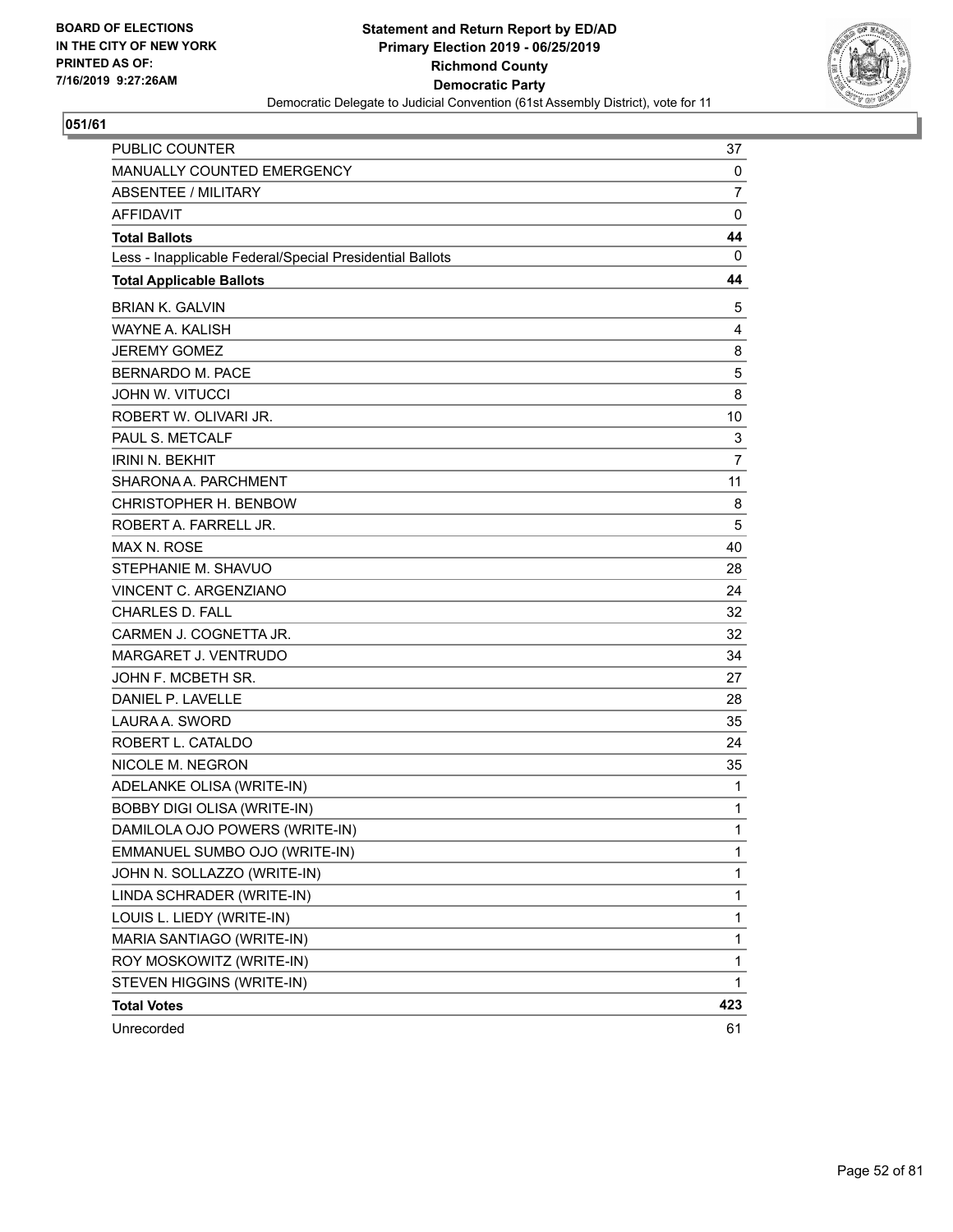

| PUBLIC COUNTER                                           | 37             |
|----------------------------------------------------------|----------------|
| MANUALLY COUNTED EMERGENCY                               | 0              |
| <b>ABSENTEE / MILITARY</b>                               | 7              |
| <b>AFFIDAVIT</b>                                         | 0              |
| <b>Total Ballots</b>                                     | 44             |
| Less - Inapplicable Federal/Special Presidential Ballots | 0              |
| <b>Total Applicable Ballots</b>                          | 44             |
| <b>BRIAN K. GALVIN</b>                                   | 5              |
| <b>WAYNE A. KALISH</b>                                   | 4              |
| <b>JEREMY GOMEZ</b>                                      | 8              |
| <b>BERNARDO M. PACE</b>                                  | 5              |
| <b>JOHN W. VITUCCI</b>                                   | 8              |
| ROBERT W. OLIVARI JR.                                    | 10             |
| PAUL S. METCALF                                          | 3              |
| <b>IRINI N. BEKHIT</b>                                   | $\overline{7}$ |
| SHARONA A. PARCHMENT                                     | 11             |
| CHRISTOPHER H. BENBOW                                    | 8              |
| ROBERT A. FARRELL JR.                                    | 5              |
| <b>MAX N. ROSE</b>                                       | 40             |
| STEPHANIE M. SHAVUO                                      | 28             |
| VINCENT C. ARGENZIANO                                    | 24             |
| <b>CHARLES D. FALL</b>                                   | 32             |
| CARMEN J. COGNETTA JR.                                   | 32             |
| <b>MARGARET J. VENTRUDO</b>                              | 34             |
| JOHN F. MCBETH SR.                                       | 27             |
| DANIEL P. LAVELLE                                        | 28             |
| LAURA A. SWORD                                           | 35             |
| ROBERT L. CATALDO                                        | 24             |
| NICOLE M. NEGRON                                         | 35             |
| ADELANKE OLISA (WRITE-IN)                                | 1              |
| <b>BOBBY DIGI OLISA (WRITE-IN)</b>                       | 1              |
| DAMILOLA OJO POWERS (WRITE-IN)                           | 1              |
| EMMANUEL SUMBO OJO (WRITE-IN)                            | 1              |
| JOHN N. SOLLAZZO (WRITE-IN)                              | 1              |
| LINDA SCHRADER (WRITE-IN)                                | 1              |
| LOUIS L. LIEDY (WRITE-IN)                                | 1              |
| MARIA SANTIAGO (WRITE-IN)                                | 1              |
| ROY MOSKOWITZ (WRITE-IN)                                 | 1              |
| STEVEN HIGGINS (WRITE-IN)                                | 1              |
| <b>Total Votes</b>                                       | 423            |
| Unrecorded                                               | 61             |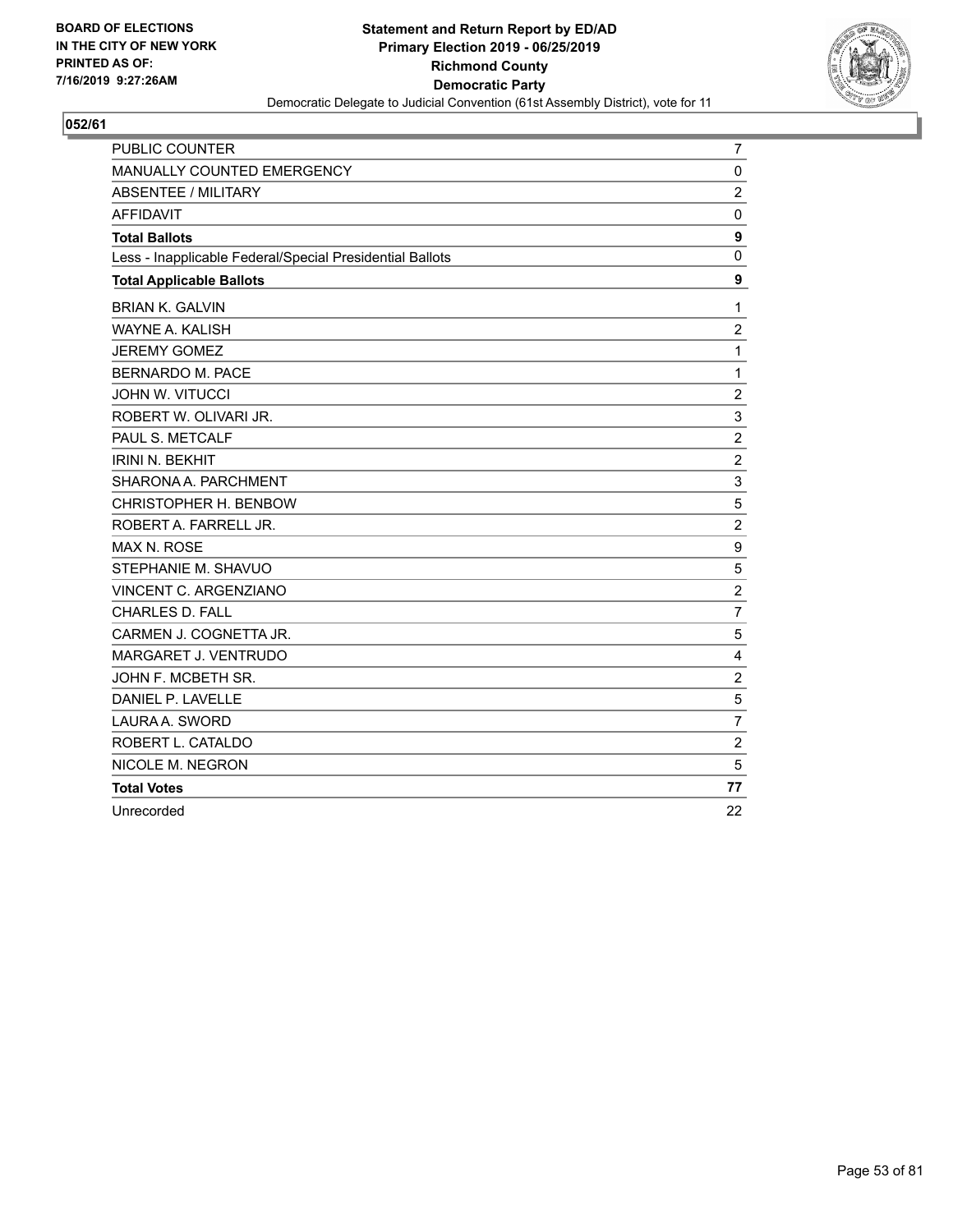

| PUBLIC COUNTER                                           | $\overline{7}$ |
|----------------------------------------------------------|----------------|
| MANUALLY COUNTED EMERGENCY                               | 0              |
| ABSENTEE / MILITARY                                      | $\overline{c}$ |
| <b>AFFIDAVIT</b>                                         | $\mathbf 0$    |
| <b>Total Ballots</b>                                     | 9              |
| Less - Inapplicable Federal/Special Presidential Ballots | $\Omega$       |
| <b>Total Applicable Ballots</b>                          | 9              |
| <b>BRIAN K. GALVIN</b>                                   | 1              |
| <b>WAYNE A. KALISH</b>                                   | $\overline{c}$ |
| <b>JEREMY GOMEZ</b>                                      | 1              |
| BERNARDO M. PACE                                         | 1              |
| <b>JOHN W. VITUCCI</b>                                   | $\overline{2}$ |
| ROBERT W. OLIVARI JR.                                    | $\mathsf 3$    |
| PAUL S. METCALF                                          | $\overline{c}$ |
| <b>IRINI N. BEKHIT</b>                                   | $\overline{2}$ |
| SHARONA A. PARCHMENT                                     | 3              |
| CHRISTOPHER H. BENBOW                                    | 5              |
| ROBERT A. FARRELL JR.                                    | $\overline{c}$ |
| <b>MAX N. ROSE</b>                                       | 9              |
| STEPHANIE M. SHAVUO                                      | 5              |
| <b>VINCENT C. ARGENZIANO</b>                             | $\overline{c}$ |
| <b>CHARLES D. FALL</b>                                   | $\overline{7}$ |
| CARMEN J. COGNETTA JR.                                   | 5              |
| MARGARET J. VENTRUDO                                     | $\overline{4}$ |
| JOHN F. MCBETH SR.                                       | $\overline{2}$ |
| DANIEL P. LAVELLE                                        | 5              |
| LAURA A. SWORD                                           | $\overline{7}$ |
| ROBERT L. CATALDO                                        | $\overline{c}$ |
| NICOLE M. NEGRON                                         | 5              |
| <b>Total Votes</b>                                       | 77             |
| Unrecorded                                               | 22             |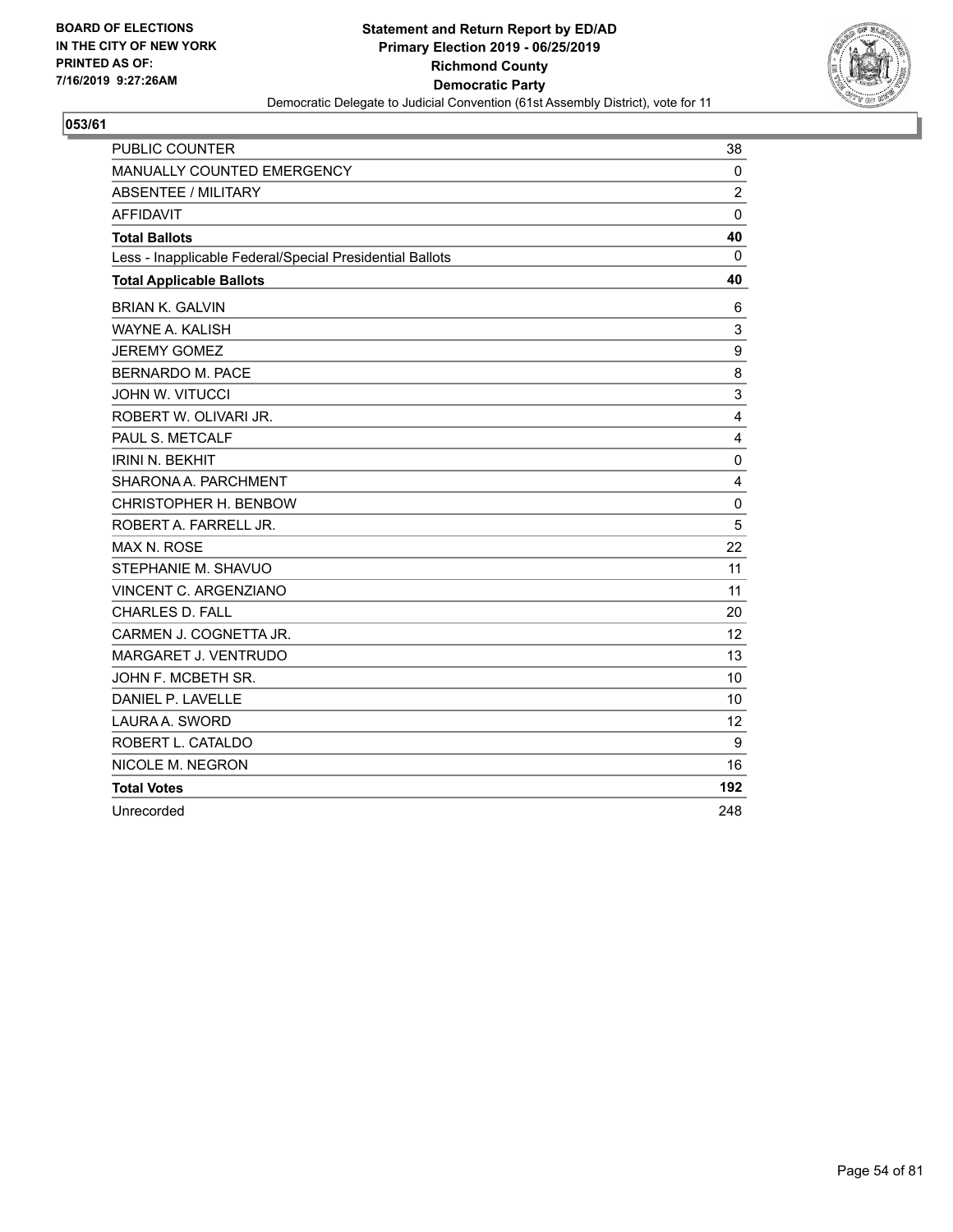

| <b>PUBLIC COUNTER</b>                                    | 38             |
|----------------------------------------------------------|----------------|
| MANUALLY COUNTED EMERGENCY                               | $\mathbf 0$    |
| <b>ABSENTEE / MILITARY</b>                               | $\overline{c}$ |
| <b>AFFIDAVIT</b>                                         | $\Omega$       |
| <b>Total Ballots</b>                                     | 40             |
| Less - Inapplicable Federal/Special Presidential Ballots | 0              |
| <b>Total Applicable Ballots</b>                          | 40             |
| <b>BRIAN K. GALVIN</b>                                   | 6              |
| WAYNE A. KALISH                                          | 3              |
| <b>JEREMY GOMEZ</b>                                      | 9              |
| <b>BERNARDO M. PACE</b>                                  | 8              |
| <b>JOHN W. VITUCCI</b>                                   | 3              |
| ROBERT W. OLIVARI JR.                                    | 4              |
| PAUL S. METCALF                                          | 4              |
| <b>IRINI N. BEKHIT</b>                                   | 0              |
| SHARONA A. PARCHMENT                                     | 4              |
| CHRISTOPHER H. BENBOW                                    | $\mathbf 0$    |
| ROBERT A. FARRELL JR.                                    | 5              |
| <b>MAX N. ROSE</b>                                       | 22             |
| STEPHANIE M. SHAVUO                                      | 11             |
| <b>VINCENT C. ARGENZIANO</b>                             | 11             |
| <b>CHARLES D. FALL</b>                                   | 20             |
| CARMEN J. COGNETTA JR.                                   | 12             |
| MARGARET J. VENTRUDO                                     | 13             |
| JOHN F. MCBETH SR.                                       | 10             |
| DANIEL P. LAVELLE                                        | 10             |
| LAURA A. SWORD                                           | 12             |
| ROBERT L. CATALDO                                        | 9              |
| NICOLE M. NEGRON                                         | 16             |
| <b>Total Votes</b>                                       | 192            |
| Unrecorded                                               | 248            |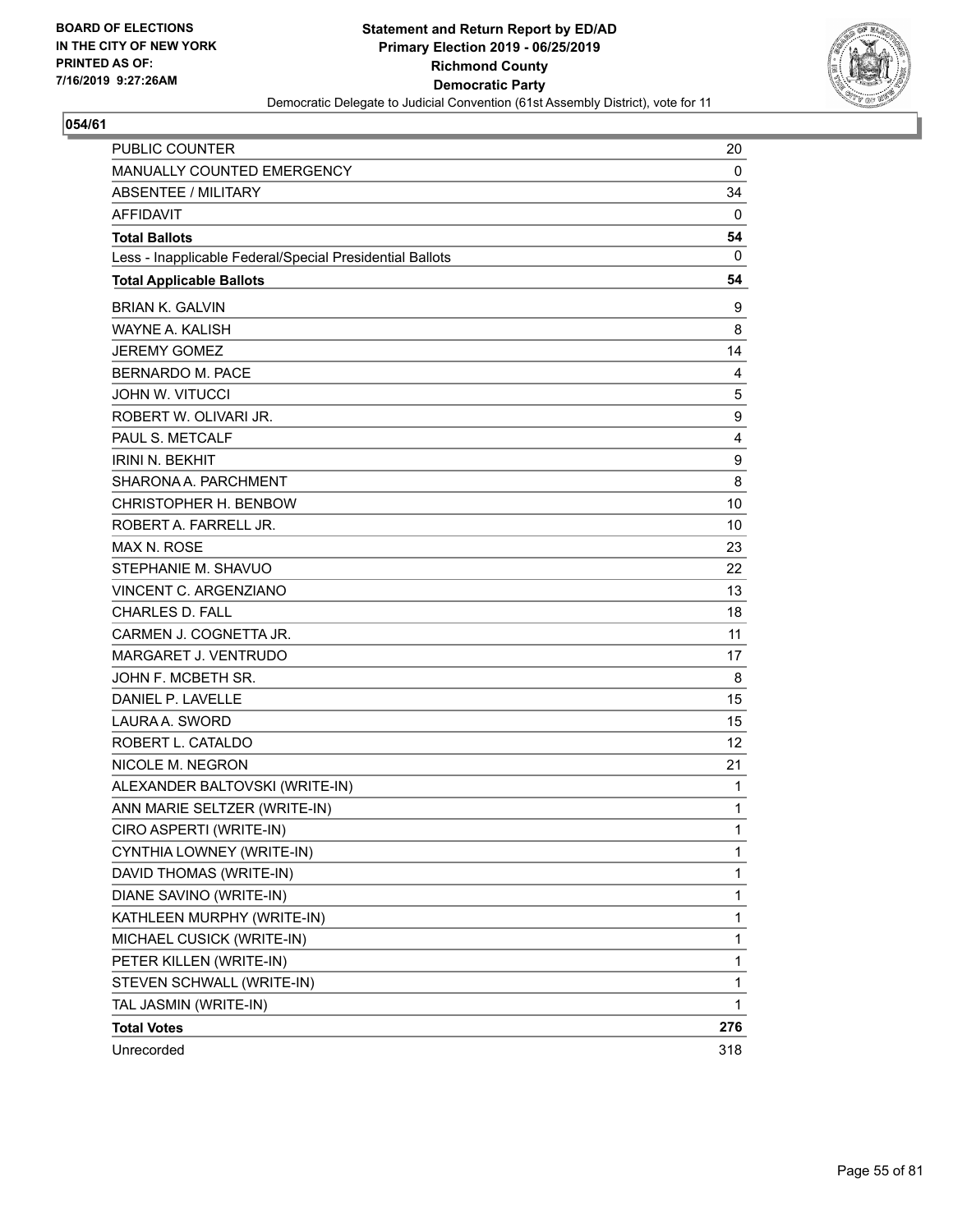

| <b>PUBLIC COUNTER</b>                                    | 20  |
|----------------------------------------------------------|-----|
| MANUALLY COUNTED EMERGENCY                               | 0   |
| <b>ABSENTEE / MILITARY</b>                               | 34  |
| <b>AFFIDAVIT</b>                                         | 0   |
| <b>Total Ballots</b>                                     | 54  |
| Less - Inapplicable Federal/Special Presidential Ballots | 0   |
| <b>Total Applicable Ballots</b>                          | 54  |
| <b>BRIAN K. GALVIN</b>                                   | 9   |
| <b>WAYNE A. KALISH</b>                                   | 8   |
| <b>JEREMY GOMEZ</b>                                      | 14  |
| <b>BERNARDO M. PACE</b>                                  | 4   |
| <b>JOHN W. VITUCCI</b>                                   | 5   |
| ROBERT W. OLIVARI JR.                                    | 9   |
| PAUL S. METCALF                                          | 4   |
| <b>IRINI N. BEKHIT</b>                                   | 9   |
| SHARONA A. PARCHMENT                                     | 8   |
| CHRISTOPHER H. BENBOW                                    | 10  |
| ROBERT A. FARRELL JR.                                    | 10  |
| <b>MAX N. ROSE</b>                                       | 23  |
| STEPHANIE M. SHAVUO                                      | 22  |
| VINCENT C. ARGENZIANO                                    | 13  |
| <b>CHARLES D. FALL</b>                                   | 18  |
| CARMEN J. COGNETTA JR.                                   | 11  |
| MARGARET J. VENTRUDO                                     | 17  |
| JOHN F. MCBETH SR.                                       | 8   |
| DANIEL P. LAVELLE                                        | 15  |
| LAURA A. SWORD                                           | 15  |
| ROBERT L. CATALDO                                        | 12  |
| NICOLE M. NEGRON                                         | 21  |
| ALEXANDER BALTOVSKI (WRITE-IN)                           | 1   |
| ANN MARIE SELTZER (WRITE-IN)                             | 1   |
| CIRO ASPERTI (WRITE-IN)                                  | 1   |
| CYNTHIA LOWNEY (WRITE-IN)                                | 1   |
| DAVID THOMAS (WRITE-IN)                                  | 1   |
| DIANE SAVINO (WRITE-IN)                                  | 1   |
| KATHLEEN MURPHY (WRITE-IN)                               | 1   |
| MICHAEL CUSICK (WRITE-IN)                                | 1   |
| PETER KILLEN (WRITE-IN)                                  | 1   |
| STEVEN SCHWALL (WRITE-IN)                                | 1   |
| TAL JASMIN (WRITE-IN)                                    | 1   |
| <b>Total Votes</b>                                       | 276 |
| Unrecorded                                               | 318 |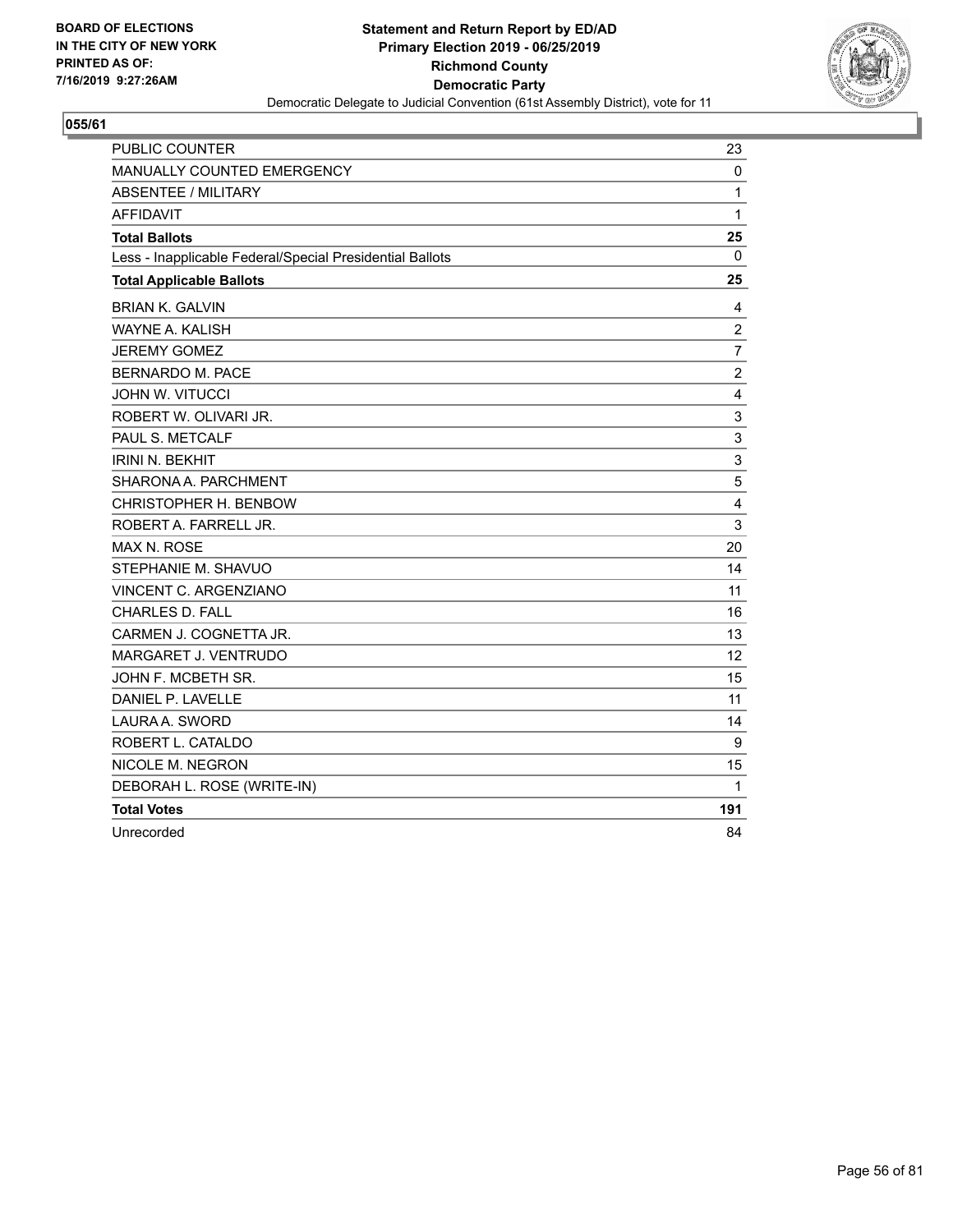

| <b>PUBLIC COUNTER</b>                                    | 23             |
|----------------------------------------------------------|----------------|
| <b>MANUALLY COUNTED EMERGENCY</b>                        | 0              |
| <b>ABSENTEE / MILITARY</b>                               | $\mathbf{1}$   |
| <b>AFFIDAVIT</b>                                         | $\mathbf{1}$   |
| <b>Total Ballots</b>                                     | 25             |
| Less - Inapplicable Federal/Special Presidential Ballots | 0              |
| <b>Total Applicable Ballots</b>                          | 25             |
| <b>BRIAN K. GALVIN</b>                                   | 4              |
| <b>WAYNE A. KALISH</b>                                   | $\overline{c}$ |
| <b>JEREMY GOMEZ</b>                                      | $\overline{7}$ |
| <b>BERNARDO M. PACE</b>                                  | $\overline{c}$ |
| <b>JOHN W. VITUCCI</b>                                   | 4              |
| ROBERT W. OLIVARI JR.                                    | 3              |
| PAUL S. METCALF                                          | 3              |
| <b>IRINI N. BEKHIT</b>                                   | 3              |
| SHARONA A. PARCHMENT                                     | 5              |
| CHRISTOPHER H. BENBOW                                    | 4              |
| ROBERT A. FARRELL JR.                                    | 3              |
| <b>MAX N. ROSE</b>                                       | 20             |
| STEPHANIE M. SHAVUO                                      | 14             |
| VINCENT C. ARGENZIANO                                    | 11             |
| <b>CHARLES D. FALL</b>                                   | 16             |
| CARMEN J. COGNETTA JR.                                   | 13             |
| MARGARET J. VENTRUDO                                     | 12             |
| JOHN F. MCBETH SR.                                       | 15             |
| DANIEL P. LAVELLE                                        | 11             |
| LAURA A. SWORD                                           | 14             |
| ROBERT L. CATALDO                                        | 9              |
| NICOLE M. NEGRON                                         | 15             |
| DEBORAH L. ROSE (WRITE-IN)                               | 1              |
| <b>Total Votes</b>                                       | 191            |
| Unrecorded                                               | 84             |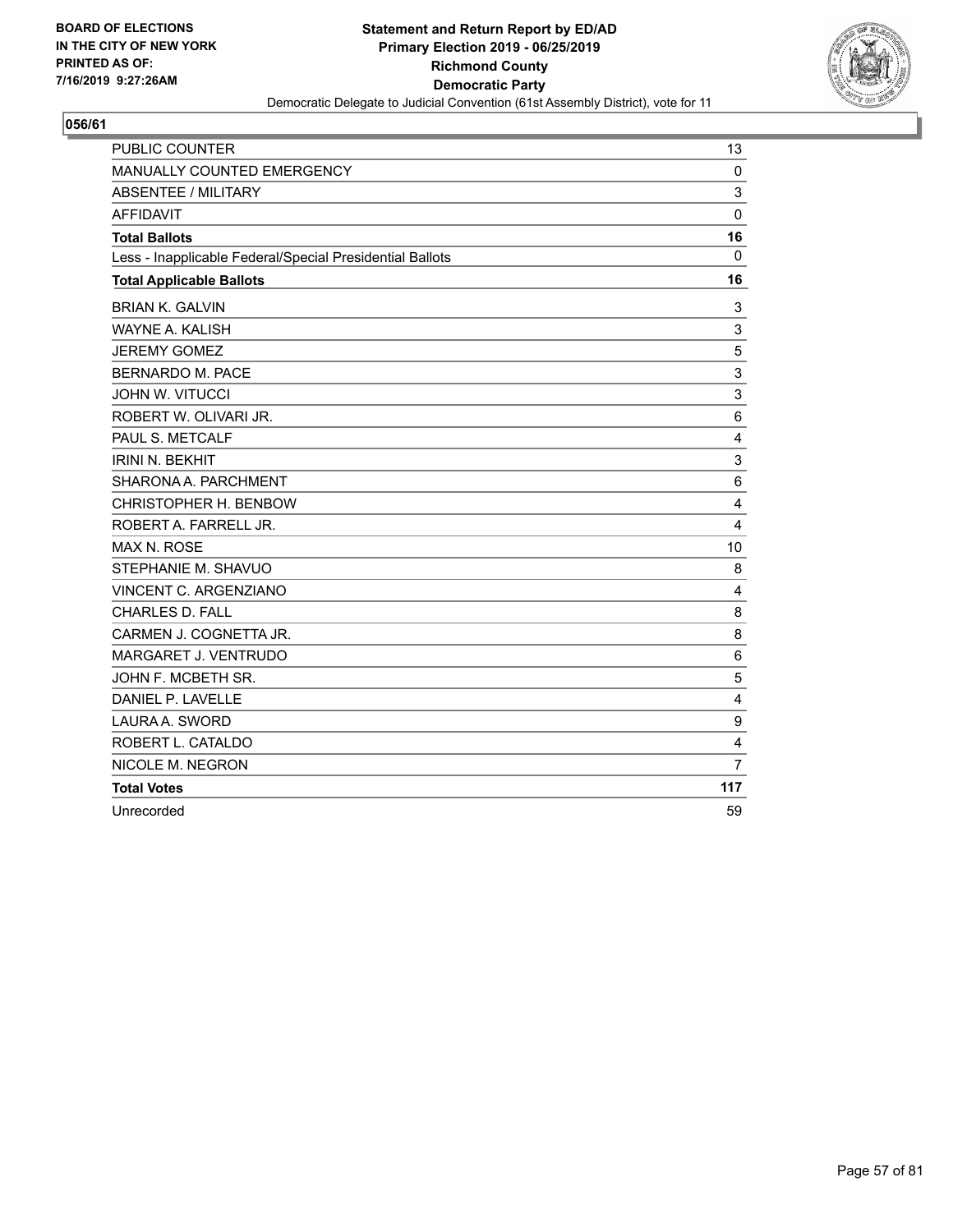

| <b>PUBLIC COUNTER</b>                                    | 13              |
|----------------------------------------------------------|-----------------|
| <b>MANUALLY COUNTED EMERGENCY</b>                        | 0               |
| ABSENTEE / MILITARY                                      | 3               |
| <b>AFFIDAVIT</b>                                         | 0               |
| <b>Total Ballots</b>                                     | 16              |
| Less - Inapplicable Federal/Special Presidential Ballots | 0               |
| <b>Total Applicable Ballots</b>                          | 16              |
| <b>BRIAN K. GALVIN</b>                                   | 3               |
| <b>WAYNE A. KALISH</b>                                   | 3               |
| <b>JEREMY GOMEZ</b>                                      | 5               |
| <b>BERNARDO M. PACE</b>                                  | 3               |
| <b>JOHN W. VITUCCI</b>                                   | 3               |
| ROBERT W. OLIVARI JR.                                    | 6               |
| PAUL S. METCALF                                          | 4               |
| <b>IRINI N. BEKHIT</b>                                   | 3               |
| SHARONA A. PARCHMENT                                     | $6\phantom{1}6$ |
| CHRISTOPHER H. BENBOW                                    | 4               |
| ROBERT A. FARRELL JR.                                    | 4               |
| MAX N. ROSE                                              | 10              |
| STEPHANIE M. SHAVUO                                      | 8               |
| VINCENT C. ARGENZIANO                                    | 4               |
| CHARLES D. FALL                                          | 8               |
| CARMEN J. COGNETTA JR.                                   | 8               |
| MARGARET J. VENTRUDO                                     | 6               |
| JOHN F. MCBETH SR.                                       | 5               |
| DANIEL P. LAVELLE                                        | 4               |
| LAURA A. SWORD                                           | 9               |
| ROBERT L. CATALDO                                        | 4               |
| NICOLE M. NEGRON                                         | $\overline{7}$  |
| <b>Total Votes</b>                                       | 117             |
| Unrecorded                                               | 59              |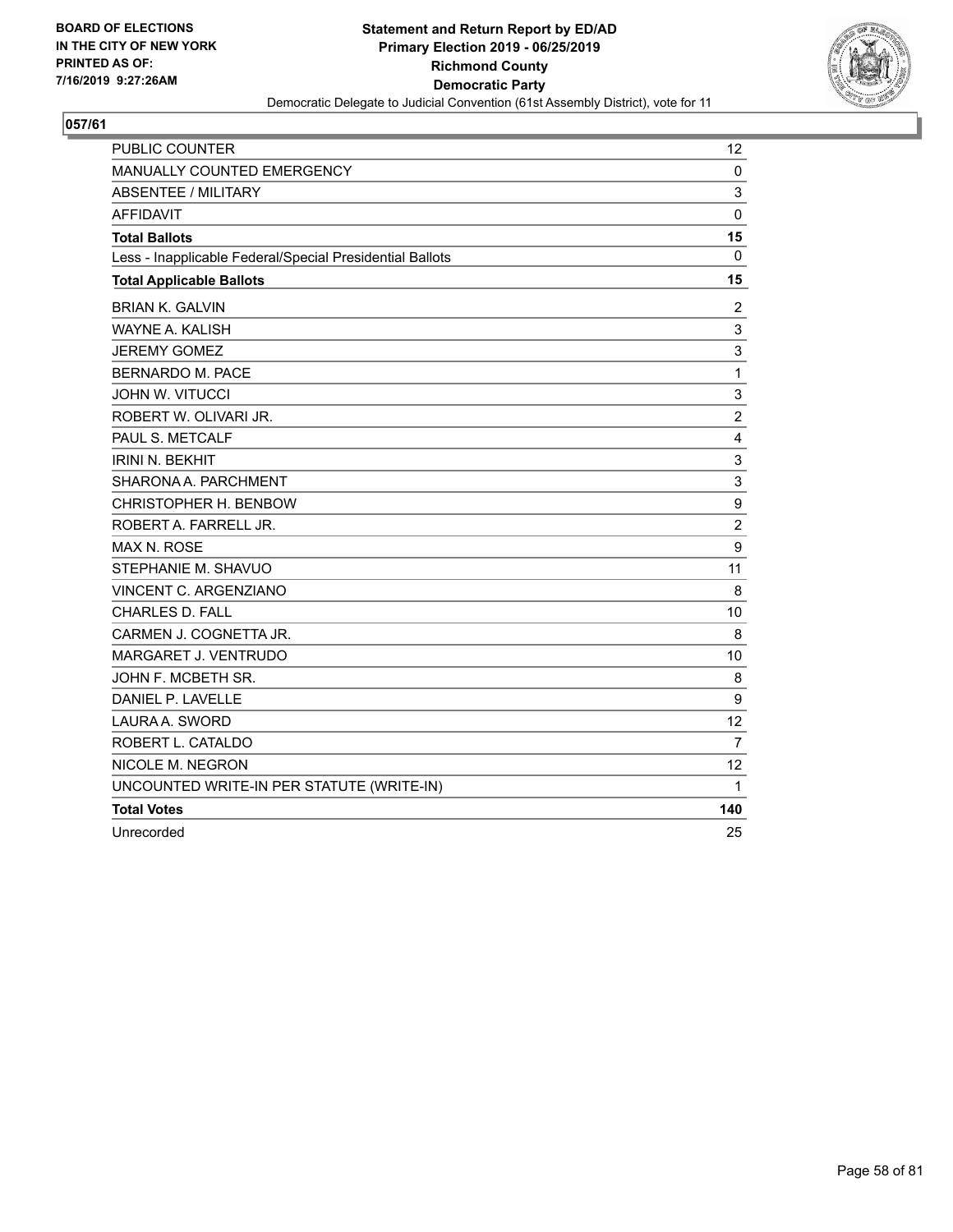

| <b>PUBLIC COUNTER</b>                                    | 12             |
|----------------------------------------------------------|----------------|
| <b>MANUALLY COUNTED EMERGENCY</b>                        | 0              |
| <b>ABSENTEE / MILITARY</b>                               | 3              |
| <b>AFFIDAVIT</b>                                         | $\mathbf 0$    |
| <b>Total Ballots</b>                                     | 15             |
| Less - Inapplicable Federal/Special Presidential Ballots | $\mathbf{0}$   |
| <b>Total Applicable Ballots</b>                          | 15             |
| <b>BRIAN K. GALVIN</b>                                   | $\overline{2}$ |
| <b>WAYNE A. KALISH</b>                                   | 3              |
| <b>JEREMY GOMEZ</b>                                      | 3              |
| <b>BERNARDO M. PACE</b>                                  | $\mathbf 1$    |
| <b>JOHN W. VITUCCI</b>                                   | 3              |
| ROBERT W. OLIVARI JR.                                    | $\overline{c}$ |
| PAUL S. METCALF                                          | 4              |
| <b>IRINI N. BEKHIT</b>                                   | 3              |
| SHARONA A. PARCHMENT                                     | 3              |
| CHRISTOPHER H. BENBOW                                    | 9              |
| ROBERT A. FARRELL JR.                                    | $\overline{c}$ |
| <b>MAX N. ROSE</b>                                       | 9              |
| STEPHANIE M. SHAVUO                                      | 11             |
| VINCENT C. ARGENZIANO                                    | 8              |
| <b>CHARLES D. FALL</b>                                   | 10             |
| CARMEN J. COGNETTA JR.                                   | 8              |
| MARGARET J. VENTRUDO                                     | 10             |
| JOHN F. MCBETH SR.                                       | 8              |
| DANIEL P. LAVELLE                                        | 9              |
| LAURA A. SWORD                                           | 12             |
| ROBERT L. CATALDO                                        | $\overline{7}$ |
| NICOLE M. NEGRON                                         | 12             |
| UNCOUNTED WRITE-IN PER STATUTE (WRITE-IN)                | 1              |
| <b>Total Votes</b>                                       | 140            |
| Unrecorded                                               | 25             |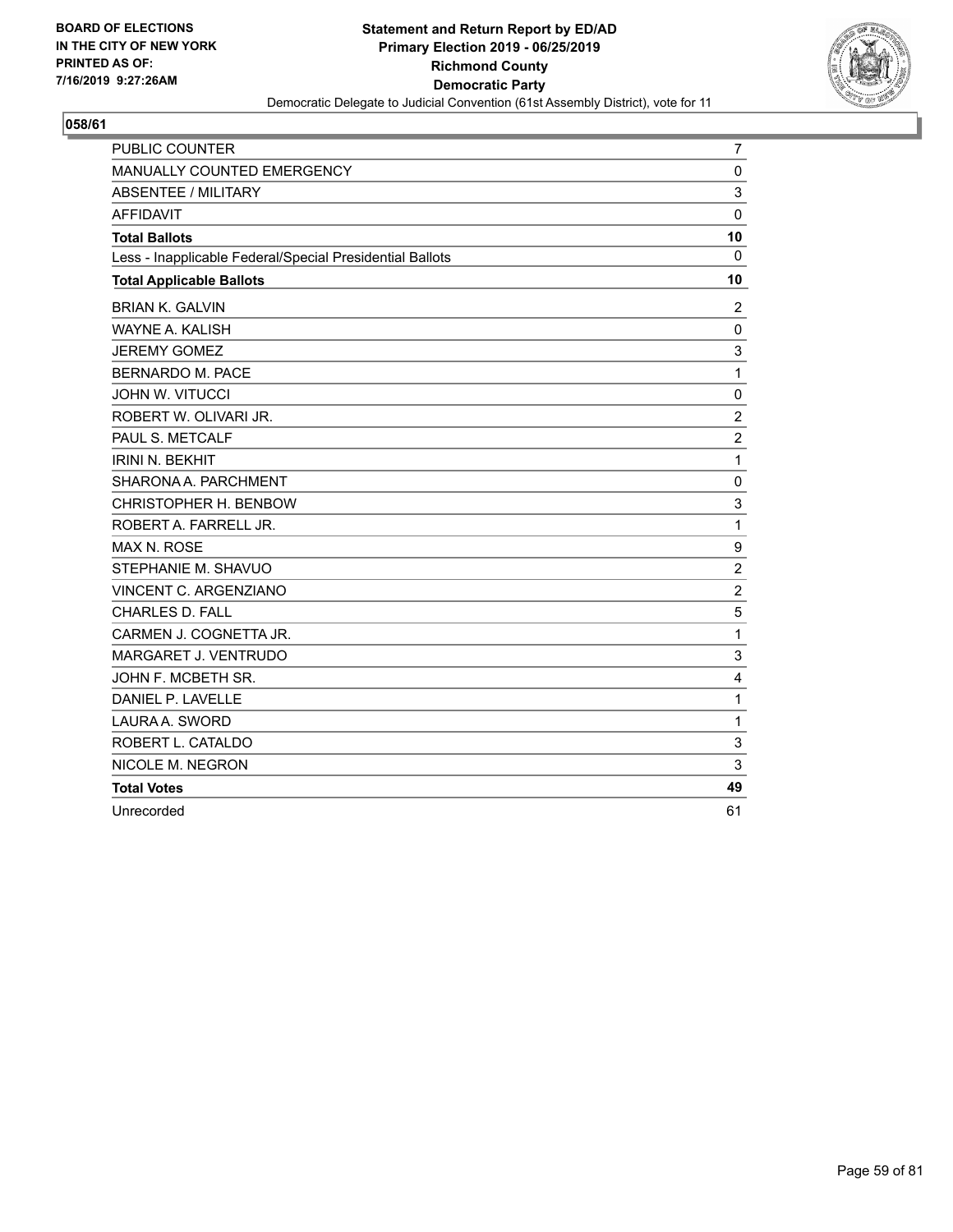

| <b>PUBLIC COUNTER</b>                                    | 7                |
|----------------------------------------------------------|------------------|
| MANUALLY COUNTED EMERGENCY                               | 0                |
| <b>ABSENTEE / MILITARY</b>                               | 3                |
| <b>AFFIDAVIT</b>                                         | $\mathbf 0$      |
| <b>Total Ballots</b>                                     | 10               |
| Less - Inapplicable Federal/Special Presidential Ballots | 0                |
| <b>Total Applicable Ballots</b>                          | 10               |
| <b>BRIAN K. GALVIN</b>                                   | 2                |
| WAYNE A. KALISH                                          | 0                |
| <b>JEREMY GOMEZ</b>                                      | 3                |
| <b>BERNARDO M. PACE</b>                                  | $\mathbf{1}$     |
| <b>JOHN W. VITUCCI</b>                                   | 0                |
| ROBERT W. OLIVARI JR.                                    | $\overline{c}$   |
| PAUL S. METCALF                                          | $\boldsymbol{2}$ |
| <b>IRINI N. BEKHIT</b>                                   | $\mathbf{1}$     |
| SHARONA A. PARCHMENT                                     | 0                |
| CHRISTOPHER H. BENBOW                                    | 3                |
| ROBERT A. FARRELL JR.                                    | $\mathbf{1}$     |
| MAX N. ROSE                                              | 9                |
| STEPHANIE M. SHAVUO                                      | $\overline{c}$   |
| VINCENT C. ARGENZIANO                                    | $\overline{c}$   |
| <b>CHARLES D. FALL</b>                                   | 5                |
| CARMEN J. COGNETTA JR.                                   | $\mathbf{1}$     |
| MARGARET J. VENTRUDO                                     | 3                |
| JOHN F. MCBETH SR.                                       | 4                |
| DANIEL P. LAVELLE                                        | $\mathbf 1$      |
| LAURA A. SWORD                                           | $\mathbf{1}$     |
| ROBERT L. CATALDO                                        | 3                |
| NICOLE M. NEGRON                                         | 3                |
| <b>Total Votes</b>                                       | 49               |
| Unrecorded                                               | 61               |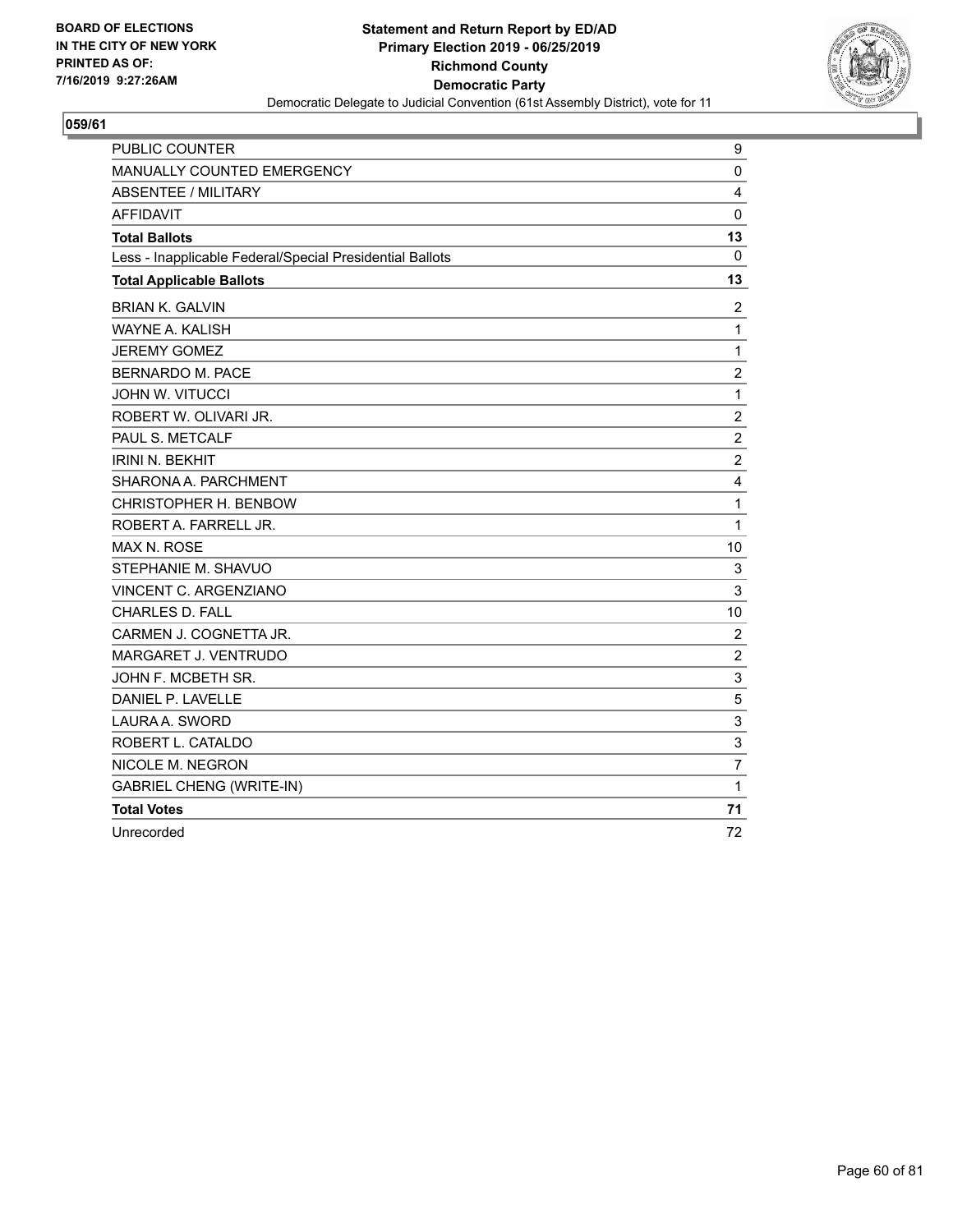

| PUBLIC COUNTER                                           | 9              |
|----------------------------------------------------------|----------------|
| <b>MANUALLY COUNTED EMERGENCY</b>                        | $\mathbf 0$    |
| ABSENTEE / MILITARY                                      | 4              |
| <b>AFFIDAVIT</b>                                         | $\mathbf 0$    |
| <b>Total Ballots</b>                                     | 13             |
| Less - Inapplicable Federal/Special Presidential Ballots | 0              |
| <b>Total Applicable Ballots</b>                          | 13             |
| <b>BRIAN K. GALVIN</b>                                   | 2              |
| WAYNE A. KALISH                                          | $\mathbf{1}$   |
| <b>JEREMY GOMEZ</b>                                      | 1              |
| <b>BERNARDO M. PACE</b>                                  | $\overline{c}$ |
| <b>JOHN W. VITUCCI</b>                                   | 1              |
| ROBERT W. OLIVARI JR.                                    | $\overline{2}$ |
| PAUL S. METCALF                                          | $\overline{2}$ |
| <b>IRINI N. BEKHIT</b>                                   | $\overline{2}$ |
| SHARONA A. PARCHMENT                                     | $\overline{4}$ |
| CHRISTOPHER H. BENBOW                                    | 1              |
| ROBERT A. FARRELL JR.                                    | 1              |
| <b>MAX N. ROSE</b>                                       | 10             |
| STEPHANIE M. SHAVUO                                      | 3              |
| <b>VINCENT C. ARGENZIANO</b>                             | 3              |
| <b>CHARLES D. FALL</b>                                   | 10             |
| CARMEN J. COGNETTA JR.                                   | 2              |
| MARGARET J. VENTRUDO                                     | $\overline{2}$ |
| JOHN F. MCBETH SR.                                       | 3              |
| DANIEL P. LAVELLE                                        | 5              |
| LAURA A. SWORD                                           | 3              |
| ROBERT L. CATALDO                                        | 3              |
| NICOLE M. NEGRON                                         | $\overline{7}$ |
| <b>GABRIEL CHENG (WRITE-IN)</b>                          | $\mathbf{1}$   |
| <b>Total Votes</b>                                       | 71             |
| Unrecorded                                               | 72             |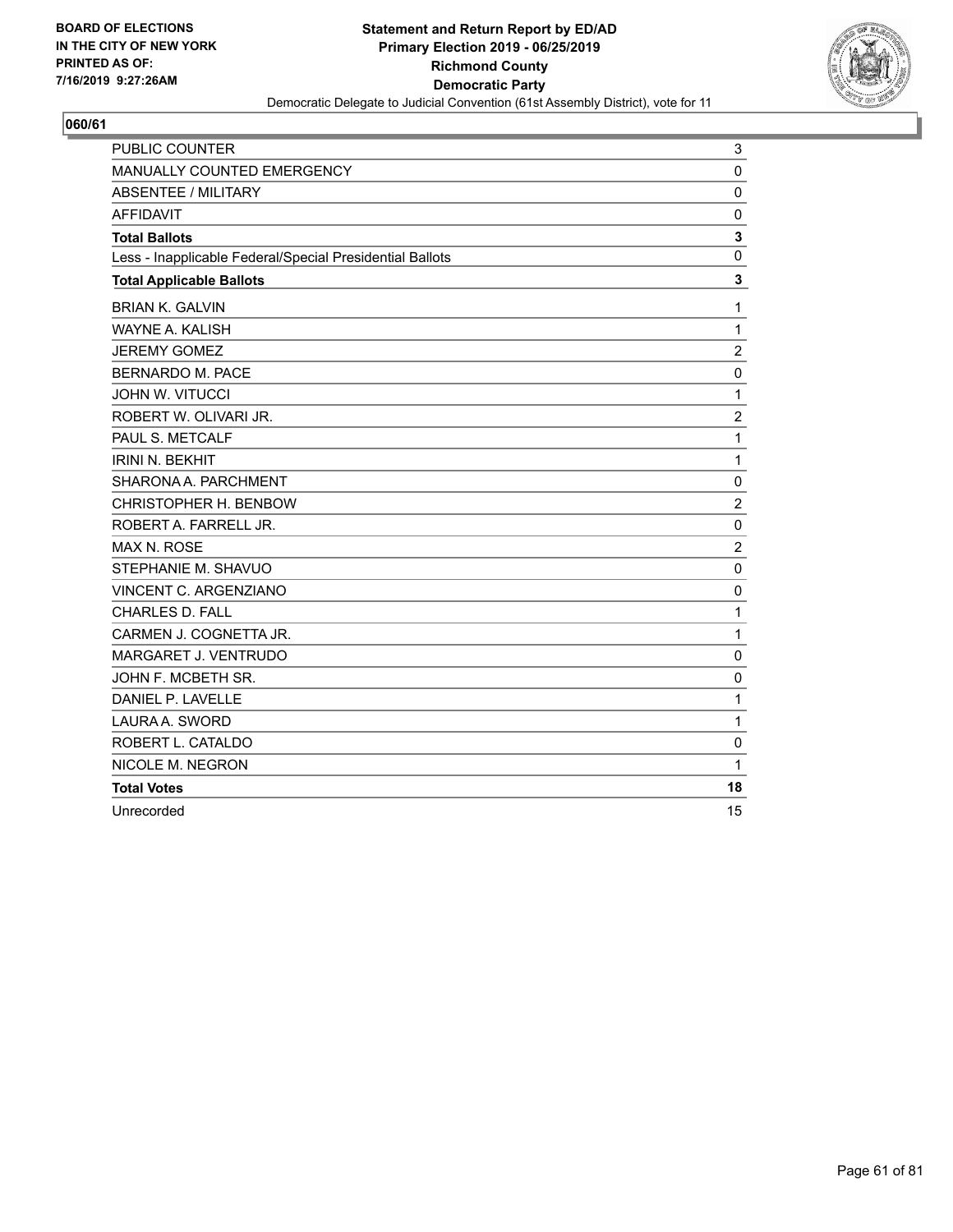

| PUBLIC COUNTER                                           | 3              |
|----------------------------------------------------------|----------------|
| MANUALLY COUNTED EMERGENCY                               | $\mathbf 0$    |
| <b>ABSENTEE / MILITARY</b>                               | 0              |
| <b>AFFIDAVIT</b>                                         | $\Omega$       |
| <b>Total Ballots</b>                                     | 3              |
| Less - Inapplicable Federal/Special Presidential Ballots | 0              |
| <b>Total Applicable Ballots</b>                          | 3              |
| <b>BRIAN K. GALVIN</b>                                   | 1              |
| WAYNE A. KALISH                                          | 1              |
| <b>JEREMY GOMEZ</b>                                      | $\overline{c}$ |
| <b>BERNARDO M. PACE</b>                                  | $\mathbf 0$    |
| <b>JOHN W. VITUCCI</b>                                   | 1              |
| ROBERT W. OLIVARI JR.                                    | $\overline{2}$ |
| PAUL S. METCALF                                          | 1              |
| <b>IRINI N. BEKHIT</b>                                   | 1              |
| SHARONA A. PARCHMENT                                     | 0              |
| CHRISTOPHER H. BENBOW                                    | $\overline{2}$ |
| ROBERT A. FARRELL JR.                                    | $\mathbf 0$    |
| <b>MAX N. ROSE</b>                                       | $\overline{2}$ |
| STEPHANIE M. SHAVUO                                      | $\mathbf 0$    |
| <b>VINCENT C. ARGENZIANO</b>                             | $\Omega$       |
| <b>CHARLES D. FALL</b>                                   | 1              |
| CARMEN J. COGNETTA JR.                                   | 1              |
| MARGARET J. VENTRUDO                                     | $\mathbf 0$    |
| JOHN F. MCBETH SR.                                       | 0              |
| DANIEL P. LAVELLE                                        | 1              |
| LAURA A. SWORD                                           | 1              |
| ROBERT L. CATALDO                                        | $\Omega$       |
| NICOLE M. NEGRON                                         | 1              |
| <b>Total Votes</b>                                       | 18             |
| Unrecorded                                               | 15             |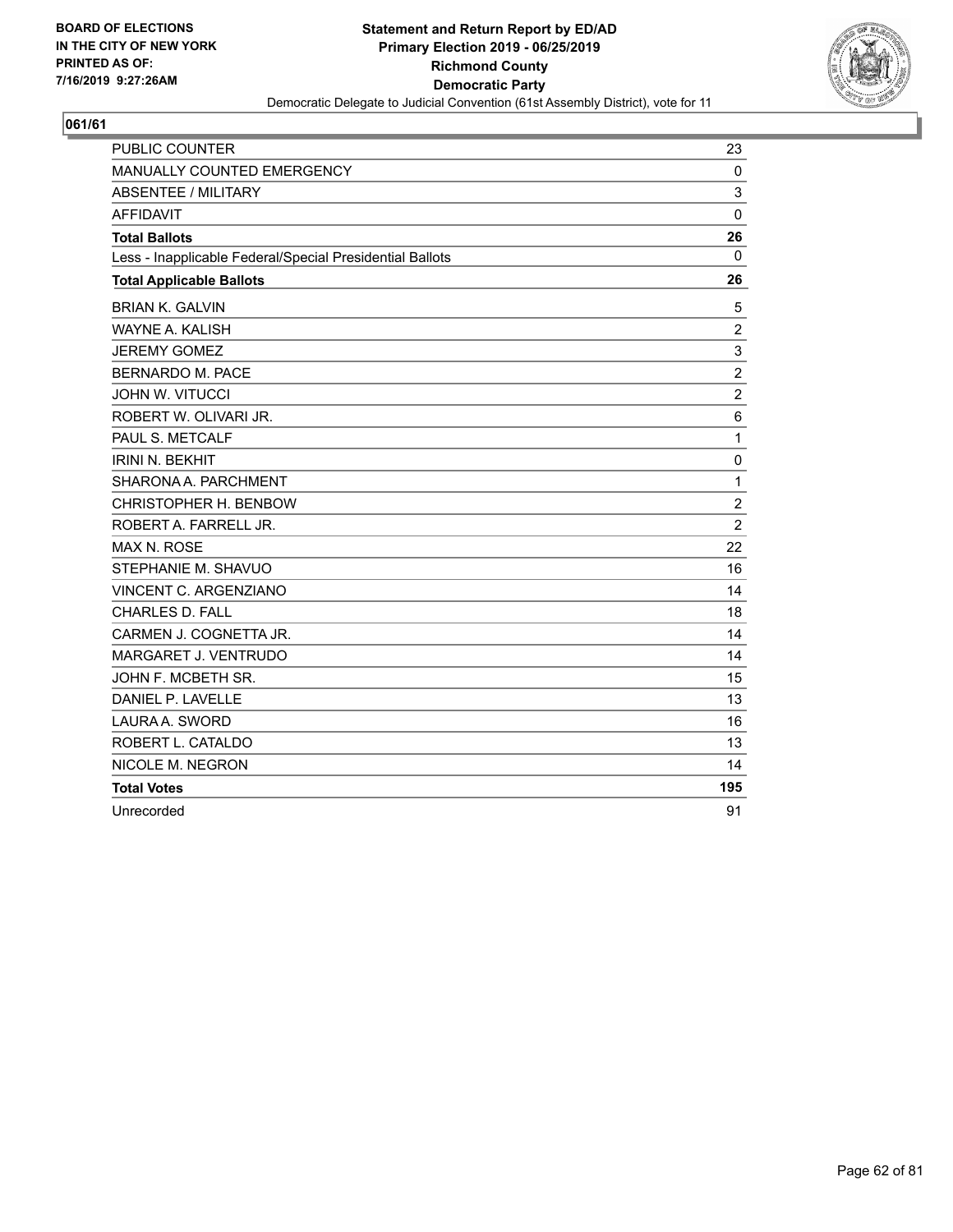

| <b>PUBLIC COUNTER</b>                                    | 23             |
|----------------------------------------------------------|----------------|
| <b>MANUALLY COUNTED EMERGENCY</b>                        | 0              |
| ABSENTEE / MILITARY                                      | 3              |
| <b>AFFIDAVIT</b>                                         | $\mathbf{0}$   |
| <b>Total Ballots</b>                                     | 26             |
| Less - Inapplicable Federal/Special Presidential Ballots | 0              |
| <b>Total Applicable Ballots</b>                          | 26             |
| <b>BRIAN K. GALVIN</b>                                   | 5              |
| WAYNE A. KALISH                                          | $\overline{c}$ |
| <b>JEREMY GOMEZ</b>                                      | 3              |
| BERNARDO M. PACE                                         | $\overline{c}$ |
| <b>JOHN W. VITUCCI</b>                                   | $\overline{c}$ |
| ROBERT W. OLIVARI JR.                                    | $\,6$          |
| PAUL S. METCALF                                          | $\mathbf{1}$   |
| <b>IRINI N. BEKHIT</b>                                   | 0              |
| SHARONA A. PARCHMENT                                     | $\mathbf{1}$   |
| CHRISTOPHER H. BENBOW                                    | $\overline{2}$ |
| ROBERT A. FARRELL JR.                                    | $\overline{2}$ |
| MAX N. ROSE                                              | 22             |
| STEPHANIE M. SHAVUO                                      | 16             |
| VINCENT C. ARGENZIANO                                    | 14             |
| <b>CHARLES D. FALL</b>                                   | 18             |
| CARMEN J. COGNETTA JR.                                   | 14             |
| MARGARET J. VENTRUDO                                     | 14             |
| JOHN F. MCBETH SR.                                       | 15             |
| DANIEL P. LAVELLE                                        | 13             |
| LAURA A. SWORD                                           | 16             |
| ROBERT L. CATALDO                                        | 13             |
| NICOLE M. NEGRON                                         | 14             |
| <b>Total Votes</b>                                       | 195            |
| Unrecorded                                               | 91             |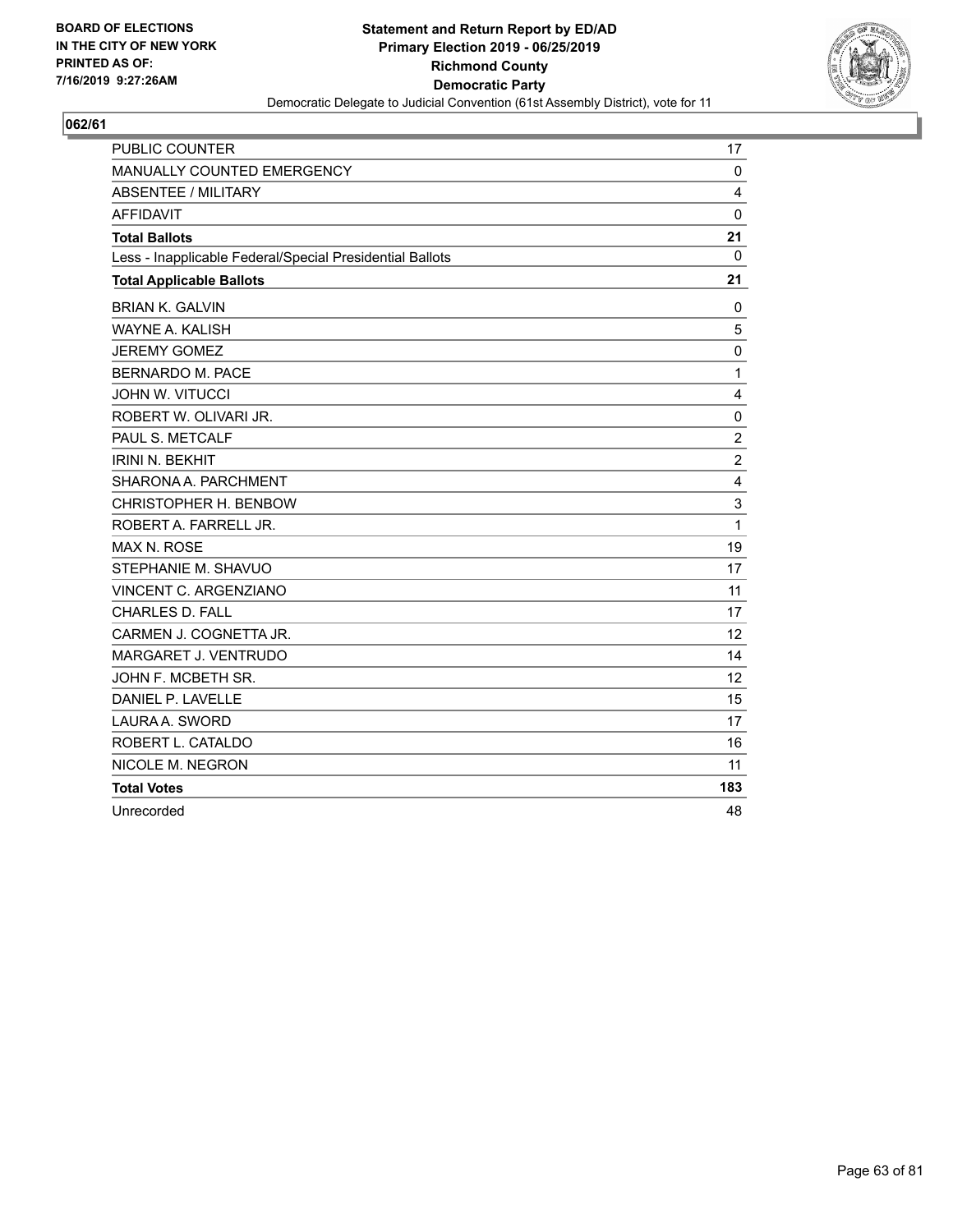

| <b>PUBLIC COUNTER</b>                                    | 17               |
|----------------------------------------------------------|------------------|
| MANUALLY COUNTED EMERGENCY                               | $\mathbf 0$      |
| <b>ABSENTEE / MILITARY</b>                               | 4                |
| <b>AFFIDAVIT</b>                                         | $\mathbf 0$      |
| <b>Total Ballots</b>                                     | 21               |
| Less - Inapplicable Federal/Special Presidential Ballots | $\mathbf 0$      |
| <b>Total Applicable Ballots</b>                          | 21               |
| <b>BRIAN K. GALVIN</b>                                   | 0                |
| <b>WAYNE A. KALISH</b>                                   | 5                |
| <b>JEREMY GOMEZ</b>                                      | $\mathbf 0$      |
| <b>BERNARDO M. PACE</b>                                  | $\mathbf{1}$     |
| <b>JOHN W. VITUCCI</b>                                   | 4                |
| ROBERT W. OLIVARI JR.                                    | 0                |
| PAUL S. METCALF                                          | $\overline{c}$   |
| <b>IRINI N. BEKHIT</b>                                   | $\boldsymbol{2}$ |
| SHARONA A. PARCHMENT                                     | 4                |
| CHRISTOPHER H. BENBOW                                    | 3                |
| ROBERT A. FARRELL JR.                                    | 1                |
| MAX N. ROSE                                              | 19               |
| STEPHANIE M. SHAVUO                                      | 17               |
| VINCENT C. ARGENZIANO                                    | 11               |
| CHARLES D. FALL                                          | 17               |
| CARMEN J. COGNETTA JR.                                   | 12               |
| MARGARET J. VENTRUDO                                     | 14               |
| JOHN F. MCBETH SR.                                       | 12               |
| DANIEL P. LAVELLE                                        | 15               |
| LAURA A. SWORD                                           | 17               |
| ROBERT L. CATALDO                                        | 16               |
| NICOLE M. NEGRON                                         | 11               |
| <b>Total Votes</b>                                       | 183              |
| Unrecorded                                               | 48               |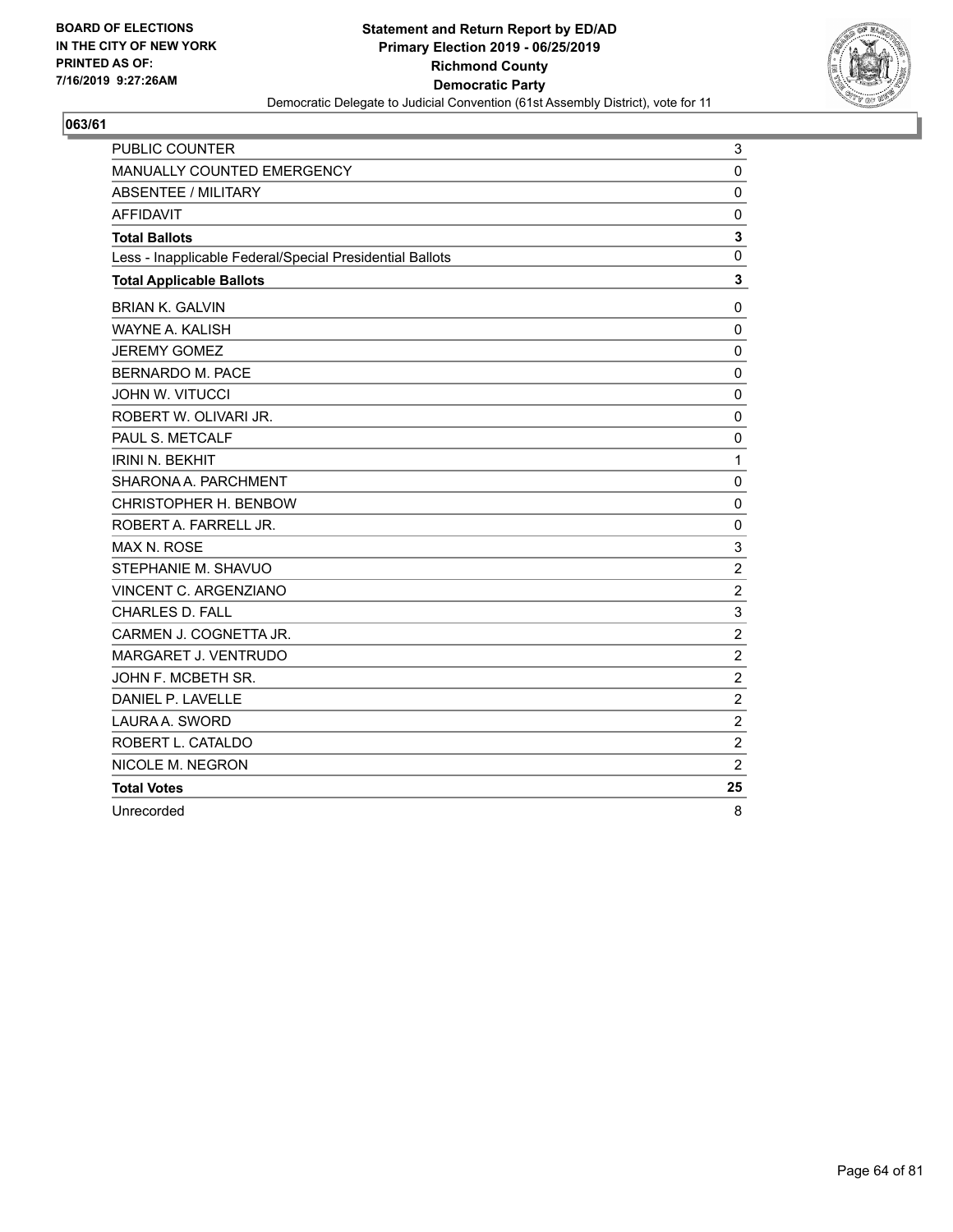

| PUBLIC COUNTER                                           | 3              |
|----------------------------------------------------------|----------------|
| MANUALLY COUNTED EMERGENCY                               | $\mathbf 0$    |
| <b>ABSENTEE / MILITARY</b>                               | 0              |
| <b>AFFIDAVIT</b>                                         | $\mathbf 0$    |
| <b>Total Ballots</b>                                     | 3              |
| Less - Inapplicable Federal/Special Presidential Ballots | $\mathbf 0$    |
| <b>Total Applicable Ballots</b>                          | $\mathbf 3$    |
| <b>BRIAN K. GALVIN</b>                                   | 0              |
| <b>WAYNE A. KALISH</b>                                   | $\Omega$       |
| <b>JEREMY GOMEZ</b>                                      | 0              |
| <b>BERNARDO M. PACE</b>                                  | 0              |
| <b>JOHN W. VITUCCI</b>                                   | $\mathbf 0$    |
| ROBERT W. OLIVARI JR.                                    | $\mathbf 0$    |
| PAUL S. METCALF                                          | $\mathbf 0$    |
| <b>IRINI N. BEKHIT</b>                                   | $\mathbf{1}$   |
| SHARONA A. PARCHMENT                                     | $\mathbf 0$    |
| CHRISTOPHER H. BENBOW                                    | $\mathbf 0$    |
| ROBERT A. FARRELL JR.                                    | $\mathbf 0$    |
| MAX N. ROSE                                              | 3              |
| STEPHANIE M. SHAVUO                                      | $\overline{c}$ |
| VINCENT C. ARGENZIANO                                    | $\overline{2}$ |
| <b>CHARLES D. FALL</b>                                   | 3              |
| CARMEN J. COGNETTA JR.                                   | $\overline{c}$ |
| MARGARET J. VENTRUDO                                     | $\overline{c}$ |
| JOHN F. MCBETH SR.                                       | $\overline{2}$ |
| DANIEL P. LAVELLE                                        | $\overline{2}$ |
| LAURA A. SWORD                                           | $\overline{2}$ |
| ROBERT L. CATALDO                                        | $\overline{c}$ |
| NICOLE M. NEGRON                                         | $\overline{2}$ |
| <b>Total Votes</b>                                       | 25             |
| Unrecorded                                               | 8              |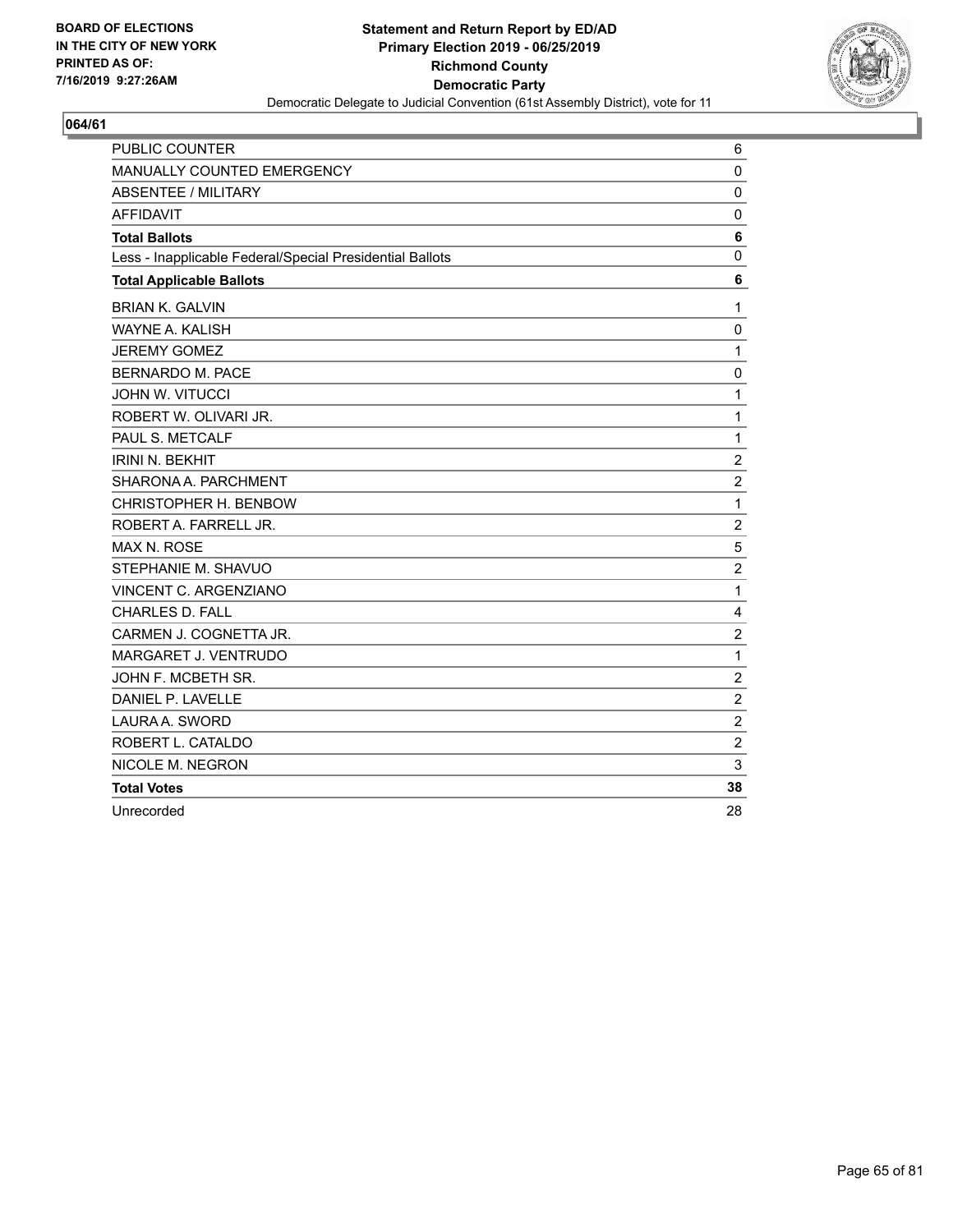

| PUBLIC COUNTER                                           | 6              |
|----------------------------------------------------------|----------------|
| MANUALLY COUNTED EMERGENCY                               | $\mathbf 0$    |
| <b>ABSENTEE / MILITARY</b>                               | $\Omega$       |
| <b>AFFIDAVIT</b>                                         | 0              |
| <b>Total Ballots</b>                                     | 6              |
| Less - Inapplicable Federal/Special Presidential Ballots | 0              |
| <b>Total Applicable Ballots</b>                          | 6              |
| <b>BRIAN K. GALVIN</b>                                   | 1              |
| WAYNE A. KALISH                                          | $\mathbf 0$    |
| <b>JEREMY GOMEZ</b>                                      | 1              |
| <b>BERNARDO M. PACE</b>                                  | $\mathbf 0$    |
| <b>JOHN W. VITUCCI</b>                                   | 1              |
| ROBERT W. OLIVARI JR.                                    | 1              |
| PAUL S. METCALF                                          | 1              |
| <b>IRINI N. BEKHIT</b>                                   | $\overline{2}$ |
| SHARONA A. PARCHMENT                                     | $\overline{2}$ |
| CHRISTOPHER H. BENBOW                                    | 1              |
| ROBERT A. FARRELL JR.                                    | $\overline{2}$ |
| MAX N. ROSE                                              | 5              |
| STEPHANIE M. SHAVUO                                      | $\overline{2}$ |
| VINCENT C. ARGENZIANO                                    | 1              |
| <b>CHARLES D. FALL</b>                                   | 4              |
| CARMEN J. COGNETTA JR.                                   | $\overline{c}$ |
| MARGARET J. VENTRUDO                                     | 1              |
| JOHN F. MCBETH SR.                                       | $\overline{2}$ |
| DANIEL P. LAVELLE                                        | $\overline{c}$ |
| LAURA A. SWORD                                           | $\overline{2}$ |
| ROBERT L. CATALDO                                        | $\overline{c}$ |
| NICOLE M. NEGRON                                         | 3              |
| <b>Total Votes</b>                                       | 38             |
| Unrecorded                                               | 28             |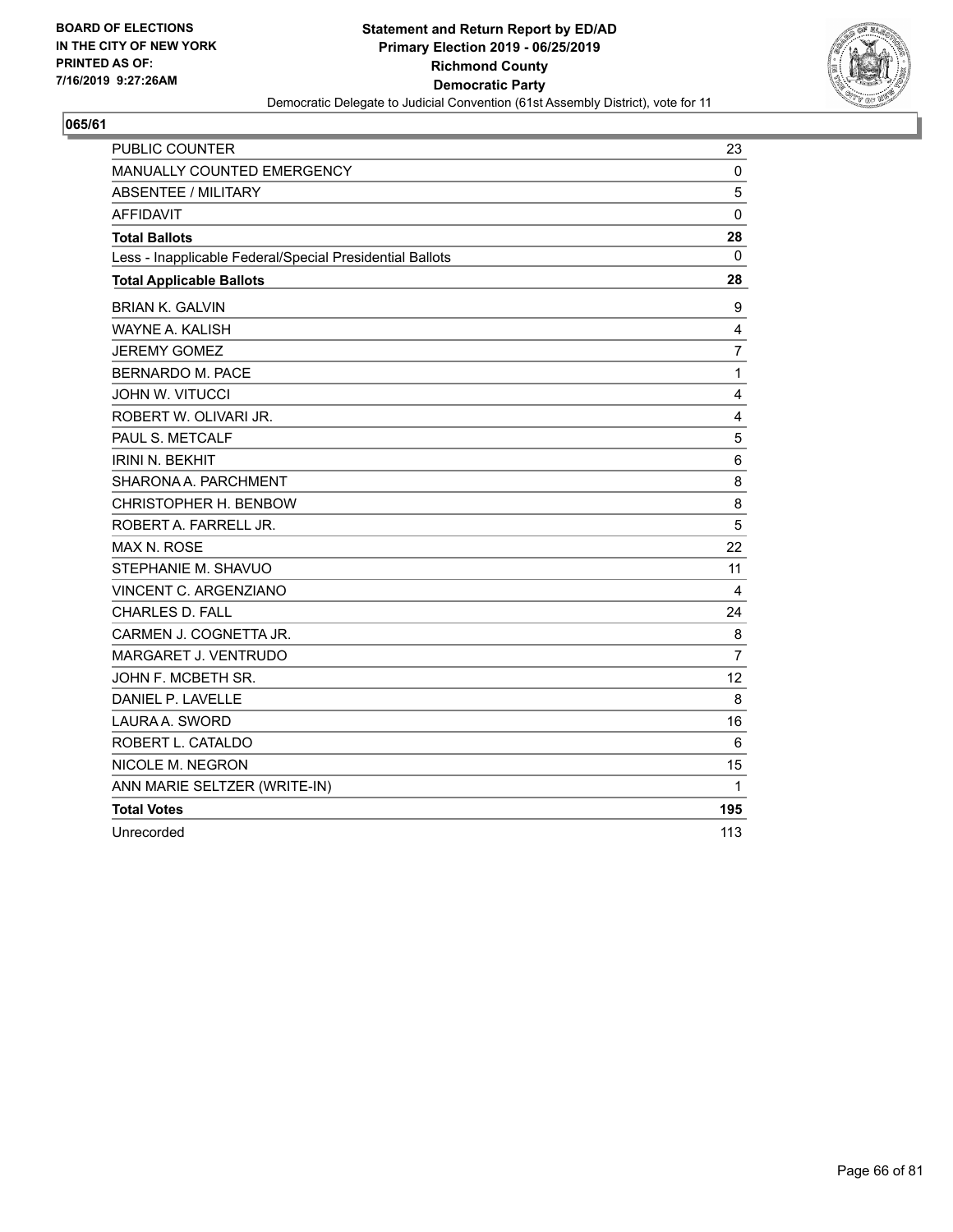

| <b>PUBLIC COUNTER</b>                                    | 23             |
|----------------------------------------------------------|----------------|
| <b>MANUALLY COUNTED EMERGENCY</b>                        | 0              |
| <b>ABSENTEE / MILITARY</b>                               | 5              |
| <b>AFFIDAVIT</b>                                         | $\Omega$       |
| <b>Total Ballots</b>                                     | 28             |
| Less - Inapplicable Federal/Special Presidential Ballots | 0              |
| <b>Total Applicable Ballots</b>                          | 28             |
| <b>BRIAN K. GALVIN</b>                                   | 9              |
| <b>WAYNE A. KALISH</b>                                   | $\overline{4}$ |
| <b>JEREMY GOMEZ</b>                                      | $\overline{7}$ |
| <b>BERNARDO M. PACE</b>                                  | $\mathbf{1}$   |
| <b>JOHN W. VITUCCI</b>                                   | 4              |
| ROBERT W. OLIVARI JR.                                    | 4              |
| PAUL S. METCALF                                          | $\mathbf 5$    |
| <b>IRINI N. BEKHIT</b>                                   | 6              |
| SHARONA A. PARCHMENT                                     | 8              |
| CHRISTOPHER H. BENBOW                                    | 8              |
| ROBERT A. FARRELL JR.                                    | 5              |
| <b>MAX N. ROSE</b>                                       | 22             |
| STEPHANIE M. SHAVUO                                      | 11             |
| <b>VINCENT C. ARGENZIANO</b>                             | 4              |
| <b>CHARLES D. FALL</b>                                   | 24             |
| CARMEN J. COGNETTA JR.                                   | 8              |
| <b>MARGARET J. VENTRUDO</b>                              | 7              |
| JOHN F. MCBETH SR.                                       | 12             |
| DANIEL P. LAVELLE                                        | 8              |
| LAURA A. SWORD                                           | 16             |
| ROBERT L. CATALDO                                        | 6              |
| NICOLE M. NEGRON                                         | 15             |
| ANN MARIE SELTZER (WRITE-IN)                             | 1              |
| <b>Total Votes</b>                                       | 195            |
| Unrecorded                                               | 113            |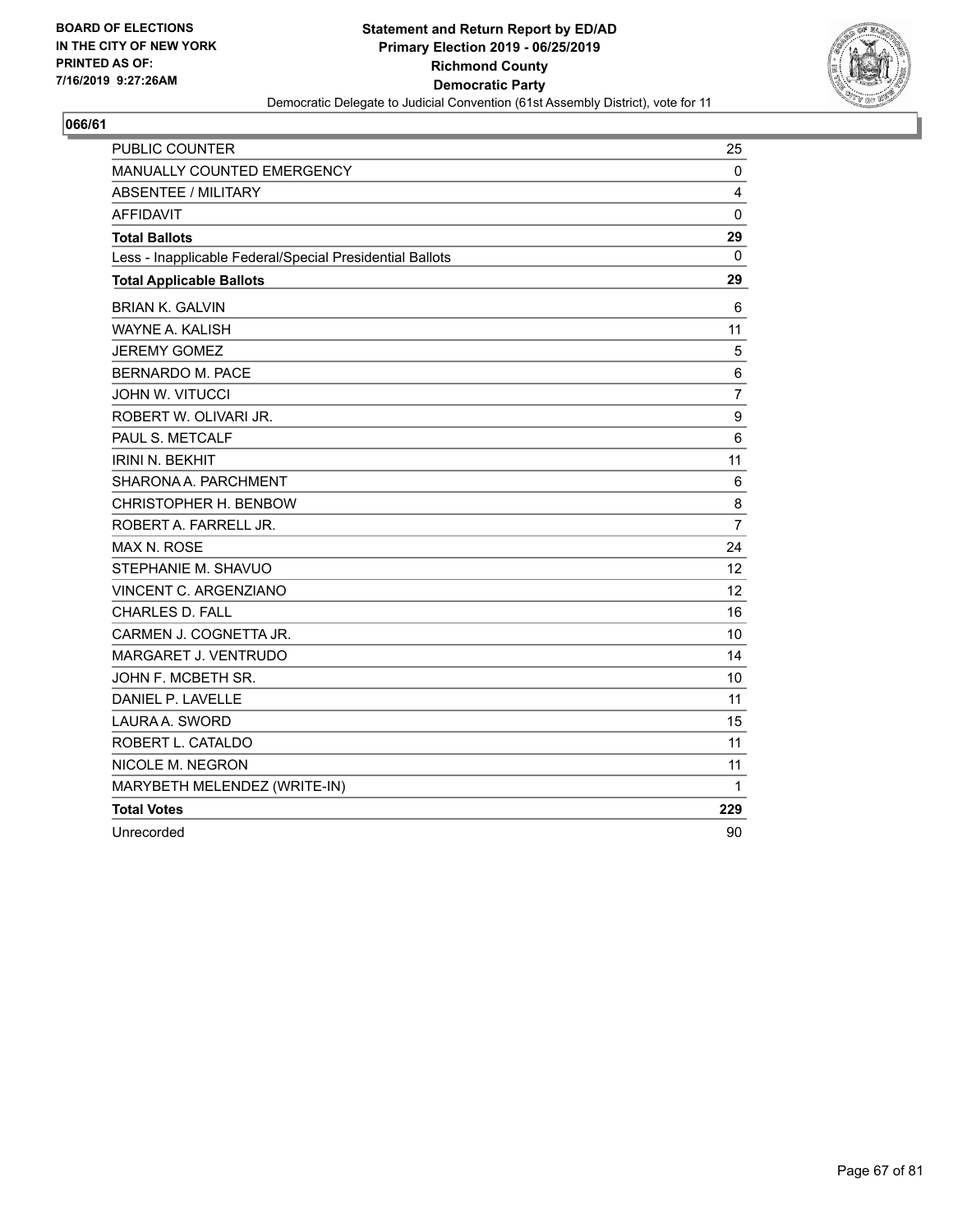

| <b>PUBLIC COUNTER</b>                                    | 25               |
|----------------------------------------------------------|------------------|
| MANUALLY COUNTED EMERGENCY                               | 0                |
| ABSENTEE / MILITARY                                      | 4                |
| <b>AFFIDAVIT</b>                                         | $\mathbf{0}$     |
| <b>Total Ballots</b>                                     | 29               |
| Less - Inapplicable Federal/Special Presidential Ballots | $\mathbf{0}$     |
| <b>Total Applicable Ballots</b>                          | 29               |
| <b>BRIAN K. GALVIN</b>                                   | 6                |
| <b>WAYNE A. KALISH</b>                                   | 11               |
| <b>JEREMY GOMEZ</b>                                      | 5                |
| BERNARDO M. PACE                                         | 6                |
| <b>JOHN W. VITUCCI</b>                                   | $\overline{7}$   |
| ROBERT W. OLIVARI JR.                                    | $\boldsymbol{9}$ |
| PAUL S. METCALF                                          | 6                |
| <b>IRINI N. BEKHIT</b>                                   | 11               |
| SHARONA A. PARCHMENT                                     | 6                |
| CHRISTOPHER H. BENBOW                                    | 8                |
| ROBERT A. FARRELL JR.                                    | $\overline{7}$   |
| <b>MAX N. ROSE</b>                                       | 24               |
| STEPHANIE M. SHAVUO                                      | 12               |
| VINCENT C. ARGENZIANO                                    | 12               |
| <b>CHARLES D. FALL</b>                                   | 16               |
| CARMEN J. COGNETTA JR.                                   | 10               |
| MARGARET J. VENTRUDO                                     | 14               |
| JOHN F. MCBETH SR.                                       | 10               |
| DANIEL P. LAVELLE                                        | 11               |
| LAURA A. SWORD                                           | 15               |
| ROBERT L. CATALDO                                        | 11               |
| NICOLE M. NEGRON                                         | 11               |
| MARYBETH MELENDEZ (WRITE-IN)                             | 1                |
| <b>Total Votes</b>                                       | 229              |
| Unrecorded                                               | 90               |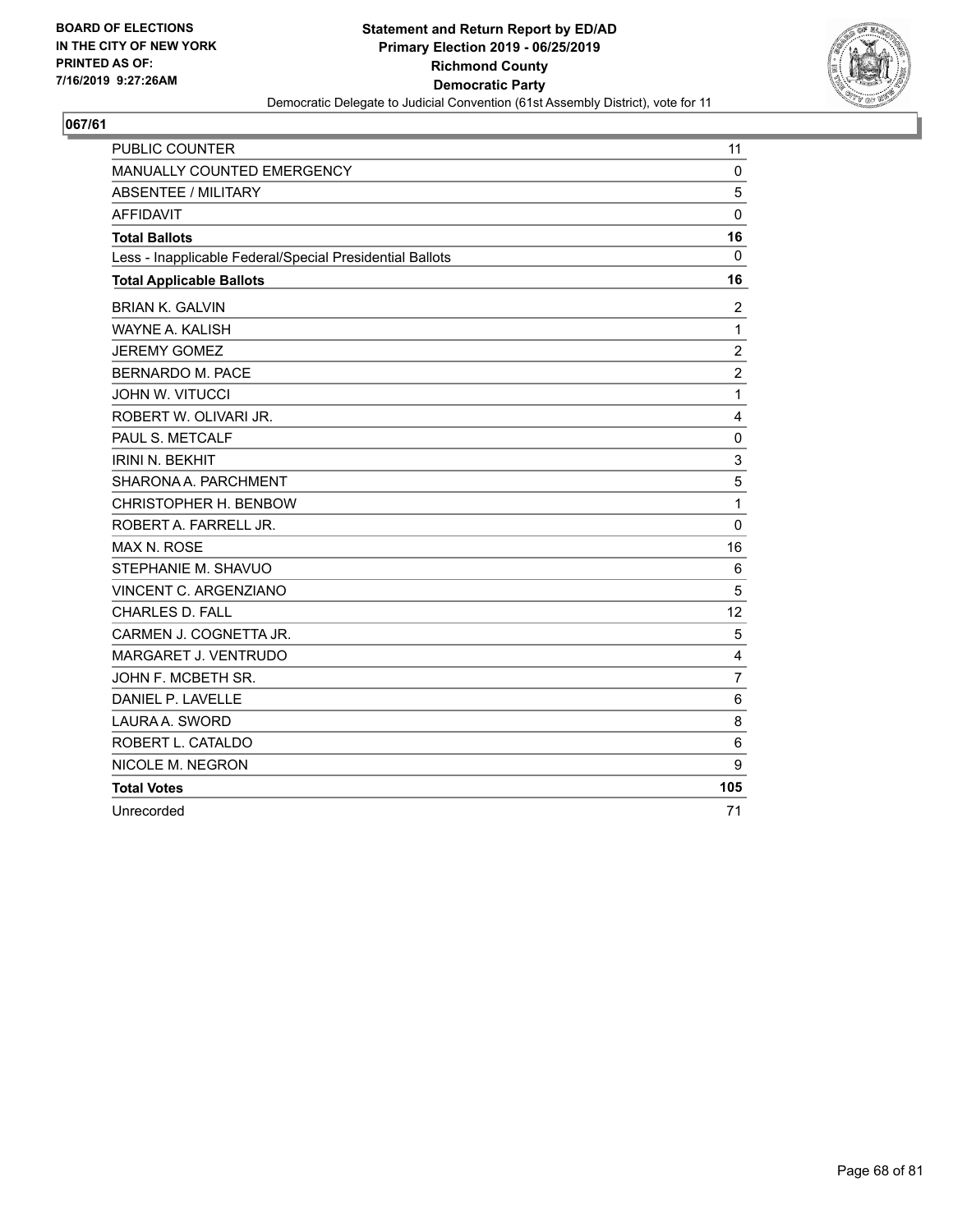

| <b>PUBLIC COUNTER</b>                                    | 11               |
|----------------------------------------------------------|------------------|
| <b>MANUALLY COUNTED EMERGENCY</b>                        | $\mathbf 0$      |
| ABSENTEE / MILITARY                                      | 5                |
| <b>AFFIDAVIT</b>                                         | $\mathbf 0$      |
| <b>Total Ballots</b>                                     | 16               |
| Less - Inapplicable Federal/Special Presidential Ballots | $\mathbf 0$      |
| <b>Total Applicable Ballots</b>                          | 16               |
| <b>BRIAN K. GALVIN</b>                                   | 2                |
| <b>WAYNE A. KALISH</b>                                   | $\mathbf{1}$     |
| <b>JEREMY GOMEZ</b>                                      | $\overline{c}$   |
| <b>BERNARDO M. PACE</b>                                  | $\boldsymbol{2}$ |
| <b>JOHN W. VITUCCI</b>                                   | $\mathbf{1}$     |
| ROBERT W. OLIVARI JR.                                    | 4                |
| PAUL S. METCALF                                          | $\mathbf 0$      |
| <b>IRINI N. BEKHIT</b>                                   | 3                |
| SHARONA A. PARCHMENT                                     | 5                |
| CHRISTOPHER H. BENBOW                                    | 1                |
| ROBERT A. FARRELL JR.                                    | $\mathbf 0$      |
| <b>MAX N. ROSE</b>                                       | 16               |
| STEPHANIE M. SHAVUO                                      | 6                |
| VINCENT C. ARGENZIANO                                    | 5                |
| <b>CHARLES D. FALL</b>                                   | 12               |
| CARMEN J. COGNETTA JR.                                   | 5                |
| MARGARET J. VENTRUDO                                     | 4                |
| JOHN F. MCBETH SR.                                       | $\overline{7}$   |
| DANIEL P. LAVELLE                                        | 6                |
| LAURA A. SWORD                                           | 8                |
| ROBERT L. CATALDO                                        | 6                |
| NICOLE M. NEGRON                                         | 9                |
| <b>Total Votes</b>                                       | 105              |
| Unrecorded                                               | 71               |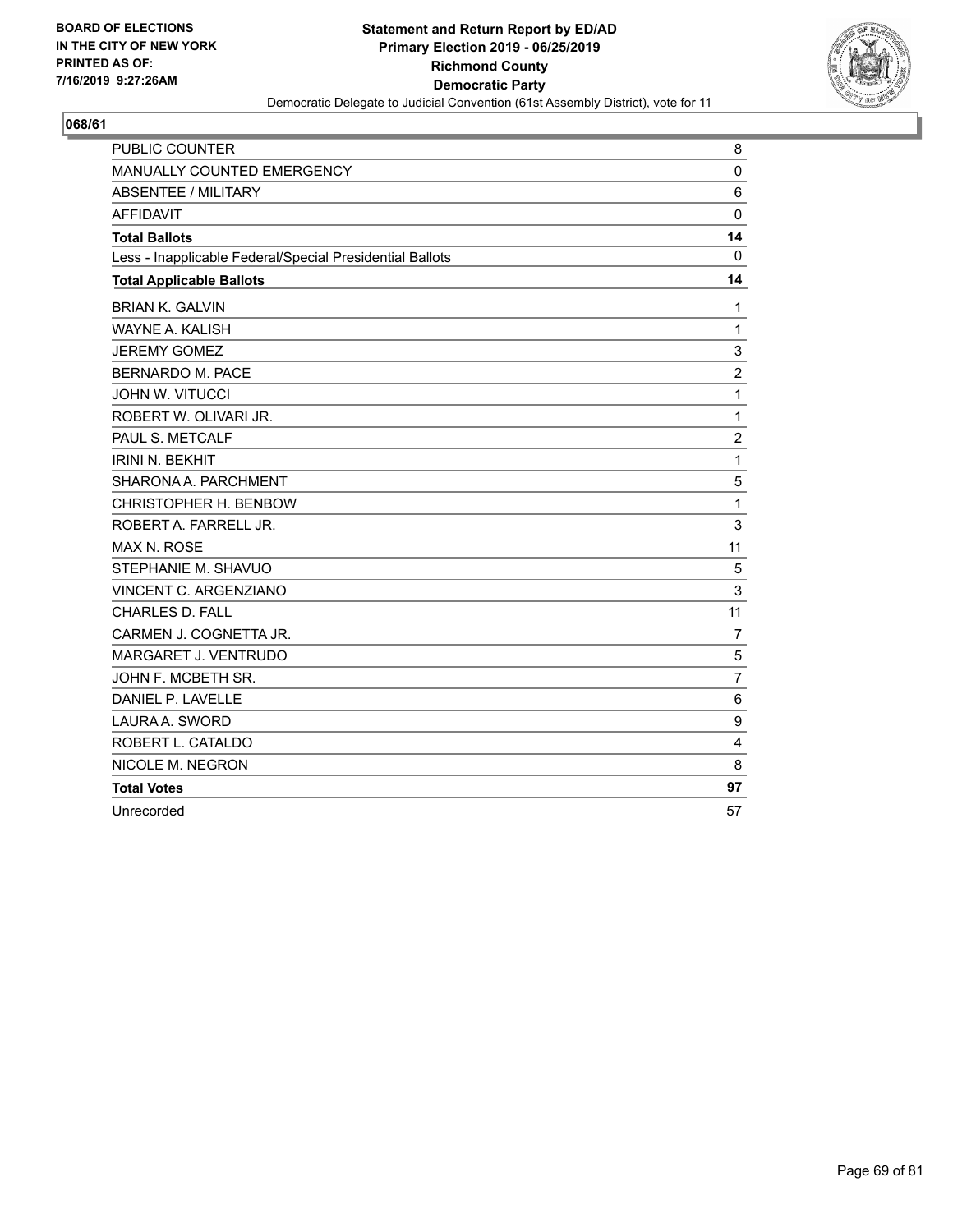

| <b>PUBLIC COUNTER</b>                                    | 8              |
|----------------------------------------------------------|----------------|
| MANUALLY COUNTED EMERGENCY                               | $\mathbf 0$    |
| ABSENTEE / MILITARY                                      | 6              |
| <b>AFFIDAVIT</b>                                         | $\mathbf 0$    |
| <b>Total Ballots</b>                                     | 14             |
| Less - Inapplicable Federal/Special Presidential Ballots | $\mathbf 0$    |
| <b>Total Applicable Ballots</b>                          | 14             |
| <b>BRIAN K. GALVIN</b>                                   | 1              |
| WAYNE A. KALISH                                          | $\mathbf 1$    |
| <b>JEREMY GOMEZ</b>                                      | 3              |
| <b>BERNARDO M. PACE</b>                                  | $\overline{c}$ |
| <b>JOHN W. VITUCCI</b>                                   | $\mathbf{1}$   |
| ROBERT W. OLIVARI JR.                                    | 1              |
| PAUL S. METCALF                                          | $\overline{c}$ |
| <b>IRINI N. BEKHIT</b>                                   | $\mathbf{1}$   |
| SHARONA A. PARCHMENT                                     | 5              |
| CHRISTOPHER H. BENBOW                                    | 1              |
| ROBERT A. FARRELL JR.                                    | 3              |
| <b>MAX N. ROSE</b>                                       | 11             |
| STEPHANIE M. SHAVUO                                      | 5              |
| VINCENT C. ARGENZIANO                                    | 3              |
| <b>CHARLES D. FALL</b>                                   | 11             |
| CARMEN J. COGNETTA JR.                                   | $\overline{7}$ |
| MARGARET J. VENTRUDO                                     | 5              |
| JOHN F. MCBETH SR.                                       | $\overline{7}$ |
| DANIEL P. LAVELLE                                        | 6              |
| LAURA A. SWORD                                           | 9              |
| ROBERT L. CATALDO                                        | 4              |
| NICOLE M. NEGRON                                         | 8              |
| <b>Total Votes</b>                                       | 97             |
| Unrecorded                                               | 57             |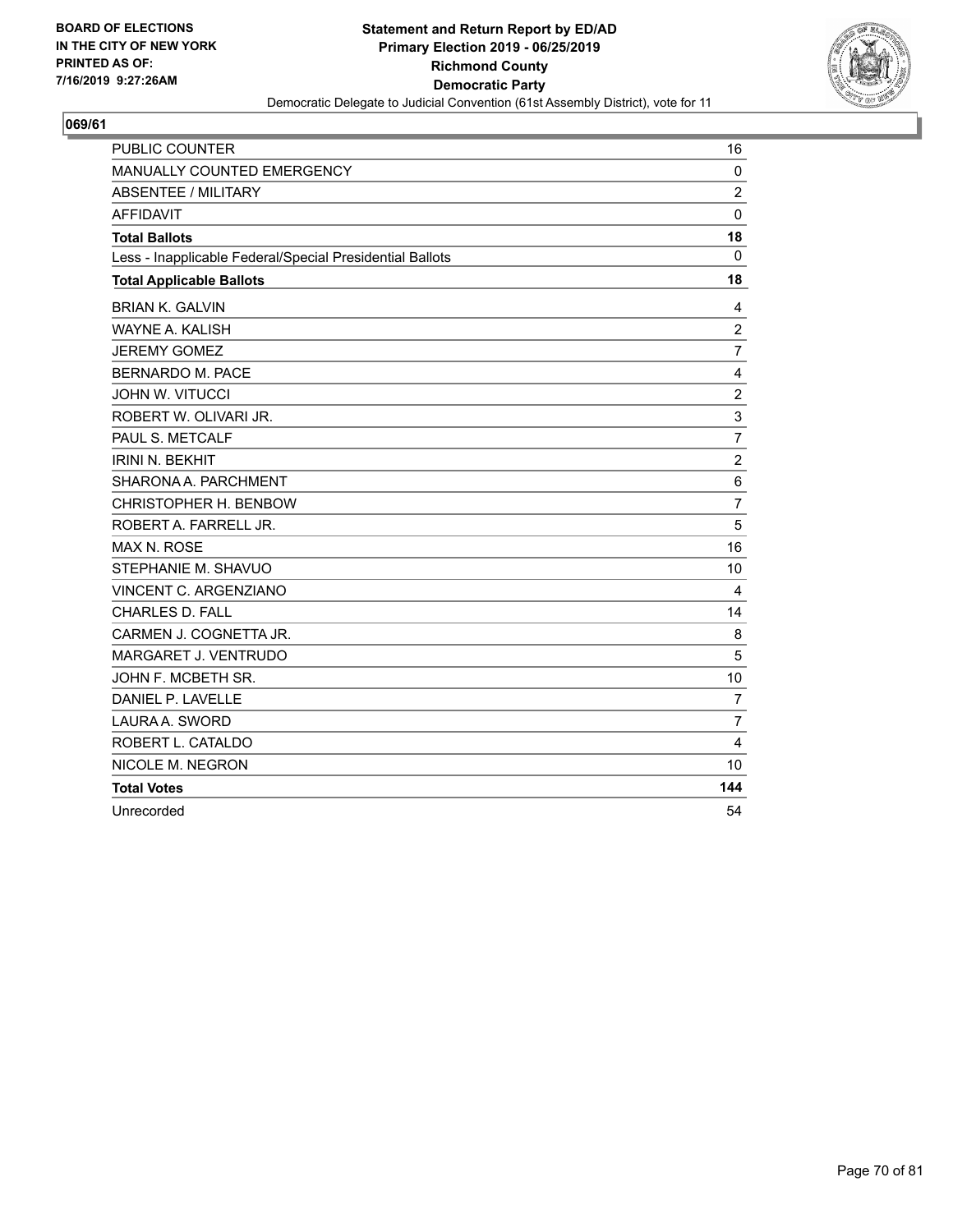

| <b>PUBLIC COUNTER</b>                                    | 16             |
|----------------------------------------------------------|----------------|
| MANUALLY COUNTED EMERGENCY                               | $\mathbf 0$    |
| ABSENTEE / MILITARY                                      | $\overline{2}$ |
| <b>AFFIDAVIT</b>                                         | $\mathbf 0$    |
| <b>Total Ballots</b>                                     | 18             |
| Less - Inapplicable Federal/Special Presidential Ballots | $\mathbf 0$    |
| <b>Total Applicable Ballots</b>                          | 18             |
| <b>BRIAN K. GALVIN</b>                                   | 4              |
| WAYNE A. KALISH                                          | $\overline{c}$ |
| <b>JEREMY GOMEZ</b>                                      | $\overline{7}$ |
| <b>BERNARDO M. PACE</b>                                  | 4              |
| <b>JOHN W. VITUCCI</b>                                   | $\overline{c}$ |
| ROBERT W. OLIVARI JR.                                    | 3              |
| PAUL S. METCALF                                          | $\overline{7}$ |
| <b>IRINI N. BEKHIT</b>                                   | $\overline{c}$ |
| SHARONA A. PARCHMENT                                     | 6              |
| CHRISTOPHER H. BENBOW                                    | $\overline{7}$ |
| ROBERT A. FARRELL JR.                                    | 5              |
| <b>MAX N. ROSE</b>                                       | 16             |
| STEPHANIE M. SHAVUO                                      | 10             |
| VINCENT C. ARGENZIANO                                    | 4              |
| <b>CHARLES D. FALL</b>                                   | 14             |
| CARMEN J. COGNETTA JR.                                   | 8              |
| MARGARET J. VENTRUDO                                     | 5              |
| JOHN F. MCBETH SR.                                       | 10             |
| DANIEL P. LAVELLE                                        | $\overline{7}$ |
| LAURA A. SWORD                                           | $\overline{7}$ |
| ROBERT L. CATALDO                                        | 4              |
| NICOLE M. NEGRON                                         | 10             |
| <b>Total Votes</b>                                       | 144            |
| Unrecorded                                               | 54             |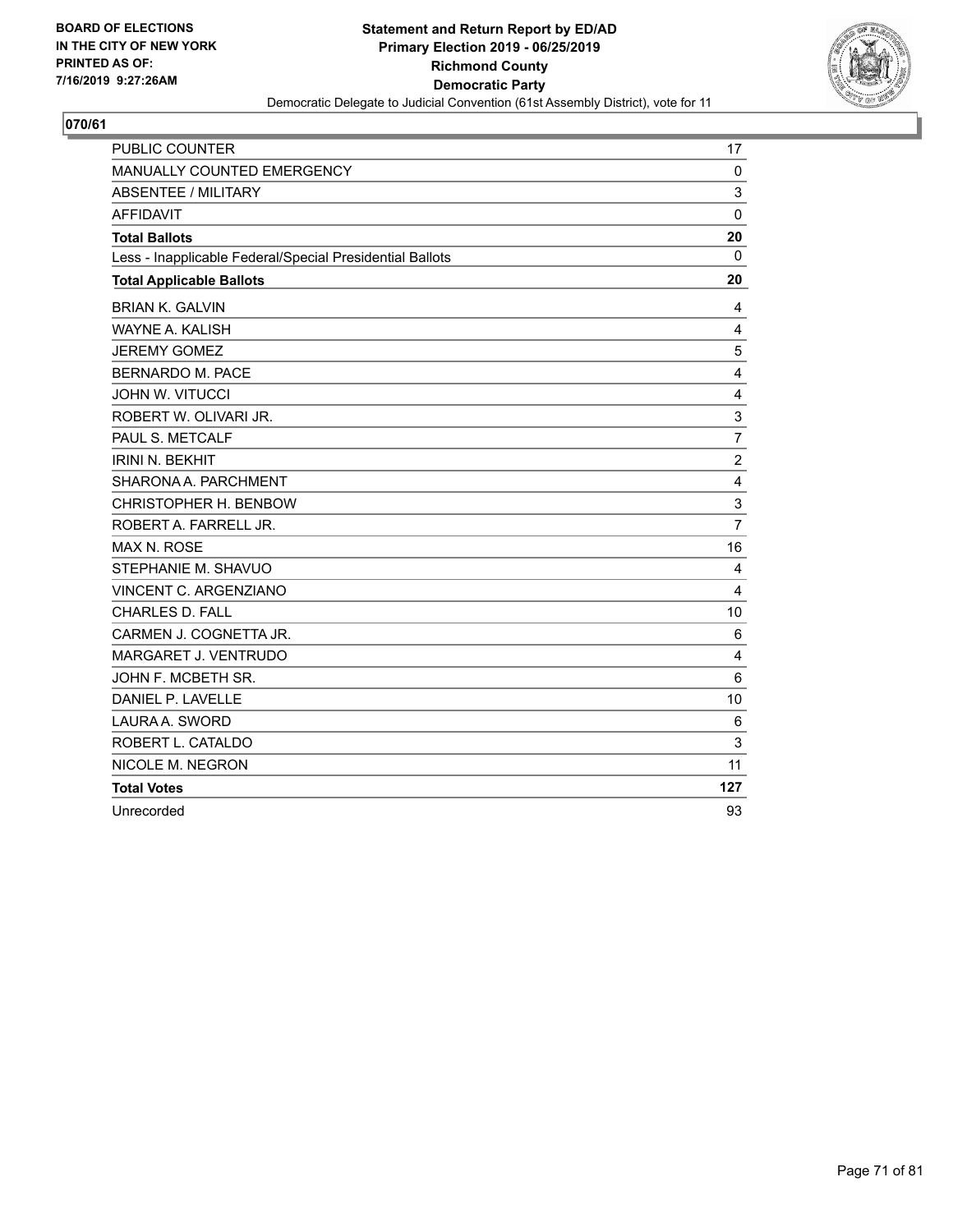

| <b>PUBLIC COUNTER</b>                                    | 17             |
|----------------------------------------------------------|----------------|
| MANUALLY COUNTED EMERGENCY                               | 0              |
| <b>ABSENTEE / MILITARY</b>                               | 3              |
| <b>AFFIDAVIT</b>                                         | $\mathbf 0$    |
| <b>Total Ballots</b>                                     | 20             |
| Less - Inapplicable Federal/Special Presidential Ballots | 0              |
| <b>Total Applicable Ballots</b>                          | 20             |
| <b>BRIAN K. GALVIN</b>                                   | 4              |
| WAYNE A. KALISH                                          | 4              |
| <b>JEREMY GOMEZ</b>                                      | 5              |
| BERNARDO M. PACE                                         | 4              |
| <b>JOHN W. VITUCCI</b>                                   | 4              |
| ROBERT W. OLIVARI JR.                                    | 3              |
| PAUL S. METCALF                                          | $\overline{7}$ |
| <b>IRINI N. BEKHIT</b>                                   | $\overline{c}$ |
| SHARONA A. PARCHMENT                                     | 4              |
| CHRISTOPHER H. BENBOW                                    | 3              |
| ROBERT A. FARRELL JR.                                    | $\overline{7}$ |
| <b>MAX N. ROSE</b>                                       | 16             |
| STEPHANIE M. SHAVUO                                      | 4              |
| VINCENT C. ARGENZIANO                                    | 4              |
| <b>CHARLES D. FALL</b>                                   | 10             |
| CARMEN J. COGNETTA JR.                                   | 6              |
| MARGARET J. VENTRUDO                                     | 4              |
| JOHN F. MCBETH SR.                                       | 6              |
| DANIEL P. LAVELLE                                        | 10             |
| LAURA A. SWORD                                           | 6              |
| ROBERT L. CATALDO                                        | 3              |
| NICOLE M. NEGRON                                         | 11             |
| <b>Total Votes</b>                                       | 127            |
| Unrecorded                                               | 93             |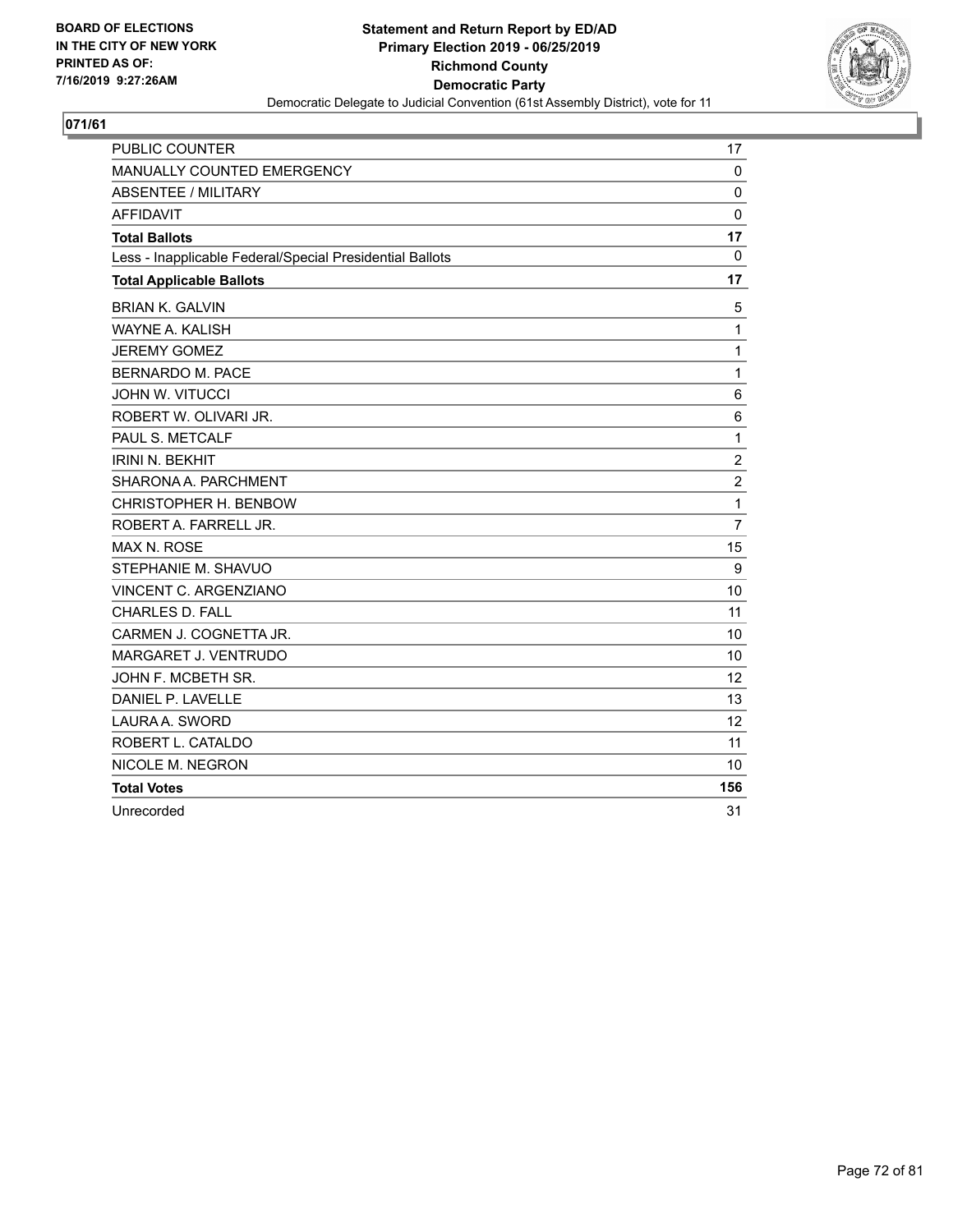

| <b>PUBLIC COUNTER</b>                                    | 17             |
|----------------------------------------------------------|----------------|
| MANUALLY COUNTED EMERGENCY                               | 0              |
| <b>ABSENTEE / MILITARY</b>                               | $\mathbf 0$    |
| <b>AFFIDAVIT</b>                                         | 0              |
| <b>Total Ballots</b>                                     | 17             |
| Less - Inapplicable Federal/Special Presidential Ballots | 0              |
| <b>Total Applicable Ballots</b>                          | 17             |
| <b>BRIAN K. GALVIN</b>                                   | 5              |
| WAYNE A. KALISH                                          | 1              |
| <b>JEREMY GOMEZ</b>                                      | 1              |
| <b>BERNARDO M. PACE</b>                                  | 1              |
| <b>JOHN W. VITUCCI</b>                                   | 6              |
| ROBERT W. OLIVARI JR.                                    | 6              |
| PAUL S. METCALF                                          | 1              |
| <b>IRINI N. BEKHIT</b>                                   | $\overline{c}$ |
| SHARONA A. PARCHMENT                                     | $\overline{c}$ |
| CHRISTOPHER H. BENBOW                                    | 1              |
| ROBERT A. FARRELL JR.                                    | $\overline{7}$ |
| <b>MAX N. ROSE</b>                                       | 15             |
| STEPHANIE M. SHAVUO                                      | 9              |
| <b>VINCENT C. ARGENZIANO</b>                             | 10             |
| <b>CHARLES D. FALL</b>                                   | 11             |
| CARMEN J. COGNETTA JR.                                   | 10             |
| MARGARET J. VENTRUDO                                     | 10             |
| JOHN F. MCBETH SR.                                       | 12             |
| DANIEL P. LAVELLE                                        | 13             |
| LAURA A. SWORD                                           | 12             |
| ROBERT L. CATALDO                                        | 11             |
| NICOLE M. NEGRON                                         | 10             |
| <b>Total Votes</b>                                       | 156            |
| Unrecorded                                               | 31             |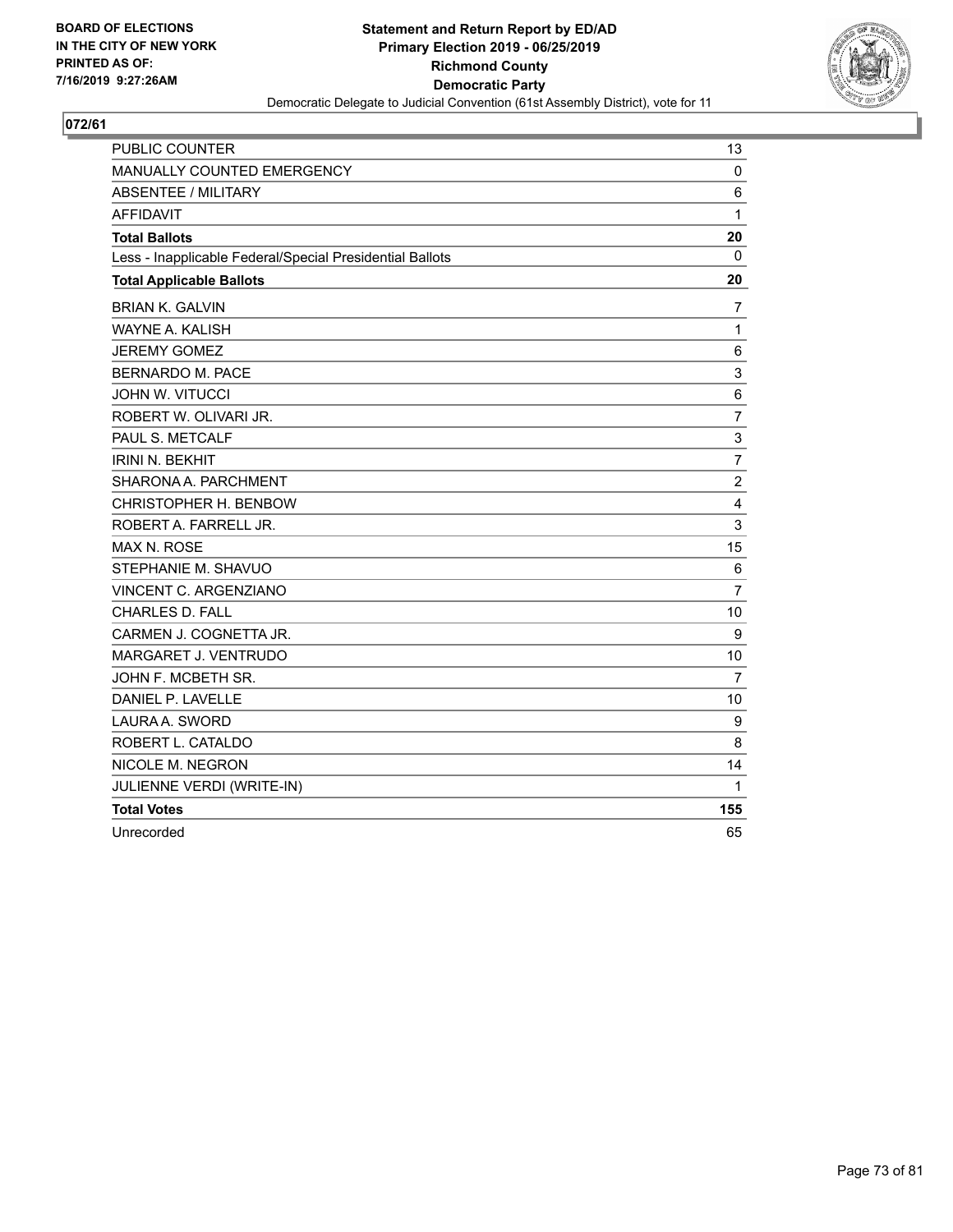

| PUBLIC COUNTER                                           | 13             |
|----------------------------------------------------------|----------------|
| <b>MANUALLY COUNTED EMERGENCY</b>                        | 0              |
| <b>ABSENTEE / MILITARY</b>                               | 6              |
| <b>AFFIDAVIT</b>                                         | 1              |
| <b>Total Ballots</b>                                     | 20             |
| Less - Inapplicable Federal/Special Presidential Ballots | 0              |
| <b>Total Applicable Ballots</b>                          | 20             |
| <b>BRIAN K. GALVIN</b>                                   | $\overline{7}$ |
| WAYNE A. KALISH                                          | 1              |
| <b>JEREMY GOMEZ</b>                                      | 6              |
| <b>BERNARDO M. PACE</b>                                  | 3              |
| <b>JOHN W. VITUCCI</b>                                   | 6              |
| ROBERT W. OLIVARI JR.                                    | $\overline{7}$ |
| PAUL S. METCALF                                          | 3              |
| <b>IRINI N. BEKHIT</b>                                   | $\overline{7}$ |
| SHARONA A. PARCHMENT                                     | $\overline{2}$ |
| CHRISTOPHER H. BENBOW                                    | 4              |
| ROBERT A. FARRELL JR.                                    | 3              |
| <b>MAX N. ROSE</b>                                       | 15             |
| STEPHANIE M. SHAVUO                                      | 6              |
| VINCENT C. ARGENZIANO                                    | $\overline{7}$ |
| <b>CHARLES D. FALL</b>                                   | 10             |
| CARMEN J. COGNETTA JR.                                   | 9              |
| MARGARET J. VENTRUDO                                     | 10             |
| JOHN F. MCBETH SR.                                       | 7              |
| DANIEL P. LAVELLE                                        | 10             |
| LAURA A. SWORD                                           | 9              |
| ROBERT L. CATALDO                                        | 8              |
| NICOLE M. NEGRON                                         | 14             |
| JULIENNE VERDI (WRITE-IN)                                | 1              |
| <b>Total Votes</b>                                       | 155            |
| Unrecorded                                               | 65             |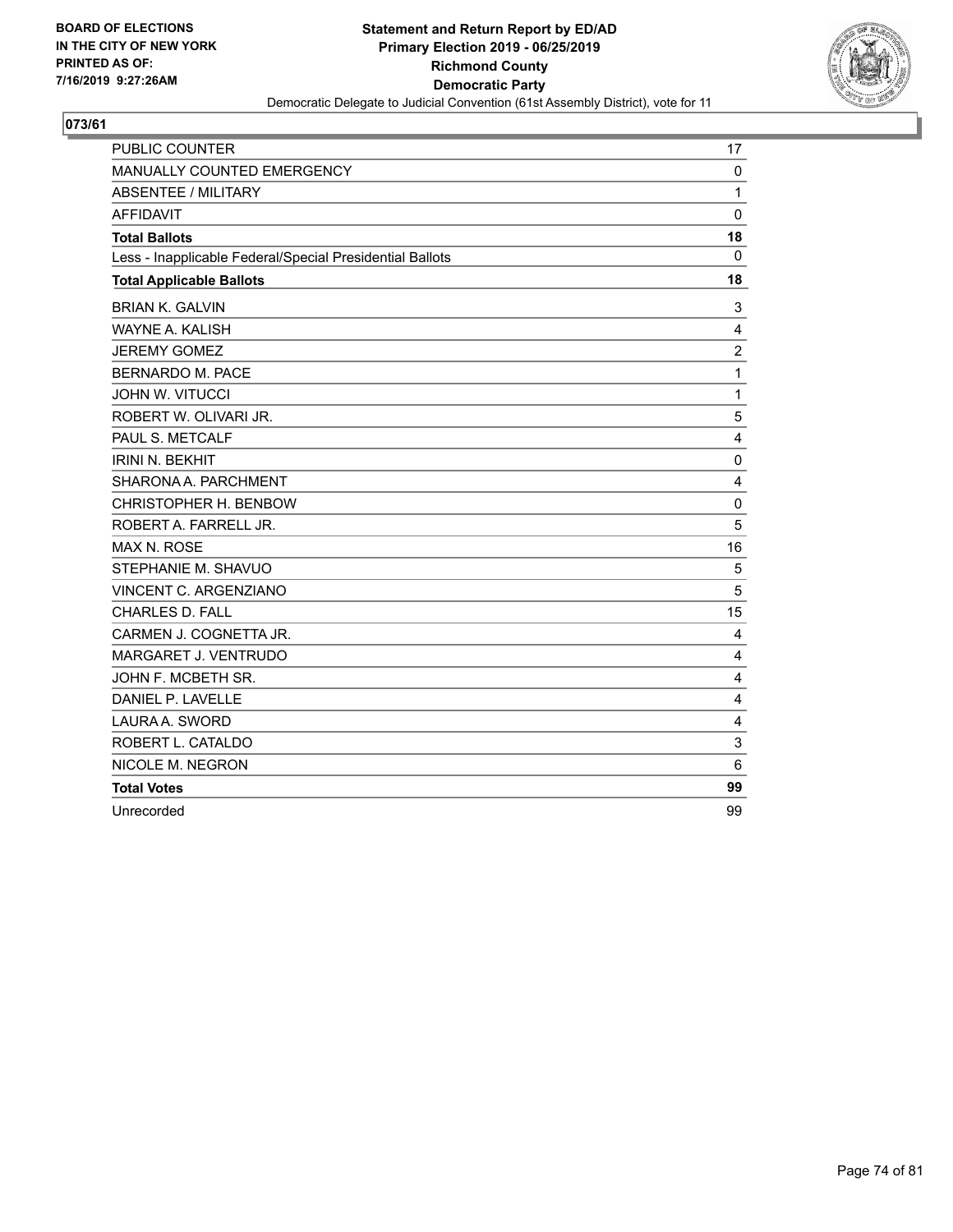

| <b>PUBLIC COUNTER</b>                                    | 17              |
|----------------------------------------------------------|-----------------|
| MANUALLY COUNTED EMERGENCY                               | $\mathbf 0$     |
| ABSENTEE / MILITARY                                      | $\mathbf{1}$    |
| <b>AFFIDAVIT</b>                                         | $\mathbf 0$     |
| <b>Total Ballots</b>                                     | 18              |
| Less - Inapplicable Federal/Special Presidential Ballots | $\mathbf 0$     |
| <b>Total Applicable Ballots</b>                          | 18              |
| <b>BRIAN K. GALVIN</b>                                   | 3               |
| WAYNE A. KALISH                                          | 4               |
| <b>JEREMY GOMEZ</b>                                      | $\overline{c}$  |
| <b>BERNARDO M. PACE</b>                                  | $\mathbf{1}$    |
| <b>JOHN W. VITUCCI</b>                                   | $\mathbf{1}$    |
| ROBERT W. OLIVARI JR.                                    | 5               |
| PAUL S. METCALF                                          | 4               |
| <b>IRINI N. BEKHIT</b>                                   | 0               |
| SHARONA A. PARCHMENT                                     | 4               |
| CHRISTOPHER H. BENBOW                                    | $\mathbf 0$     |
| ROBERT A. FARRELL JR.                                    | 5               |
| <b>MAX N. ROSE</b>                                       | 16              |
| STEPHANIE M. SHAVUO                                      | 5               |
| VINCENT C. ARGENZIANO                                    | 5               |
| <b>CHARLES D. FALL</b>                                   | 15              |
| CARMEN J. COGNETTA JR.                                   | 4               |
| MARGARET J. VENTRUDO                                     | 4               |
| JOHN F. MCBETH SR.                                       | 4               |
| DANIEL P. LAVELLE                                        | 4               |
| LAURA A. SWORD                                           | 4               |
| ROBERT L. CATALDO                                        | 3               |
| NICOLE M. NEGRON                                         | $6\phantom{1}6$ |
| <b>Total Votes</b>                                       | 99              |
| Unrecorded                                               | 99              |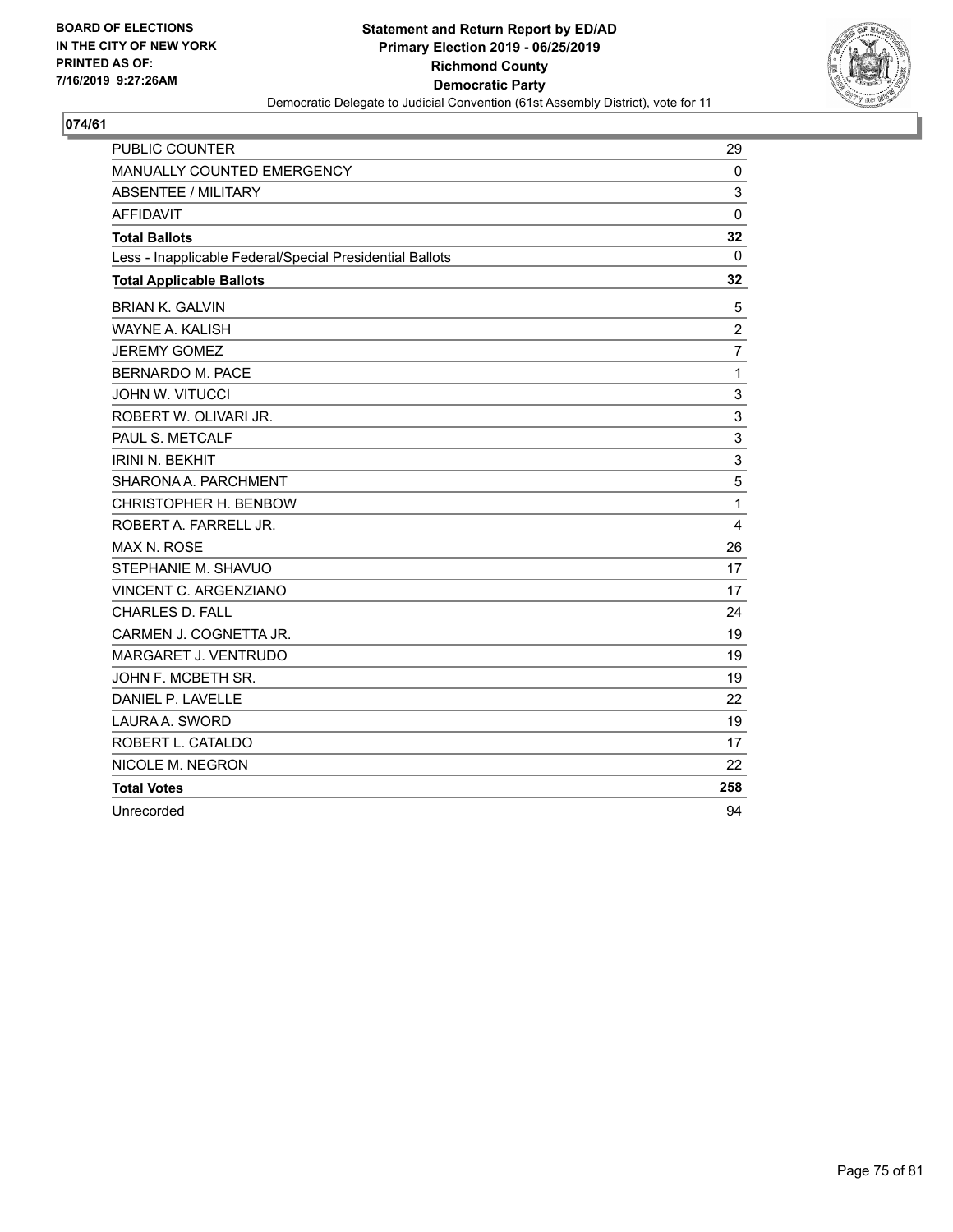

| <b>PUBLIC COUNTER</b>                                    | 29             |
|----------------------------------------------------------|----------------|
| MANUALLY COUNTED EMERGENCY                               | 0              |
| <b>ABSENTEE / MILITARY</b>                               | 3              |
| <b>AFFIDAVIT</b>                                         | $\mathbf 0$    |
| <b>Total Ballots</b>                                     | 32             |
| Less - Inapplicable Federal/Special Presidential Ballots | 0              |
| <b>Total Applicable Ballots</b>                          | 32             |
| <b>BRIAN K. GALVIN</b>                                   | 5              |
| WAYNE A. KALISH                                          | $\overline{2}$ |
| <b>JEREMY GOMEZ</b>                                      | $\overline{7}$ |
| BERNARDO M. PACE                                         | $\mathbf{1}$   |
| <b>JOHN W. VITUCCI</b>                                   | 3              |
| ROBERT W. OLIVARI JR.                                    | 3              |
| PAUL S. METCALF                                          | 3              |
| <b>IRINI N. BEKHIT</b>                                   | 3              |
| SHARONA A. PARCHMENT                                     | 5              |
| CHRISTOPHER H. BENBOW                                    | 1              |
| ROBERT A. FARRELL JR.                                    | 4              |
| <b>MAX N. ROSE</b>                                       | 26             |
| STEPHANIE M. SHAVUO                                      | 17             |
| VINCENT C. ARGENZIANO                                    | 17             |
| <b>CHARLES D. FALL</b>                                   | 24             |
| CARMEN J. COGNETTA JR.                                   | 19             |
| MARGARET J. VENTRUDO                                     | 19             |
| JOHN F. MCBETH SR.                                       | 19             |
| DANIEL P. LAVELLE                                        | 22             |
| LAURA A. SWORD                                           | 19             |
| ROBERT L. CATALDO                                        | 17             |
| NICOLE M. NEGRON                                         | 22             |
| <b>Total Votes</b>                                       | 258            |
| Unrecorded                                               | 94             |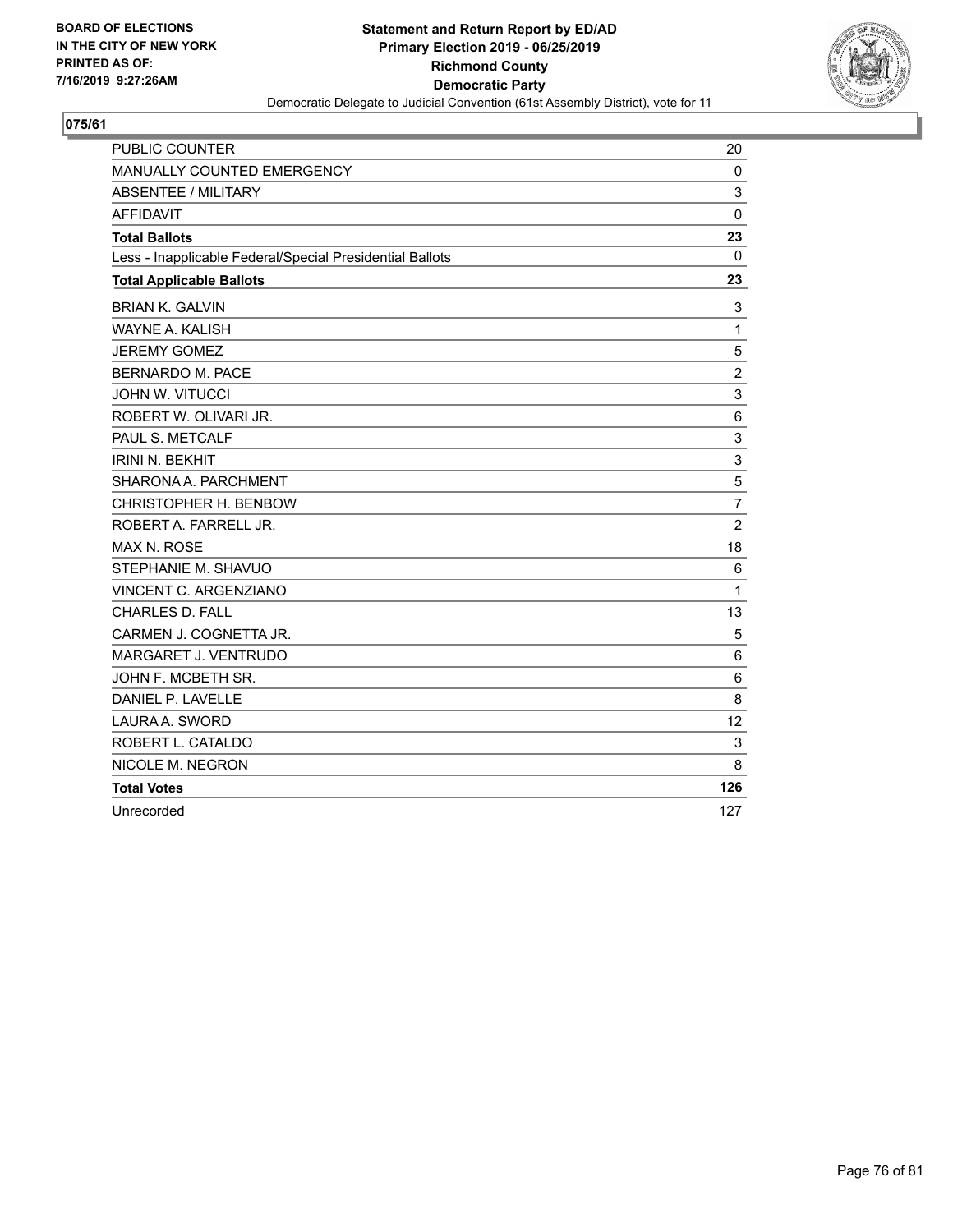

| <b>PUBLIC COUNTER</b>                                    | 20             |
|----------------------------------------------------------|----------------|
| MANUALLY COUNTED EMERGENCY                               | 0              |
| <b>ABSENTEE / MILITARY</b>                               | 3              |
| <b>AFFIDAVIT</b>                                         | 0              |
| <b>Total Ballots</b>                                     | 23             |
| Less - Inapplicable Federal/Special Presidential Ballots | 0              |
| <b>Total Applicable Ballots</b>                          | 23             |
| <b>BRIAN K. GALVIN</b>                                   | 3              |
| WAYNE A. KALISH                                          | 1              |
| <b>JEREMY GOMEZ</b>                                      | 5              |
| <b>BERNARDO M. PACE</b>                                  | $\overline{c}$ |
| <b>JOHN W. VITUCCI</b>                                   | 3              |
| ROBERT W. OLIVARI JR.                                    | 6              |
| PAUL S. METCALF                                          | 3              |
| <b>IRINI N. BEKHIT</b>                                   | 3              |
| SHARONA A. PARCHMENT                                     | 5              |
| CHRISTOPHER H. BENBOW                                    | $\overline{7}$ |
| ROBERT A. FARRELL JR.                                    | $\overline{2}$ |
| <b>MAX N. ROSE</b>                                       | 18             |
| STEPHANIE M. SHAVUO                                      | 6              |
| VINCENT C. ARGENZIANO                                    | $\mathbf{1}$   |
| <b>CHARLES D. FALL</b>                                   | 13             |
| CARMEN J. COGNETTA JR.                                   | 5              |
| MARGARET J. VENTRUDO                                     | 6              |
| JOHN F. MCBETH SR.                                       | 6              |
| DANIEL P. LAVELLE                                        | 8              |
| LAURA A. SWORD                                           | 12             |
| ROBERT L. CATALDO                                        | 3              |
| NICOLE M. NEGRON                                         | 8              |
| <b>Total Votes</b>                                       | 126            |
| Unrecorded                                               | 127            |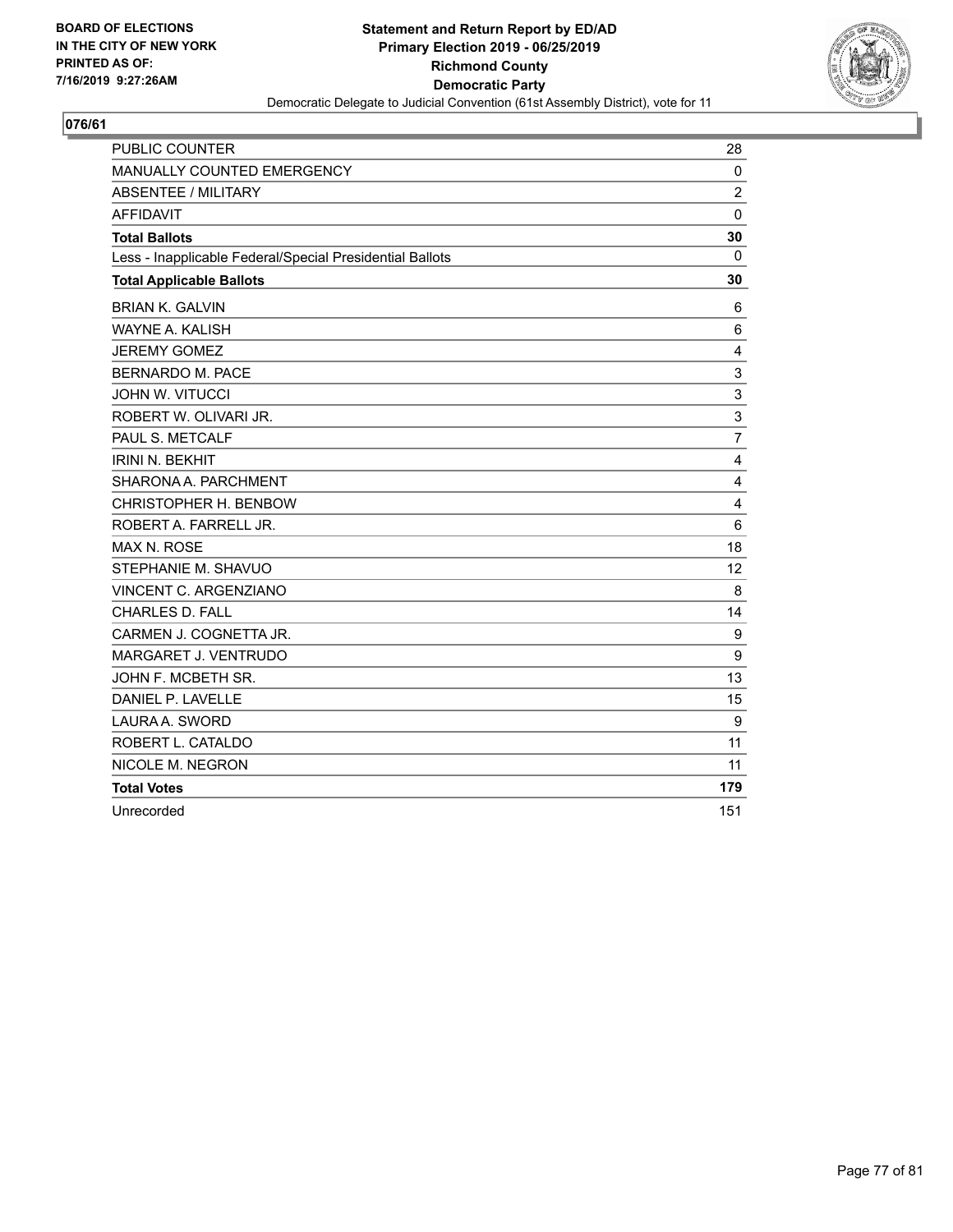

| <b>PUBLIC COUNTER</b>                                    | 28             |
|----------------------------------------------------------|----------------|
| MANUALLY COUNTED EMERGENCY                               | $\mathbf 0$    |
| <b>ABSENTEE / MILITARY</b>                               | $\overline{c}$ |
| <b>AFFIDAVIT</b>                                         | $\mathbf 0$    |
| <b>Total Ballots</b>                                     | 30             |
| Less - Inapplicable Federal/Special Presidential Ballots | 0              |
| <b>Total Applicable Ballots</b>                          | 30             |
| <b>BRIAN K. GALVIN</b>                                   | 6              |
| <b>WAYNE A. KALISH</b>                                   | 6              |
| <b>JEREMY GOMEZ</b>                                      | 4              |
| <b>BERNARDO M. PACE</b>                                  | 3              |
| <b>JOHN W. VITUCCI</b>                                   | 3              |
| ROBERT W. OLIVARI JR.                                    | 3              |
| PAUL S. METCALF                                          | $\overline{7}$ |
| <b>IRINI N. BEKHIT</b>                                   | 4              |
| SHARONA A. PARCHMENT                                     | 4              |
| CHRISTOPHER H. BENBOW                                    | 4              |
| ROBERT A. FARRELL JR.                                    | 6              |
| MAX N. ROSE                                              | 18             |
| STEPHANIE M. SHAVUO                                      | 12             |
| VINCENT C. ARGENZIANO                                    | 8              |
| <b>CHARLES D. FALL</b>                                   | 14             |
| CARMEN J. COGNETTA JR.                                   | 9              |
| MARGARET J. VENTRUDO                                     | 9              |
| JOHN F. MCBETH SR.                                       | 13             |
| DANIEL P. LAVELLE                                        | 15             |
| LAURA A. SWORD                                           | 9              |
| ROBERT L. CATALDO                                        | 11             |
| NICOLE M. NEGRON                                         | 11             |
| <b>Total Votes</b>                                       | 179            |
| Unrecorded                                               | 151            |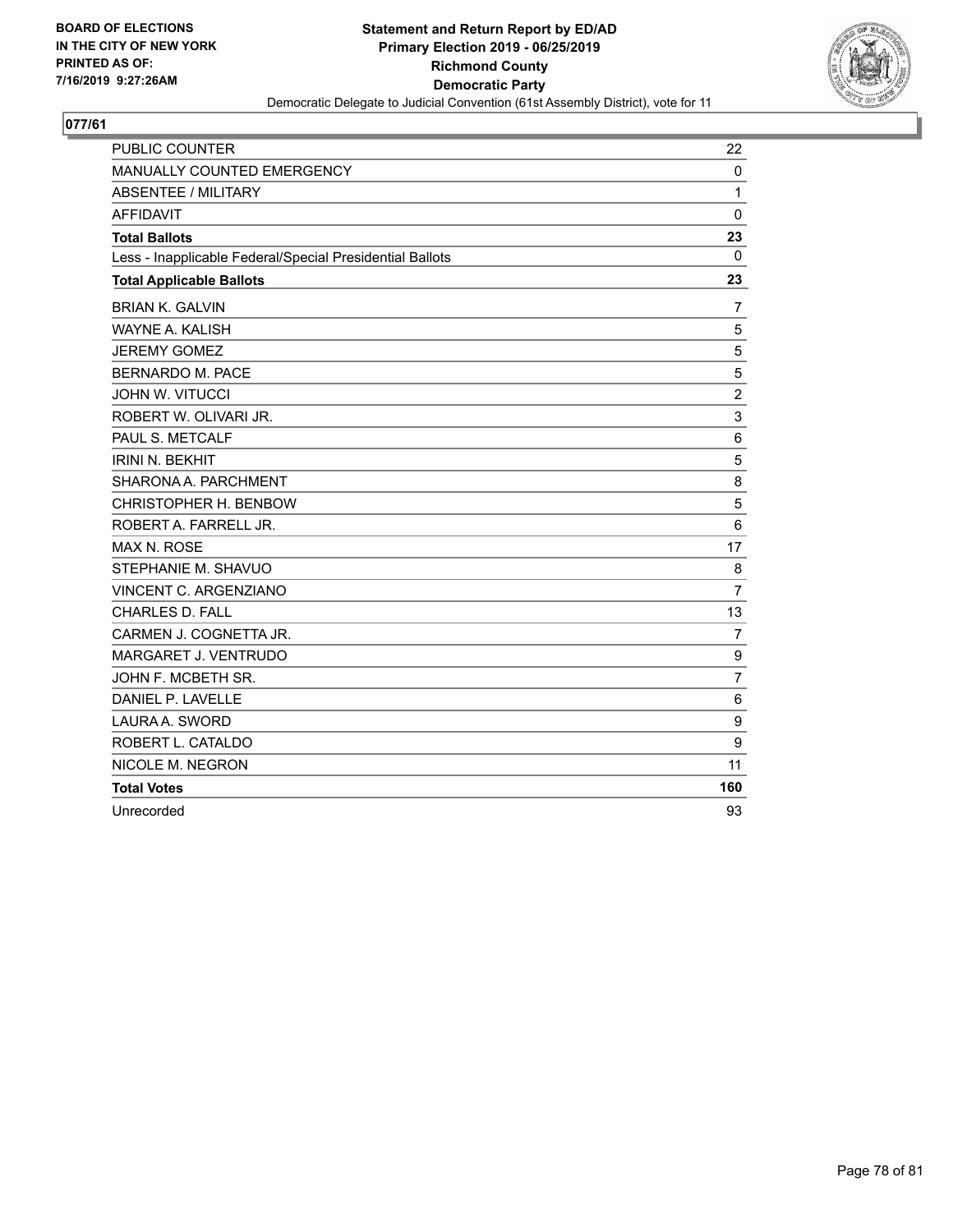

| <b>PUBLIC COUNTER</b>                                    | 22             |
|----------------------------------------------------------|----------------|
| MANUALLY COUNTED EMERGENCY                               | $\mathbf 0$    |
| <b>ABSENTEE / MILITARY</b>                               | 1              |
| <b>AFFIDAVIT</b>                                         | $\Omega$       |
| <b>Total Ballots</b>                                     | 23             |
| Less - Inapplicable Federal/Special Presidential Ballots | 0              |
| <b>Total Applicable Ballots</b>                          | 23             |
| <b>BRIAN K. GALVIN</b>                                   | 7              |
| <b>WAYNE A. KALISH</b>                                   | 5              |
| <b>JEREMY GOMEZ</b>                                      | 5              |
| <b>BERNARDO M. PACE</b>                                  | 5              |
| <b>JOHN W. VITUCCI</b>                                   | $\overline{2}$ |
| ROBERT W. OLIVARI JR.                                    | 3              |
| PAUL S. METCALF                                          | 6              |
| <b>IRINI N. BEKHIT</b>                                   | 5              |
| SHARONA A. PARCHMENT                                     | 8              |
| CHRISTOPHER H. BENBOW                                    | 5              |
| ROBERT A. FARRELL JR.                                    | 6              |
| MAX N. ROSE                                              | 17             |
| STEPHANIE M. SHAVUO                                      | 8              |
| VINCENT C. ARGENZIANO                                    | $\overline{7}$ |
| CHARLES D. FALL                                          | 13             |
| CARMEN J. COGNETTA JR.                                   | $\overline{7}$ |
| MARGARET J. VENTRUDO                                     | 9              |
| JOHN F. MCBETH SR.                                       | $\overline{7}$ |
| DANIEL P. LAVELLE                                        | 6              |
| LAURA A. SWORD                                           | 9              |
| ROBERT L. CATALDO                                        | 9              |
| NICOLE M. NEGRON                                         | 11             |
| <b>Total Votes</b>                                       | 160            |
| Unrecorded                                               | 93             |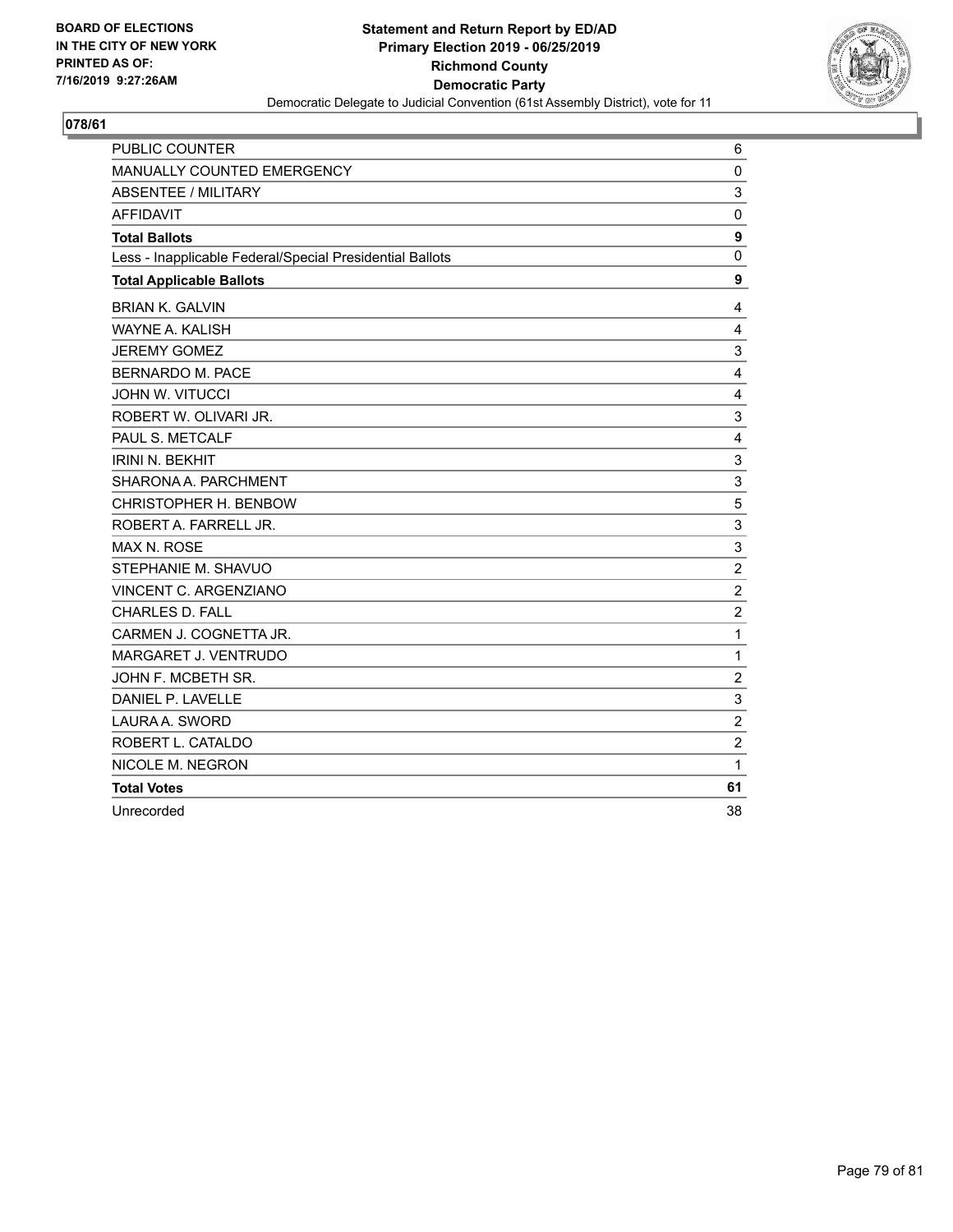

| PUBLIC COUNTER                                           | 6              |
|----------------------------------------------------------|----------------|
| <b>MANUALLY COUNTED EMERGENCY</b>                        | $\mathbf 0$    |
| <b>ABSENTEE / MILITARY</b>                               | 3              |
| <b>AFFIDAVIT</b>                                         | $\Omega$       |
| <b>Total Ballots</b>                                     | 9              |
| Less - Inapplicable Federal/Special Presidential Ballots | 0              |
| <b>Total Applicable Ballots</b>                          | 9              |
| <b>BRIAN K. GALVIN</b>                                   | $\overline{4}$ |
| WAYNE A. KALISH                                          | $\overline{4}$ |
| <b>JEREMY GOMEZ</b>                                      | 3              |
| <b>BERNARDO M. PACE</b>                                  | 4              |
| <b>JOHN W. VITUCCI</b>                                   | 4              |
| ROBERT W. OLIVARI JR.                                    | 3              |
| PAUL S. METCALF                                          | 4              |
| <b>IRINI N. BEKHIT</b>                                   | 3              |
| SHARONA A. PARCHMENT                                     | $\sqrt{3}$     |
| CHRISTOPHER H. BENBOW                                    | 5              |
| ROBERT A. FARRELL JR.                                    | 3              |
| <b>MAX N. ROSE</b>                                       | 3              |
| STEPHANIE M. SHAVUO                                      | $\overline{2}$ |
| VINCENT C. ARGENZIANO                                    | $\overline{2}$ |
| <b>CHARLES D. FALL</b>                                   | $\overline{c}$ |
| CARMEN J. COGNETTA JR.                                   | 1              |
| MARGARET J. VENTRUDO                                     | 1              |
| JOHN F. MCBETH SR.                                       | $\overline{2}$ |
| DANIEL P. LAVELLE                                        | 3              |
| LAURA A. SWORD                                           | $\overline{c}$ |
| ROBERT L. CATALDO                                        | $\overline{c}$ |
| NICOLE M. NEGRON                                         | 1              |
| <b>Total Votes</b>                                       | 61             |
| Unrecorded                                               | 38             |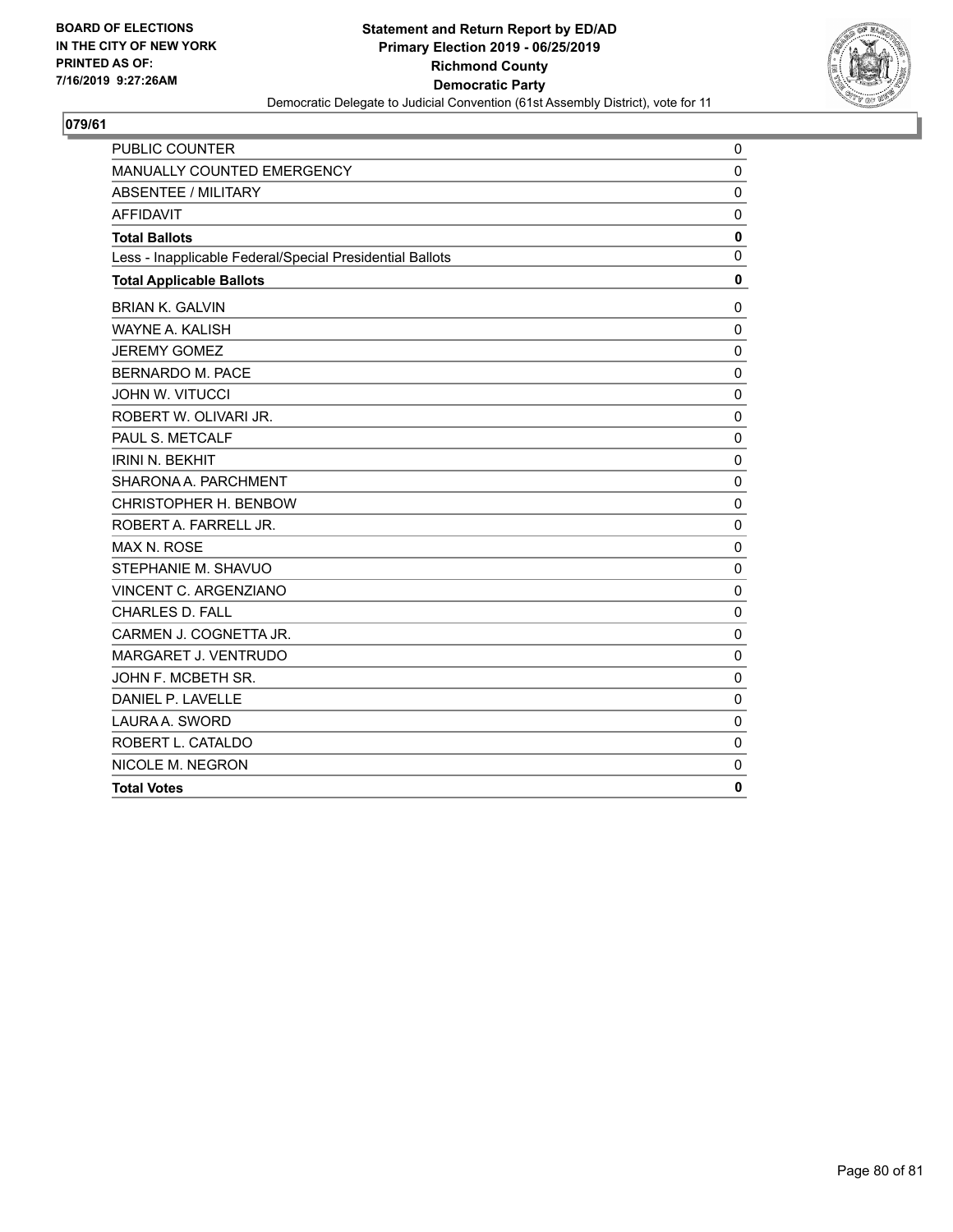

| PUBLIC COUNTER                                           | 0            |
|----------------------------------------------------------|--------------|
| MANUALLY COUNTED EMERGENCY                               | $\mathbf 0$  |
| <b>ABSENTEE / MILITARY</b>                               | $\mathbf 0$  |
| <b>AFFIDAVIT</b>                                         | 0            |
| <b>Total Ballots</b>                                     | 0            |
| Less - Inapplicable Federal/Special Presidential Ballots | $\mathbf{0}$ |
| <b>Total Applicable Ballots</b>                          | $\mathbf 0$  |
| <b>BRIAN K. GALVIN</b>                                   | $\mathbf 0$  |
| <b>WAYNE A. KALISH</b>                                   | $\mathbf 0$  |
| <b>JEREMY GOMEZ</b>                                      | $\mathbf 0$  |
| <b>BERNARDO M. PACE</b>                                  | 0            |
| JOHN W. VITUCCI                                          | $\mathbf 0$  |
| ROBERT W. OLIVARI JR.                                    | $\mathbf{0}$ |
| PAUL S. METCALF                                          | $\mathbf{0}$ |
| <b>IRINI N. BEKHIT</b>                                   | 0            |
| SHARONA A. PARCHMENT                                     | $\mathbf 0$  |
| CHRISTOPHER H. BENBOW                                    | $\mathbf 0$  |
| ROBERT A. FARRELL JR.                                    | $\mathbf 0$  |
| <b>MAX N. ROSE</b>                                       | $\mathbf 0$  |
| STEPHANIE M. SHAVUO                                      | $\mathbf 0$  |
| VINCENT C. ARGENZIANO                                    | $\mathbf{0}$ |
| <b>CHARLES D. FALL</b>                                   | $\mathbf 0$  |
| CARMEN J. COGNETTA JR.                                   | $\mathbf 0$  |
| MARGARET J. VENTRUDO                                     | $\mathbf 0$  |
| JOHN F. MCBETH SR.                                       | $\mathbf 0$  |
| DANIEL P. LAVELLE                                        | $\mathbf 0$  |
| LAURA A. SWORD                                           | $\mathbf 0$  |
| ROBERT L. CATALDO                                        | $\mathbf 0$  |
| NICOLE M. NEGRON                                         | $\mathbf 0$  |
| <b>Total Votes</b>                                       | 0            |